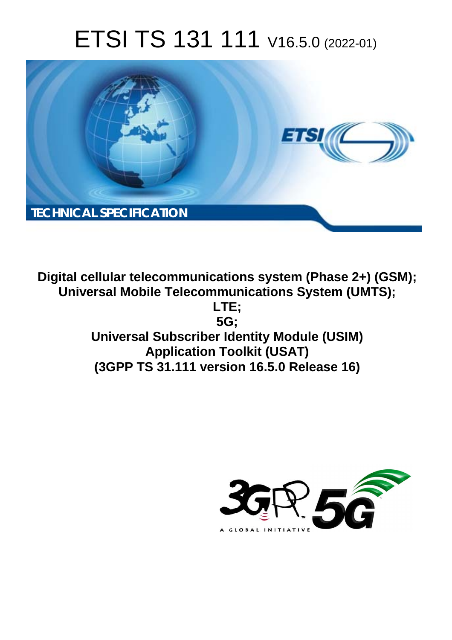# ETSI TS 131 111 V16.5.0 (2022-01)



**Digital cellular telecommunications system (Phase 2+) (GSM); Universal Mobile Telecommunications System (UMTS); LTE; 5G; Universal Subscriber Identity Module (USIM) Application Toolkit (USAT) (3GPP TS 31.111 version 16.5.0 Release 16)** 

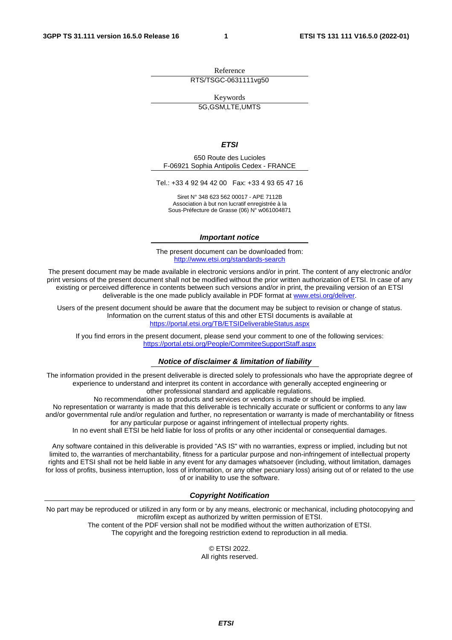Reference RTS/TSGC-0631111vg50

Keywords

5G,GSM,LTE,UMTS

#### *ETSI*

650 Route des Lucioles F-06921 Sophia Antipolis Cedex - FRANCE

Tel.: +33 4 92 94 42 00 Fax: +33 4 93 65 47 16

Siret N° 348 623 562 00017 - APE 7112B Association à but non lucratif enregistrée à la Sous-Préfecture de Grasse (06) N° w061004871

#### *Important notice*

The present document can be downloaded from: <http://www.etsi.org/standards-search>

The present document may be made available in electronic versions and/or in print. The content of any electronic and/or print versions of the present document shall not be modified without the prior written authorization of ETSI. In case of any existing or perceived difference in contents between such versions and/or in print, the prevailing version of an ETSI deliverable is the one made publicly available in PDF format at [www.etsi.org/deliver](http://www.etsi.org/deliver).

Users of the present document should be aware that the document may be subject to revision or change of status. Information on the current status of this and other ETSI documents is available at <https://portal.etsi.org/TB/ETSIDeliverableStatus.aspx>

If you find errors in the present document, please send your comment to one of the following services: <https://portal.etsi.org/People/CommiteeSupportStaff.aspx>

#### *Notice of disclaimer & limitation of liability*

The information provided in the present deliverable is directed solely to professionals who have the appropriate degree of experience to understand and interpret its content in accordance with generally accepted engineering or other professional standard and applicable regulations.

No recommendation as to products and services or vendors is made or should be implied.

No representation or warranty is made that this deliverable is technically accurate or sufficient or conforms to any law and/or governmental rule and/or regulation and further, no representation or warranty is made of merchantability or fitness for any particular purpose or against infringement of intellectual property rights.

In no event shall ETSI be held liable for loss of profits or any other incidental or consequential damages.

Any software contained in this deliverable is provided "AS IS" with no warranties, express or implied, including but not limited to, the warranties of merchantability, fitness for a particular purpose and non-infringement of intellectual property rights and ETSI shall not be held liable in any event for any damages whatsoever (including, without limitation, damages for loss of profits, business interruption, loss of information, or any other pecuniary loss) arising out of or related to the use of or inability to use the software.

#### *Copyright Notification*

No part may be reproduced or utilized in any form or by any means, electronic or mechanical, including photocopying and microfilm except as authorized by written permission of ETSI. The content of the PDF version shall not be modified without the written authorization of ETSI.

The copyright and the foregoing restriction extend to reproduction in all media.

© ETSI 2022. All rights reserved.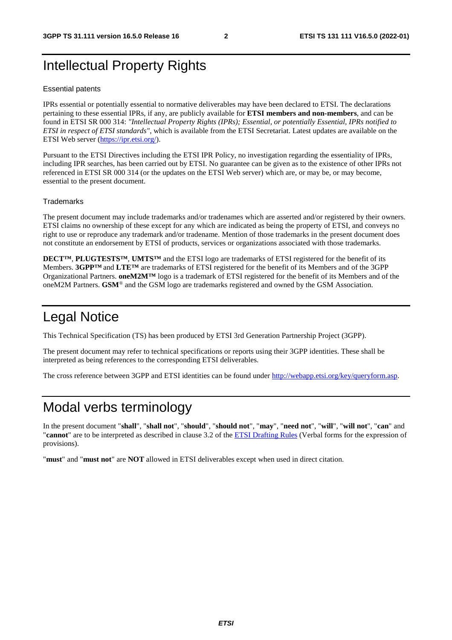# Intellectual Property Rights

#### Essential patents

IPRs essential or potentially essential to normative deliverables may have been declared to ETSI. The declarations pertaining to these essential IPRs, if any, are publicly available for **ETSI members and non-members**, and can be found in ETSI SR 000 314: *"Intellectual Property Rights (IPRs); Essential, or potentially Essential, IPRs notified to ETSI in respect of ETSI standards"*, which is available from the ETSI Secretariat. Latest updates are available on the ETSI Web server ([https://ipr.etsi.org/\)](https://ipr.etsi.org/).

Pursuant to the ETSI Directives including the ETSI IPR Policy, no investigation regarding the essentiality of IPRs, including IPR searches, has been carried out by ETSI. No guarantee can be given as to the existence of other IPRs not referenced in ETSI SR 000 314 (or the updates on the ETSI Web server) which are, or may be, or may become, essential to the present document.

#### **Trademarks**

The present document may include trademarks and/or tradenames which are asserted and/or registered by their owners. ETSI claims no ownership of these except for any which are indicated as being the property of ETSI, and conveys no right to use or reproduce any trademark and/or tradename. Mention of those trademarks in the present document does not constitute an endorsement by ETSI of products, services or organizations associated with those trademarks.

**DECT™**, **PLUGTESTS™**, **UMTS™** and the ETSI logo are trademarks of ETSI registered for the benefit of its Members. **3GPP™** and **LTE™** are trademarks of ETSI registered for the benefit of its Members and of the 3GPP Organizational Partners. **oneM2M™** logo is a trademark of ETSI registered for the benefit of its Members and of the oneM2M Partners. **GSM**® and the GSM logo are trademarks registered and owned by the GSM Association.

# Legal Notice

This Technical Specification (TS) has been produced by ETSI 3rd Generation Partnership Project (3GPP).

The present document may refer to technical specifications or reports using their 3GPP identities. These shall be interpreted as being references to the corresponding ETSI deliverables.

The cross reference between 3GPP and ETSI identities can be found under<http://webapp.etsi.org/key/queryform.asp>.

# Modal verbs terminology

In the present document "**shall**", "**shall not**", "**should**", "**should not**", "**may**", "**need not**", "**will**", "**will not**", "**can**" and "**cannot**" are to be interpreted as described in clause 3.2 of the [ETSI Drafting Rules](https://portal.etsi.org/Services/editHelp!/Howtostart/ETSIDraftingRules.aspx) (Verbal forms for the expression of provisions).

"**must**" and "**must not**" are **NOT** allowed in ETSI deliverables except when used in direct citation.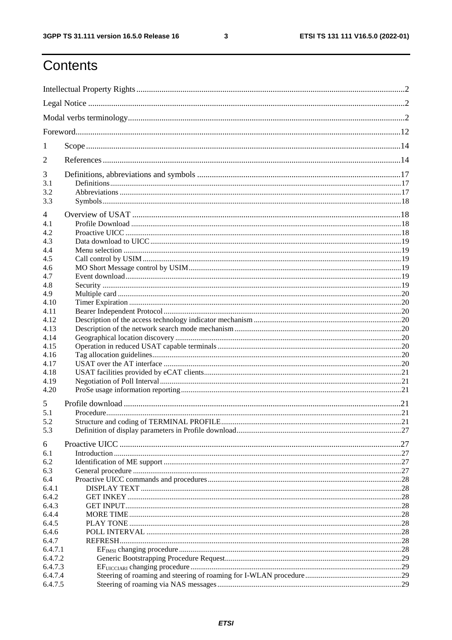$\mathbf{3}$ 

# Contents

| 1       |  |  |  |
|---------|--|--|--|
| 2       |  |  |  |
| 3       |  |  |  |
| 3.1     |  |  |  |
| 3.2     |  |  |  |
| 3.3     |  |  |  |
| 4       |  |  |  |
| 4.1     |  |  |  |
| 4.2     |  |  |  |
| 4.3     |  |  |  |
| 4.4     |  |  |  |
| 4.5     |  |  |  |
| 4.6     |  |  |  |
| 4.7     |  |  |  |
| 4.8     |  |  |  |
| 4.9     |  |  |  |
| 4.10    |  |  |  |
| 4.11    |  |  |  |
| 4.12    |  |  |  |
| 4.13    |  |  |  |
| 4.14    |  |  |  |
| 4.15    |  |  |  |
| 4.16    |  |  |  |
| 4.17    |  |  |  |
| 4.18    |  |  |  |
| 4.19    |  |  |  |
| 4.20    |  |  |  |
| 5       |  |  |  |
| 5.1     |  |  |  |
| 5.2     |  |  |  |
| 5.3     |  |  |  |
| 6       |  |  |  |
| 6.1     |  |  |  |
| 6.2     |  |  |  |
| 6.3     |  |  |  |
| 6.4     |  |  |  |
| 6.4.1   |  |  |  |
| 6.4.2   |  |  |  |
| 6.4.3   |  |  |  |
| 6.4.4   |  |  |  |
| 6.4.5   |  |  |  |
| 6.4.6   |  |  |  |
| 6.4.7   |  |  |  |
| 6.4.7.1 |  |  |  |
| 6.4.7.2 |  |  |  |
| 6.4.7.3 |  |  |  |
| 6.4.7.4 |  |  |  |
| 6.4.7.5 |  |  |  |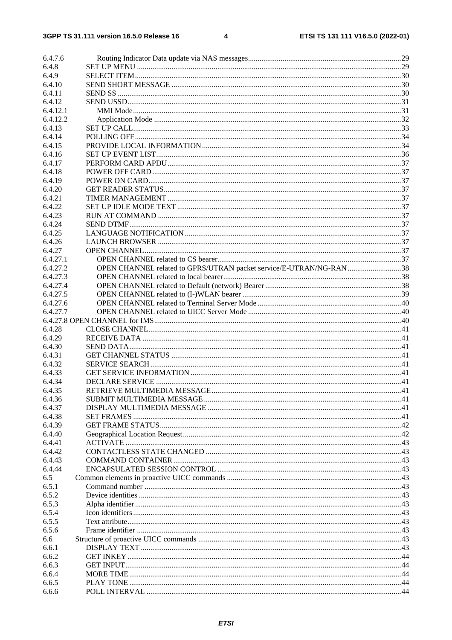| 6.4.7.6  |                                                                     |  |
|----------|---------------------------------------------------------------------|--|
| 6.4.8    |                                                                     |  |
|          |                                                                     |  |
| 6.4.9    |                                                                     |  |
| 6.4.10   |                                                                     |  |
| 6.4.11   |                                                                     |  |
| 6.4.12   |                                                                     |  |
| 6.4.12.1 |                                                                     |  |
| 6.4.12.2 |                                                                     |  |
| 6.4.13   |                                                                     |  |
| 6.4.14   |                                                                     |  |
| 6.4.15   |                                                                     |  |
| 6.4.16   |                                                                     |  |
| 6.4.17   |                                                                     |  |
|          |                                                                     |  |
| 6.4.18   |                                                                     |  |
| 6.4.19   |                                                                     |  |
| 6.4.20   |                                                                     |  |
| 6.4.21   |                                                                     |  |
| 6.4.22   |                                                                     |  |
| 6.4.23   |                                                                     |  |
| 6.4.24   |                                                                     |  |
| 6.4.25   |                                                                     |  |
| 6.4.26   |                                                                     |  |
| 6.4.27   |                                                                     |  |
| 6.4.27.1 |                                                                     |  |
| 6.4.27.2 | OPEN CHANNEL related to GPRS/UTRAN packet service/E-UTRAN/NG-RAN 38 |  |
| 6.4.27.3 |                                                                     |  |
| 6.4.27.4 |                                                                     |  |
|          |                                                                     |  |
| 6.4.27.5 |                                                                     |  |
| 6.4.27.6 |                                                                     |  |
| 6.4.27.7 |                                                                     |  |
|          |                                                                     |  |
| 6.4.28   |                                                                     |  |
| 6.4.29   |                                                                     |  |
| 6.4.30   |                                                                     |  |
| 6.4.31   |                                                                     |  |
| 6.4.32   |                                                                     |  |
| 6.4.33   |                                                                     |  |
| 6.4.34   |                                                                     |  |
| 6.4.35   |                                                                     |  |
| 6.4.36   |                                                                     |  |
| 6.4.37   |                                                                     |  |
| 6.4.38   |                                                                     |  |
|          |                                                                     |  |
| 6.4.39   |                                                                     |  |
| 6.4.40   |                                                                     |  |
| 6.4.41   |                                                                     |  |
| 6.4.42   |                                                                     |  |
| 6.4.43   |                                                                     |  |
| 6.4.44   |                                                                     |  |
| 6.5      |                                                                     |  |
| 6.5.1    |                                                                     |  |
| 6.5.2    |                                                                     |  |
| 6.5.3    |                                                                     |  |
| 6.5.4    |                                                                     |  |
| 6.5.5    |                                                                     |  |
| 6.5.6    |                                                                     |  |
| 6.6      |                                                                     |  |
| 6.6.1    |                                                                     |  |
| 6.6.2    |                                                                     |  |
|          |                                                                     |  |
| 6.6.3    |                                                                     |  |
| 6.6.4    |                                                                     |  |
| 6.6.5    |                                                                     |  |
| 6.6.6    |                                                                     |  |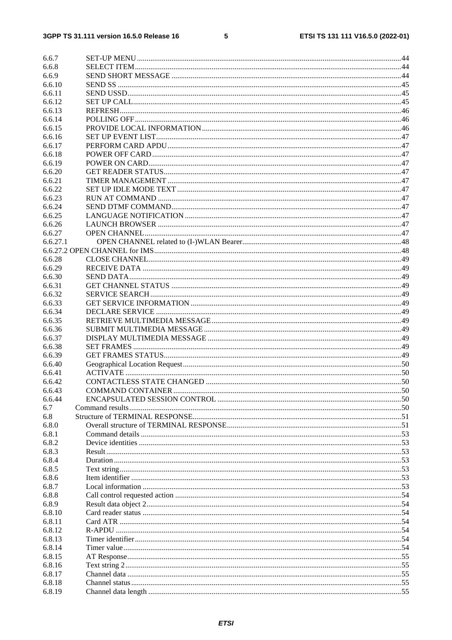#### $5\phantom{a}$

| 6.6.7          |  |
|----------------|--|
| 6.6.8          |  |
| 6.6.9          |  |
| 6.6.10         |  |
| 6.6.11         |  |
| 6.6.12         |  |
| 6.6.13         |  |
| 6.6.14         |  |
| 6.6.15         |  |
| 6.6.16         |  |
| 6.6.17         |  |
| 6.6.18         |  |
| 6.6.19         |  |
| 6.6.20         |  |
| 6.6.21         |  |
| 6.6.22         |  |
| 6.6.23         |  |
| 6.6.24         |  |
| 6.6.25         |  |
| 6.6.26         |  |
| 6.6.27         |  |
| 6.6.27.1       |  |
|                |  |
| 6.6.28         |  |
| 6.6.29         |  |
| 6.6.30         |  |
| 6.6.31         |  |
| 6.6.32         |  |
| 6.6.33         |  |
| 6.6.34         |  |
| 6.6.35         |  |
| 6.6.36         |  |
| 6.6.37         |  |
| 6.6.38         |  |
| 6.6.39         |  |
| 6.6.40         |  |
| 6.6.41         |  |
| 6.6.42         |  |
| 6.6.43         |  |
| 6.6.44         |  |
| 6.7            |  |
| 6.8            |  |
| 6.8.0          |  |
| 6.8.1          |  |
| 6.8.2          |  |
| 6.8.3<br>6.8.4 |  |
| 6.8.5          |  |
| 6.8.6          |  |
| 6.8.7          |  |
| 6.8.8          |  |
| 6.8.9          |  |
| 6.8.10         |  |
| 6.8.11         |  |
| 6.8.12         |  |
| 6.8.13         |  |
| 6.8.14         |  |
| 6.8.15         |  |
| 6.8.16         |  |
| 6.8.17         |  |
| 6.8.18         |  |
| 6.8.19         |  |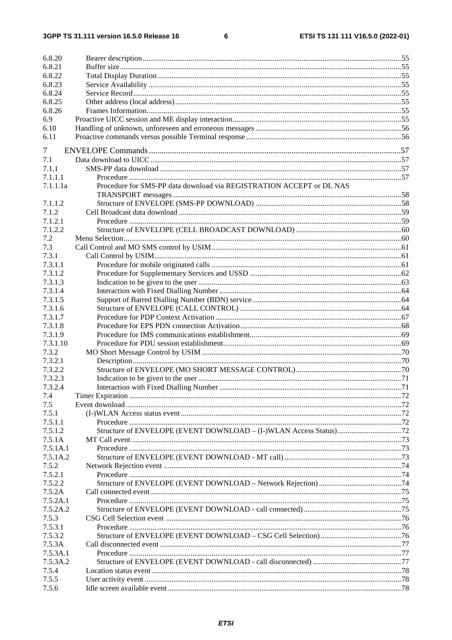$\bf 6$ 

| 6.8.20   |                                                                      |  |
|----------|----------------------------------------------------------------------|--|
| 6.8.21   |                                                                      |  |
| 6.8.22   |                                                                      |  |
| 6.8.23   |                                                                      |  |
| 6.8.24   |                                                                      |  |
| 6.8.25   |                                                                      |  |
| 6.8.26   |                                                                      |  |
| 6.9      |                                                                      |  |
| 6.10     |                                                                      |  |
| 6.11     |                                                                      |  |
| 7        |                                                                      |  |
| 7.1      |                                                                      |  |
| 7.1.1    |                                                                      |  |
| 7.1.1.1  |                                                                      |  |
| 7.1.1.1a | Procedure for SMS-PP data download via REGISTRATION ACCEPT or DL NAS |  |
|          |                                                                      |  |
| 7.1.1.2  |                                                                      |  |
| 7.1.2    |                                                                      |  |
| 7.1.2.1  |                                                                      |  |
| 7.1.2.2  |                                                                      |  |
| 7.2      |                                                                      |  |
| 7.3      |                                                                      |  |
| 7.3.1    |                                                                      |  |
| 7.3.1.1  |                                                                      |  |
| 7.3.1.2  |                                                                      |  |
| 7.3.1.3  |                                                                      |  |
| 7.3.1.4  |                                                                      |  |
| 7.3.1.5  |                                                                      |  |
| 7.3.1.6  |                                                                      |  |
| 7.3.1.7  |                                                                      |  |
| 7.3.1.8  |                                                                      |  |
| 7.3.1.9  |                                                                      |  |
| 7.3.1.10 |                                                                      |  |
| 7.3.2    |                                                                      |  |
| 7.3.2.1  |                                                                      |  |
| 7.3.2.2  |                                                                      |  |
| 7.3.2.3  |                                                                      |  |
| 7.3.2.4  |                                                                      |  |
| 7.4      |                                                                      |  |
| 7.5      |                                                                      |  |
| 7.5.1    |                                                                      |  |
| 7.5.1.1  |                                                                      |  |
| 7.5.1.2  |                                                                      |  |
| 7.5.1A   |                                                                      |  |
| 7.5.1A.1 |                                                                      |  |
| 7.5.1A.2 |                                                                      |  |
| 7.5.2    |                                                                      |  |
| 7.5.2.1  |                                                                      |  |
| 7.5.2.2  |                                                                      |  |
| 7.5.2A   |                                                                      |  |
| 7.5.2A.1 |                                                                      |  |
| 7.5.2A.2 |                                                                      |  |
| 7.5.3    |                                                                      |  |
| 7.5.3.1  |                                                                      |  |
| 7.5.3.2  |                                                                      |  |
| 7.5.3A   |                                                                      |  |
| 7.5.3A.1 |                                                                      |  |
| 7.5.3A.2 |                                                                      |  |
| 7.5.4    |                                                                      |  |
| 7.5.5    |                                                                      |  |
| 7.5.6    |                                                                      |  |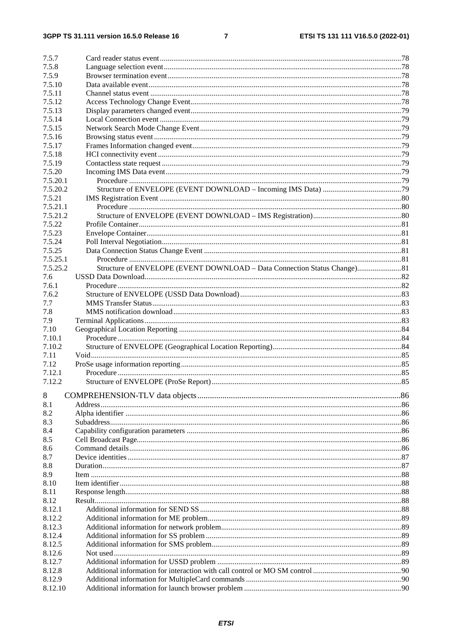#### $\overline{7}$

| 7.5.7        |                                                                           |  |
|--------------|---------------------------------------------------------------------------|--|
| 7.5.8        |                                                                           |  |
| 7.5.9        |                                                                           |  |
| 7.5.10       |                                                                           |  |
| 7.5.11       |                                                                           |  |
| 7.5.12       |                                                                           |  |
| 7.5.13       |                                                                           |  |
| 7.5.14       |                                                                           |  |
| 7.5.15       |                                                                           |  |
| 7.5.16       |                                                                           |  |
| 7.5.17       |                                                                           |  |
| 7.5.18       |                                                                           |  |
| 7.5.19       |                                                                           |  |
| 7.5.20       |                                                                           |  |
| 7.5.20.1     |                                                                           |  |
| 7.5.20.2     |                                                                           |  |
| 7.5.21       |                                                                           |  |
| 7.5.21.1     |                                                                           |  |
| 7.5.21.2     |                                                                           |  |
| 7.5.22       |                                                                           |  |
| 7.5.23       |                                                                           |  |
| 7.5.24       |                                                                           |  |
| 7.5.25       |                                                                           |  |
| 7.5.25.1     |                                                                           |  |
| 7.5.25.2     | Structure of ENVELOPE (EVENT DOWNLOAD - Data Connection Status Change) 81 |  |
| 7.6          |                                                                           |  |
| 7.6.1        |                                                                           |  |
| 7.6.2<br>7.7 |                                                                           |  |
| 7.8          |                                                                           |  |
| 7.9          |                                                                           |  |
| 7.10         |                                                                           |  |
| 7.10.1       |                                                                           |  |
| 7.10.2       |                                                                           |  |
| 7.11         |                                                                           |  |
| 7.12         |                                                                           |  |
| 7.12.1       |                                                                           |  |
| 7.12.2       |                                                                           |  |
|              |                                                                           |  |
| 8            |                                                                           |  |
| 8.1          |                                                                           |  |
| 8.2          |                                                                           |  |
| 8.3          |                                                                           |  |
| 8.4          |                                                                           |  |
| 8.5          |                                                                           |  |
| 8.6          |                                                                           |  |
| 8.7<br>8.8   |                                                                           |  |
| 8.9          |                                                                           |  |
| 8.10         |                                                                           |  |
| 8.11         |                                                                           |  |
| 8.12         |                                                                           |  |
| 8.12.1       |                                                                           |  |
| 8.12.2       |                                                                           |  |
| 8.12.3       |                                                                           |  |
| 8.12.4       |                                                                           |  |
| 8.12.5       |                                                                           |  |
| 8.12.6       |                                                                           |  |
| 8.12.7       |                                                                           |  |
| 8.12.8       |                                                                           |  |
| 8.12.9       |                                                                           |  |
| 8.12.10      |                                                                           |  |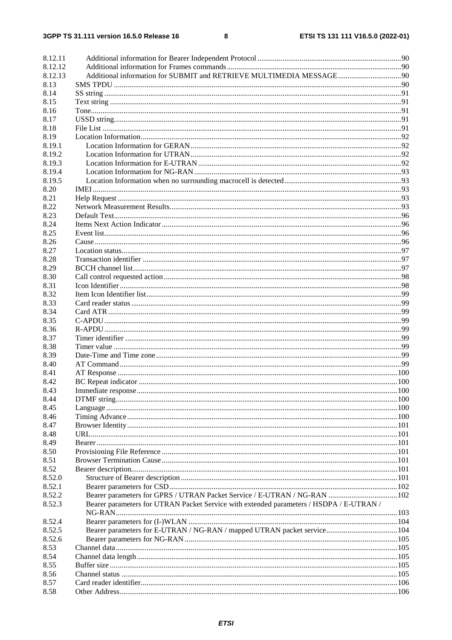| 8.12.11<br>8.12.12 |                                                                                         |  |
|--------------------|-----------------------------------------------------------------------------------------|--|
|                    |                                                                                         |  |
| 8.12.13            |                                                                                         |  |
| 8.13               |                                                                                         |  |
| 8.14               |                                                                                         |  |
| 8.15               |                                                                                         |  |
| 8.16               |                                                                                         |  |
| 8.17               |                                                                                         |  |
| 8.18               |                                                                                         |  |
| 8.19               |                                                                                         |  |
| 8.19.1             |                                                                                         |  |
| 8.19.2             |                                                                                         |  |
| 8.19.3             |                                                                                         |  |
| 8.19.4             |                                                                                         |  |
| 8.19.5             |                                                                                         |  |
| 8.20               |                                                                                         |  |
| 8.21               |                                                                                         |  |
| 8.22               |                                                                                         |  |
| 8.23               |                                                                                         |  |
| 8.24               |                                                                                         |  |
| 8.25               |                                                                                         |  |
| 8.26               |                                                                                         |  |
| 8.27               |                                                                                         |  |
| 8.28               |                                                                                         |  |
| 8.29               |                                                                                         |  |
| 8.30               |                                                                                         |  |
| 8.31               |                                                                                         |  |
| 8.32               |                                                                                         |  |
| 8.33               |                                                                                         |  |
| 8.34               |                                                                                         |  |
| 8.35               |                                                                                         |  |
| 8.36               |                                                                                         |  |
| 8.37               |                                                                                         |  |
| 8.38               |                                                                                         |  |
| 8.39               |                                                                                         |  |
| 8.40               |                                                                                         |  |
| 8.41               |                                                                                         |  |
| 8.42               |                                                                                         |  |
| 8.43               |                                                                                         |  |
| 8.44               |                                                                                         |  |
| 8.45               |                                                                                         |  |
| 8.46               |                                                                                         |  |
| 8.47               |                                                                                         |  |
|                    |                                                                                         |  |
| 8.48               |                                                                                         |  |
| 8.49               |                                                                                         |  |
| 8.50               |                                                                                         |  |
| 8.51               |                                                                                         |  |
| 8.52               |                                                                                         |  |
| 8.52.0             |                                                                                         |  |
| 8.52.1             |                                                                                         |  |
| 8.52.2             | Bearer parameters for GPRS / UTRAN Packet Service / E-UTRAN / NG-RAN  102               |  |
| 8.52.3             | Bearer parameters for UTRAN Packet Service with extended parameters / HSDPA / E-UTRAN / |  |
|                    |                                                                                         |  |
| 8.52.4             |                                                                                         |  |
| 8.52.5             |                                                                                         |  |
| 8.52.6             |                                                                                         |  |
| 8.53               |                                                                                         |  |
| 8.54               |                                                                                         |  |
| 8.55               |                                                                                         |  |
| 8.56               |                                                                                         |  |
| 8.57               |                                                                                         |  |
| 8.58               |                                                                                         |  |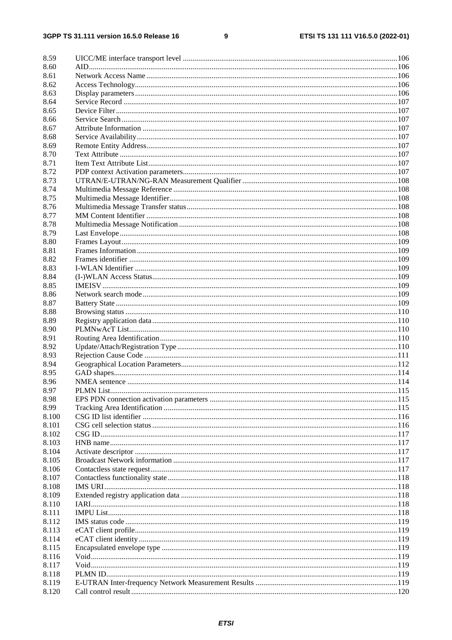#### $\boldsymbol{9}$

| 8.59         |  |
|--------------|--|
| 8.60         |  |
| 8.61         |  |
| 8.62         |  |
| 8.63         |  |
| 8.64         |  |
| 8.65         |  |
| 8.66         |  |
| 8.67         |  |
| 8.68         |  |
| 8.69         |  |
| 8.70         |  |
| 8.71         |  |
| 8.72         |  |
| 8.73         |  |
| 8.74         |  |
| 8.75         |  |
| 8.76         |  |
| 8.77         |  |
| 8.78         |  |
| 8.79         |  |
| 8.80         |  |
| 8.81         |  |
| 8.82         |  |
| 8.83         |  |
| 8.84         |  |
| 8.85         |  |
| 8.86         |  |
| 8.87         |  |
|              |  |
| 8.88<br>8.89 |  |
|              |  |
| 8.90<br>8.91 |  |
| 8.92         |  |
|              |  |
| 8.93         |  |
| 8.94         |  |
| 8.95         |  |
| 8.96         |  |
| 8.97         |  |
| 8.98         |  |
| 8.99         |  |
| 8.100        |  |
| 8.101        |  |
| 8.102        |  |
| 8.103        |  |
| 8.104        |  |
| 8.105        |  |
| 8.106        |  |
| 8.107        |  |
| 8.108        |  |
| 8.109        |  |
| 8.110        |  |
| 8.111        |  |
| 8.112        |  |
| 8.113        |  |
| 8.114        |  |
| 8.115        |  |
| 8.116        |  |
| 8.117        |  |
| 8.118        |  |
| 8.119        |  |
| 8.120        |  |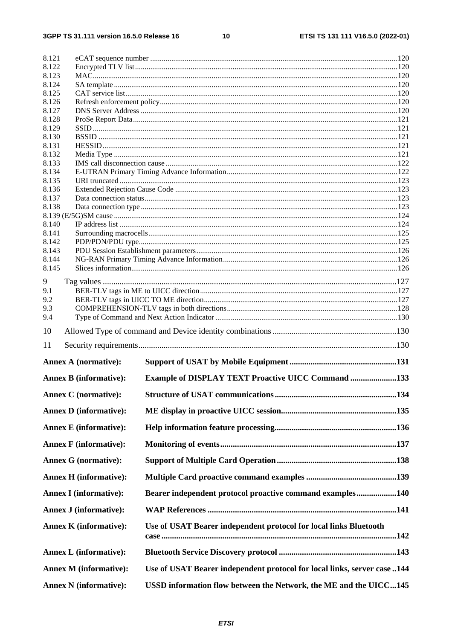#### $10$

| 8.122          |                               |                                                                          |     |
|----------------|-------------------------------|--------------------------------------------------------------------------|-----|
| 8.123          |                               |                                                                          |     |
| 8.124<br>8.125 |                               |                                                                          |     |
| 8.126          |                               |                                                                          |     |
| 8.127          |                               |                                                                          |     |
| 8.128          |                               |                                                                          |     |
| 8.129          |                               |                                                                          |     |
| 8.130          |                               |                                                                          |     |
| 8.131          |                               |                                                                          |     |
| 8.132<br>8.133 |                               |                                                                          |     |
| 8.134          |                               |                                                                          |     |
| 8.135          |                               |                                                                          |     |
| 8.136          |                               |                                                                          |     |
| 8.137          |                               |                                                                          |     |
| 8.138          |                               |                                                                          |     |
|                |                               |                                                                          |     |
| 8.140          |                               |                                                                          |     |
| 8.141          |                               |                                                                          |     |
| 8.142<br>8.143 |                               |                                                                          |     |
| 8.144          |                               |                                                                          |     |
| 8.145          |                               |                                                                          |     |
|                |                               |                                                                          |     |
| 9<br>9.1       |                               |                                                                          |     |
| 9.2            |                               |                                                                          |     |
| 9.3            |                               |                                                                          |     |
| 9.4            |                               |                                                                          |     |
|                |                               |                                                                          |     |
| 10             |                               |                                                                          |     |
|                |                               |                                                                          |     |
| 11             | <b>Annex A (normative):</b>   |                                                                          |     |
|                |                               |                                                                          |     |
|                | <b>Annex B</b> (informative): | <b>Example of DISPLAY TEXT Proactive UICC Command 133</b>                |     |
|                | <b>Annex C</b> (normative):   |                                                                          | 134 |
|                | <b>Annex D</b> (informative): |                                                                          |     |
|                | <b>Annex E</b> (informative): |                                                                          |     |
|                | <b>Annex F</b> (informative): |                                                                          |     |
|                | <b>Annex G (normative):</b>   |                                                                          |     |
|                | <b>Annex H</b> (informative): |                                                                          |     |
|                | <b>Annex I</b> (informative): | Bearer independent protocol proactive command examples140                |     |
|                | <b>Annex J (informative):</b> |                                                                          |     |
|                | <b>Annex K</b> (informative): | Use of USAT Bearer independent protocol for local links Bluetooth        |     |
|                | <b>Annex L</b> (informative): |                                                                          |     |
|                | <b>Annex M (informative):</b> | Use of USAT Bearer independent protocol for local links, server case 144 |     |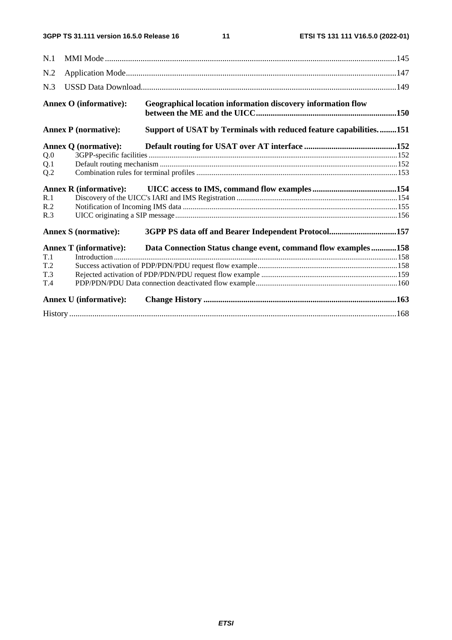| N.1 |                               |                                                                                       |  |
|-----|-------------------------------|---------------------------------------------------------------------------------------|--|
| N.2 |                               |                                                                                       |  |
| N.3 |                               |                                                                                       |  |
|     | <b>Annex O</b> (informative): | Geographical location information discovery information flow                          |  |
|     | <b>Annex P</b> (normative):   | Support of USAT by Terminals with reduced feature capabilities151                     |  |
|     | <b>Annex Q (normative):</b>   |                                                                                       |  |
| Q.0 |                               |                                                                                       |  |
| Q.1 |                               |                                                                                       |  |
| Q.2 |                               |                                                                                       |  |
|     |                               |                                                                                       |  |
| R.1 |                               |                                                                                       |  |
| R.2 |                               |                                                                                       |  |
| R.3 |                               |                                                                                       |  |
|     | <b>Annex S (normative):</b>   | 3GPP PS data off and Bearer Independent Protocol157                                   |  |
|     |                               | Annex T (informative): Data Connection Status change event, command flow examples 158 |  |
| T.1 |                               |                                                                                       |  |
| T.2 |                               |                                                                                       |  |
| T.3 |                               |                                                                                       |  |
| T.4 |                               |                                                                                       |  |
|     | <b>Annex U</b> (informative): |                                                                                       |  |
|     |                               |                                                                                       |  |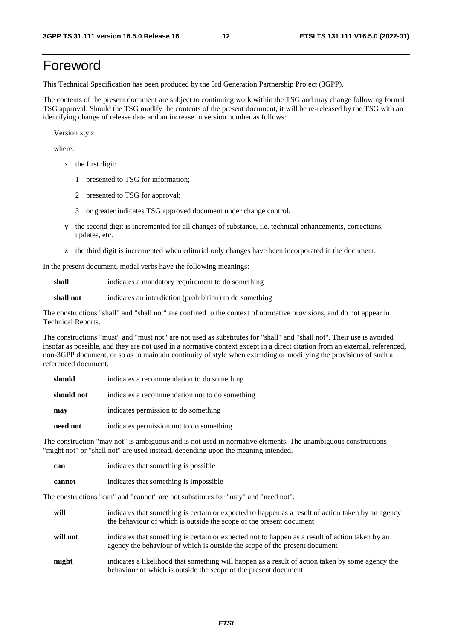# Foreword

This Technical Specification has been produced by the 3rd Generation Partnership Project (3GPP).

The contents of the present document are subject to continuing work within the TSG and may change following formal TSG approval. Should the TSG modify the contents of the present document, it will be re-released by the TSG with an identifying change of release date and an increase in version number as follows:

Version x.y.z

where:

- x the first digit:
	- 1 presented to TSG for information;
	- 2 presented to TSG for approval;
	- 3 or greater indicates TSG approved document under change control.
- y the second digit is incremented for all changes of substance, i.e. technical enhancements, corrections, updates, etc.
- z the third digit is incremented when editorial only changes have been incorporated in the document.

In the present document, modal verbs have the following meanings:

**shall** indicates a mandatory requirement to do something

**shall not** indicates an interdiction (prohibition) to do something

The constructions "shall" and "shall not" are confined to the context of normative provisions, and do not appear in Technical Reports.

The constructions "must" and "must not" are not used as substitutes for "shall" and "shall not". Their use is avoided insofar as possible, and they are not used in a normative context except in a direct citation from an external, referenced, non-3GPP document, or so as to maintain continuity of style when extending or modifying the provisions of such a referenced document.

| should     | indicates a recommendation to do something     |
|------------|------------------------------------------------|
| should not | indicates a recommendation not to do something |
| may        | indicates permission to do something           |
| need not   | indicates permission not to do something       |

The construction "may not" is ambiguous and is not used in normative elements. The unambiguous constructions "might not" or "shall not" are used instead, depending upon the meaning intended.

| can    | indicates that something is possible.  |
|--------|----------------------------------------|
| cannot | indicates that something is impossible |

The constructions "can" and "cannot" are not substitutes for "may" and "need not".

| will     | indicates that something is certain or expected to happen as a result of action taken by an agency<br>the behaviour of which is outside the scope of the present document     |
|----------|-------------------------------------------------------------------------------------------------------------------------------------------------------------------------------|
| will not | indicates that something is certain or expected not to happen as a result of action taken by an<br>agency the behaviour of which is outside the scope of the present document |
| might    | indicates a likelihood that something will happen as a result of action taken by some agency the<br>behaviour of which is outside the scope of the present document           |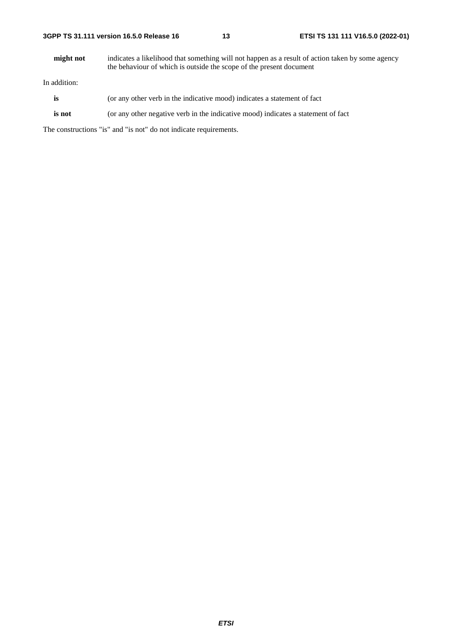**might not** indicates a likelihood that something will not happen as a result of action taken by some agency the behaviour of which is outside the scope of the present document

In addition:

- is (or any other verb in the indicative mood) indicates a statement of fact
- **is not** (or any other negative verb in the indicative mood) indicates a statement of fact

The constructions "is" and "is not" do not indicate requirements.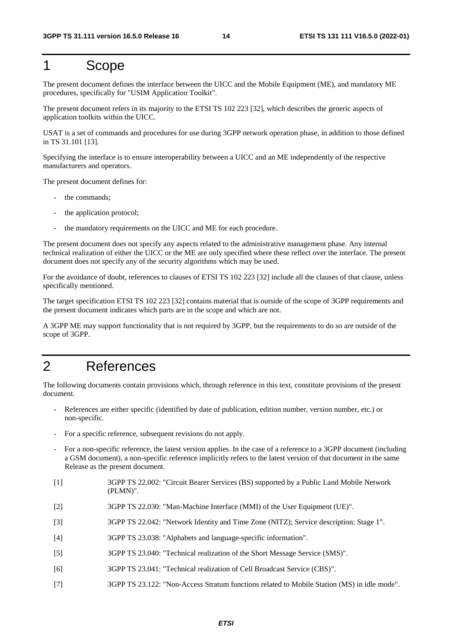# 1 Scope

The present document defines the interface between the UICC and the Mobile Equipment (ME), and mandatory ME procedures, specifically for "USIM Application Toolkit".

The present document refers in its majority to the ETSI TS 102 223 [32], which describes the generic aspects of application toolkits within the UICC.

USAT is a set of commands and procedures for use during 3GPP network operation phase, in addition to those defined in TS 31.101 [13].

Specifying the interface is to ensure interoperability between a UICC and an ME independently of the respective manufacturers and operators.

The present document defines for:

- the commands:
- the application protocol;
- the mandatory requirements on the UICC and ME for each procedure.

The present document does not specify any aspects related to the administrative management phase. Any internal technical realization of either the UICC or the ME are only specified where these reflect over the interface. The present document does not specify any of the security algorithms which may be used.

For the avoidance of doubt, references to clauses of ETSI TS 102 223 [32] include all the clauses of that clause, unless specifically mentioned.

The target specification ETSI TS 102 223 [32] contains material that is outside of the scope of 3GPP requirements and the present document indicates which parts are in the scope and which are not.

A 3GPP ME may support functionality that is not required by 3GPP, but the requirements to do so are outside of the scope of 3GPP.

# 2 References

The following documents contain provisions which, through reference in this text, constitute provisions of the present document.

- References are either specific (identified by date of publication, edition number, version number, etc.) or non-specific.
- For a specific reference, subsequent revisions do not apply.
- For a non-specific reference, the latest version applies. In the case of a reference to a 3GPP document (including a GSM document), a non-specific reference implicitly refers to the latest version of that document in the same Release as the present document.
- [1] 3GPP TS 22.002: "Circuit Bearer Services (BS) supported by a Public Land Mobile Network (PLMN)".
- [2] 3GPP TS 22.030: "Man-Machine Interface (MMI) of the User Equipment (UE)".
- [3] 3GPP TS 22.042: "Network Identity and Time Zone (NITZ); Service description; Stage 1".
- [4] 3GPP TS 23.038: "Alphabets and language-specific information".
- [5] 3GPP TS 23.040: "Technical realization of the Short Message Service (SMS)".
- [6] 3GPP TS 23.041: "Technical realization of Cell Broadcast Service (CBS)".
- [7] 3GPP TS 23.122: "Non-Access Stratum functions related to Mobile Station (MS) in idle mode".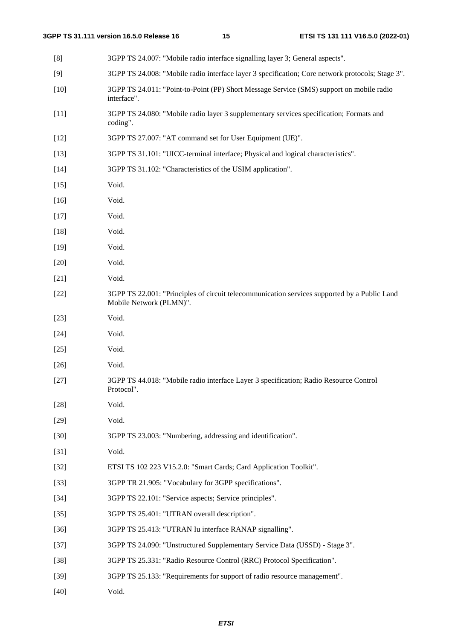| [8]    | 3GPP TS 24.007: "Mobile radio interface signalling layer 3; General aspects".                                           |
|--------|-------------------------------------------------------------------------------------------------------------------------|
| [9]    | 3GPP TS 24.008: "Mobile radio interface layer 3 specification; Core network protocols; Stage 3".                        |
| $[10]$ | 3GPP TS 24.011: "Point-to-Point (PP) Short Message Service (SMS) support on mobile radio<br>interface".                 |
| $[11]$ | 3GPP TS 24.080: "Mobile radio layer 3 supplementary services specification; Formats and<br>coding".                     |
| $[12]$ | 3GPP TS 27.007: "AT command set for User Equipment (UE)".                                                               |
| $[13]$ | 3GPP TS 31.101: "UICC-terminal interface; Physical and logical characteristics".                                        |
| $[14]$ | 3GPP TS 31.102: "Characteristics of the USIM application".                                                              |
| $[15]$ | Void.                                                                                                                   |
| $[16]$ | Void.                                                                                                                   |
| $[17]$ | Void.                                                                                                                   |
| $[18]$ | Void.                                                                                                                   |
| $[19]$ | Void.                                                                                                                   |
| $[20]$ | Void.                                                                                                                   |
| $[21]$ | Void.                                                                                                                   |
| $[22]$ | 3GPP TS 22.001: "Principles of circuit telecommunication services supported by a Public Land<br>Mobile Network (PLMN)". |
| $[23]$ | Void.                                                                                                                   |
| $[24]$ | Void.                                                                                                                   |
| $[25]$ | Void.                                                                                                                   |
| $[26]$ | Void.                                                                                                                   |
| $[27]$ | 3GPP TS 44.018: "Mobile radio interface Layer 3 specification; Radio Resource Control<br>Protocol".                     |
| $[28]$ | Void.                                                                                                                   |
| $[29]$ | Void.                                                                                                                   |
| $[30]$ | 3GPP TS 23.003: "Numbering, addressing and identification".                                                             |
| $[31]$ | Void.                                                                                                                   |
| $[32]$ | ETSI TS 102 223 V15.2.0: "Smart Cards; Card Application Toolkit".                                                       |
| $[33]$ | 3GPP TR 21.905: "Vocabulary for 3GPP specifications".                                                                   |
| $[34]$ | 3GPP TS 22.101: "Service aspects; Service principles".                                                                  |
| $[35]$ | 3GPP TS 25.401: "UTRAN overall description".                                                                            |
| $[36]$ | 3GPP TS 25.413: "UTRAN Iu interface RANAP signalling".                                                                  |
| $[37]$ | 3GPP TS 24.090: "Unstructured Supplementary Service Data (USSD) - Stage 3".                                             |
| $[38]$ | 3GPP TS 25.331: "Radio Resource Control (RRC) Protocol Specification".                                                  |
| $[39]$ | 3GPP TS 25.133: "Requirements for support of radio resource management".                                                |
| $[40]$ | Void.                                                                                                                   |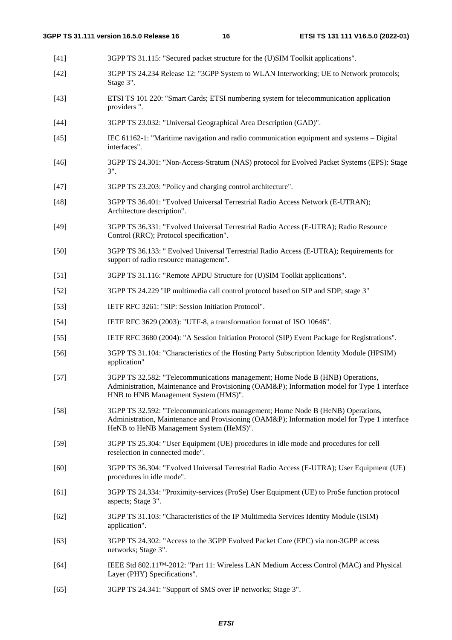- [41] 3GPP TS 31.115: "Secured packet structure for the (U)SIM Toolkit applications".
- [42] 3GPP TS 24.234 Release 12: "3GPP System to WLAN Interworking; UE to Network protocols; Stage 3".
- [43] ETSI TS 101 220: "Smart Cards; ETSI numbering system for telecommunication application providers ".
- [44] 3GPP TS 23.032: "Universal Geographical Area Description (GAD)".
- [45] IEC 61162-1: "Maritime navigation and radio communication equipment and systems Digital interfaces".
- [46] 3GPP TS 24.301: "Non-Access-Stratum (NAS) protocol for Evolved Packet Systems (EPS): Stage 3".
- [47] 3GPP TS 23.203: "Policy and charging control architecture".
- [48] 3GPP TS 36.401: "Evolved Universal Terrestrial Radio Access Network (E-UTRAN); Architecture description".
- [49] 3GPP TS 36.331: "Evolved Universal Terrestrial Radio Access (E-UTRA); Radio Resource Control (RRC); Protocol specification".
- [50] 3GPP TS 36.133: " Evolved Universal Terrestrial Radio Access (E-UTRA); Requirements for support of radio resource management".
- [51] 3GPP TS 31.116: "Remote APDU Structure for (U)SIM Toolkit applications".
- [52] 3GPP TS 24.229 "IP multimedia call control protocol based on SIP and SDP; stage 3"
- [53] IETF RFC 3261: "SIP: Session Initiation Protocol".
- [54] IETF RFC 3629 (2003): "UTF-8, a transformation format of ISO 10646".
- [55] IETF RFC 3680 (2004): "A Session Initiation Protocol (SIP) Event Package for Registrations".
- [56] 3GPP TS 31.104: "Characteristics of the Hosting Party Subscription Identity Module (HPSIM) application"
- [57] 3GPP TS 32.582: "Telecommunications management; Home Node B (HNB) Operations, Administration, Maintenance and Provisioning (OAM&P); Information model for Type 1 interface HNB to HNB Management System (HMS)".
- [58] 3GPP TS 32.592: "Telecommunications management; Home Node B (HeNB) Operations, Administration, Maintenance and Provisioning (OAM&P); Information model for Type 1 interface HeNB to HeNB Management System (HeMS)".
- [59] 3GPP TS 25.304: "User Equipment (UE) procedures in idle mode and procedures for cell reselection in connected mode".
- [60] 3GPP TS 36.304: "Evolved Universal Terrestrial Radio Access (E-UTRA); User Equipment (UE) procedures in idle mode".
- [61] 3GPP TS 24.334: "Proximity-services (ProSe) User Equipment (UE) to ProSe function protocol aspects; Stage 3".
- [62] 3GPP TS 31.103: "Characteristics of the IP Multimedia Services Identity Module (ISIM) application".
- [63] 3GPP TS 24.302: "Access to the 3GPP Evolved Packet Core (EPC) via non-3GPP access networks; Stage 3".
- [64] IEEE Std 802.11™-2012: "Part 11: Wireless LAN Medium Access Control (MAC) and Physical Layer (PHY) Specifications".
- [65] 3GPP TS 24.341: "Support of SMS over IP networks; Stage 3".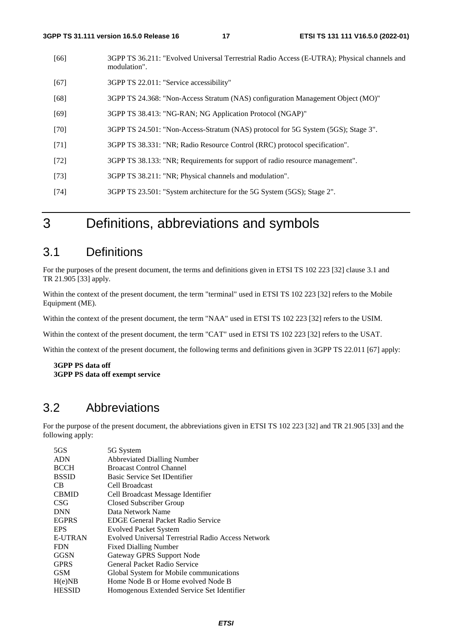- [66] 3GPP TS 36.211: "Evolved Universal Terrestrial Radio Access (E-UTRA); Physical channels and modulation".
- [67] 3GPP TS 22.011: "Service accessibility"
- [68] 3GPP TS 24.368: "Non-Access Stratum (NAS) configuration Management Object (MO)"
- [69] 3GPP TS 38.413: "NG-RAN; NG Application Protocol (NGAP)"
- [70] 3GPP TS 24.501: "Non-Access-Stratum (NAS) protocol for 5G System (5GS); Stage 3".
- [71] 3GPP TS 38.331: "NR; Radio Resource Control (RRC) protocol specification".
- [72] 3GPP TS 38.133: "NR; Requirements for support of radio resource management".
- [73] 3GPP TS 38.211: "NR; Physical channels and modulation".
- [74] 3GPP TS 23.501: "System architecture for the 5G System (5GS); Stage 2".

# 3 Definitions, abbreviations and symbols

### 3.1 Definitions

For the purposes of the present document, the terms and definitions given in ETSI TS 102 223 [32] clause 3.1 and TR 21.905 [33] apply.

Within the context of the present document, the term "terminal" used in ETSI TS 102 223 [32] refers to the Mobile Equipment (ME).

Within the context of the present document, the term "NAA" used in ETSI TS 102 223 [32] refers to the USIM.

Within the context of the present document, the term "CAT" used in ETSI TS 102 223 [32] refers to the USAT.

Within the context of the present document, the following terms and definitions given in 3GPP TS 22.011 [67] apply:

#### **3GPP PS data off 3GPP PS data off exempt service**

### 3.2 Abbreviations

For the purpose of the present document, the abbreviations given in ETSI TS 102 223 [32] and TR 21.905 [33] and the following apply:

| 5GS            | 5G System                                          |
|----------------|----------------------------------------------------|
| <b>ADN</b>     | <b>Abbreviated Dialling Number</b>                 |
| <b>BCCH</b>    | <b>Broacast Control Channel</b>                    |
| <b>BSSID</b>   | Basic Service Set IDentifier                       |
| C <sub>B</sub> | Cell Broadcast                                     |
| <b>CBMID</b>   | Cell Broadcast Message Identifier                  |
| <b>CSG</b>     | Closed Subscriber Group                            |
| <b>DNN</b>     | Data Network Name                                  |
| <b>EGPRS</b>   | <b>EDGE General Packet Radio Service</b>           |
| <b>EPS</b>     | <b>Evolved Packet System</b>                       |
| <b>E-UTRAN</b> | Evolved Universal Terrestrial Radio Access Network |
| <b>FDN</b>     | <b>Fixed Dialling Number</b>                       |
| <b>GGSN</b>    | Gateway GPRS Support Node                          |
| <b>GPRS</b>    | General Packet Radio Service                       |
| <b>GSM</b>     | Global System for Mobile communications            |
| H(e)NB         | Home Node B or Home evolved Node B                 |
| <b>HESSID</b>  | Homogenous Extended Service Set Identifier         |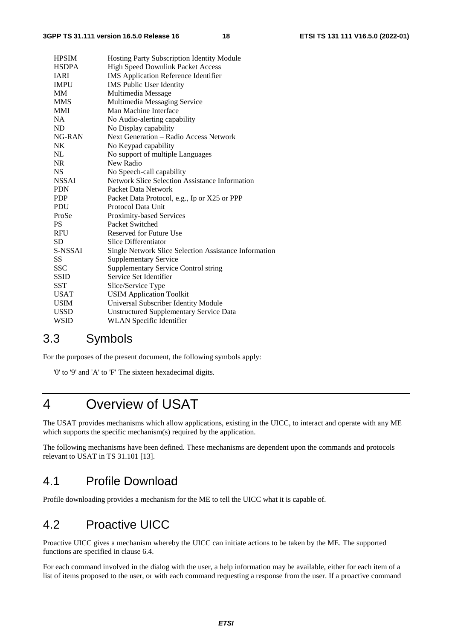| <b>HPSIM</b> | Hosting Party Subscription Identity Module            |
|--------------|-------------------------------------------------------|
| <b>HSDPA</b> | <b>High Speed Downlink Packet Access</b>              |
| <b>IARI</b>  | <b>IMS</b> Application Reference Identifier           |
| <b>IMPU</b>  | <b>IMS Public User Identity</b>                       |
| MМ           | Multimedia Message                                    |
| <b>MMS</b>   | Multimedia Messaging Service                          |
| <b>MMI</b>   | Man Machine Interface                                 |
| <b>NA</b>    | No Audio-alerting capability                          |
| ND           | No Display capability                                 |
| NG-RAN       | <b>Next Generation – Radio Access Network</b>         |
| <b>NK</b>    | No Keypad capability                                  |
| NL           | No support of multiple Languages                      |
| <b>NR</b>    | New Radio                                             |
| <b>NS</b>    | No Speech-call capability                             |
| <b>NSSAI</b> | <b>Network Slice Selection Assistance Information</b> |
| <b>PDN</b>   | Packet Data Network                                   |
| <b>PDP</b>   | Packet Data Protocol, e.g., Ip or X25 or PPP          |
| <b>PDU</b>   | Protocol Data Unit                                    |
| ProSe        | <b>Proximity-based Services</b>                       |
| <b>PS</b>    | Packet Switched                                       |
| <b>RFU</b>   | Reserved for Future Use                               |
| <b>SD</b>    | Slice Differentiator                                  |
| S-NSSAI      | Single Network Slice Selection Assistance Information |
| <b>SS</b>    | <b>Supplementary Service</b>                          |
| <b>SSC</b>   | <b>Supplementary Service Control string</b>           |
| <b>SSID</b>  | Service Set Identifier                                |
| <b>SST</b>   | Slice/Service Type                                    |
| <b>USAT</b>  | <b>USIM Application Toolkit</b>                       |
| <b>USIM</b>  | Universal Subscriber Identity Module                  |
| <b>USSD</b>  | <b>Unstructured Supplementary Service Data</b>        |
| <b>WSID</b>  | <b>WLAN</b> Specific Identifier                       |
|              |                                                       |

### 3.3 Symbols

For the purposes of the present document, the following symbols apply:

'0' to '9' and 'A' to 'F' The sixteen hexadecimal digits.

# 4 Overview of USAT

The USAT provides mechanisms which allow applications, existing in the UICC, to interact and operate with any ME which supports the specific mechanism(s) required by the application.

The following mechanisms have been defined. These mechanisms are dependent upon the commands and protocols relevant to USAT in TS 31.101 [13].

### 4.1 Profile Download

Profile downloading provides a mechanism for the ME to tell the UICC what it is capable of.

# 4.2 Proactive UICC

Proactive UICC gives a mechanism whereby the UICC can initiate actions to be taken by the ME. The supported functions are specified in clause 6.4.

For each command involved in the dialog with the user, a help information may be available, either for each item of a list of items proposed to the user, or with each command requesting a response from the user. If a proactive command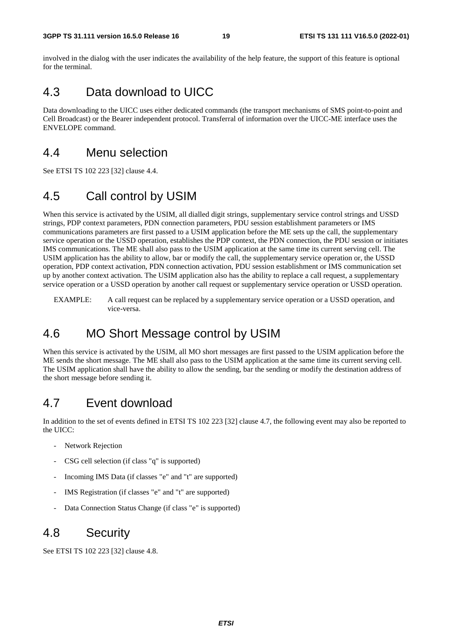involved in the dialog with the user indicates the availability of the help feature, the support of this feature is optional for the terminal.

# 4.3 Data download to UICC

Data downloading to the UICC uses either dedicated commands (the transport mechanisms of SMS point-to-point and Cell Broadcast) or the Bearer independent protocol. Transferral of information over the UICC-ME interface uses the ENVELOPE command.

### 4.4 Menu selection

See ETSI TS 102 223 [32] clause 4.4.

# 4.5 Call control by USIM

When this service is activated by the USIM, all dialled digit strings, supplementary service control strings and USSD strings, PDP context parameters, PDN connection parameters, PDU session establishment parameters or IMS communications parameters are first passed to a USIM application before the ME sets up the call, the supplementary service operation or the USSD operation, establishes the PDP context, the PDN connection, the PDU session or initiates IMS communications. The ME shall also pass to the USIM application at the same time its current serving cell. The USIM application has the ability to allow, bar or modify the call, the supplementary service operation or, the USSD operation, PDP context activation, PDN connection activation, PDU session establishment or IMS communication set up by another context activation. The USIM application also has the ability to replace a call request, a supplementary service operation or a USSD operation by another call request or supplementary service operation or USSD operation.

EXAMPLE: A call request can be replaced by a supplementary service operation or a USSD operation, and vice-versa.

# 4.6 MO Short Message control by USIM

When this service is activated by the USIM, all MO short messages are first passed to the USIM application before the ME sends the short message. The ME shall also pass to the USIM application at the same time its current serving cell. The USIM application shall have the ability to allow the sending, bar the sending or modify the destination address of the short message before sending it.

# 4.7 Event download

In addition to the set of events defined in ETSI TS 102 223 [32] clause 4.7, the following event may also be reported to the UICC:

- Network Rejection
- CSG cell selection (if class "q" is supported)
- Incoming IMS Data (if classes "e" and "t" are supported)
- IMS Registration (if classes "e" and "t" are supported)
- Data Connection Status Change (if class "e" is supported)

### 4.8 Security

See ETSI TS 102 223 [32] clause 4.8.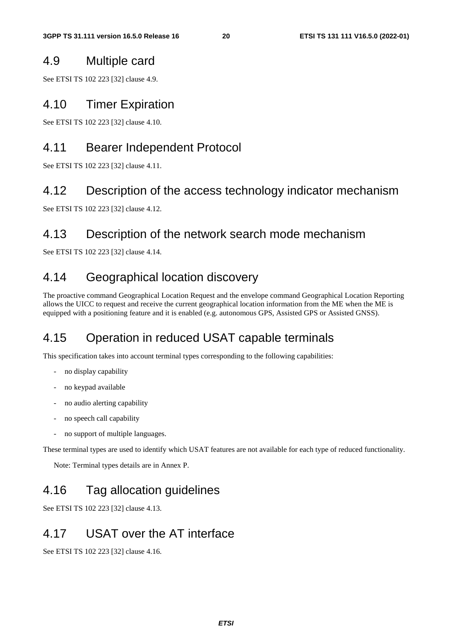### 4.9 Multiple card

See ETSI TS 102 223 [32] clause 4.9.

### 4.10 Timer Expiration

See ETSI TS 102 223 [32] clause 4.10.

# 4.11 Bearer Independent Protocol

See ETSI TS 102 223 [32] clause 4.11.

### 4.12 Description of the access technology indicator mechanism

See ETSI TS 102 223 [32] clause 4.12.

# 4.13 Description of the network search mode mechanism

See ETSI TS 102 223 [32] clause 4.14.

# 4.14 Geographical location discovery

The proactive command Geographical Location Request and the envelope command Geographical Location Reporting allows the UICC to request and receive the current geographical location information from the ME when the ME is equipped with a positioning feature and it is enabled (e.g. autonomous GPS, Assisted GPS or Assisted GNSS).

# 4.15 Operation in reduced USAT capable terminals

This specification takes into account terminal types corresponding to the following capabilities:

- no display capability
- no keypad available
- no audio alerting capability
- no speech call capability
- no support of multiple languages.

These terminal types are used to identify which USAT features are not available for each type of reduced functionality.

Note: Terminal types details are in Annex P.

# 4.16 Tag allocation guidelines

See ETSI TS 102 223 [32] clause 4.13.

# 4.17 USAT over the AT interface

See ETSI TS 102 223 [32] clause 4.16.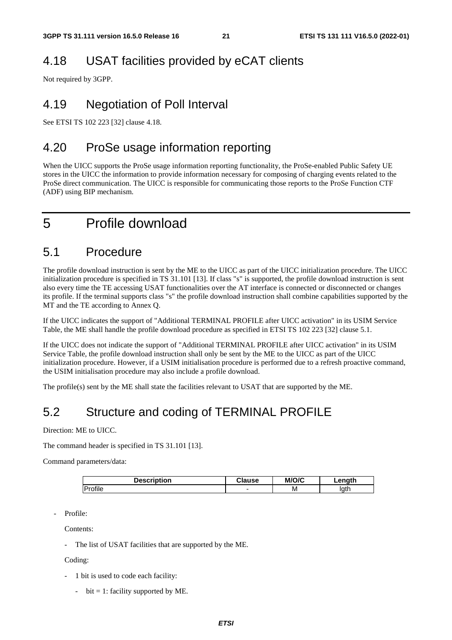# 4.18 USAT facilities provided by eCAT clients

Not required by 3GPP.

# 4.19 Negotiation of Poll Interval

See ETSI TS 102 223 [32] clause 4.18.

# 4.20 ProSe usage information reporting

When the UICC supports the ProSe usage information reporting functionality, the ProSe-enabled Public Safety UE stores in the UICC the information to provide information necessary for composing of charging events related to the ProSe direct communication. The UICC is responsible for communicating those reports to the ProSe Function CTF (ADF) using BIP mechanism.

# 5 Profile download

### 5.1 Procedure

The profile download instruction is sent by the ME to the UICC as part of the UICC initialization procedure. The UICC initialization procedure is specified in TS 31.101 [13]. If class "s" is supported, the profile download instruction is sent also every time the TE accessing USAT functionalities over the AT interface is connected or disconnected or changes its profile. If the terminal supports class "s" the profile download instruction shall combine capabilities supported by the MT and the TE according to Annex Q.

If the UICC indicates the support of "Additional TERMINAL PROFILE after UICC activation" in its USIM Service Table, the ME shall handle the profile download procedure as specified in ETSI TS 102 223 [32] clause 5.1.

If the UICC does not indicate the support of "Additional TERMINAL PROFILE after UICC activation" in its USIM Service Table, the profile download instruction shall only be sent by the ME to the UICC as part of the UICC initialization procedure. However, if a USIM initialisation procedure is performed due to a refresh proactive command, the USIM initialisation procedure may also include a profile download.

The profile(s) sent by the ME shall state the facilities relevant to USAT that are supported by the ME.

# 5.2 Structure and coding of TERMINAL PROFILE

Direction: ME to UICC.

The command header is specified in TS 31.101 [13].

Command parameters/data:

| Description | ⊶ause | M/O/C | .enath |
|-------------|-------|-------|--------|
| Profile     | ۰     | ΙVΙ   | lath   |

Profile:

Contents:

The list of USAT facilities that are supported by the ME.

Coding:

- 1 bit is used to code each facility:
	- bit = 1: facility supported by ME.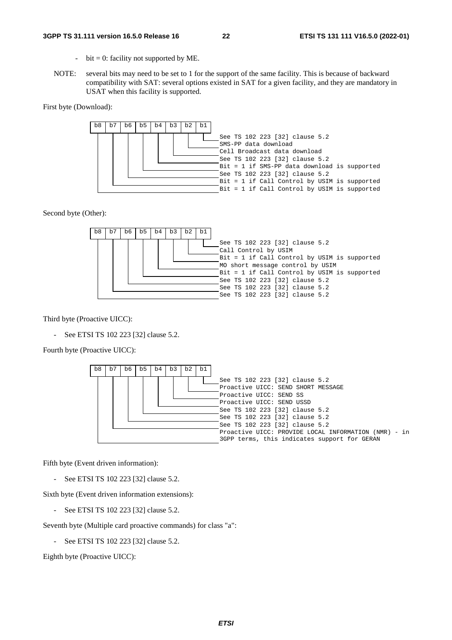#### **3GPP TS 31.111 version 16.5.0 Release 16 22 ETSI TS 131 111 V16.5.0 (2022-01)**

- bit = 0: facility not supported by ME.
- NOTE: several bits may need to be set to 1 for the support of the same facility. This is because of backward compatibility with SAT: several options existed in SAT for a given facility, and they are mandatory in USAT when this facility is supported.

First byte (Download):



Second byte (Other):



Third byte (Proactive UICC):

See ETSI TS 102 223 [32] clause 5.2.

Fourth byte (Proactive UICC):



Fifth byte (Event driven information):

- See ETSI TS 102 223 [32] clause 5.2.

Sixth byte (Event driven information extensions):

See ETSI TS 102 223 [32] clause 5.2.

Seventh byte (Multiple card proactive commands) for class "a":

See ETSI TS 102 223 [32] clause 5.2.

Eighth byte (Proactive UICC):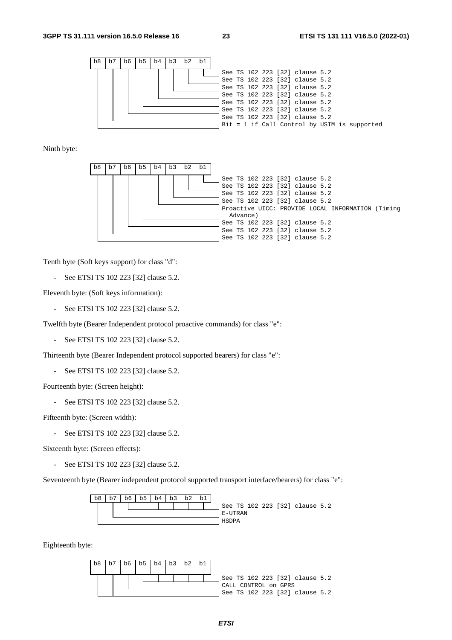

Ninth byte:



Tenth byte (Soft keys support) for class "d":

- See ETSI TS 102 223 [32] clause 5.2.

Eleventh byte: (Soft keys information):

- See ETSI TS 102 223 [32] clause 5.2.

Twelfth byte (Bearer Independent protocol proactive commands) for class "e":

- See ETSI TS 102 223 [32] clause 5.2.

Thirteenth byte (Bearer Independent protocol supported bearers) for class "e":

- See ETSI TS 102 223 [32] clause 5.2.

Fourteenth byte: (Screen height):

- See ETSI TS 102 223 [32] clause 5.2.

Fifteenth byte: (Screen width):

See ETSI TS 102 223 [32] clause 5.2.

Sixteenth byte: (Screen effects):

- See ETSI TS 102 223 [32] clause 5.2.

Seventeenth byte (Bearer independent protocol supported transport interface/bearers) for class "e":



Eighteenth byte:

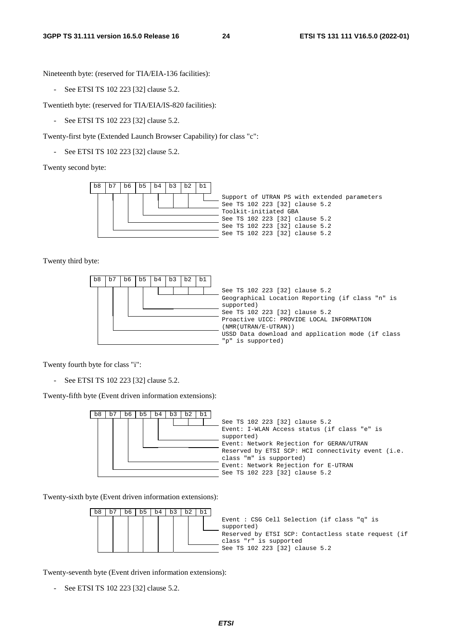Nineteenth byte: (reserved for TIA/EIA-136 facilities):

- See ETSI TS 102 223 [32] clause 5.2.

Twentieth byte: (reserved for TIA/EIA/IS-820 facilities):

- See ETSI TS 102 223 [32] clause 5.2.

Twenty-first byte (Extended Launch Browser Capability) for class "c":

- See ETSI TS 102 223 [32] clause 5.2.

Twenty second byte:



Twenty third byte:

| b7<br>b8 | b6 | b5 | b4 | b3 | b2 | b1 |                                                                                                                                                                                                                                                                                   |
|----------|----|----|----|----|----|----|-----------------------------------------------------------------------------------------------------------------------------------------------------------------------------------------------------------------------------------------------------------------------------------|
|          |    |    |    |    |    |    | See TS 102 223 [32] clause 5.2<br>Geographical Location Reporting (if class "n" is<br>supported)<br>See TS 102 223 [32] clause 5.2<br>Proactive UICC: PROVIDE LOCAL INFORMATION<br>(NMR(UTRAN/E-UTRAN))<br>USSD Data download and application mode (if class<br>"p" is supported) |

Twenty fourth byte for class "i":

- See ETSI TS 102 223 [32] clause 5.2.

Twenty-fifth byte (Event driven information extensions):

| b1<br>b3<br>b4<br>.b5<br>b2<br>D8.<br>.bb | See TS 102 223 [32] clause 5.2<br>Event: I-WLAN Access status (if class "e" is<br>supported)<br>Event: Network Rejection for GERAN/UTRAN<br>Reserved by ETSI SCP: HCI connectivity event (i.e.<br>class "m" is supported)<br>Event: Network Rejection for E-UTRAN<br>See TS 102 223 [32] clause 5.2 |
|-------------------------------------------|-----------------------------------------------------------------------------------------------------------------------------------------------------------------------------------------------------------------------------------------------------------------------------------------------------|
|-------------------------------------------|-----------------------------------------------------------------------------------------------------------------------------------------------------------------------------------------------------------------------------------------------------------------------------------------------------|

Twenty-sixth byte (Event driven information extensions):



Twenty-seventh byte (Event driven information extensions):

- See ETSI TS 102 223 [32] clause 5.2.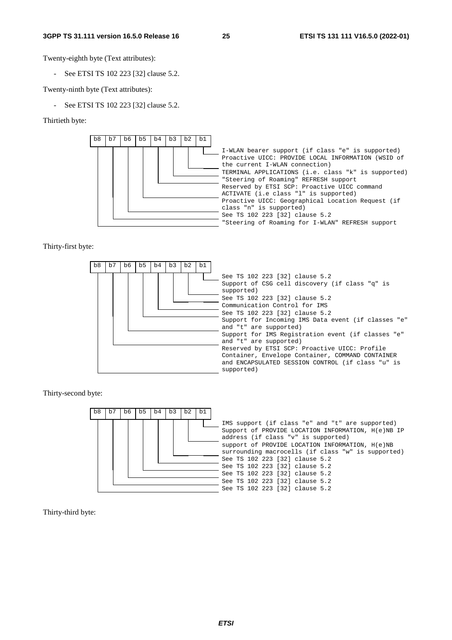Twenty-eighth byte (Text attributes):

- See ETSI TS 102 223 [32] clause 5.2.

Twenty-ninth byte (Text attributes):

See ETSI TS 102 223 [32] clause 5.2.

Thirtieth byte:



Thirty-first byte:



Thirty-second byte:



Thirty-third byte: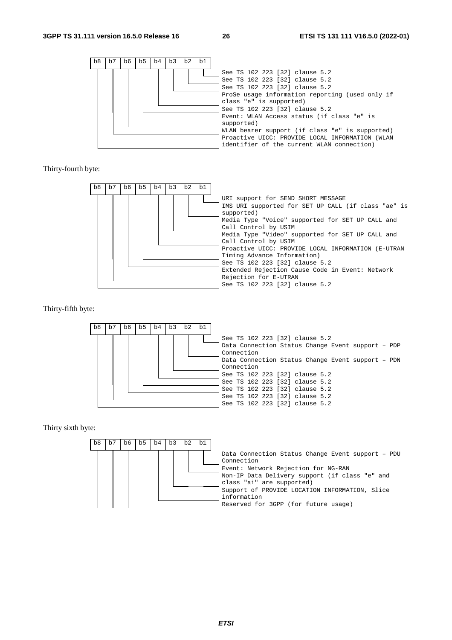

Thirty-fourth byte:



#### Thirty-fifth byte:



Thirty sixth byte:

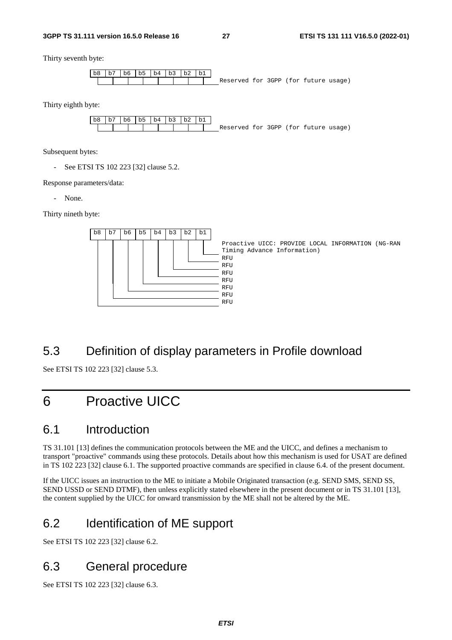Thirty seventh byte:



Thirty eighth byte:



Subsequent bytes:

- See ETSI TS 102 223 [32] clause 5.2.

Response parameters/data:

- None.

Thirty nineth byte:



# 5.3 Definition of display parameters in Profile download

See ETSI TS 102 223 [32] clause 5.3.

# 6 Proactive UICC

### 6.1 Introduction

TS 31.101 [13] defines the communication protocols between the ME and the UICC, and defines a mechanism to transport "proactive" commands using these protocols. Details about how this mechanism is used for USAT are defined in TS 102 223 [32] clause 6.1. The supported proactive commands are specified in clause 6.4. of the present document.

If the UICC issues an instruction to the ME to initiate a Mobile Originated transaction (e.g. SEND SMS, SEND SS, SEND USSD or SEND DTMF), then unless explicitly stated elsewhere in the present document or in TS 31.101 [13], the content supplied by the UICC for onward transmission by the ME shall not be altered by the ME.

# 6.2 Identification of ME support

See ETSI TS 102 223 [32] clause 6.2.

# 6.3 General procedure

See ETSI TS 102 223 [32] clause 6.3.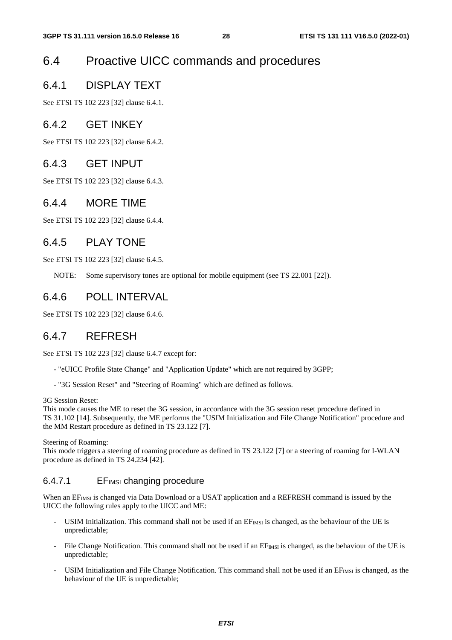# 6.4 Proactive UICC commands and procedures

### 6.4.1 DISPLAY TEXT

See ETSI TS 102 223 [32] clause 6.4.1.

#### 6.4.2 GET INKEY

See ETSI TS 102 223 [32] clause 6.4.2.

### 6.4.3 GET INPUT

See ETSI TS 102 223 [32] clause 6.4.3.

#### 6.4.4 MORE TIME

See ETSI TS 102 223 [32] clause 6.4.4.

#### 6.4.5 PLAY TONE

See ETSI TS 102 223 [32] clause 6.4.5.

NOTE: Some supervisory tones are optional for mobile equipment (see TS 22.001 [22]).

#### 6.4.6 POLL INTERVAL

See ETSI TS 102 223 [32] clause 6.4.6.

### 6.4.7 REFRESH

See ETSI TS 102 223 [32] clause 6.4.7 except for:

- "eUICC Profile State Change" and "Application Update" which are not required by 3GPP;
- "3G Session Reset" and "Steering of Roaming" which are defined as follows.

3G Session Reset:

This mode causes the ME to reset the 3G session, in accordance with the 3G session reset procedure defined in TS 31.102 [14]. Subsequently, the ME performs the "USIM Initialization and File Change Notification" procedure and the MM Restart procedure as defined in TS 23.122 [7].

Steering of Roaming:

This mode triggers a steering of roaming procedure as defined in TS 23.122 [7] or a steering of roaming for I-WLAN procedure as defined in TS 24.234 [42].

#### 6.4.7.1 EFIMSI changing procedure

When an EF<sub>IMSI</sub> is changed via Data Download or a USAT application and a REFRESH command is issued by the UICC the following rules apply to the UICC and ME:

- USIM Initialization. This command shall not be used if an  $EF_{MSI}$  is changed, as the behaviour of the UE is unpredictable;
- File Change Notification. This command shall not be used if an  $EF_{MSI}$  is changed, as the behaviour of the UE is unpredictable;
- USIM Initialization and File Change Notification. This command shall not be used if an  $EF<sub>IMSI</sub>$  is changed, as the behaviour of the UE is unpredictable;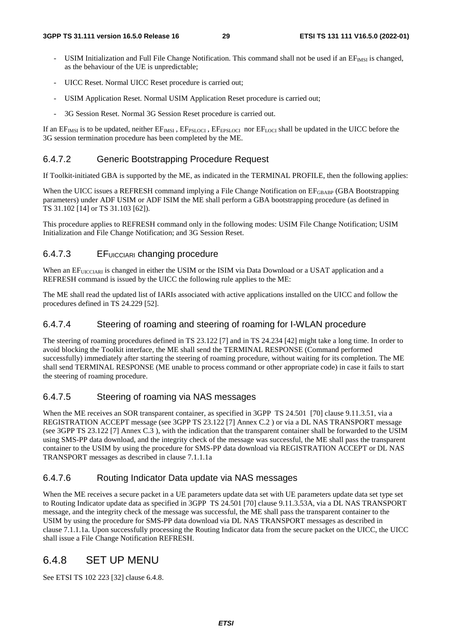- USIM Initialization and Full File Change Notification. This command shall not be used if an EFIMSI is changed, as the behaviour of the UE is unpredictable;
- UICC Reset. Normal UICC Reset procedure is carried out;
- USIM Application Reset. Normal USIM Application Reset procedure is carried out;
- 3G Session Reset. Normal 3G Session Reset procedure is carried out.

If an  $EF_{MSI}$  is to be updated, neither  $EF_{MSI}$ ,  $EF_{PSLOCI}$ ,  $EF_{EPSLOCI}$  nor  $EF_{LOCI}$  shall be updated in the UICC before the 3G session termination procedure has been completed by the ME.

#### 6.4.7.2 Generic Bootstrapping Procedure Request

If Toolkit-initiated GBA is supported by the ME, as indicated in the TERMINAL PROFILE, then the following applies:

When the UICC issues a REFRESH command implying a File Change Notification on EF<sub>GBABP</sub> (GBA Bootstrapping parameters) under ADF USIM or ADF ISIM the ME shall perform a GBA bootstrapping procedure (as defined in TS 31.102 [14] or TS 31.103 [62]).

This procedure applies to REFRESH command only in the following modes: USIM File Change Notification; USIM Initialization and File Change Notification; and 3G Session Reset.

#### 6.4.7.3 EFUICCIARI changing procedure

When an EFUICCIARI is changed in either the USIM or the ISIM via Data Download or a USAT application and a REFRESH command is issued by the UICC the following rule applies to the ME:

The ME shall read the updated list of IARIs associated with active applications installed on the UICC and follow the procedures defined in TS 24.229 [52].

#### 6.4.7.4 Steering of roaming and steering of roaming for I-WLAN procedure

The steering of roaming procedures defined in TS 23.122 [7] and in TS 24.234 [42] might take a long time. In order to avoid blocking the Toolkit interface, the ME shall send the TERMINAL RESPONSE (Command performed successfully) immediately after starting the steering of roaming procedure, without waiting for its completion. The ME shall send TERMINAL RESPONSE (ME unable to process command or other appropriate code) in case it fails to start the steering of roaming procedure.

#### 6.4.7.5 Steering of roaming via NAS messages

When the ME receives an SOR transparent container, as specified in 3GPP TS 24.501 [70] clause 9.11.3.51, via a REGISTRATION ACCEPT message (see 3GPP TS 23.122 [7] Annex C.2 ) or via a DL NAS TRANSPORT message (see 3GPP TS 23.122 [7] Annex C.3 ), with the indication that the transparent container shall be forwarded to the USIM using SMS-PP data download, and the integrity check of the message was successful, the ME shall pass the transparent container to the USIM by using the procedure for SMS-PP data download via REGISTRATION ACCEPT or DL NAS TRANSPORT messages as described in clause 7.1.1.1a

#### 6.4.7.6 Routing Indicator Data update via NAS messages

When the ME receives a secure packet in a UE parameters update data set with UE parameters update data set type set to Routing Indicator update data as specified in 3GPP TS 24.501 [70] clause 9.11.3.53A, via a DL NAS TRANSPORT message, and the integrity check of the message was successful, the ME shall pass the transparent container to the USIM by using the procedure for SMS-PP data download via DL NAS TRANSPORT messages as described in clause 7.1.1.1a. Upon successfully processing the Routing Indicator data from the secure packet on the UICC, the UICC shall issue a File Change Notification REFRESH.

#### 6.4.8 SET UP MENU

See ETSI TS 102 223 [32] clause 6.4.8.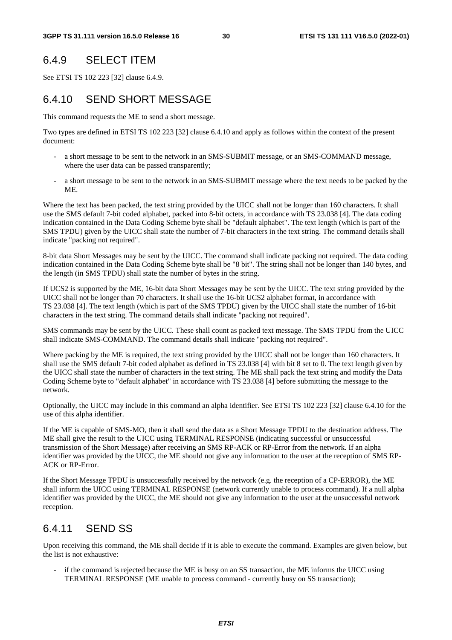#### 6.4.9 SELECT ITEM

See ETSI TS 102 223 [32] clause 6.4.9.

### 6.4.10 SEND SHORT MESSAGE

This command requests the ME to send a short message.

Two types are defined in ETSI TS 102 223 [32] clause 6.4.10 and apply as follows within the context of the present document:

- a short message to be sent to the network in an SMS-SUBMIT message, or an SMS-COMMAND message, where the user data can be passed transparently;
- a short message to be sent to the network in an SMS-SUBMIT message where the text needs to be packed by the ME.

Where the text has been packed, the text string provided by the UICC shall not be longer than 160 characters. It shall use the SMS default 7-bit coded alphabet, packed into 8-bit octets, in accordance with TS 23.038 [4]. The data coding indication contained in the Data Coding Scheme byte shall be "default alphabet". The text length (which is part of the SMS TPDU) given by the UICC shall state the number of 7-bit characters in the text string. The command details shall indicate "packing not required".

8-bit data Short Messages may be sent by the UICC. The command shall indicate packing not required. The data coding indication contained in the Data Coding Scheme byte shall be "8 bit". The string shall not be longer than 140 bytes, and the length (in SMS TPDU) shall state the number of bytes in the string.

If UCS2 is supported by the ME, 16-bit data Short Messages may be sent by the UICC. The text string provided by the UICC shall not be longer than 70 characters. It shall use the 16-bit UCS2 alphabet format, in accordance with TS 23.038 [4]. The text length (which is part of the SMS TPDU) given by the UICC shall state the number of 16-bit characters in the text string. The command details shall indicate "packing not required".

SMS commands may be sent by the UICC. These shall count as packed text message. The SMS TPDU from the UICC shall indicate SMS-COMMAND. The command details shall indicate "packing not required".

Where packing by the ME is required, the text string provided by the UICC shall not be longer than 160 characters. It shall use the SMS default 7-bit coded alphabet as defined in TS 23.038 [4] with bit 8 set to 0. The text length given by the UICC shall state the number of characters in the text string. The ME shall pack the text string and modify the Data Coding Scheme byte to "default alphabet" in accordance with TS 23.038 [4] before submitting the message to the network.

Optionally, the UICC may include in this command an alpha identifier. See ETSI TS 102 223 [32] clause 6.4.10 for the use of this alpha identifier.

If the ME is capable of SMS-MO, then it shall send the data as a Short Message TPDU to the destination address. The ME shall give the result to the UICC using TERMINAL RESPONSE (indicating successful or unsuccessful transmission of the Short Message) after receiving an SMS RP-ACK or RP-Error from the network. If an alpha identifier was provided by the UICC, the ME should not give any information to the user at the reception of SMS RP-ACK or RP-Error.

If the Short Message TPDU is unsuccessfully received by the network (e.g. the reception of a CP-ERROR), the ME shall inform the UICC using TERMINAL RESPONSE (network currently unable to process command). If a null alpha identifier was provided by the UICC, the ME should not give any information to the user at the unsuccessful network reception.

### 6.4.11 SEND SS

Upon receiving this command, the ME shall decide if it is able to execute the command. Examples are given below, but the list is not exhaustive:

if the command is rejected because the ME is busy on an SS transaction, the ME informs the UICC using TERMINAL RESPONSE (ME unable to process command - currently busy on SS transaction);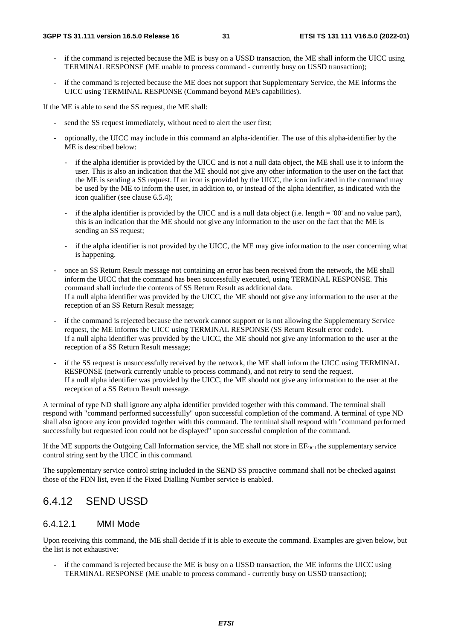- if the command is rejected because the ME is busy on a USSD transaction, the ME shall inform the UICC using TERMINAL RESPONSE (ME unable to process command - currently busy on USSD transaction);
- if the command is rejected because the ME does not support that Supplementary Service, the ME informs the UICC using TERMINAL RESPONSE (Command beyond ME's capabilities).

If the ME is able to send the SS request, the ME shall:

- send the SS request immediately, without need to alert the user first;
- optionally, the UICC may include in this command an alpha-identifier. The use of this alpha-identifier by the ME is described below:
	- if the alpha identifier is provided by the UICC and is not a null data object, the ME shall use it to inform the user. This is also an indication that the ME should not give any other information to the user on the fact that the ME is sending a SS request. If an icon is provided by the UICC, the icon indicated in the command may be used by the ME to inform the user, in addition to, or instead of the alpha identifier, as indicated with the icon qualifier (see clause 6.5.4);
	- if the alpha identifier is provided by the UICC and is a null data object (i.e. length  $=$  '00' and no value part), this is an indication that the ME should not give any information to the user on the fact that the ME is sending an SS request:
	- if the alpha identifier is not provided by the UICC, the ME may give information to the user concerning what is happening.
- once an SS Return Result message not containing an error has been received from the network, the ME shall inform the UICC that the command has been successfully executed, using TERMINAL RESPONSE. This command shall include the contents of SS Return Result as additional data. If a null alpha identifier was provided by the UICC, the ME should not give any information to the user at the reception of an SS Return Result message;
- if the command is rejected because the network cannot support or is not allowing the Supplementary Service request, the ME informs the UICC using TERMINAL RESPONSE (SS Return Result error code). If a null alpha identifier was provided by the UICC, the ME should not give any information to the user at the reception of a SS Return Result message;
- if the SS request is unsuccessfully received by the network, the ME shall inform the UICC using TERMINAL RESPONSE (network currently unable to process command), and not retry to send the request. If a null alpha identifier was provided by the UICC, the ME should not give any information to the user at the reception of a SS Return Result message.

A terminal of type ND shall ignore any alpha identifier provided together with this command. The terminal shall respond with "command performed successfully" upon successful completion of the command. A terminal of type ND shall also ignore any icon provided together with this command. The terminal shall respond with "command performed successfully but requested icon could not be displayed" upon successful completion of the command.

If the ME supports the Outgoing Call Information service, the ME shall not store in  $EF_{OCI}$  the supplementary service control string sent by the UICC in this command.

The supplementary service control string included in the SEND SS proactive command shall not be checked against those of the FDN list, even if the Fixed Dialling Number service is enabled.

#### 6.4.12 SEND USSD

#### 6.4.12.1 MMI Mode

Upon receiving this command, the ME shall decide if it is able to execute the command. Examples are given below, but the list is not exhaustive:

- if the command is rejected because the ME is busy on a USSD transaction, the ME informs the UICC using TERMINAL RESPONSE (ME unable to process command - currently busy on USSD transaction);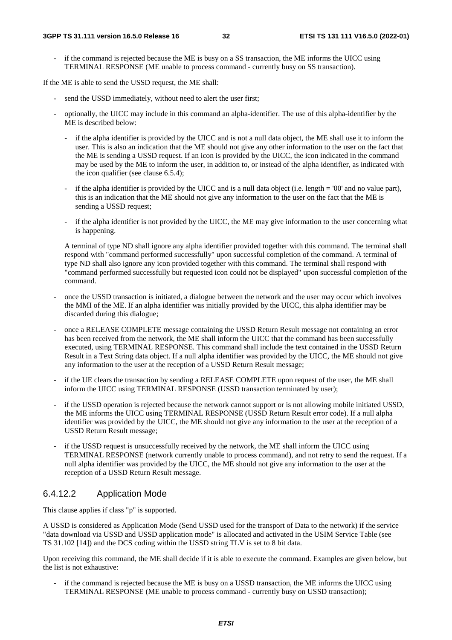if the command is rejected because the ME is busy on a SS transaction, the ME informs the UICC using TERMINAL RESPONSE (ME unable to process command - currently busy on SS transaction).

If the ME is able to send the USSD request, the ME shall:

- send the USSD immediately, without need to alert the user first;
- optionally, the UICC may include in this command an alpha-identifier. The use of this alpha-identifier by the ME is described below:
	- if the alpha identifier is provided by the UICC and is not a null data object, the ME shall use it to inform the user. This is also an indication that the ME should not give any other information to the user on the fact that the ME is sending a USSD request. If an icon is provided by the UICC, the icon indicated in the command may be used by the ME to inform the user, in addition to, or instead of the alpha identifier, as indicated with the icon qualifier (see clause 6.5.4);
	- if the alpha identifier is provided by the UICC and is a null data object (i.e. length = '00' and no value part), this is an indication that the ME should not give any information to the user on the fact that the ME is sending a USSD request;
	- if the alpha identifier is not provided by the UICC, the ME may give information to the user concerning what is happening.

A terminal of type ND shall ignore any alpha identifier provided together with this command. The terminal shall respond with "command performed successfully" upon successful completion of the command. A terminal of type ND shall also ignore any icon provided together with this command. The terminal shall respond with "command performed successfully but requested icon could not be displayed" upon successful completion of the command.

- once the USSD transaction is initiated, a dialogue between the network and the user may occur which involves the MMI of the ME. If an alpha identifier was initially provided by the UICC, this alpha identifier may be discarded during this dialogue;
- once a RELEASE COMPLETE message containing the USSD Return Result message not containing an error has been received from the network, the ME shall inform the UICC that the command has been successfully executed, using TERMINAL RESPONSE. This command shall include the text contained in the USSD Return Result in a Text String data object. If a null alpha identifier was provided by the UICC, the ME should not give any information to the user at the reception of a USSD Return Result message;
- if the UE clears the transaction by sending a RELEASE COMPLETE upon request of the user, the ME shall inform the UICC using TERMINAL RESPONSE (USSD transaction terminated by user);
- if the USSD operation is rejected because the network cannot support or is not allowing mobile initiated USSD, the ME informs the UICC using TERMINAL RESPONSE (USSD Return Result error code). If a null alpha identifier was provided by the UICC, the ME should not give any information to the user at the reception of a USSD Return Result message;
- if the USSD request is unsuccessfully received by the network, the ME shall inform the UICC using TERMINAL RESPONSE (network currently unable to process command), and not retry to send the request. If a null alpha identifier was provided by the UICC, the ME should not give any information to the user at the reception of a USSD Return Result message.

#### 6.4.12.2 Application Mode

This clause applies if class "p" is supported.

A USSD is considered as Application Mode (Send USSD used for the transport of Data to the network) if the service "data download via USSD and USSD application mode" is allocated and activated in the USIM Service Table (see TS 31.102 [14]) and the DCS coding within the USSD string TLV is set to 8 bit data.

Upon receiving this command, the ME shall decide if it is able to execute the command. Examples are given below, but the list is not exhaustive:

if the command is rejected because the ME is busy on a USSD transaction, the ME informs the UICC using TERMINAL RESPONSE (ME unable to process command - currently busy on USSD transaction);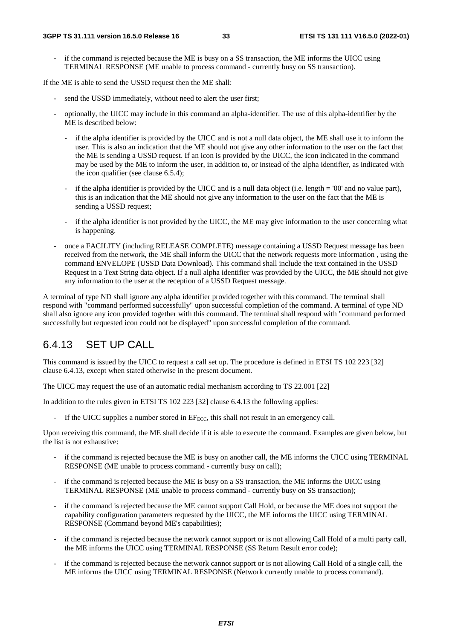if the command is rejected because the ME is busy on a SS transaction, the ME informs the UICC using TERMINAL RESPONSE (ME unable to process command - currently busy on SS transaction).

If the ME is able to send the USSD request then the ME shall:

- send the USSD immediately, without need to alert the user first;
- optionally, the UICC may include in this command an alpha-identifier. The use of this alpha-identifier by the ME is described below:
	- if the alpha identifier is provided by the UICC and is not a null data object, the ME shall use it to inform the user. This is also an indication that the ME should not give any other information to the user on the fact that the ME is sending a USSD request. If an icon is provided by the UICC, the icon indicated in the command may be used by the ME to inform the user, in addition to, or instead of the alpha identifier, as indicated with the icon qualifier (see clause 6.5.4);
	- if the alpha identifier is provided by the UICC and is a null data object (i.e. length = '00' and no value part), this is an indication that the ME should not give any information to the user on the fact that the ME is sending a USSD request;
	- if the alpha identifier is not provided by the UICC, the ME may give information to the user concerning what is happening.
- once a FACILITY (including RELEASE COMPLETE) message containing a USSD Request message has been received from the network, the ME shall inform the UICC that the network requests more information , using the command ENVELOPE (USSD Data Download). This command shall include the text contained in the USSD Request in a Text String data object. If a null alpha identifier was provided by the UICC, the ME should not give any information to the user at the reception of a USSD Request message.

A terminal of type ND shall ignore any alpha identifier provided together with this command. The terminal shall respond with "command performed successfully" upon successful completion of the command. A terminal of type ND shall also ignore any icon provided together with this command. The terminal shall respond with "command performed successfully but requested icon could not be displayed" upon successful completion of the command.

### 6.4.13 SET UP CALL

This command is issued by the UICC to request a call set up. The procedure is defined in ETSI TS 102 223 [32] clause 6.4.13, except when stated otherwise in the present document.

The UICC may request the use of an automatic redial mechanism according to TS 22.001 [22]

In addition to the rules given in ETSI TS 102 223 [32] clause 6.4.13 the following applies:

If the UICC supplies a number stored in  $EF_{ECC}$ , this shall not result in an emergency call.

Upon receiving this command, the ME shall decide if it is able to execute the command. Examples are given below, but the list is not exhaustive:

- if the command is rejected because the ME is busy on another call, the ME informs the UICC using TERMINAL RESPONSE (ME unable to process command - currently busy on call);
- if the command is rejected because the ME is busy on a SS transaction, the ME informs the UICC using TERMINAL RESPONSE (ME unable to process command - currently busy on SS transaction);
- if the command is rejected because the ME cannot support Call Hold, or because the ME does not support the capability configuration parameters requested by the UICC, the ME informs the UICC using TERMINAL RESPONSE (Command beyond ME's capabilities);
- if the command is rejected because the network cannot support or is not allowing Call Hold of a multi party call, the ME informs the UICC using TERMINAL RESPONSE (SS Return Result error code);
- if the command is rejected because the network cannot support or is not allowing Call Hold of a single call, the ME informs the UICC using TERMINAL RESPONSE (Network currently unable to process command).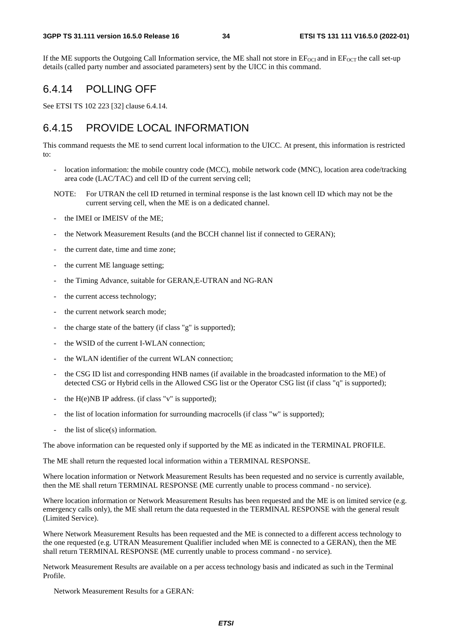If the ME supports the Outgoing Call Information service, the ME shall not store in  $EF_{OCI}$  and in  $EF_{OCT}$  the call set-up details (called party number and associated parameters) sent by the UICC in this command.

#### 6.4.14 POLLING OFF

See ETSI TS 102 223 [32] clause 6.4.14.

### 6.4.15 PROVIDE LOCAL INFORMATION

This command requests the ME to send current local information to the UICC. At present, this information is restricted to:

- location information: the mobile country code (MCC), mobile network code (MNC), location area code/tracking area code (LAC/TAC) and cell ID of the current serving cell;
- NOTE: For UTRAN the cell ID returned in terminal response is the last known cell ID which may not be the current serving cell, when the ME is on a dedicated channel.
- the IMEI or IMEISV of the ME;
- the Network Measurement Results (and the BCCH channel list if connected to GERAN);
- the current date, time and time zone;
- the current ME language setting;
- the Timing Advance, suitable for GERAN, E-UTRAN and NG-RAN
- the current access technology;
- the current network search mode;
- the charge state of the battery (if class "g" is supported);
- the WSID of the current I-WLAN connection:
- the WLAN identifier of the current WLAN connection:
- the CSG ID list and corresponding HNB names (if available in the broadcasted information to the ME) of detected CSG or Hybrid cells in the Allowed CSG list or the Operator CSG list (if class "q" is supported);
- the  $H(e)NB$  IP address. (if class "v" is supported);
- the list of location information for surrounding macrocells (if class "w" is supported);
- the list of slice $(s)$  information.

The above information can be requested only if supported by the ME as indicated in the TERMINAL PROFILE.

The ME shall return the requested local information within a TERMINAL RESPONSE.

Where location information or Network Measurement Results has been requested and no service is currently available, then the ME shall return TERMINAL RESPONSE (ME currently unable to process command - no service).

Where location information or Network Measurement Results has been requested and the ME is on limited service (e.g. emergency calls only), the ME shall return the data requested in the TERMINAL RESPONSE with the general result (Limited Service).

Where Network Measurement Results has been requested and the ME is connected to a different access technology to the one requested (e.g. UTRAN Measurement Qualifier included when ME is connected to a GERAN), then the ME shall return TERMINAL RESPONSE (ME currently unable to process command - no service).

Network Measurement Results are available on a per access technology basis and indicated as such in the Terminal Profile.

Network Measurement Results for a GERAN: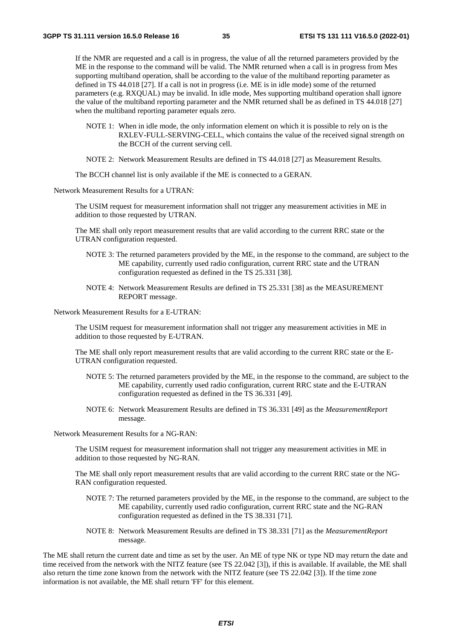If the NMR are requested and a call is in progress, the value of all the returned parameters provided by the ME in the response to the command will be valid. The NMR returned when a call is in progress from Mes supporting multiband operation, shall be according to the value of the multiband reporting parameter as defined in TS 44.018 [27]. If a call is not in progress (i.e. ME is in idle mode) some of the returned parameters (e.g. RXQUAL) may be invalid. In idle mode, Mes supporting multiband operation shall ignore the value of the multiband reporting parameter and the NMR returned shall be as defined in TS 44.018 [27] when the multiband reporting parameter equals zero.

- NOTE 1: When in idle mode, the only information element on which it is possible to rely on is the RXLEV-FULL-SERVING-CELL, which contains the value of the received signal strength on the BCCH of the current serving cell.
- NOTE 2: Network Measurement Results are defined in TS 44.018 [27] as Measurement Results.

The BCCH channel list is only available if the ME is connected to a GERAN.

Network Measurement Results for a UTRAN:

The USIM request for measurement information shall not trigger any measurement activities in ME in addition to those requested by UTRAN.

The ME shall only report measurement results that are valid according to the current RRC state or the UTRAN configuration requested.

- NOTE 3: The returned parameters provided by the ME, in the response to the command, are subject to the ME capability, currently used radio configuration, current RRC state and the UTRAN configuration requested as defined in the TS 25.331 [38].
- NOTE 4: Network Measurement Results are defined in TS 25.331 [38] as the MEASUREMENT REPORT message.

Network Measurement Results for a E-UTRAN:

The USIM request for measurement information shall not trigger any measurement activities in ME in addition to those requested by E-UTRAN.

The ME shall only report measurement results that are valid according to the current RRC state or the E-UTRAN configuration requested.

- NOTE 5: The returned parameters provided by the ME, in the response to the command, are subject to the ME capability, currently used radio configuration, current RRC state and the E-UTRAN configuration requested as defined in the TS 36.331 [49].
- NOTE 6: Network Measurement Results are defined in TS 36.331 [49] as the *MeasurementReport* message.

Network Measurement Results for a NG-RAN:

The USIM request for measurement information shall not trigger any measurement activities in ME in addition to those requested by NG-RAN.

The ME shall only report measurement results that are valid according to the current RRC state or the NG-RAN configuration requested.

- NOTE 7: The returned parameters provided by the ME, in the response to the command, are subject to the ME capability, currently used radio configuration, current RRC state and the NG-RAN configuration requested as defined in the TS 38.331 [71].
- NOTE 8: Network Measurement Results are defined in TS 38.331 [71] as the *MeasurementReport* message.

The ME shall return the current date and time as set by the user. An ME of type NK or type ND may return the date and time received from the network with the NITZ feature (see TS 22.042 [3]), if this is available. If available, the ME shall also return the time zone known from the network with the NITZ feature (see TS 22.042 [3]). If the time zone information is not available, the ME shall return 'FF' for this element.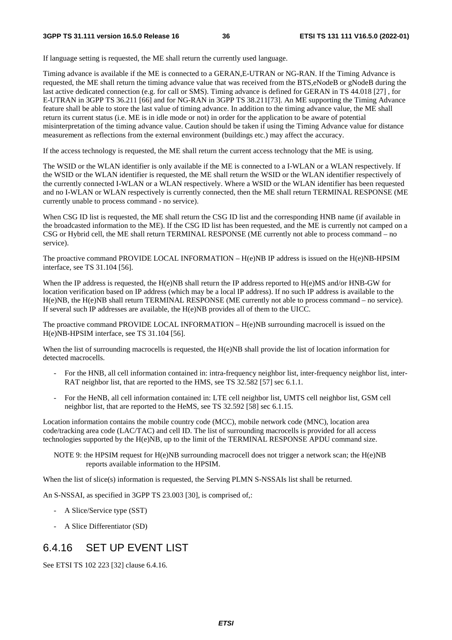If language setting is requested, the ME shall return the currently used language.

Timing advance is available if the ME is connected to a GERAN,E-UTRAN or NG-RAN. If the Timing Advance is requested, the ME shall return the timing advance value that was received from the BTS,eNodeB or gNodeB during the last active dedicated connection (e.g. for call or SMS). Timing advance is defined for GERAN in TS 44.018 [27] , for E-UTRAN in 3GPP TS 36.211 [66] and for NG-RAN in 3GPP TS 38.211[73]. An ME supporting the Timing Advance feature shall be able to store the last value of timing advance. In addition to the timing advance value, the ME shall return its current status (i.e. ME is in idle mode or not) in order for the application to be aware of potential misinterpretation of the timing advance value. Caution should be taken if using the Timing Advance value for distance measurement as reflections from the external environment (buildings etc.) may affect the accuracy.

If the access technology is requested, the ME shall return the current access technology that the ME is using.

The WSID or the WLAN identifier is only available if the ME is connected to a I-WLAN or a WLAN respectively. If the WSID or the WLAN identifier is requested, the ME shall return the WSID or the WLAN identifier respectively of the currently connected I-WLAN or a WLAN respectively. Where a WSID or the WLAN identifier has been requested and no I-WLAN or WLAN respectively is currently connected, then the ME shall return TERMINAL RESPONSE (ME currently unable to process command - no service).

When CSG ID list is requested, the ME shall return the CSG ID list and the corresponding HNB name (if available in the broadcasted information to the ME). If the CSG ID list has been requested, and the ME is currently not camped on a CSG or Hybrid cell, the ME shall return TERMINAL RESPONSE (ME currently not able to process command – no service).

The proactive command PROVIDE LOCAL INFORMATION –  $H(e)NB$  IP address is issued on the  $H(e)NB$ -HPSIM interface, see TS 31.104 [56].

When the IP address is requested, the H(e)NB shall return the IP address reported to H(e)MS and/or HNB-GW for location verification based on IP address (which may be a local IP address). If no such IP address is available to the H(e)NB, the H(e)NB shall return TERMINAL RESPONSE (ME currently not able to process command – no service). If several such IP addresses are available, the H(e)NB provides all of them to the UICC.

The proactive command PROVIDE LOCAL INFORMATION – H(e)NB surrounding macrocell is issued on the H(e)NB-HPSIM interface, see TS 31.104 [56].

When the list of surrounding macrocells is requested, the H(e)NB shall provide the list of location information for detected macrocells.

- For the HNB, all cell information contained in: intra-frequency neighbor list, inter-frequency neighbor list, inter-RAT neighbor list, that are reported to the HMS, see TS 32.582 [57] sec 6.1.1.
- For the HeNB, all cell information contained in: LTE cell neighbor list, UMTS cell neighbor list, GSM cell neighbor list, that are reported to the HeMS, see TS 32.592 [58] sec 6.1.15.

Location information contains the mobile country code (MCC), mobile network code (MNC), location area code/tracking area code (LAC/TAC) and cell ID. The list of surrounding macrocells is provided for all access technologies supported by the H(e)NB, up to the limit of the TERMINAL RESPONSE APDU command size.

NOTE 9: the HPSIM request for H(e)NB surrounding macrocell does not trigger a network scan; the H(e)NB reports available information to the HPSIM.

When the list of slice(s) information is requested, the Serving PLMN S-NSSAIs list shall be returned.

An S-NSSAI, as specified in 3GPP TS 23.003 [30], is comprised of,:

- A Slice/Service type (SST)
- A Slice Differentiator (SD)

## 6.4.16 SET UP EVENT LIST

See ETSI TS 102 223 [32] clause 6.4.16.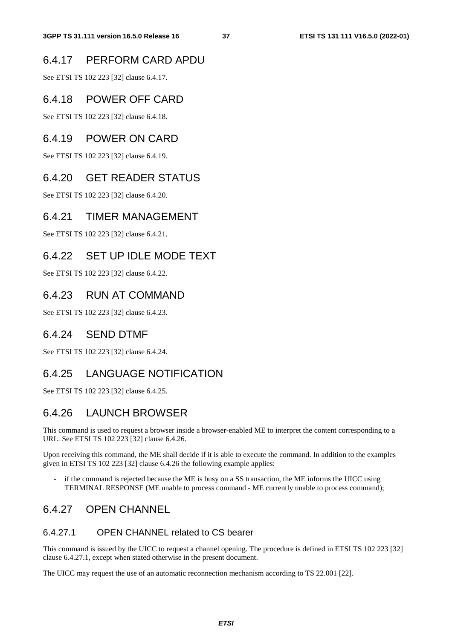## 6.4.17 PERFORM CARD APDU

See ETSI TS 102 223 [32] clause 6.4.17.

## 6.4.18 POWER OFF CARD

See ETSI TS 102 223 [32] clause 6.4.18.

## 6.4.19 POWER ON CARD

See ETSI TS 102 223 [32] clause 6.4.19.

## 6.4.20 GET READER STATUS

See ETSI TS 102 223 [32] clause 6.4.20.

## 6.4.21 TIMER MANAGEMENT

See ETSI TS 102 223 [32] clause 6.4.21.

## 6.4.22 SET UP IDLE MODE TEXT

See ETSI TS 102 223 [32] clause 6.4.22.

#### 6.4.23 RUN AT COMMAND

See ETSI TS 102 223 [32] clause 6.4.23.

#### 6.4.24 SEND DTMF

See ETSI TS 102 223 [32] clause 6.4.24.

## 6.4.25 LANGUAGE NOTIFICATION

See ETSI TS 102 223 [32] clause 6.4.25.

## 6.4.26 LAUNCH BROWSER

This command is used to request a browser inside a browser-enabled ME to interpret the content corresponding to a URL. See ETSI TS 102 223 [32] clause 6.4.26.

Upon receiving this command, the ME shall decide if it is able to execute the command. In addition to the examples given in ETSI TS 102 223 [32] clause 6.4.26 the following example applies:

- if the command is rejected because the ME is busy on a SS transaction, the ME informs the UICC using TERMINAL RESPONSE (ME unable to process command - ME currently unable to process command);

## 6.4.27 OPEN CHANNEL

#### 6.4.27.1 OPEN CHANNEL related to CS bearer

This command is issued by the UICC to request a channel opening. The procedure is defined in ETSI TS 102 223 [32] clause 6.4.27.1, except when stated otherwise in the present document.

The UICC may request the use of an automatic reconnection mechanism according to TS 22.001 [22].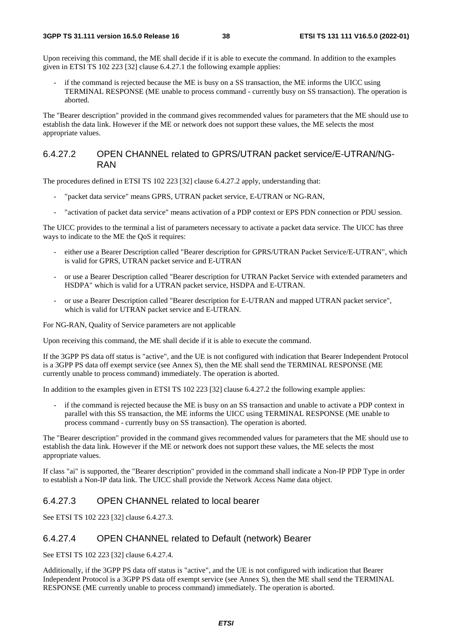Upon receiving this command, the ME shall decide if it is able to execute the command. In addition to the examples given in ETSI TS 102 223 [32] clause 6.4.27.1 the following example applies:

if the command is rejected because the ME is busy on a SS transaction, the ME informs the UICC using TERMINAL RESPONSE (ME unable to process command - currently busy on SS transaction). The operation is aborted.

The "Bearer description" provided in the command gives recommended values for parameters that the ME should use to establish the data link. However if the ME or network does not support these values, the ME selects the most appropriate values.

#### 6.4.27.2 OPEN CHANNEL related to GPRS/UTRAN packet service/E-UTRAN/NG-RAN

The procedures defined in ETSI TS 102 223 [32] clause 6.4.27.2 apply, understanding that:

- "packet data service" means GPRS, UTRAN packet service, E-UTRAN or NG-RAN,
- "activation of packet data service" means activation of a PDP context or EPS PDN connection or PDU session.

The UICC provides to the terminal a list of parameters necessary to activate a packet data service. The UICC has three ways to indicate to the ME the QoS it requires:

- either use a Bearer Description called "Bearer description for GPRS/UTRAN Packet Service/E-UTRAN", which is valid for GPRS, UTRAN packet service and E-UTRAN
- or use a Bearer Description called "Bearer description for UTRAN Packet Service with extended parameters and HSDPA" which is valid for a UTRAN packet service, HSDPA and E-UTRAN.
- or use a Bearer Description called "Bearer description for E-UTRAN and mapped UTRAN packet service", which is valid for UTRAN packet service and E-UTRAN.

For NG-RAN, Quality of Service parameters are not applicable

Upon receiving this command, the ME shall decide if it is able to execute the command.

If the 3GPP PS data off status is "active", and the UE is not configured with indication that Bearer Independent Protocol is a 3GPP PS data off exempt service (see Annex S), then the ME shall send the TERMINAL RESPONSE (ME currently unable to process command) immediately. The operation is aborted.

In addition to the examples given in ETSI TS 102 223 [32] clause 6.4.27.2 the following example applies:

if the command is rejected because the ME is busy on an SS transaction and unable to activate a PDP context in parallel with this SS transaction, the ME informs the UICC using TERMINAL RESPONSE (ME unable to process command - currently busy on SS transaction). The operation is aborted.

The "Bearer description" provided in the command gives recommended values for parameters that the ME should use to establish the data link. However if the ME or network does not support these values, the ME selects the most appropriate values.

If class "ai" is supported, the "Bearer description" provided in the command shall indicate a Non-IP PDP Type in order to establish a Non-IP data link. The UICC shall provide the Network Access Name data object.

#### 6.4.27.3 OPEN CHANNEL related to local bearer

See ETSI TS 102 223 [32] clause 6.4.27.3.

#### 6.4.27.4 OPEN CHANNEL related to Default (network) Bearer

See ETSI TS 102 223 [32] clause 6.4.27.4.

Additionally, if the 3GPP PS data off status is "active", and the UE is not configured with indication that Bearer Independent Protocol is a 3GPP PS data off exempt service (see Annex S), then the ME shall send the TERMINAL RESPONSE (ME currently unable to process command) immediately. The operation is aborted.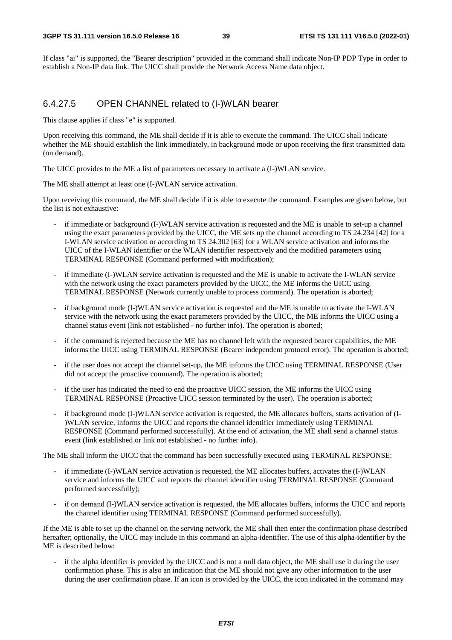If class "ai" is supported, the "Bearer description" provided in the command shall indicate Non-IP PDP Type in order to establish a Non-IP data link. The UICC shall provide the Network Access Name data object.

#### 6.4.27.5 OPEN CHANNEL related to (I-)WLAN bearer

This clause applies if class "e" is supported.

Upon receiving this command, the ME shall decide if it is able to execute the command. The UICC shall indicate whether the ME should establish the link immediately, in background mode or upon receiving the first transmitted data (on demand).

The UICC provides to the ME a list of parameters necessary to activate a (I-)WLAN service.

The ME shall attempt at least one (I-)WLAN service activation.

Upon receiving this command, the ME shall decide if it is able to execute the command. Examples are given below, but the list is not exhaustive:

- if immediate or background (I-)WLAN service activation is requested and the ME is unable to set-up a channel using the exact parameters provided by the UICC, the ME sets up the channel according to TS 24.234 [42] for a I-WLAN service activation or according to TS 24.302 [63] for a WLAN service activation and informs the UICC of the I-WLAN identifier or the WLAN identifier respectively and the modified parameters using TERMINAL RESPONSE (Command performed with modification);
- if immediate (I-)WLAN service activation is requested and the ME is unable to activate the I-WLAN service with the network using the exact parameters provided by the UICC, the ME informs the UICC using TERMINAL RESPONSE (Network currently unable to process command). The operation is aborted;
- if background mode (I-)WLAN service activation is requested and the ME is unable to activate the I-WLAN service with the network using the exact parameters provided by the UICC, the ME informs the UICC using a channel status event (link not established - no further info). The operation is aborted;
- if the command is rejected because the ME has no channel left with the requested bearer capabilities, the ME informs the UICC using TERMINAL RESPONSE (Bearer independent protocol error). The operation is aborted;
- if the user does not accept the channel set-up, the ME informs the UICC using TERMINAL RESPONSE (User did not accept the proactive command). The operation is aborted;
- if the user has indicated the need to end the proactive UICC session, the ME informs the UICC using TERMINAL RESPONSE (Proactive UICC session terminated by the user). The operation is aborted;
- if background mode (I-)WLAN service activation is requested, the ME allocates buffers, starts activation of (I-)WLAN service, informs the UICC and reports the channel identifier immediately using TERMINAL RESPONSE (Command performed successfully). At the end of activation, the ME shall send a channel status event (link established or link not established - no further info).

The ME shall inform the UICC that the command has been successfully executed using TERMINAL RESPONSE:

- if immediate (I-)WLAN service activation is requested, the ME allocates buffers, activates the  $(I-)WLAN$ service and informs the UICC and reports the channel identifier using TERMINAL RESPONSE (Command performed successfully);
- if on demand (I-)WLAN service activation is requested, the ME allocates buffers, informs the UICC and reports the channel identifier using TERMINAL RESPONSE (Command performed successfully).

If the ME is able to set up the channel on the serving network, the ME shall then enter the confirmation phase described hereafter; optionally, the UICC may include in this command an alpha-identifier. The use of this alpha-identifier by the ME is described below:

if the alpha identifier is provided by the UICC and is not a null data object, the ME shall use it during the user confirmation phase. This is also an indication that the ME should not give any other information to the user during the user confirmation phase. If an icon is provided by the UICC, the icon indicated in the command may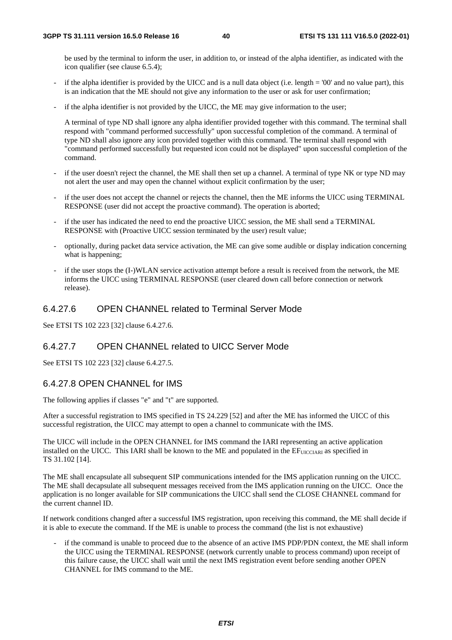be used by the terminal to inform the user, in addition to, or instead of the alpha identifier, as indicated with the icon qualifier (see clause 6.5.4);

- if the alpha identifier is provided by the UICC and is a null data object (i.e. length  $= 00'$  and no value part), this is an indication that the ME should not give any information to the user or ask for user confirmation;
- if the alpha identifier is not provided by the UICC, the ME may give information to the user;

A terminal of type ND shall ignore any alpha identifier provided together with this command. The terminal shall respond with "command performed successfully" upon successful completion of the command. A terminal of type ND shall also ignore any icon provided together with this command. The terminal shall respond with "command performed successfully but requested icon could not be displayed" upon successful completion of the command.

- if the user doesn't reject the channel, the ME shall then set up a channel. A terminal of type NK or type ND may not alert the user and may open the channel without explicit confirmation by the user;
- if the user does not accept the channel or rejects the channel, then the ME informs the UICC using TERMINAL RESPONSE (user did not accept the proactive command). The operation is aborted;
- if the user has indicated the need to end the proactive UICC session, the ME shall send a TERMINAL RESPONSE with (Proactive UICC session terminated by the user) result value;
- optionally, during packet data service activation, the ME can give some audible or display indication concerning what is happening:
- if the user stops the (I-)WLAN service activation attempt before a result is received from the network, the ME informs the UICC using TERMINAL RESPONSE (user cleared down call before connection or network release).

#### 6.4.27.6 OPEN CHANNEL related to Terminal Server Mode

See ETSI TS 102 223 [32] clause 6.4.27.6.

#### 6.4.27.7 OPEN CHANNEL related to UICC Server Mode

See ETSI TS 102 223 [32] clause 6.4.27.5.

#### 6.4.27.8 OPEN CHANNEL for IMS

The following applies if classes "e" and "t" are supported.

After a successful registration to IMS specified in TS 24.229 [52] and after the ME has informed the UICC of this successful registration, the UICC may attempt to open a channel to communicate with the IMS.

The UICC will include in the OPEN CHANNEL for IMS command the IARI representing an active application installed on the UICC. This IARI shall be known to the ME and populated in the EFUICCIARI as specified in TS 31.102 [14].

The ME shall encapsulate all subsequent SIP communications intended for the IMS application running on the UICC. The ME shall decapsulate all subsequent messages received from the IMS application running on the UICC. Once the application is no longer available for SIP communications the UICC shall send the CLOSE CHANNEL command for the current channel ID.

If network conditions changed after a successful IMS registration, upon receiving this command, the ME shall decide if it is able to execute the command. If the ME is unable to process the command (the list is not exhaustive)

if the command is unable to proceed due to the absence of an active IMS PDP/PDN context, the ME shall inform the UICC using the TERMINAL RESPONSE (network currently unable to process command) upon receipt of this failure cause, the UICC shall wait until the next IMS registration event before sending another OPEN CHANNEL for IMS command to the ME.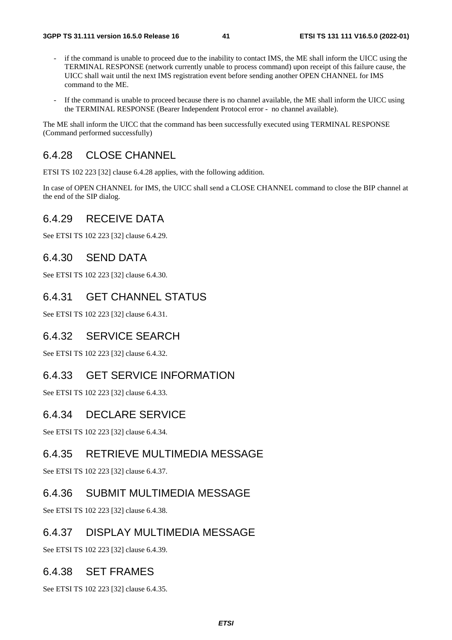- if the command is unable to proceed due to the inability to contact IMS, the ME shall inform the UICC using the TERMINAL RESPONSE (network currently unable to process command) upon receipt of this failure cause, the UICC shall wait until the next IMS registration event before sending another OPEN CHANNEL for IMS command to the ME.
- If the command is unable to proceed because there is no channel available, the ME shall inform the UICC using the TERMINAL RESPONSE (Bearer Independent Protocol error - no channel available).

The ME shall inform the UICC that the command has been successfully executed using TERMINAL RESPONSE (Command performed successfully)

## 6.4.28 CLOSE CHANNEL

ETSI TS 102 223 [32] clause 6.4.28 applies, with the following addition.

In case of OPEN CHANNEL for IMS, the UICC shall send a CLOSE CHANNEL command to close the BIP channel at the end of the SIP dialog.

#### 6.4.29 RECEIVE DATA

See ETSI TS 102 223 [32] clause 6.4.29.

#### 6.4.30 SEND DATA

See ETSI TS 102 223 [32] clause 6.4.30.

## 6.4.31 GET CHANNEL STATUS

See ETSI TS 102 223 [32] clause 6.4.31.

#### 6.4.32 SERVICE SEARCH

See ETSI TS 102 223 [32] clause 6.4.32.

#### 6.4.33 GET SERVICE INFORMATION

See ETSI TS 102 223 [32] clause 6.4.33.

#### 6.4.34 DECLARE SERVICE

See ETSI TS 102 223 [32] clause 6.4.34.

#### 6.4.35 RETRIEVE MULTIMEDIA MESSAGE

See ETSI TS 102 223 [32] clause 6.4.37.

#### 6.4.36 SUBMIT MULTIMEDIA MESSAGE

See ETSI TS 102 223 [32] clause 6.4.38.

#### 6.4.37 DISPLAY MULTIMEDIA MESSAGE

See ETSI TS 102 223 [32] clause 6.4.39.

#### 6.4.38 SET FRAMES

See ETSI TS 102 223 [32] clause 6.4.35.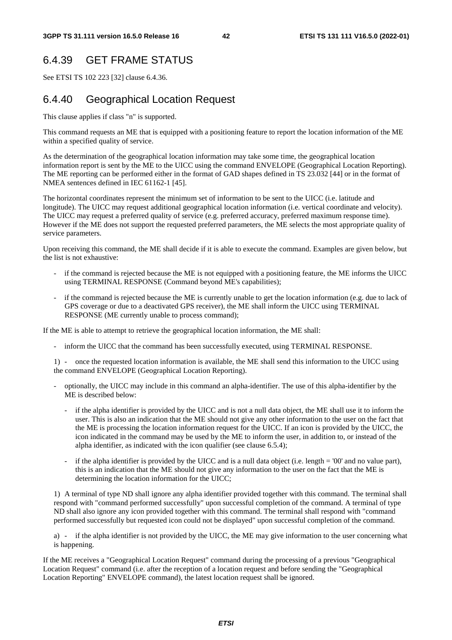# 6.4.39 GET FRAME STATUS

See ETSI TS 102 223 [32] clause 6.4.36.

## 6.4.40 Geographical Location Request

This clause applies if class "n" is supported.

This command requests an ME that is equipped with a positioning feature to report the location information of the ME within a specified quality of service.

As the determination of the geographical location information may take some time, the geographical location information report is sent by the ME to the UICC using the command ENVELOPE (Geographical Location Reporting). The ME reporting can be performed either in the format of GAD shapes defined in TS 23.032 [44] or in the format of NMEA sentences defined in IEC 61162-1 [45].

The horizontal coordinates represent the minimum set of information to be sent to the UICC (i.e. latitude and longitude). The UICC may request additional geographical location information (i.e. vertical coordinate and velocity). The UICC may request a preferred quality of service (e.g. preferred accuracy, preferred maximum response time). However if the ME does not support the requested preferred parameters, the ME selects the most appropriate quality of service parameters.

Upon receiving this command, the ME shall decide if it is able to execute the command. Examples are given below, but the list is not exhaustive:

- if the command is rejected because the ME is not equipped with a positioning feature, the ME informs the UICC using TERMINAL RESPONSE (Command beyond ME's capabilities);
- if the command is rejected because the ME is currently unable to get the location information (e.g. due to lack of GPS coverage or due to a deactivated GPS receiver), the ME shall inform the UICC using TERMINAL RESPONSE (ME currently unable to process command);

If the ME is able to attempt to retrieve the geographical location information, the ME shall:

- inform the UICC that the command has been successfully executed, using TERMINAL RESPONSE.

1) - once the requested location information is available, the ME shall send this information to the UICC using the command ENVELOPE (Geographical Location Reporting).

- optionally, the UICC may include in this command an alpha-identifier. The use of this alpha-identifier by the ME is described below:
	- if the alpha identifier is provided by the UICC and is not a null data object, the ME shall use it to inform the user. This is also an indication that the ME should not give any other information to the user on the fact that the ME is processing the location information request for the UICC. If an icon is provided by the UICC, the icon indicated in the command may be used by the ME to inform the user, in addition to, or instead of the alpha identifier, as indicated with the icon qualifier (see clause 6.5.4);
	- if the alpha identifier is provided by the UICC and is a null data object (i.e. length = '00' and no value part), this is an indication that the ME should not give any information to the user on the fact that the ME is determining the location information for the UICC;

1) A terminal of type ND shall ignore any alpha identifier provided together with this command. The terminal shall respond with "command performed successfully" upon successful completion of the command. A terminal of type ND shall also ignore any icon provided together with this command. The terminal shall respond with "command performed successfully but requested icon could not be displayed" upon successful completion of the command.

a) - if the alpha identifier is not provided by the UICC, the ME may give information to the user concerning what is happening.

If the ME receives a "Geographical Location Request" command during the processing of a previous "Geographical Location Request" command (i.e. after the reception of a location request and before sending the "Geographical Location Reporting" ENVELOPE command), the latest location request shall be ignored.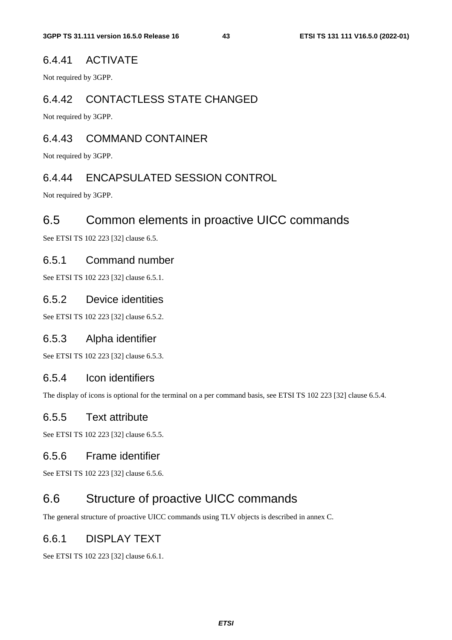#### 6.4.41 ACTIVATE

Not required by 3GPP.

## 6.4.42 CONTACTLESS STATE CHANGED

Not required by 3GPP.

## 6.4.43 COMMAND CONTAINER

Not required by 3GPP.

#### 6.4.44 ENCAPSULATED SESSION CONTROL

Not required by 3GPP.

## 6.5 Common elements in proactive UICC commands

See ETSI TS 102 223 [32] clause 6.5.

#### 6.5.1 Command number

See ETSI TS 102 223 [32] clause 6.5.1.

#### 6.5.2 Device identities

See ETSI TS 102 223 [32] clause 6.5.2.

#### 6.5.3 Alpha identifier

See ETSI TS 102 223 [32] clause 6.5.3.

## 6.5.4 Icon identifiers

The display of icons is optional for the terminal on a per command basis, see ETSI TS 102 223 [32] clause 6.5.4.

#### 6.5.5 Text attribute

See ETSI TS 102 223 [32] clause 6.5.5.

#### 6.5.6 Frame identifier

See ETSI TS 102 223 [32] clause 6.5.6.

# 6.6 Structure of proactive UICC commands

The general structure of proactive UICC commands using TLV objects is described in annex C.

#### 6.6.1 DISPLAY TEXT

See ETSI TS 102 223 [32] clause 6.6.1.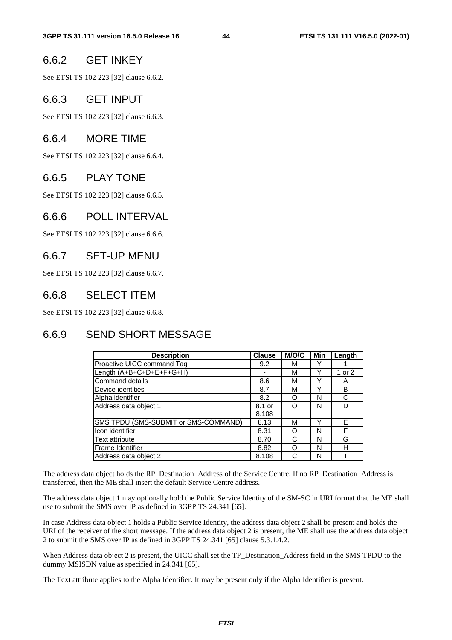#### 6.6.2 GET INKEY

See ETSI TS 102 223 [32] clause 6.6.2.

#### 6.6.3 GET INPUT

See ETSI TS 102 223 [32] clause 6.6.3.

#### 6.6.4 MORE TIME

See ETSI TS 102 223 [32] clause 6.6.4.

#### 6.6.5 PLAY TONE

See ETSI TS 102 223 [32] clause 6.6.5.

#### 6.6.6 POLL INTERVAL

See ETSI TS 102 223 [32] clause 6.6.6.

#### 6.6.7 SET-UP MENU

See ETSI TS 102 223 [32] clause 6.6.7.

#### 6.6.8 SELECT ITEM

See ETSI TS 102 223 [32] clause 6.6.8.

## 6.6.9 SEND SHORT MESSAGE

| <b>Description</b>                   | <b>Clause</b> | <b>M/O/C</b> | Min | Length |
|--------------------------------------|---------------|--------------|-----|--------|
| Proactive UICC command Tag           | 9.2           | м            |     |        |
| Length (A+B+C+D+E+F+G+H)             |               | М            | ν   | 1 or 2 |
| Command details                      | 8.6           | М            | ◡   | A      |
| Device identities                    | 8.7           | М            | ◡   | B      |
| Alpha identifier                     | 8.2           | Ω            | N   | C      |
| Address data object 1                | 8.1 or        | Ω            | N   | D      |
|                                      | 8.108         |              |     |        |
| SMS TPDU (SMS-SUBMIT or SMS-COMMAND) | 8.13          | м            | v   | E      |
| Icon identifier                      | 8.31          | Ω            | Ν   | F      |
| <b>Text attribute</b>                | 8.70          | C            | N   | G      |
| <b>Frame Identifier</b>              | 8.82          | Ω            | N   | н      |
| Address data object 2                | 8.108         | C            | N   |        |

The address data object holds the RP\_Destination\_Address of the Service Centre. If no RP\_Destination\_Address is transferred, then the ME shall insert the default Service Centre address.

The address data object 1 may optionally hold the Public Service Identity of the SM-SC in URI format that the ME shall use to submit the SMS over IP as defined in 3GPP TS 24.341 [65].

In case Address data object 1 holds a Public Service Identity, the address data object 2 shall be present and holds the URI of the receiver of the short message. If the address data object 2 is present, the ME shall use the address data object 2 to submit the SMS over IP as defined in 3GPP TS 24.341 [65] clause 5.3.1.4.2.

When Address data object 2 is present, the UICC shall set the TP\_Destination\_Address field in the SMS TPDU to the dummy MSISDN value as specified in 24.341 [65].

The Text attribute applies to the Alpha Identifier. It may be present only if the Alpha Identifier is present.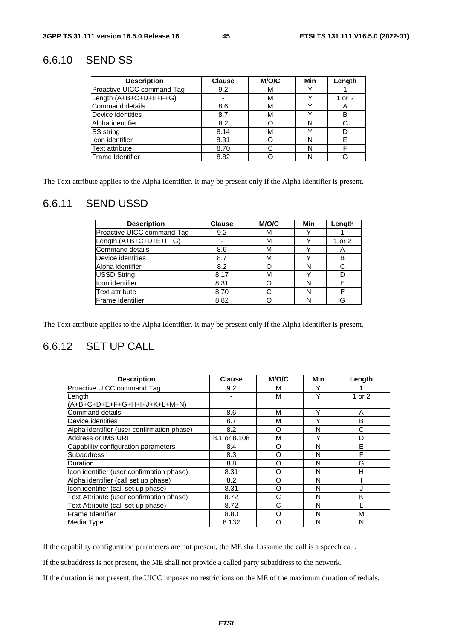# 6.6.10 SEND SS

| <b>Description</b>         | <b>Clause</b> | M/O/C | Min | Length |
|----------------------------|---------------|-------|-----|--------|
| Proactive UICC command Tag | 9.2           | М     |     |        |
| Length (A+B+C+D+E+F+G)     |               | М     |     | 1 or 2 |
| <b>Command details</b>     | 8.6           | М     |     | A      |
| Device identities          | 8.7           | М     |     |        |
| Alpha identifier           | 8.2           |       | N   |        |
| SS string                  | 8.14          | М     |     |        |
| Icon identifier            | 8.31          |       | N   |        |
| <b>Text attribute</b>      | 8.70          |       | N   |        |
| Frame Identifier           | 8.82          |       | N   |        |

The Text attribute applies to the Alpha Identifier. It may be present only if the Alpha Identifier is present.

# 6.6.11 SEND USSD

| <b>Description</b>         | <b>Clause</b> | <b>M/O/C</b> | Min | Length |
|----------------------------|---------------|--------------|-----|--------|
| Proactive UICC command Tag | 9.2           | М            |     |        |
| Length (A+B+C+D+E+F+G)     |               | M            |     | 1 or 2 |
| Command details            | 8.6           | м            |     | A      |
| Device identities          | 8.7           | м            |     | B      |
| Alpha identifier           | 8.2           |              | N   |        |
| <b>USSD String</b>         | 8.17          | M            |     |        |
| Icon identifier            | 8.31          |              | N   |        |
| <b>Text attribute</b>      | 8.70          |              | N   |        |
| Frame Identifier           | 8.82          |              |     |        |

The Text attribute applies to the Alpha Identifier. It may be present only if the Alpha Identifier is present.

# 6.6.12 SET UP CALL

| <b>Description</b>                         | <b>Clause</b> | <b>M/O/C</b> | Min | Length |
|--------------------------------------------|---------------|--------------|-----|--------|
| Proactive UICC command Tag                 | 9.2           | м            |     |        |
| Length                                     |               | М            | Υ   | 1 or 2 |
| (A+B+C+D+E+F+G+H+I+J+K+L+M+N)              |               |              |     |        |
| <b>Command details</b>                     | 8.6           | M            | Υ   | A      |
| Device identities                          | 8.7           | M            | Υ   | B      |
| Alpha identifier (user confirmation phase) | 8.2           | ∩            | N   | C      |
| Address or IMS URI                         | 8.1 or 8.108  | М            | Υ   | D      |
| Capability configuration parameters        | 8.4           | Ω            | N   | E      |
| <b>Subaddress</b>                          | 8.3           | Ω            | N   | F      |
| Duration                                   | 8.8           | O            | N   | G      |
| Icon identifier (user confirmation phase)  | 8.31          | O            | N   | н      |
| Alpha identifier (call set up phase)       | 8.2           | Ω            | N   |        |
| Icon identifier (call set up phase)        | 8.31          | O            | N   |        |
| Text Attribute (user confirmation phase)   | 8.72          | C            | N   | ĸ      |
| Text Attribute (call set up phase)         | 8.72          | С            | N   |        |
| Frame Identifier                           | 8.80          | Ω            | N   | М      |
| Media Type                                 | 8.132         | റ            | N   | N      |

If the capability configuration parameters are not present, the ME shall assume the call is a speech call.

If the subaddress is not present, the ME shall not provide a called party subaddress to the network.

If the duration is not present, the UICC imposes no restrictions on the ME of the maximum duration of redials.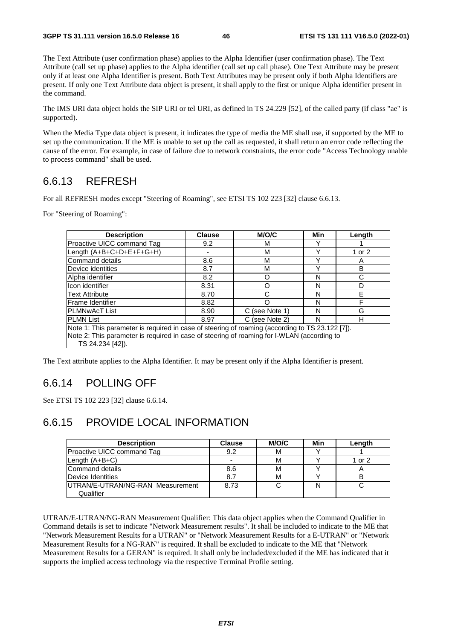The Text Attribute (user confirmation phase) applies to the Alpha Identifier (user confirmation phase). The Text Attribute (call set up phase) applies to the Alpha identifier (call set up call phase). One Text Attribute may be present only if at least one Alpha Identifier is present. Both Text Attributes may be present only if both Alpha Identifiers are present. If only one Text Attribute data object is present, it shall apply to the first or unique Alpha identifier present in the command.

The IMS URI data object holds the SIP URI or tel URI, as defined in TS 24.229 [52], of the called party (if class "ae" is supported).

When the Media Type data object is present, it indicates the type of media the ME shall use, if supported by the ME to set up the communication. If the ME is unable to set up the call as requested, it shall return an error code reflecting the cause of the error. For example, in case of failure due to network constraints, the error code "Access Technology unable to process command" shall be used.

## 6.6.13 REFRESH

For all REFRESH modes except "Steering of Roaming", see ETSI TS 102 223 [32] clause 6.6.13.

For "Steering of Roaming":

| <b>Description</b>                                                                              | <b>Clause</b> | <b>M/O/C</b>   | Min | Length |  |  |  |
|-------------------------------------------------------------------------------------------------|---------------|----------------|-----|--------|--|--|--|
| Proactive UICC command Tag                                                                      | 9.2           | м              |     |        |  |  |  |
| Length $(A+B+C+D+E+F+G+H)$                                                                      |               | М              | ν   | 1 or 2 |  |  |  |
| Command details                                                                                 | 8.6           | M              |     | Α      |  |  |  |
| Device identities                                                                               | 8.7           | M              |     | B      |  |  |  |
| Alpha identifier                                                                                | 8.2           | Ω              | N   | С      |  |  |  |
| Icon identifier                                                                                 | 8.31          | Ω              | N   | D      |  |  |  |
| <b>Text Attribute</b>                                                                           | 8.70          | C              | N   | F      |  |  |  |
| Frame Identifier                                                                                | 8.82          | ∩              | N   | F      |  |  |  |
| <b>PLMNwAcT List</b>                                                                            | 8.90          | C (see Note 1) | N   | G      |  |  |  |
| <b>PLMN List</b>                                                                                | 8.97          | (see Note 2)   | N   | н      |  |  |  |
| Note 1: This parameter is required in case of steering of roaming (according to TS 23.122 [7]). |               |                |     |        |  |  |  |
| Note 2: This parameter is required in case of steering of roaming for I-WLAN (according to      |               |                |     |        |  |  |  |
| TS 24.234 [42]).                                                                                |               |                |     |        |  |  |  |

The Text attribute applies to the Alpha Identifier. It may be present only if the Alpha Identifier is present.

## 6.6.14 POLLING OFF

See ETSI TS 102 223 [32] clause 6.6.14.

## 6.6.15 PROVIDE LOCAL INFORMATION

| <b>Description</b>               | <b>Clause</b>            | M/O/C | Min | Length         |
|----------------------------------|--------------------------|-------|-----|----------------|
| Proactive UICC command Tag       | 9.2                      | М     |     |                |
| Length $(A+B+C)$                 | $\overline{\phantom{0}}$ | М     |     | 1 or 2         |
| Command details                  | 8.6                      | м     |     | $\overline{A}$ |
| Device Identities                | 8.7                      | м     |     | в              |
| UTRAN/E-UTRAN/NG-RAN Measurement | 8.73                     |       |     |                |
| Qualifier                        |                          |       |     |                |

UTRAN/E-UTRAN/NG-RAN Measurement Qualifier: This data object applies when the Command Qualifier in Command details is set to indicate "Network Measurement results". It shall be included to indicate to the ME that "Network Measurement Results for a UTRAN" or "Network Measurement Results for a E-UTRAN" or "Network Measurement Results for a NG-RAN" is required. It shall be excluded to indicate to the ME that "Network Measurement Results for a GERAN" is required. It shall only be included/excluded if the ME has indicated that it supports the implied access technology via the respective Terminal Profile setting.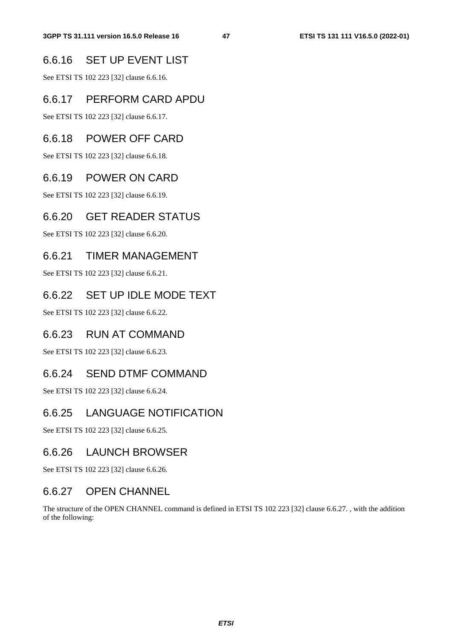## 6.6.16 SET UP EVENT LIST

See ETSI TS 102 223 [32] clause 6.6.16.

## 6.6.17 PERFORM CARD APDU

See ETSI TS 102 223 [32] clause 6.6.17.

## 6.6.18 POWER OFF CARD

See ETSI TS 102 223 [32] clause 6.6.18.

#### 6.6.19 POWER ON CARD

See ETSI TS 102 223 [32] clause 6.6.19.

## 6.6.20 GET READER STATUS

See ETSI TS 102 223 [32] clause 6.6.20.

## 6.6.21 TIMER MANAGEMENT

See ETSI TS 102 223 [32] clause 6.6.21.

## 6.6.22 SET UP IDLE MODE TEXT

See ETSI TS 102 223 [32] clause 6.6.22.

#### 6.6.23 RUN AT COMMAND

See ETSI TS 102 223 [32] clause 6.6.23.

#### 6.6.24 SEND DTMF COMMAND

See ETSI TS 102 223 [32] clause 6.6.24.

## 6.6.25 LANGUAGE NOTIFICATION

See ETSI TS 102 223 [32] clause 6.6.25.

#### 6.6.26 LAUNCH BROWSER

See ETSI TS 102 223 [32] clause 6.6.26.

## 6.6.27 OPEN CHANNEL

The structure of the OPEN CHANNEL command is defined in ETSI TS 102 223 [32] clause 6.6.27. , with the addition of the following: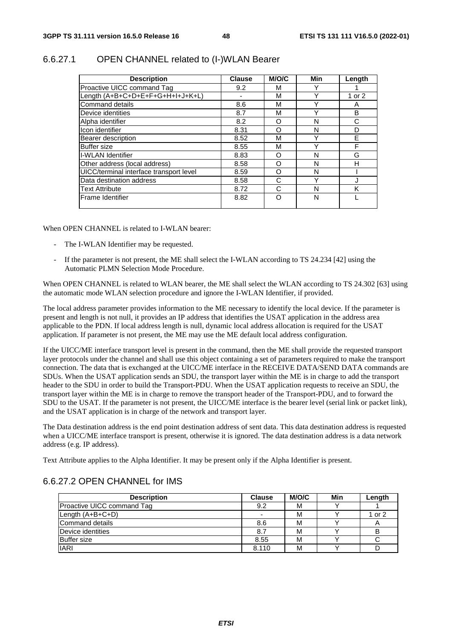| <b>Description</b>                      | <b>Clause</b> | <b>M/O/C</b> | Min         | Length |
|-----------------------------------------|---------------|--------------|-------------|--------|
| Proactive UICC command Tag              | 9.2           | м            |             |        |
| Length (A+B+C+D+E+F+G+H+I+J+K+L)        | ٠             | M            | v           | 1 or 2 |
| <b>Command details</b>                  | 8.6           | м            | $\check{ }$ | A      |
| Device identities                       | 8.7           | М            |             | B      |
| Alpha identifier                        | 8.2           | Ω            | N           | С      |
| Icon identifier                         | 8.31          | റ            | N           | D      |
| Bearer description                      | 8.52          | M            | v           | F      |
| <b>Buffer size</b>                      | 8.55          | M            | ◡           | F      |
| <b>I-WLAN Identifier</b>                | 8.83          | Ω            | N           | G      |
| Other address (local address)           | 8.58          | Ω            | N           | н      |
| UICC/terminal interface transport level | 8.59          | ∩            | N           |        |
| Data destination address                | 8.58          | С            |             |        |
| <b>Text Attribute</b>                   | 8.72          | C            | N           | κ      |
| lFrame Identifier                       | 8.82          | ∩            | N           |        |

#### 6.6.27.1 OPEN CHANNEL related to (I-)WLAN Bearer

When OPEN CHANNEL is related to I-WLAN bearer:

- The I-WLAN Identifier may be requested.
- If the parameter is not present, the ME shall select the I-WLAN according to TS 24.234 [42] using the Automatic PLMN Selection Mode Procedure.

When OPEN CHANNEL is related to WLAN bearer, the ME shall select the WLAN according to TS 24.302 [63] using the automatic mode WLAN selection procedure and ignore the I-WLAN Identifier, if provided.

The local address parameter provides information to the ME necessary to identify the local device. If the parameter is present and length is not null, it provides an IP address that identifies the USAT application in the address area applicable to the PDN. If local address length is null, dynamic local address allocation is required for the USAT application. If parameter is not present, the ME may use the ME default local address configuration.

If the UICC/ME interface transport level is present in the command, then the ME shall provide the requested transport layer protocols under the channel and shall use this object containing a set of parameters required to make the transport connection. The data that is exchanged at the UICC/ME interface in the RECEIVE DATA/SEND DATA commands are SDUs. When the USAT application sends an SDU, the transport layer within the ME is in charge to add the transport header to the SDU in order to build the Transport-PDU. When the USAT application requests to receive an SDU, the transport layer within the ME is in charge to remove the transport header of the Transport-PDU, and to forward the SDU to the USAT. If the parameter is not present, the UICC/ME interface is the bearer level (serial link or packet link), and the USAT application is in charge of the network and transport layer.

The Data destination address is the end point destination address of sent data. This data destination address is requested when a UICC/ME interface transport is present, otherwise it is ignored. The data destination address is a data network address (e.g. IP address).

Text Attribute applies to the Alpha Identifier. It may be present only if the Alpha Identifier is present.

#### 6.6.27.2 OPEN CHANNEL for IMS

| <b>Description</b>         | <b>Clause</b> | M/O/C | Min | Length |
|----------------------------|---------------|-------|-----|--------|
| Proactive UICC command Tag | 9.2           | М     |     |        |
| Length (A+B+C+D)           |               | М     |     | 1 or 2 |
| Command details            | 8.6           | м     |     |        |
| Device identities          | 8.            | м     |     |        |
| <b>Buffer</b> size         | 8.55          | м     |     |        |
| <b>IARI</b>                | 8.110         | М     |     |        |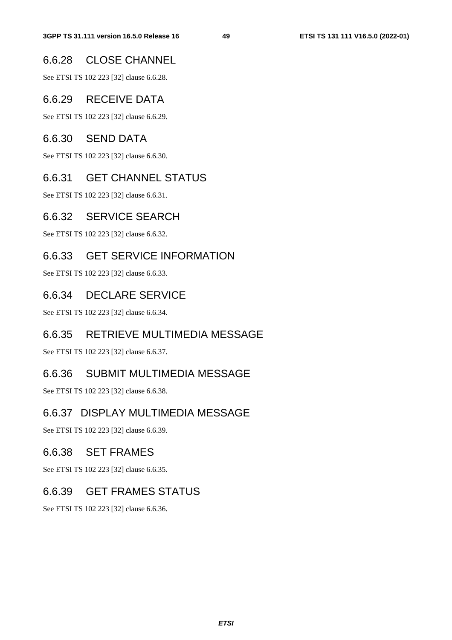## 6.6.28 CLOSE CHANNEL

See ETSI TS 102 223 [32] clause 6.6.28.

## 6.6.29 RECEIVE DATA

See ETSI TS 102 223 [32] clause 6.6.29.

#### 6.6.30 SEND DATA

See ETSI TS 102 223 [32] clause 6.6.30.

## 6.6.31 GET CHANNEL STATUS

See ETSI TS 102 223 [32] clause 6.6.31.

## 6.6.32 SERVICE SEARCH

See ETSI TS 102 223 [32] clause 6.6.32.

## 6.6.33 GET SERVICE INFORMATION

See ETSI TS 102 223 [32] clause 6.6.33.

## 6.6.34 DECLARE SERVICE

See ETSI TS 102 223 [32] clause 6.6.34.

## 6.6.35 RETRIEVE MULTIMEDIA MESSAGE

See ETSI TS 102 223 [32] clause 6.6.37.

## 6.6.36 SUBMIT MULTIMEDIA MESSAGE

See ETSI TS 102 223 [32] clause 6.6.38.

## 6.6.37 DISPLAY MULTIMEDIA MESSAGE

See ETSI TS 102 223 [32] clause 6.6.39.

#### 6.6.38 SET FRAMES

See ETSI TS 102 223 [32] clause 6.6.35.

## 6.6.39 GET FRAMES STATUS

See ETSI TS 102 223 [32] clause 6.6.36.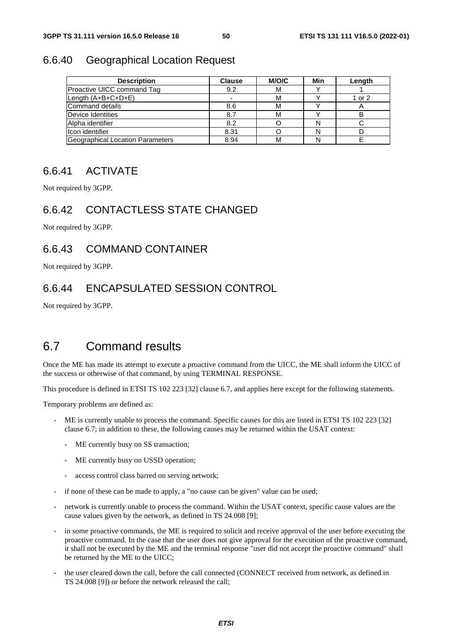#### 6.6.40 Geographical Location Request

| <b>Description</b>                      | <b>Clause</b> | M/O/C | Min | Length |
|-----------------------------------------|---------------|-------|-----|--------|
| Proactive UICC command Tag              | 9.2           | м     |     |        |
| Length (A+B+C+D+E)                      |               | м     |     | 1 or 2 |
| Command details                         | 8.6           | м     |     |        |
| Device Identities                       | 8.7           | м     |     | в      |
| Alpha identifier                        | 8.2           |       |     |        |
| IIcon identifier                        | 8.31          |       | N   |        |
| <b>Geographical Location Parameters</b> | 8.94          | м     |     |        |

#### 6.6.41 ACTIVATE

Not required by 3GPP.

## 6.6.42 CONTACTLESS STATE CHANGED

Not required by 3GPP.

## 6.6.43 COMMAND CONTAINER

Not required by 3GPP.

# 6.6.44 ENCAPSULATED SESSION CONTROL

Not required by 3GPP.

# 6.7 Command results

Once the ME has made its attempt to execute a proactive command from the UICC, the ME shall inform the UICC of the success or otherwise of that command, by using TERMINAL RESPONSE.

This procedure is defined in ETSI TS 102 223 [32] clause 6.7, and applies here except for the following statements.

Temporary problems are defined as:

- ME is currently unable to process the command. Specific causes for this are listed in ETSI TS 102 223 [32] clause 6.7; in addition to these, the following causes may be returned within the USAT context:
	- ME currently busy on SS transaction;
	- ME currently busy on USSD operation;
	- access control class barred on serving network;
- if none of these can be made to apply, a "no cause can be given" value can be used;
- network is currently unable to process the command. Within the USAT context, specific cause values are the cause values given by the network, as defined in TS 24.008 [9];
- in some proactive commands, the ME is required to solicit and receive approval of the user before executing the proactive command. In the case that the user does not give approval for the execution of the proactive command, it shall not be executed by the ME and the terminal response "user did not accept the proactive command" shall be returned by the ME to the UICC;
- the user cleared down the call, before the call connected (CONNECT received from network, as defined in TS 24.008 [9]) or before the network released the call;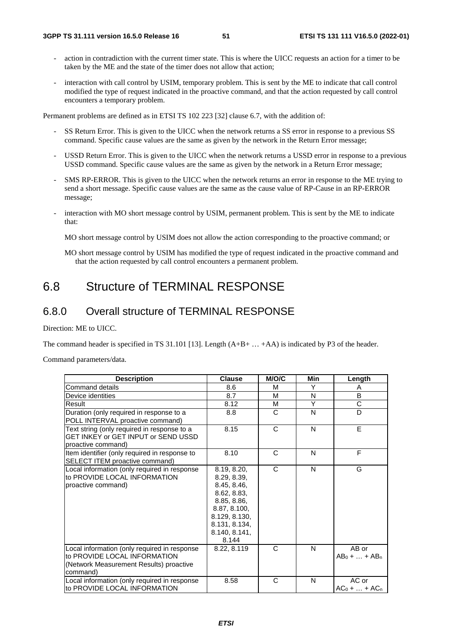- action in contradiction with the current timer state. This is where the UICC requests an action for a timer to be taken by the ME and the state of the timer does not allow that action;
- interaction with call control by USIM, temporary problem. This is sent by the ME to indicate that call control modified the type of request indicated in the proactive command, and that the action requested by call control encounters a temporary problem.

Permanent problems are defined as in ETSI TS 102 223 [32] clause 6.7, with the addition of:

- SS Return Error. This is given to the UICC when the network returns a SS error in response to a previous SS command. Specific cause values are the same as given by the network in the Return Error message;
- USSD Return Error. This is given to the UICC when the network returns a USSD error in response to a previous USSD command. Specific cause values are the same as given by the network in a Return Error message;
- SMS RP-ERROR. This is given to the UICC when the network returns an error in response to the ME trying to send a short message. Specific cause values are the same as the cause value of RP-Cause in an RP-ERROR message;
- interaction with MO short message control by USIM, permanent problem. This is sent by the ME to indicate that:

MO short message control by USIM does not allow the action corresponding to the proactive command; or

MO short message control by USIM has modified the type of request indicated in the proactive command and that the action requested by call control encounters a permanent problem.

# 6.8 Structure of TERMINAL RESPONSE

#### 6.8.0 Overall structure of TERMINAL RESPONSE

Direction: ME to UICC.

The command header is specified in TS 31.101 [13]. Length  $(A+B+...+AA)$  is indicated by P3 of the header.

Command parameters/data.

| <b>Description</b>                                                                                                                  | <b>Clause</b>                                                                                                                                       | M/O/C        | <b>Min</b> | Length                    |
|-------------------------------------------------------------------------------------------------------------------------------------|-----------------------------------------------------------------------------------------------------------------------------------------------------|--------------|------------|---------------------------|
| Command details                                                                                                                     | 8.6                                                                                                                                                 | M            | Y          | A                         |
| Device identities                                                                                                                   | 8.7                                                                                                                                                 | м            | N          | B                         |
| Result                                                                                                                              | 8.12                                                                                                                                                | М            | Υ          | C                         |
| Duration (only required in response to a<br>POLL INTERVAL proactive command)                                                        | 8.8                                                                                                                                                 | C            | N          | D                         |
| Text string (only required in response to a<br>GET INKEY or GET INPUT or SEND USSD<br>proactive command)                            | 8.15                                                                                                                                                | $\mathsf{C}$ | N          | E                         |
| Item identifier (only required in response to<br>SELECT ITEM proactive command)                                                     | 8.10                                                                                                                                                | $\mathsf{C}$ | N          | F                         |
| Local information (only required in response<br>to PROVIDE LOCAL INFORMATION<br>proactive command)                                  | 8.19, 8.20,<br>8.29, 8.39,<br>8.45, 8.46,<br>8.62, 8.83,<br>8.85, 8.86,<br>8.87, 8.100,<br>8.129, 8.130,<br>8.131, 8.134,<br>8.140, 8.141,<br>8.144 | C            | N          | G                         |
| Local information (only required in response<br>to PROVIDE LOCAL INFORMATION<br>(Network Measurement Results) proactive<br>command) | 8.22, 8.119                                                                                                                                         | C            | N          | AB or<br>$AB_0 +  + AB_n$ |
| Local information (only required in response<br>to PROVIDE LOCAL INFORMATION                                                        | 8.58                                                                                                                                                | C            | N          | AC or<br>$AC_0 +  + AC_n$ |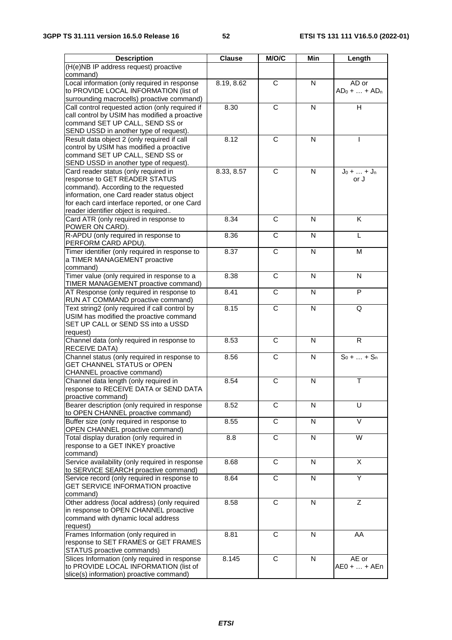| <b>Description</b>                                                                    | <b>Clause</b> | M/O/C                 | Min | Length                    |
|---------------------------------------------------------------------------------------|---------------|-----------------------|-----|---------------------------|
| (H(e)NB IP address request) proactive                                                 |               |                       |     |                           |
| command)                                                                              |               |                       |     |                           |
| Local information (only required in response<br>to PROVIDE LOCAL INFORMATION (list of | 8.19, 8.62    | $\overline{C}$        | N   | AD or<br>$AD_0 +  + AD_n$ |
| surrounding macrocells) proactive command)                                            |               |                       |     |                           |
| Call control requested action (only required if                                       | 8.30          | C                     | N   | н                         |
| call control by USIM has modified a proactive                                         |               |                       |     |                           |
| command SET UP CALL, SEND SS or                                                       |               |                       |     |                           |
| SEND USSD in another type of request).                                                |               |                       |     |                           |
| Result data object 2 (only required if call                                           | 8.12          | C                     | N   |                           |
| control by USIM has modified a proactive                                              |               |                       |     |                           |
| command SET UP CALL, SEND SS or                                                       |               |                       |     |                           |
| SEND USSD in another type of request).<br>Card reader status (only required in        | 8.33, 8.57    | $\overline{C}$        | N   | $J_0 +  + J_n$            |
| response to GET READER STATUS                                                         |               |                       |     | or J                      |
| command). According to the requested                                                  |               |                       |     |                           |
| information, one Card reader status object                                            |               |                       |     |                           |
| for each card interface reported, or one Card                                         |               |                       |     |                           |
| reader identifier object is required                                                  |               |                       |     |                           |
| Card ATR (only required in response to                                                | 8.34          | C                     | N   | Κ                         |
| POWER ON CARD).<br>R-APDU (only required in response to                               | 8.36          | C                     | N   | L                         |
| PERFORM CARD APDU).                                                                   |               |                       |     |                           |
| Timer identifier (only required in response to                                        | 8.37          | $\overline{C}$        | N   | М                         |
| a TIMER MANAGEMENT proactive                                                          |               |                       |     |                           |
| command)                                                                              | 8.38          | C                     | N   | N                         |
| Timer value (only required in response to a<br>TIMER MANAGEMENT proactive command)    |               |                       |     |                           |
| AT Response (only required in response to                                             | 8.41          | $\overline{\text{c}}$ | N   | P                         |
| RUN AT COMMAND proactive command)                                                     |               |                       |     |                           |
| Text string2 (only required if call control by                                        | 8.15          | C                     | N   | Q                         |
| USIM has modified the proactive command                                               |               |                       |     |                           |
| SET UP CALL or SEND SS into a USSD                                                    |               |                       |     |                           |
| request)                                                                              |               |                       |     |                           |
| Channel data (only required in response to                                            | 8.53          | $\mathsf{C}$          | N   | R                         |
| RECEIVE DATA)<br>Channel status (only required in response to                         | 8.56          | C                     | N   | $S_0 +  + S_n$            |
| <b>GET CHANNEL STATUS or OPEN</b>                                                     |               |                       |     |                           |
| CHANNEL proactive command)                                                            |               |                       |     |                           |
| Channel data length (only required in                                                 | 8.54          | C                     | N   | Т                         |
| response to RECEIVE DATA or SEND DATA                                                 |               |                       |     |                           |
| proactive command)                                                                    |               |                       |     |                           |
| Bearer description (only required in response                                         | 8.52          | $\mathsf{C}$          | N   | U                         |
| to OPEN CHANNEL proactive command)                                                    |               |                       |     |                           |
| Buffer size (only required in response to                                             | 8.55          | C                     | N   | V                         |
| OPEN CHANNEL proactive command)<br>Total display duration (only required in           | 8.8           | $\overline{C}$        | N   | W                         |
| response to a GET INKEY proactive                                                     |               |                       |     |                           |
| command)                                                                              |               |                       |     |                           |
| Service availability (only required in response                                       | 8.68          | C                     | N   | X                         |
| to SERVICE SEARCH proactive command)                                                  |               |                       |     |                           |
| Service record (only required in response to                                          | 8.64          | C                     | N   | Y                         |
| <b>GET SERVICE INFORMATION proactive</b>                                              |               |                       |     |                           |
| command)                                                                              |               |                       |     |                           |
| Other address (local address) (only required<br>in response to OPEN CHANNEL proactive | 8.58          | C                     | N   | Ζ                         |
| command with dynamic local address                                                    |               |                       |     |                           |
| request)                                                                              |               |                       |     |                           |
| Frames Information (only required in                                                  | 8.81          | $\overline{C}$        | N   | AA                        |
| response to SET FRAMES or GET FRAMES                                                  |               |                       |     |                           |
| STATUS proactive commands)                                                            |               |                       |     |                           |
| Slices Information (only required in response                                         | 8.145         | $\mathbf C$           | N   | AE or                     |
| to PROVIDE LOCAL INFORMATION (list of                                                 |               |                       |     | AE0 +  + AEn              |
| slice(s) information) proactive command)                                              |               |                       |     |                           |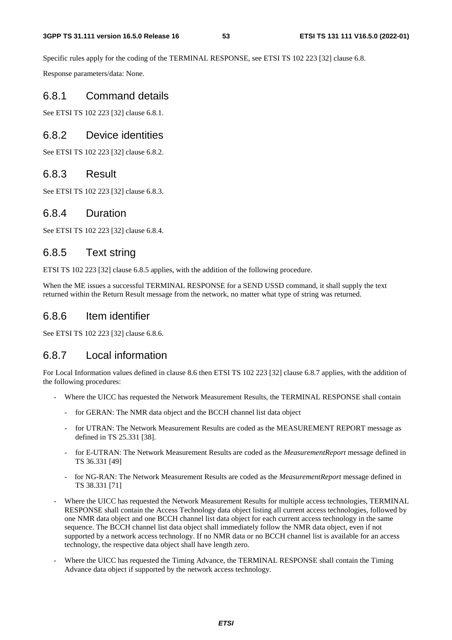Specific rules apply for the coding of the TERMINAL RESPONSE, see ETSI TS 102 223 [32] clause 6.8.

Response parameters/data: None.

#### 6.8.1 Command details

See ETSI TS 102 223 [32] clause 6.8.1.

#### 6.8.2 Device identities

See ETSI TS 102 223 [32] clause 6.8.2.

#### 6.8.3 Result

See ETSI TS 102 223 [32] clause 6.8.3.

#### 6.8.4 Duration

See ETSI TS 102 223 [32] clause 6.8.4.

#### 6.8.5 Text string

ETSI TS 102 223 [32] clause 6.8.5 applies, with the addition of the following procedure.

When the ME issues a successful TERMINAL RESPONSE for a SEND USSD command, it shall supply the text returned within the Return Result message from the network, no matter what type of string was returned.

#### 6.8.6 Item identifier

See ETSI TS 102 223 [32] clause 6.8.6.

#### 6.8.7 Local information

For Local Information values defined in clause 8.6 then ETSI TS 102 223 [32] clause 6.8.7 applies, with the addition of the following procedures:

- Where the UICC has requested the Network Measurement Results, the TERMINAL RESPONSE shall contain
	- for GERAN: The NMR data object and the BCCH channel list data object
	- for UTRAN: The Network Measurement Results are coded as the MEASUREMENT REPORT message as defined in TS 25.331 [38].
	- for E-UTRAN: The Network Measurement Results are coded as the *MeasurementReport* message defined in TS 36.331 [49]
	- for NG-RAN: The Network Measurement Results are coded as the *MeasurementReport* message defined in TS 38.331 [71]
- Where the UICC has requested the Network Measurement Results for multiple access technologies, TERMINAL RESPONSE shall contain the Access Technology data object listing all current access technologies, followed by one NMR data object and one BCCH channel list data object for each current access technology in the same sequence. The BCCH channel list data object shall immediately follow the NMR data object, even if not supported by a network access technology. If no NMR data or no BCCH channel list is available for an access technology, the respective data object shall have length zero.
- Where the UICC has requested the Timing Advance, the TERMINAL RESPONSE shall contain the Timing Advance data object if supported by the network access technology.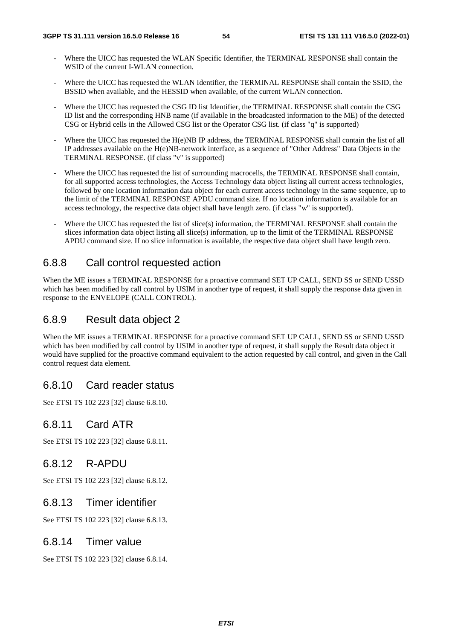- Where the UICC has requested the WLAN Specific Identifier, the TERMINAL RESPONSE shall contain the WSID of the current I-WLAN connection.
- Where the UICC has requested the WLAN Identifier, the TERMINAL RESPONSE shall contain the SSID, the BSSID when available, and the HESSID when available, of the current WLAN connection.
- Where the UICC has requested the CSG ID list Identifier, the TERMINAL RESPONSE shall contain the CSG ID list and the corresponding HNB name (if available in the broadcasted information to the ME) of the detected CSG or Hybrid cells in the Allowed CSG list or the Operator CSG list. (if class "q" is supported)
- Where the UICC has requested the H(e)NB IP address, the TERMINAL RESPONSE shall contain the list of all IP addresses available on the H(e)NB-network interface, as a sequence of "Other Address" Data Objects in the TERMINAL RESPONSE. (if class "v" is supported)
- Where the UICC has requested the list of surrounding macrocells, the TERMINAL RESPONSE shall contain, for all supported access technologies, the Access Technology data object listing all current access technologies, followed by one location information data object for each current access technology in the same sequence, up to the limit of the TERMINAL RESPONSE APDU command size. If no location information is available for an access technology, the respective data object shall have length zero. (if class "w" is supported).
- Where the UICC has requested the list of slice(s) information, the TERMINAL RESPONSE shall contain the slices information data object listing all slice(s) information, up to the limit of the TERMINAL RESPONSE APDU command size. If no slice information is available, the respective data object shall have length zero.

# 6.8.8 Call control requested action

When the ME issues a TERMINAL RESPONSE for a proactive command SET UP CALL, SEND SS or SEND USSD which has been modified by call control by USIM in another type of request, it shall supply the response data given in response to the ENVELOPE (CALL CONTROL).

#### 6.8.9 Result data object 2

When the ME issues a TERMINAL RESPONSE for a proactive command SET UP CALL, SEND SS or SEND USSD which has been modified by call control by USIM in another type of request, it shall supply the Result data object it would have supplied for the proactive command equivalent to the action requested by call control, and given in the Call control request data element.

## 6.8.10 Card reader status

See ETSI TS 102 223 [32] clause 6.8.10.

## 6.8.11 Card ATR

See ETSI TS 102 223 [32] clause 6.8.11.

#### 6.8.12 R-APDU

See ETSI TS 102 223 [32] clause 6.8.12.

#### 6.8.13 Timer identifier

See ETSI TS 102 223 [32] clause 6.8.13.

#### 6.8.14 Timer value

See ETSI TS 102 223 [32] clause 6.8.14.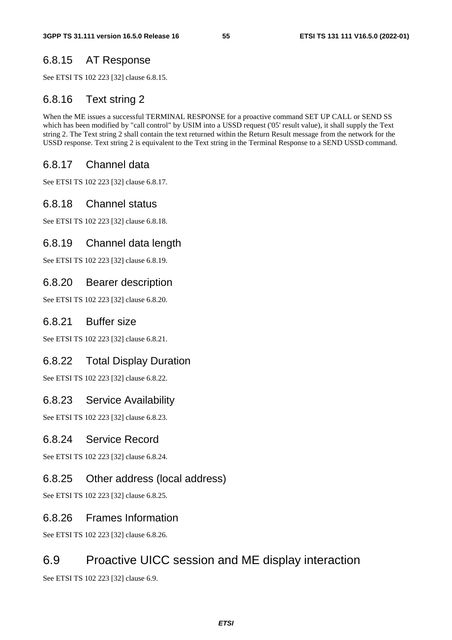# 6.8.15 AT Response

See ETSI TS 102 223 [32] clause 6.8.15.

## 6.8.16 Text string 2

When the ME issues a successful TERMINAL RESPONSE for a proactive command SET UP CALL or SEND SS which has been modified by "call control" by USIM into a USSD request ('05' result value), it shall supply the Text string 2. The Text string 2 shall contain the text returned within the Return Result message from the network for the USSD response. Text string 2 is equivalent to the Text string in the Terminal Response to a SEND USSD command.

## 6.8.17 Channel data

See ETSI TS 102 223 [32] clause 6.8.17.

## 6.8.18 Channel status

See ETSI TS 102 223 [32] clause 6.8.18.

## 6.8.19 Channel data length

See ETSI TS 102 223 [32] clause 6.8.19.

## 6.8.20 Bearer description

See ETSI TS 102 223 [32] clause 6.8.20.

#### 6.8.21 Buffer size

See ETSI TS 102 223 [32] clause 6.8.21.

#### 6.8.22 Total Display Duration

See ETSI TS 102 223 [32] clause 6.8.22.

#### 6.8.23 Service Availability

See ETSI TS 102 223 [32] clause 6.8.23.

#### 6.8.24 Service Record

See ETSI TS 102 223 [32] clause 6.8.24.

## 6.8.25 Other address (local address)

See ETSI TS 102 223 [32] clause 6.8.25.

#### 6.8.26 Frames Information

See ETSI TS 102 223 [32] clause 6.8.26.

## 6.9 Proactive UICC session and ME display interaction

See ETSI TS 102 223 [32] clause 6.9.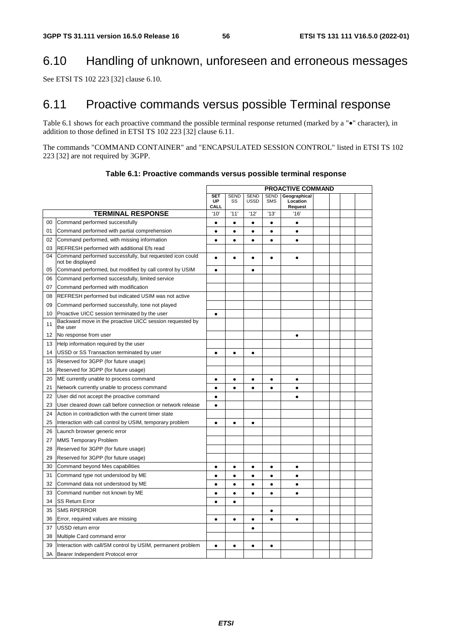# 6.10 Handling of unknown, unforeseen and erroneous messages

See ETSI TS 102 223 [32] clause 6.10.

# 6.11 Proactive commands versus possible Terminal response

Table 6.1 shows for each proactive command the possible terminal response returned (marked by a "•" character), in addition to those defined in ETSI TS 102 223 [32] clause 6.11.

The commands "COMMAND CONTAINER" and "ENCAPSULATED SESSION CONTROL" listed in ETSI TS 102 223 [32] are not required by 3GPP.

|        |                                                                              | <b>PROACTIVE COMMAND</b> |                   |                            |                           |                                     |  |  |  |
|--------|------------------------------------------------------------------------------|--------------------------|-------------------|----------------------------|---------------------------|-------------------------------------|--|--|--|
|        |                                                                              | <b>SET</b><br>UP<br>CALL | <b>SEND</b><br>SS | <b>SEND</b><br><b>USSD</b> | <b>SEND</b><br><b>SMS</b> | Geographical<br>Location<br>Request |  |  |  |
|        | <b>TERMINAL RESPONSE</b>                                                     | '10'                     | '11'              | '12'                       | '13'                      | '16'                                |  |  |  |
| $00\,$ | Command performed successfully                                               | $\bullet$                | $\bullet$         | $\bullet$                  | $\bullet$                 | $\bullet$                           |  |  |  |
| 01     | Command performed with partial comprehension                                 | $\bullet$                | $\bullet$         | $\bullet$                  | $\bullet$                 | $\bullet$                           |  |  |  |
| 02     | Command performed, with missing information                                  | $\bullet$                | $\bullet$         | $\bullet$                  | $\bullet$                 | $\bullet$                           |  |  |  |
| 03     | REFRESH performed with additional Efs read                                   |                          |                   |                            |                           |                                     |  |  |  |
| 04     | Command performed successfully, but requested icon could<br>not be displayed | $\bullet$                | $\bullet$         | $\bullet$                  | $\bullet$                 | $\bullet$                           |  |  |  |
| 05     | Command performed, but modified by call control by USIM                      | $\bullet$                |                   | $\bullet$                  |                           |                                     |  |  |  |
| 06     | Command performed successfully, limited service                              |                          |                   |                            |                           |                                     |  |  |  |
| 07     | Command performed with modification                                          |                          |                   |                            |                           |                                     |  |  |  |
| 08     | REFRESH performed but indicated USIM was not active                          |                          |                   |                            |                           |                                     |  |  |  |
| 09     | Command performed successfully, tone not played                              |                          |                   |                            |                           |                                     |  |  |  |
| 10     | Proactive UICC session terminated by the user                                | $\bullet$                |                   |                            |                           |                                     |  |  |  |
| 11     | Backward move in the proactive UICC session requested by<br>the user         |                          |                   |                            |                           |                                     |  |  |  |
| 12     | No response from user                                                        |                          |                   |                            |                           | $\bullet$                           |  |  |  |
| 13     | Help information required by the user                                        |                          |                   |                            |                           |                                     |  |  |  |
| 14     | USSD or SS Transaction terminated by user                                    | $\bullet$                | Ġ                 | $\bullet$                  |                           |                                     |  |  |  |
| 15     | Reserved for 3GPP (for future usage)                                         |                          |                   |                            |                           |                                     |  |  |  |
| 16     | Reserved for 3GPP (for future usage)                                         |                          |                   |                            |                           |                                     |  |  |  |
| 20     | ME currently unable to process command                                       | $\bullet$                | $\bullet$         | $\bullet$                  | $\bullet$                 | $\bullet$                           |  |  |  |
| 21     | Network currently unable to process command                                  | $\bullet$                | Ċ                 |                            | $\bullet$                 | $\bullet$                           |  |  |  |
| 22     | User did not accept the proactive command                                    | $\bullet$                |                   |                            |                           | $\bullet$                           |  |  |  |
| 23     | User cleared down call before connection or network release                  | $\bullet$                |                   |                            |                           |                                     |  |  |  |
| 24     | Action in contradiction with the current timer state                         |                          |                   |                            |                           |                                     |  |  |  |
| 25     | Interaction with call control by USIM, temporary problem                     | $\bullet$                | $\bullet$         | $\bullet$                  |                           |                                     |  |  |  |
| 26     | Launch browser generic error                                                 |                          |                   |                            |                           |                                     |  |  |  |
| 27     | MMS Temporary Problem                                                        |                          |                   |                            |                           |                                     |  |  |  |
| 28     | Reserved for 3GPP (for future usage)                                         |                          |                   |                            |                           |                                     |  |  |  |
| 29     | Reserved for 3GPP (for future usage)                                         |                          |                   |                            |                           |                                     |  |  |  |
| 30     | Command beyond Mes capabilities                                              | $\bullet$                | $\bullet$         | $\bullet$                  | $\bullet$                 | $\bullet$                           |  |  |  |
| 31     | Command type not understood by ME                                            | $\bullet$                | $\bullet$         | $\bullet$                  | $\bullet$                 | $\bullet$                           |  |  |  |
| 32     | Command data not understood by ME                                            | $\bullet$                | $\bullet$         | $\bullet$                  | $\bullet$                 | $\bullet$                           |  |  |  |
| 33     | Command number not known by ME                                               | $\bullet$                | $\bullet$         | $\bullet$                  | $\bullet$                 | $\bullet$                           |  |  |  |
| 34     | <b>SS Return Error</b>                                                       | $\bullet$                | $\bullet$         |                            |                           |                                     |  |  |  |
| 35     | <b>SMS RPERROR</b>                                                           |                          |                   |                            | $\bullet$                 |                                     |  |  |  |
| 36     | Error, required values are missing                                           | $\bullet$                | $\bullet$         | $\bullet$                  | $\bullet$                 | $\bullet$                           |  |  |  |
| 37     | USSD return error                                                            |                          |                   | $\bullet$                  |                           |                                     |  |  |  |
| 38     | Multiple Card command error                                                  |                          |                   |                            |                           |                                     |  |  |  |
| 39     | Interaction with call/SM control by USIM, permanent problem                  | $\bullet$                | $\bullet$         | $\bullet$                  | $\bullet$                 |                                     |  |  |  |
| ЗA     | Bearer Independent Protocol error                                            |                          |                   |                            |                           |                                     |  |  |  |

**Table 6.1: Proactive commands versus possible terminal response**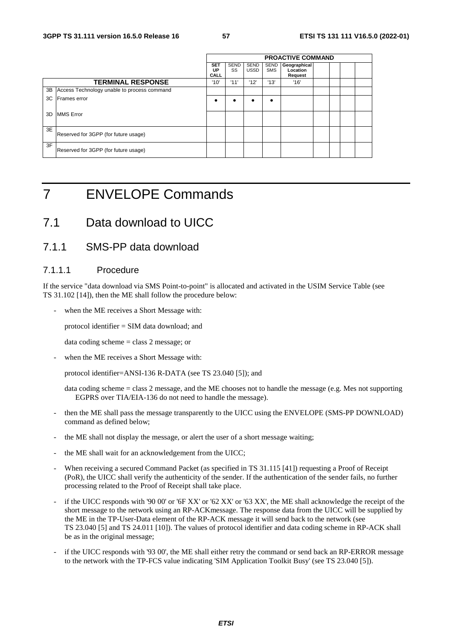|    |                                             | <b>PROACTIVE COMMAND</b> |                   |                     |                           |                                     |  |  |  |
|----|---------------------------------------------|--------------------------|-------------------|---------------------|---------------------------|-------------------------------------|--|--|--|
|    |                                             | <b>SET</b><br>UP<br>CALL | <b>SEND</b><br>SS | SEND<br><b>USSD</b> | <b>SEND</b><br><b>SMS</b> | Geographical<br>Location<br>Request |  |  |  |
|    | <b>TERMINAL RESPONSE</b>                    | '10'                     | '11'              | '12'                | '13'                      | '16'                                |  |  |  |
| 3B | Access Technology unable to process command |                          |                   |                     |                           |                                     |  |  |  |
| 3C | Frames error                                |                          | ٠                 |                     |                           |                                     |  |  |  |
| 3D | <b>IMMS</b> Error                           |                          |                   |                     |                           |                                     |  |  |  |
| 3E | Reserved for 3GPP (for future usage)        |                          |                   |                     |                           |                                     |  |  |  |
| 3F | Reserved for 3GPP (for future usage)        |                          |                   |                     |                           |                                     |  |  |  |

# 7 ENVELOPE Commands

# 7.1 Data download to UICC

#### 7.1.1 SMS-PP data download

#### 7.1.1.1 Procedure

If the service "data download via SMS Point-to-point" is allocated and activated in the USIM Service Table (see TS 31.102 [14]), then the ME shall follow the procedure below:

when the ME receives a Short Message with:

protocol identifier = SIM data download; and

data coding scheme = class 2 message; or

when the ME receives a Short Message with:

protocol identifier=ANSI-136 R-DATA (see TS 23.040 [5]); and

data coding scheme = class 2 message, and the ME chooses not to handle the message (e.g. Mes not supporting EGPRS over TIA/EIA-136 do not need to handle the message).

- then the ME shall pass the message transparently to the UICC using the ENVELOPE (SMS-PP DOWNLOAD) command as defined below;
- the ME shall not display the message, or alert the user of a short message waiting;
- the ME shall wait for an acknowledgement from the UICC;
- When receiving a secured Command Packet (as specified in TS 31.115 [41]) requesting a Proof of Receipt (PoR), the UICC shall verify the authenticity of the sender. If the authentication of the sender fails, no further processing related to the Proof of Receipt shall take place.
- if the UICC responds with '90 00' or '6F XX' or '62 XX' or '63 XX', the ME shall acknowledge the receipt of the short message to the network using an RP-ACKmessage. The response data from the UICC will be supplied by the ME in the TP-User-Data element of the RP-ACK message it will send back to the network (see TS 23.040 [5] and TS 24.011 [10]). The values of protocol identifier and data coding scheme in RP-ACK shall be as in the original message;
- if the UICC responds with '93 00', the ME shall either retry the command or send back an RP-ERROR message to the network with the TP-FCS value indicating 'SIM Application Toolkit Busy' (see TS 23.040 [5]).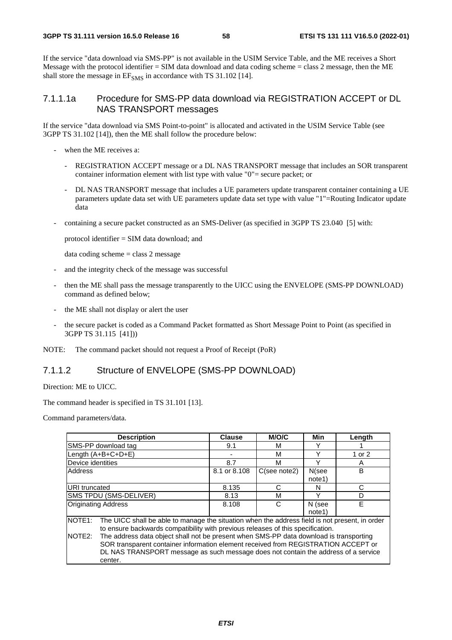If the service "data download via SMS-PP" is not available in the USIM Service Table, and the ME receives a Short Message with the protocol identifier = SIM data download and data coding scheme = class 2 message, then the ME shall store the message in  $EF_{SMS}$  in accordance with TS 31.102 [14].

#### 7.1.1.1a Procedure for SMS-PP data download via REGISTRATION ACCEPT or DL NAS TRANSPORT messages

If the service "data download via SMS Point-to-point" is allocated and activated in the USIM Service Table (see 3GPP TS 31.102 [14]), then the ME shall follow the procedure below:

- when the ME receives a:
	- REGISTRATION ACCEPT message or a DL NAS TRANSPORT message that includes an SOR transparent container information element with list type with value "0"= secure packet; or
	- DL NAS TRANSPORT message that includes a UE parameters update transparent container containing a UE parameters update data set with UE parameters update data set type with value "1"=Routing Indicator update data
- containing a secure packet constructed as an SMS-Deliver (as specified in 3GPP TS 23.040 [5] with:

protocol identifier = SIM data download; and

data coding scheme  $=$  class 2 message

- and the integrity check of the message was successful
- then the ME shall pass the message transparently to the UICC using the ENVELOPE (SMS-PP DOWNLOAD) command as defined below;
- the ME shall not display or alert the user
- the secure packet is coded as a Command Packet formatted as Short Message Point to Point (as specified in 3GPP TS 31.115 [41]))

NOTE: The command packet should not request a Proof of Receipt (PoR)

#### 7.1.1.2 Structure of ENVELOPE (SMS-PP DOWNLOAD)

Direction: ME to UICC.

The command header is specified in TS 31.101 [13].

Command parameters/data.

| <b>Description</b>                                                                                                                                                                                                                                                                                                                                                                                                                                                                                          | <b>Clause</b> | <b>M/O/C</b>    | Min              | Length |  |  |  |
|-------------------------------------------------------------------------------------------------------------------------------------------------------------------------------------------------------------------------------------------------------------------------------------------------------------------------------------------------------------------------------------------------------------------------------------------------------------------------------------------------------------|---------------|-----------------|------------------|--------|--|--|--|
| SMS-PP download tag                                                                                                                                                                                                                                                                                                                                                                                                                                                                                         | 9.1           | м               |                  |        |  |  |  |
| Length (A+B+C+D+E)                                                                                                                                                                                                                                                                                                                                                                                                                                                                                          |               | м               | Υ                | 1 or 2 |  |  |  |
| Device identities                                                                                                                                                                                                                                                                                                                                                                                                                                                                                           | 8.7           | M               | ν                | A      |  |  |  |
| Address                                                                                                                                                                                                                                                                                                                                                                                                                                                                                                     | 8.1 or 8.108  | $C$ (see note2) | N(see<br>note1)  | B      |  |  |  |
| URI truncated                                                                                                                                                                                                                                                                                                                                                                                                                                                                                               | 8.135         | C               | N                | C      |  |  |  |
| SMS TPDU (SMS-DELIVER)                                                                                                                                                                                                                                                                                                                                                                                                                                                                                      | 8.13          | M               | v                | D      |  |  |  |
| <b>Originating Address</b>                                                                                                                                                                                                                                                                                                                                                                                                                                                                                  | 8.108         | C               | N (see<br>note1) | E      |  |  |  |
| NOTE <sub>1</sub> :<br>The UICC shall be able to manage the situation when the address field is not present, in order<br>to ensure backwards compatibility with previous releases of this specification.<br>The address data object shall not be present when SMS-PP data download is transporting<br><b>INOTE2:</b><br>SOR transparent container information element received from REGISTRATION ACCEPT or<br>DL NAS TRANSPORT message as such message does not contain the address of a service<br>center. |               |                 |                  |        |  |  |  |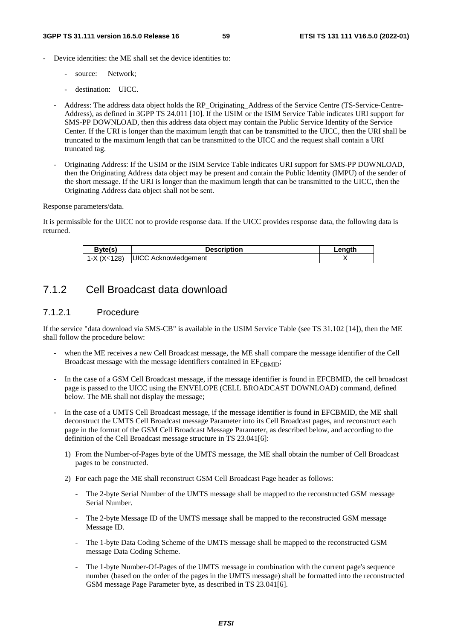- Device identities: the ME shall set the device identities to:
	- source: Network;
	- destination: UICC.
	- Address: The address data object holds the RP\_Originating\_Address of the Service Centre (TS-Service-Centre-Address), as defined in 3GPP TS 24.011 [10]. If the USIM or the ISIM Service Table indicates URI support for SMS-PP DOWNLOAD, then this address data object may contain the Public Service Identity of the Service Center. If the URI is longer than the maximum length that can be transmitted to the UICC, then the URI shall be truncated to the maximum length that can be transmitted to the UICC and the request shall contain a URI truncated tag.
	- Originating Address: If the USIM or the ISIM Service Table indicates URI support for SMS-PP DOWNLOAD, then the Originating Address data object may be present and contain the Public Identity (IMPU) of the sender of the short message. If the URI is longer than the maximum length that can be transmitted to the UICC, then the Originating Address data object shall not be sent.

Response parameters/data.

It is permissible for the UICC not to provide response data. If the UICC provides response data, the following data is returned.

| Byte(s)     | <b>Description</b>          | Length |
|-------------|-----------------------------|--------|
| 1-X (X≤128) | <b>UICC Acknowledgement</b> |        |
|             |                             |        |

## 7.1.2 Cell Broadcast data download

#### 7.1.2.1 Procedure

If the service "data download via SMS-CB" is available in the USIM Service Table (see TS 31.102 [14]), then the ME shall follow the procedure below:

- when the ME receives a new Cell Broadcast message, the ME shall compare the message identifier of the Cell Broadcast message with the message identifiers contained in  $EF_{\text{CRMID}}$ ;
- In the case of a GSM Cell Broadcast message, if the message identifier is found in EFCBMID, the cell broadcast page is passed to the UICC using the ENVELOPE (CELL BROADCAST DOWNLOAD) command, defined below. The ME shall not display the message;
- In the case of a UMTS Cell Broadcast message, if the message identifier is found in EFCBMID, the ME shall deconstruct the UMTS Cell Broadcast message Parameter into its Cell Broadcast pages, and reconstruct each page in the format of the GSM Cell Broadcast Message Parameter, as described below, and according to the definition of the Cell Broadcast message structure in TS 23.041[6]:
	- 1) From the Number-of-Pages byte of the UMTS message, the ME shall obtain the number of Cell Broadcast pages to be constructed.
	- 2) For each page the ME shall reconstruct GSM Cell Broadcast Page header as follows:
		- The 2-byte Serial Number of the UMTS message shall be mapped to the reconstructed GSM message Serial Number.
		- The 2-byte Message ID of the UMTS message shall be mapped to the reconstructed GSM message Message ID.
		- The 1-byte Data Coding Scheme of the UMTS message shall be mapped to the reconstructed GSM message Data Coding Scheme.
		- The 1-byte Number-Of-Pages of the UMTS message in combination with the current page's sequence number (based on the order of the pages in the UMTS message) shall be formatted into the reconstructed GSM message Page Parameter byte, as described in TS 23.041[6].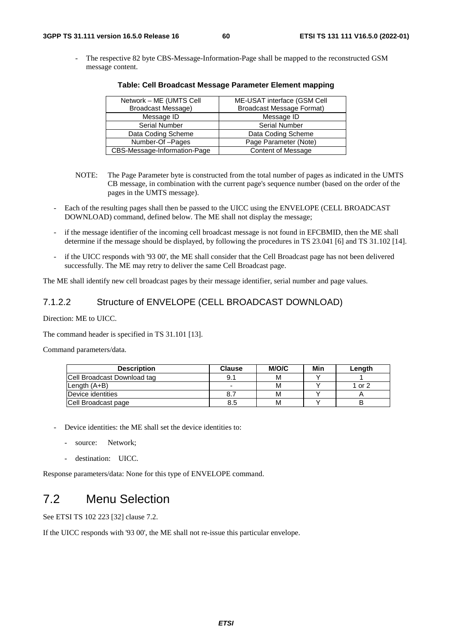- The respective 82 byte CBS-Message-Information-Page shall be mapped to the reconstructed GSM message content.

| Network - ME (UMTS Cell      | ME-USAT interface (GSM Cell      |
|------------------------------|----------------------------------|
| <b>Broadcast Message)</b>    | <b>Broadcast Message Format)</b> |
| Message ID                   | Message ID                       |
| <b>Serial Number</b>         | Serial Number                    |
| Data Coding Scheme           | Data Coding Scheme               |
| Number-Of-Pages              | Page Parameter (Note)            |
| CBS-Message-Information-Page | Content of Message               |

#### **Table: Cell Broadcast Message Parameter Element mapping**

- NOTE: The Page Parameter byte is constructed from the total number of pages as indicated in the UMTS CB message, in combination with the current page's sequence number (based on the order of the pages in the UMTS message).
- Each of the resulting pages shall then be passed to the UICC using the ENVELOPE (CELL BROADCAST DOWNLOAD) command, defined below. The ME shall not display the message;
- if the message identifier of the incoming cell broadcast message is not found in EFCBMID, then the ME shall determine if the message should be displayed, by following the procedures in TS 23.041 [6] and TS 31.102 [14].
- if the UICC responds with '93 00', the ME shall consider that the Cell Broadcast page has not been delivered successfully. The ME may retry to deliver the same Cell Broadcast page.

The ME shall identify new cell broadcast pages by their message identifier, serial number and page values.

#### 7.1.2.2 Structure of ENVELOPE (CELL BROADCAST DOWNLOAD)

Direction: ME to UICC.

The command header is specified in TS 31.101 [13].

Command parameters/data.

| <b>Description</b>          | <b>Clause</b> | M/O/C | Min | Length |
|-----------------------------|---------------|-------|-----|--------|
| Cell Broadcast Download tag | 9.1           | м     |     |        |
| Length $(A+B)$              |               | м     |     | 1 or 2 |
| Device identities           |               | м     |     |        |
| Cell Broadcast page         | 8.5           | м     |     |        |

- Device identities: the ME shall set the device identities to:
	- source: Network:
	- destination: UICC.

Response parameters/data: None for this type of ENVELOPE command.

# 7.2 Menu Selection

See ETSI TS 102 223 [32] clause 7.2.

If the UICC responds with '93 00', the ME shall not re-issue this particular envelope.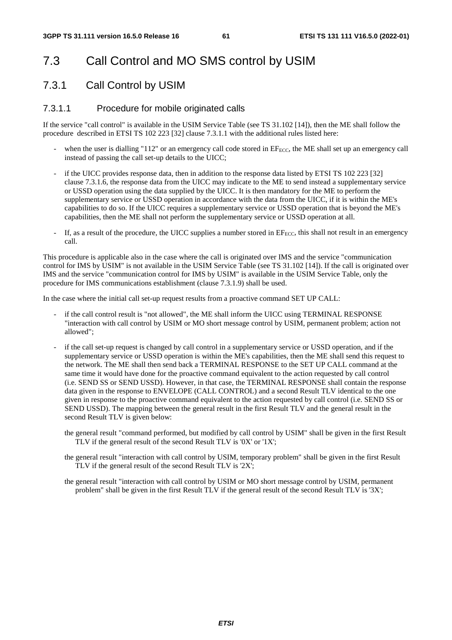# 7.3 Call Control and MO SMS control by USIM

## 7.3.1 Call Control by USIM

#### 7.3.1.1 Procedure for mobile originated calls

If the service "call control" is available in the USIM Service Table (see TS 31.102 [14]), then the ME shall follow the procedure described in ETSI TS 102 223 [32] clause 7.3.1.1 with the additional rules listed here:

- when the user is dialling "112" or an emergency call code stored in  $EF_{ECC}$ , the ME shall set up an emergency call instead of passing the call set-up details to the UICC;
- if the UICC provides response data, then in addition to the response data listed by ETSI TS 102 223 [32] clause 7.3.1.6, the response data from the UICC may indicate to the ME to send instead a supplementary service or USSD operation using the data supplied by the UICC. It is then mandatory for the ME to perform the supplementary service or USSD operation in accordance with the data from the UICC, if it is within the ME's capabilities to do so. If the UICC requires a supplementary service or USSD operation that is beyond the ME's capabilities, then the ME shall not perform the supplementary service or USSD operation at all.
- If, as a result of the procedure, the UICC supplies a number stored in  $EF_{ECC}$ , this shall not result in an emergency call.

This procedure is applicable also in the case where the call is originated over IMS and the service "communication control for IMS by USIM" is not available in the USIM Service Table (see TS 31.102 [14]). If the call is originated over IMS and the service "communication control for IMS by USIM" is available in the USIM Service Table, only the procedure for IMS communications establishment (clause 7.3.1.9) shall be used.

In the case where the initial call set-up request results from a proactive command SET UP CALL:

- if the call control result is "not allowed", the ME shall inform the UICC using TERMINAL RESPONSE "interaction with call control by USIM or MO short message control by USIM, permanent problem; action not allowed";
- if the call set-up request is changed by call control in a supplementary service or USSD operation, and if the supplementary service or USSD operation is within the ME's capabilities, then the ME shall send this request to the network. The ME shall then send back a TERMINAL RESPONSE to the SET UP CALL command at the same time it would have done for the proactive command equivalent to the action requested by call control (i.e. SEND SS or SEND USSD). However, in that case, the TERMINAL RESPONSE shall contain the response data given in the response to ENVELOPE (CALL CONTROL) and a second Result TLV identical to the one given in response to the proactive command equivalent to the action requested by call control (i.e. SEND SS or SEND USSD). The mapping between the general result in the first Result TLV and the general result in the second Result TLV is given below:
	- the general result "command performed, but modified by call control by USIM" shall be given in the first Result TLV if the general result of the second Result TLV is '0X' or '1X';
	- the general result "interaction with call control by USIM, temporary problem" shall be given in the first Result TLV if the general result of the second Result TLV is '2X';
	- the general result "interaction with call control by USIM or MO short message control by USIM, permanent problem" shall be given in the first Result TLV if the general result of the second Result TLV is '3X';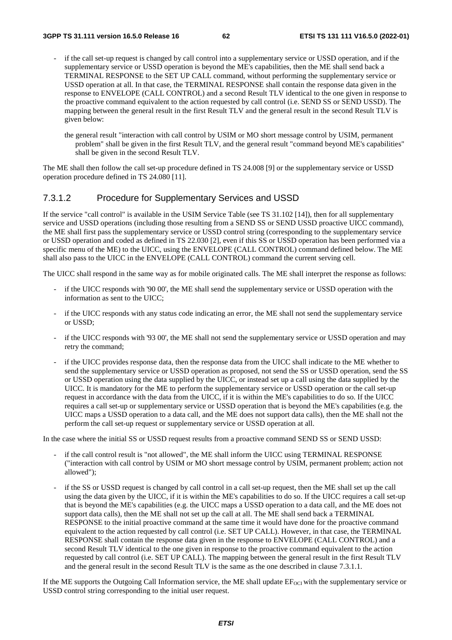- if the call set-up request is changed by call control into a supplementary service or USSD operation, and if the supplementary service or USSD operation is beyond the ME's capabilities, then the ME shall send back a TERMINAL RESPONSE to the SET UP CALL command, without performing the supplementary service or USSD operation at all. In that case, the TERMINAL RESPONSE shall contain the response data given in the response to ENVELOPE (CALL CONTROL) and a second Result TLV identical to the one given in response to the proactive command equivalent to the action requested by call control (i.e. SEND SS or SEND USSD). The mapping between the general result in the first Result TLV and the general result in the second Result TLV is given below:
	- the general result "interaction with call control by USIM or MO short message control by USIM, permanent problem" shall be given in the first Result TLV, and the general result "command beyond ME's capabilities" shall be given in the second Result TLV.

The ME shall then follow the call set-up procedure defined in TS 24.008 [9] or the supplementary service or USSD operation procedure defined in TS 24.080 [11].

#### 7.3.1.2 Procedure for Supplementary Services and USSD

If the service "call control" is available in the USIM Service Table (see TS 31.102 [14]), then for all supplementary service and USSD operations (including those resulting from a SEND SS or SEND USSD proactive UICC command), the ME shall first pass the supplementary service or USSD control string (corresponding to the supplementary service or USSD operation and coded as defined in TS 22.030 [2], even if this SS or USSD operation has been performed via a specific menu of the ME) to the UICC, using the ENVELOPE (CALL CONTROL) command defined below. The ME shall also pass to the UICC in the ENVELOPE (CALL CONTROL) command the current serving cell.

The UICC shall respond in the same way as for mobile originated calls. The ME shall interpret the response as follows:

- if the UICC responds with '90 00', the ME shall send the supplementary service or USSD operation with the information as sent to the UICC;
- if the UICC responds with any status code indicating an error, the ME shall not send the supplementary service or USSD;
- if the UICC responds with '93 00', the ME shall not send the supplementary service or USSD operation and may retry the command;
- if the UICC provides response data, then the response data from the UICC shall indicate to the ME whether to send the supplementary service or USSD operation as proposed, not send the SS or USSD operation, send the SS or USSD operation using the data supplied by the UICC, or instead set up a call using the data supplied by the UICC. It is mandatory for the ME to perform the supplementary service or USSD operation or the call set-up request in accordance with the data from the UICC, if it is within the ME's capabilities to do so. If the UICC requires a call set-up or supplementary service or USSD operation that is beyond the ME's capabilities (e.g. the UICC maps a USSD operation to a data call, and the ME does not support data calls), then the ME shall not the perform the call set-up request or supplementary service or USSD operation at all.

In the case where the initial SS or USSD request results from a proactive command SEND SS or SEND USSD:

- if the call control result is "not allowed", the ME shall inform the UICC using TERMINAL RESPONSE ("interaction with call control by USIM or MO short message control by USIM, permanent problem; action not allowed");
- if the SS or USSD request is changed by call control in a call set-up request, then the ME shall set up the call using the data given by the UICC, if it is within the ME's capabilities to do so. If the UICC requires a call set-up that is beyond the ME's capabilities (e.g. the UICC maps a USSD operation to a data call, and the ME does not support data calls), then the ME shall not set up the call at all. The ME shall send back a TERMINAL RESPONSE to the initial proactive command at the same time it would have done for the proactive command equivalent to the action requested by call control (i.e. SET UP CALL). However, in that case, the TERMINAL RESPONSE shall contain the response data given in the response to ENVELOPE (CALL CONTROL) and a second Result TLV identical to the one given in response to the proactive command equivalent to the action requested by call control (i.e. SET UP CALL). The mapping between the general result in the first Result TLV and the general result in the second Result TLV is the same as the one described in clause 7.3.1.1.

If the ME supports the Outgoing Call Information service, the ME shall update  $EF_{OCI}$  with the supplementary service or USSD control string corresponding to the initial user request.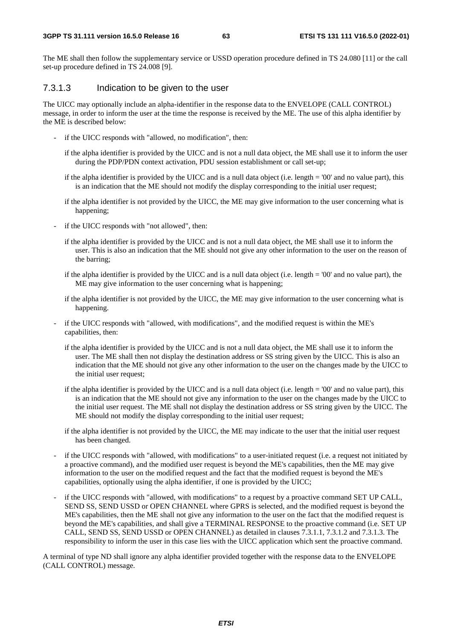The ME shall then follow the supplementary service or USSD operation procedure defined in TS 24.080 [11] or the call set-up procedure defined in TS 24.008 [9].

#### 7.3.1.3 Indication to be given to the user

The UICC may optionally include an alpha-identifier in the response data to the ENVELOPE (CALL CONTROL) message, in order to inform the user at the time the response is received by the ME. The use of this alpha identifier by the ME is described below:

- if the UICC responds with "allowed, no modification", then:
	- if the alpha identifier is provided by the UICC and is not a null data object, the ME shall use it to inform the user during the PDP/PDN context activation, PDU session establishment or call set-up;
	- if the alpha identifier is provided by the UICC and is a null data object (i.e. length = '00' and no value part), this is an indication that the ME should not modify the display corresponding to the initial user request;
	- if the alpha identifier is not provided by the UICC, the ME may give information to the user concerning what is happening;
- if the UICC responds with "not allowed", then:
	- if the alpha identifier is provided by the UICC and is not a null data object, the ME shall use it to inform the user. This is also an indication that the ME should not give any other information to the user on the reason of the barring;
	- if the alpha identifier is provided by the UICC and is a null data object (i.e. length = '00' and no value part), the ME may give information to the user concerning what is happening;
	- if the alpha identifier is not provided by the UICC, the ME may give information to the user concerning what is happening.
- if the UICC responds with "allowed, with modifications", and the modified request is within the ME's capabilities, then:
	- if the alpha identifier is provided by the UICC and is not a null data object, the ME shall use it to inform the user. The ME shall then not display the destination address or SS string given by the UICC. This is also an indication that the ME should not give any other information to the user on the changes made by the UICC to the initial user request;
	- if the alpha identifier is provided by the UICC and is a null data object (i.e. length = '00' and no value part), this is an indication that the ME should not give any information to the user on the changes made by the UICC to the initial user request. The ME shall not display the destination address or SS string given by the UICC. The ME should not modify the display corresponding to the initial user request;
	- if the alpha identifier is not provided by the UICC, the ME may indicate to the user that the initial user request has been changed.
- if the UICC responds with "allowed, with modifications" to a user-initiated request (i.e. a request not initiated by a proactive command), and the modified user request is beyond the ME's capabilities, then the ME may give information to the user on the modified request and the fact that the modified request is beyond the ME's capabilities, optionally using the alpha identifier, if one is provided by the UICC;
- if the UICC responds with "allowed, with modifications" to a request by a proactive command SET UP CALL, SEND SS, SEND USSD or OPEN CHANNEL where GPRS is selected, and the modified request is beyond the ME's capabilities, then the ME shall not give any information to the user on the fact that the modified request is beyond the ME's capabilities, and shall give a TERMINAL RESPONSE to the proactive command (i.e. SET UP CALL, SEND SS, SEND USSD or OPEN CHANNEL) as detailed in clauses 7.3.1.1, 7.3.1.2 and 7.3.1.3. The responsibility to inform the user in this case lies with the UICC application which sent the proactive command.

A terminal of type ND shall ignore any alpha identifier provided together with the response data to the ENVELOPE (CALL CONTROL) message.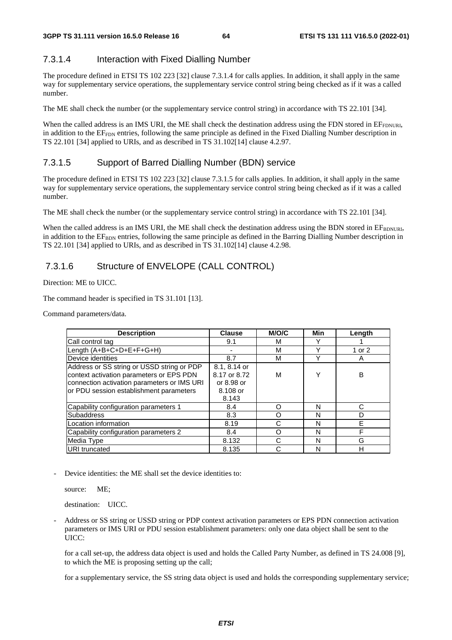#### 7.3.1.4 Interaction with Fixed Dialling Number

The procedure defined in ETSI TS 102 223 [32] clause 7.3.1.4 for calls applies. In addition, it shall apply in the same way for supplementary service operations, the supplementary service control string being checked as if it was a called number.

The ME shall check the number (or the supplementary service control string) in accordance with TS 22.101 [34].

When the called address is an IMS URI, the ME shall check the destination address using the FDN stored in  $EF_{FDNURI}$ , in addition to the EF<sub>FDN</sub> entries, following the same principle as defined in the Fixed Dialling Number description in TS 22.101 [34] applied to URIs, and as described in TS 31.102[14] clause 4.2.97.

#### 7.3.1.5 Support of Barred Dialling Number (BDN) service

The procedure defined in ETSI TS 102 223 [32] clause 7.3.1.5 for calls applies. In addition, it shall apply in the same way for supplementary service operations, the supplementary service control string being checked as if it was a called number.

The ME shall check the number (or the supplementary service control string) in accordance with TS 22.101 [34].

When the called address is an IMS URI, the ME shall check the destination address using the BDN stored in  $EF_{BDNURI}$ , in addition to the EF<sub>BDN</sub> entries, following the same principle as defined in the Barring Dialling Number description in TS 22.101 [34] applied to URIs, and as described in TS 31.102[14] clause 4.2.98.

#### 7.3.1.6 Structure of ENVELOPE (CALL CONTROL)

Direction: ME to UICC.

The command header is specified in TS 31.101 [13].

Command parameters/data.

| <b>Description</b>                          | <b>Clause</b> | M/O/C | Min          | Length |
|---------------------------------------------|---------------|-------|--------------|--------|
| Call control tag                            | 9.1           | м     |              |        |
| Length (A+B+C+D+E+F+G+H)                    |               | М     | $\checkmark$ | 1 or 2 |
| Device identities                           | 8.7           | М     | v            | A      |
| Address or SS string or USSD string or PDP  | 8.1, 8.14 or  |       |              |        |
| context activation parameters or EPS PDN    | 8.17 or 8.72  | м     | Y            | в      |
| connection activation parameters or IMS URI | or 8.98 or    |       |              |        |
| or PDU session establishment parameters     | 8.108 or      |       |              |        |
|                                             | 8.143         |       |              |        |
| Capability configuration parameters 1       | 8.4           | ∩     | N            | C      |
| <b>Subaddress</b>                           | 8.3           | 0     | N            | D      |
| Location information                        | 8.19          |       | N            | E      |
| Capability configuration parameters 2       | 8.4           | 0     | N            | F      |
| Media Type                                  | 8.132         |       | N            | G      |
| URI truncated                               | 8.135         |       | N            | н      |

Device identities: the ME shall set the device identities to:

source: ME:

destination: UICC.

- Address or SS string or USSD string or PDP context activation parameters or EPS PDN connection activation parameters or IMS URI or PDU session establishment parameters: only one data object shall be sent to the UICC:

for a call set-up, the address data object is used and holds the Called Party Number, as defined in TS 24.008 [9], to which the ME is proposing setting up the call;

for a supplementary service, the SS string data object is used and holds the corresponding supplementary service;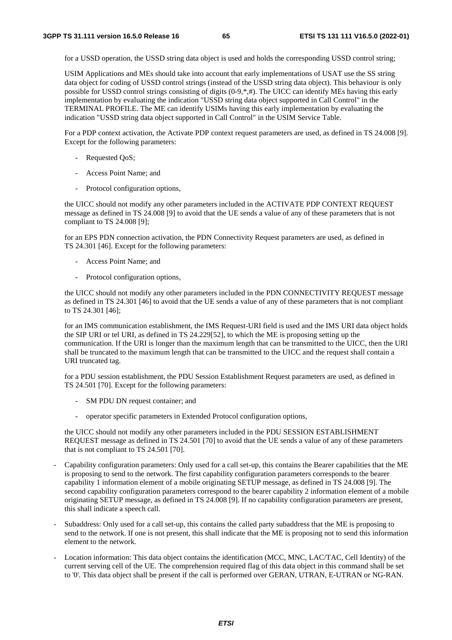for a USSD operation, the USSD string data object is used and holds the corresponding USSD control string;

USIM Applications and MEs should take into account that early implementations of USAT use the SS string data object for coding of USSD control strings (instead of the USSD string data object). This behaviour is only possible for USSD control strings consisting of digits (0-9,\*,#). The UICC can identify MEs having this early implementation by evaluating the indication "USSD string data object supported in Call Control" in the TERMINAL PROFILE. The ME can identify USIMs having this early implementation by evaluating the indication "USSD string data object supported in Call Control" in the USIM Service Table.

 For a PDP context activation, the Activate PDP context request parameters are used, as defined in TS 24.008 [9]. Except for the following parameters:

- Requested QoS;
- Access Point Name; and
- Protocol configuration options,

 the UICC should not modify any other parameters included in the ACTIVATE PDP CONTEXT REQUEST message as defined in TS 24.008 [9] to avoid that the UE sends a value of any of these parameters that is not compliant to TS 24.008 [9];

 for an EPS PDN connection activation, the PDN Connectivity Request parameters are used, as defined in TS 24.301 [46]. Except for the following parameters:

- Access Point Name; and
- Protocol configuration options,

the UICC should not modify any other parameters included in the PDN CONNECTIVITY REQUEST message as defined in TS 24.301 [46] to avoid that the UE sends a value of any of these parameters that is not compliant to TS 24.301 [46];

 for an IMS communication establishment, the IMS Request-URI field is used and the IMS URI data object holds the SIP URI or tel URI, as defined in TS 24.229[52], to which the ME is proposing setting up the communication. If the URI is longer than the maximum length that can be transmitted to the UICC, then the URI shall be truncated to the maximum length that can be transmitted to the UICC and the request shall contain a URI truncated tag.

for a PDU session establishment, the PDU Session Establishment Request parameters are used, as defined in TS 24.501 [70]. Except for the following parameters:

- SM PDU DN request container; and
- operator specific parameters in Extended Protocol configuration options,

the UICC should not modify any other parameters included in the PDU SESSION ESTABLISHMENT REQUEST message as defined in TS 24.501 [70] to avoid that the UE sends a value of any of these parameters that is not compliant to TS 24.501 [70].

- Capability configuration parameters: Only used for a call set-up, this contains the Bearer capabilities that the ME is proposing to send to the network. The first capability configuration parameters corresponds to the bearer capability 1 information element of a mobile originating SETUP message, as defined in TS 24.008 [9]. The second capability configuration parameters correspond to the bearer capability 2 information element of a mobile originating SETUP message, as defined in TS 24.008 [9]. If no capability configuration parameters are present, this shall indicate a speech call.
- Subaddress: Only used for a call set-up, this contains the called party subaddress that the ME is proposing to send to the network. If one is not present, this shall indicate that the ME is proposing not to send this information element to the network.
- Location information: This data object contains the identification (MCC, MNC, LAC/TAC, Cell Identity) of the current serving cell of the UE. The comprehension required flag of this data object in this command shall be set to '0'. This data object shall be present if the call is performed over GERAN, UTRAN, E-UTRAN or NG-RAN.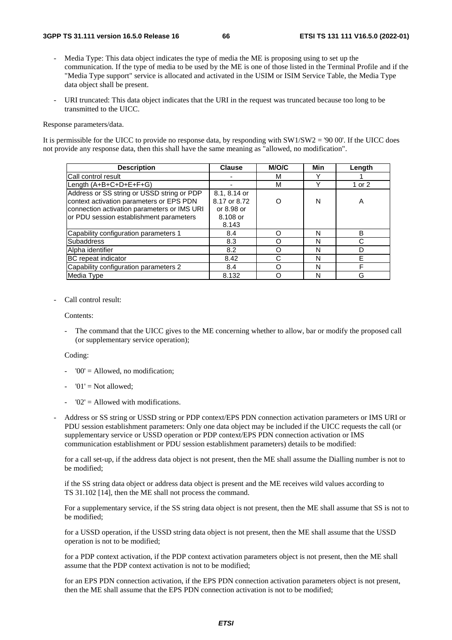- Media Type: This data object indicates the type of media the ME is proposing using to set up the communication. If the type of media to be used by the ME is one of those listed in the Terminal Profile and if the "Media Type support" service is allocated and activated in the USIM or ISIM Service Table, the Media Type data object shall be present.
- URI truncated: This data object indicates that the URI in the request was truncated because too long to be transmitted to the UICC.

Response parameters/data.

It is permissible for the UICC to provide no response data, by responding with SW1/SW2 = '90 00'. If the UICC does not provide any response data, then this shall have the same meaning as "allowed, no modification".

| <b>Description</b>                                                                                                                                                               | <b>Clause</b>                                                   | M/O/C | Min | Length |
|----------------------------------------------------------------------------------------------------------------------------------------------------------------------------------|-----------------------------------------------------------------|-------|-----|--------|
| Call control result                                                                                                                                                              |                                                                 | м     | v   |        |
| Length (A+B+C+D+E+F+G)                                                                                                                                                           |                                                                 | м     |     | 1 or 2 |
| Address or SS string or USSD string or PDP<br>context activation parameters or EPS PDN<br>connection activation parameters or IMS URI<br>or PDU session establishment parameters | 8.1, 8.14 or<br>8.17 or 8.72<br>or 8.98 or<br>8.108 or<br>8.143 |       | N   | A      |
| Capability configuration parameters 1                                                                                                                                            | 8.4                                                             |       | N   | B      |
| Subaddress                                                                                                                                                                       | 8.3                                                             |       | N   | C      |
| Alpha identifier                                                                                                                                                                 | 8.2                                                             |       | N   | D      |
| BC repeat indicator                                                                                                                                                              | 8.42                                                            |       | N   | F      |
| Capability configuration parameters 2                                                                                                                                            | 8.4                                                             |       | N   | F      |
| Media Type                                                                                                                                                                       | 8.132                                                           |       | N   | G      |

Call control result:

Contents:

- The command that the UICC gives to the ME concerning whether to allow, bar or modify the proposed call (or supplementary service operation);

Coding:

- $'00' =$  Allowed, no modification;
- ' $01'$  = Not allowed:
- $'02'$  = Allowed with modifications.
- Address or SS string or USSD string or PDP context/EPS PDN connection activation parameters or IMS URI or PDU session establishment parameters: Only one data object may be included if the UICC requests the call (or supplementary service or USSD operation or PDP context/EPS PDN connection activation or IMS communication establishment or PDU session establishment parameters) details to be modified:

for a call set-up, if the address data object is not present, then the ME shall assume the Dialling number is not to be modified;

if the SS string data object or address data object is present and the ME receives wild values according to TS 31.102 [14], then the ME shall not process the command.

For a supplementary service, if the SS string data object is not present, then the ME shall assume that SS is not to be modified;

for a USSD operation, if the USSD string data object is not present, then the ME shall assume that the USSD operation is not to be modified;

for a PDP context activation, if the PDP context activation parameters object is not present, then the ME shall assume that the PDP context activation is not to be modified;

for an EPS PDN connection activation, if the EPS PDN connection activation parameters object is not present, then the ME shall assume that the EPS PDN connection activation is not to be modified;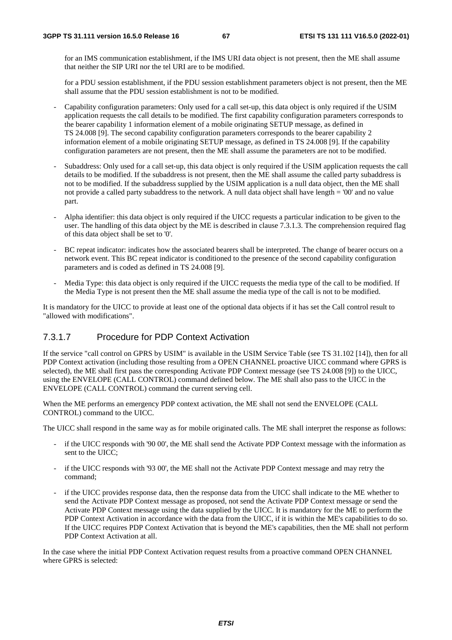for an IMS communication establishment, if the IMS URI data object is not present, then the ME shall assume that neither the SIP URI nor the tel URI are to be modified.

for a PDU session establishment, if the PDU session establishment parameters object is not present, then the ME shall assume that the PDU session establishment is not to be modified.

- Capability configuration parameters: Only used for a call set-up, this data object is only required if the USIM application requests the call details to be modified. The first capability configuration parameters corresponds to the bearer capability 1 information element of a mobile originating SETUP message, as defined in TS 24.008 [9]. The second capability configuration parameters corresponds to the bearer capability 2 information element of a mobile originating SETUP message, as defined in TS 24.008 [9]. If the capability configuration parameters are not present, then the ME shall assume the parameters are not to be modified.
- Subaddress: Only used for a call set-up, this data object is only required if the USIM application requests the call details to be modified. If the subaddress is not present, then the ME shall assume the called party subaddress is not to be modified. If the subaddress supplied by the USIM application is a null data object, then the ME shall not provide a called party subaddress to the network. A null data object shall have length = '00' and no value part.
- Alpha identifier: this data object is only required if the UICC requests a particular indication to be given to the user. The handling of this data object by the ME is described in clause 7.3.1.3. The comprehension required flag of this data object shall be set to '0'.
- BC repeat indicator: indicates how the associated bearers shall be interpreted. The change of bearer occurs on a network event. This BC repeat indicator is conditioned to the presence of the second capability configuration parameters and is coded as defined in TS 24.008 [9].
- Media Type: this data object is only required if the UICC requests the media type of the call to be modified. If the Media Type is not present then the ME shall assume the media type of the call is not to be modified.

It is mandatory for the UICC to provide at least one of the optional data objects if it has set the Call control result to "allowed with modifications".

#### 7.3.1.7 Procedure for PDP Context Activation

If the service "call control on GPRS by USIM" is available in the USIM Service Table (see TS 31.102 [14]), then for all PDP Context activation (including those resulting from a OPEN CHANNEL proactive UICC command where GPRS is selected), the ME shall first pass the corresponding Activate PDP Context message (see TS 24.008 [9]) to the UICC, using the ENVELOPE (CALL CONTROL) command defined below. The ME shall also pass to the UICC in the ENVELOPE (CALL CONTROL) command the current serving cell.

When the ME performs an emergency PDP context activation, the ME shall not send the ENVELOPE (CALL CONTROL) command to the UICC.

The UICC shall respond in the same way as for mobile originated calls. The ME shall interpret the response as follows:

- if the UICC responds with '90 00', the ME shall send the Activate PDP Context message with the information as sent to the UICC;
- if the UICC responds with '93 00', the ME shall not the Activate PDP Context message and may retry the command;
- if the UICC provides response data, then the response data from the UICC shall indicate to the ME whether to send the Activate PDP Context message as proposed, not send the Activate PDP Context message or send the Activate PDP Context message using the data supplied by the UICC. It is mandatory for the ME to perform the PDP Context Activation in accordance with the data from the UICC, if it is within the ME's capabilities to do so. If the UICC requires PDP Context Activation that is beyond the ME's capabilities, then the ME shall not perform PDP Context Activation at all.

In the case where the initial PDP Context Activation request results from a proactive command OPEN CHANNEL where GPRS is selected: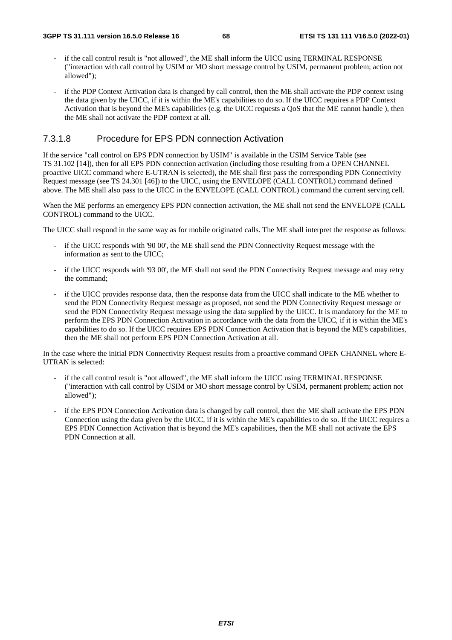- if the call control result is "not allowed", the ME shall inform the UICC using TERMINAL RESPONSE ("interaction with call control by USIM or MO short message control by USIM, permanent problem; action not allowed");
- if the PDP Context Activation data is changed by call control, then the ME shall activate the PDP context using the data given by the UICC, if it is within the ME's capabilities to do so. If the UICC requires a PDP Context Activation that is beyond the ME's capabilities (e.g. the UICC requests a QoS that the ME cannot handle ), then the ME shall not activate the PDP context at all.

#### 7.3.1.8 Procedure for EPS PDN connection Activation

If the service "call control on EPS PDN connection by USIM" is available in the USIM Service Table (see TS 31.102 [14]), then for all EPS PDN connection activation (including those resulting from a OPEN CHANNEL proactive UICC command where E-UTRAN is selected), the ME shall first pass the corresponding PDN Connectivity Request message (see TS 24.301 [46]) to the UICC, using the ENVELOPE (CALL CONTROL) command defined above. The ME shall also pass to the UICC in the ENVELOPE (CALL CONTROL) command the current serving cell.

When the ME performs an emergency EPS PDN connection activation, the ME shall not send the ENVELOPE (CALL CONTROL) command to the UICC.

The UICC shall respond in the same way as for mobile originated calls. The ME shall interpret the response as follows:

- if the UICC responds with '90 00', the ME shall send the PDN Connectivity Request message with the information as sent to the UICC;
- if the UICC responds with '93 00', the ME shall not send the PDN Connectivity Request message and may retry the command;
- if the UICC provides response data, then the response data from the UICC shall indicate to the ME whether to send the PDN Connectivity Request message as proposed, not send the PDN Connectivity Request message or send the PDN Connectivity Request message using the data supplied by the UICC. It is mandatory for the ME to perform the EPS PDN Connection Activation in accordance with the data from the UICC, if it is within the ME's capabilities to do so. If the UICC requires EPS PDN Connection Activation that is beyond the ME's capabilities, then the ME shall not perform EPS PDN Connection Activation at all.

In the case where the initial PDN Connectivity Request results from a proactive command OPEN CHANNEL where E-UTRAN is selected:

- if the call control result is "not allowed", the ME shall inform the UICC using TERMINAL RESPONSE ("interaction with call control by USIM or MO short message control by USIM, permanent problem; action not allowed");
- if the EPS PDN Connection Activation data is changed by call control, then the ME shall activate the EPS PDN Connection using the data given by the UICC, if it is within the ME's capabilities to do so. If the UICC requires a EPS PDN Connection Activation that is beyond the ME's capabilities, then the ME shall not activate the EPS PDN Connection at all.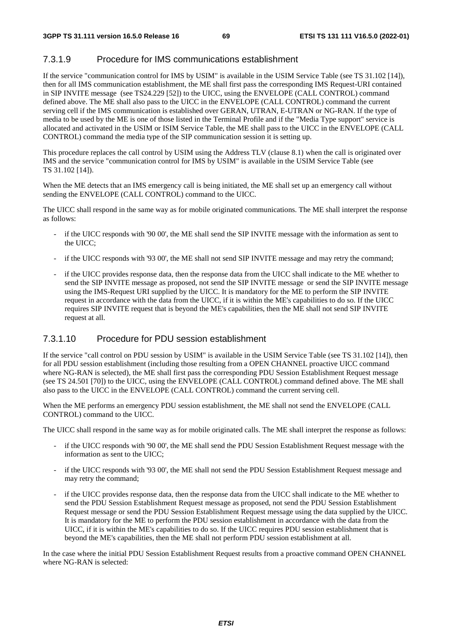#### 7.3.1.9 Procedure for IMS communications establishment

If the service "communication control for IMS by USIM" is available in the USIM Service Table (see TS 31.102 [14]), then for all IMS communication establishment, the ME shall first pass the corresponding IMS Request-URI contained in SIP INVITE message (see TS24.229 [52]) to the UICC, using the ENVELOPE (CALL CONTROL) command defined above. The ME shall also pass to the UICC in the ENVELOPE (CALL CONTROL) command the current serving cell if the IMS communication is established over GERAN, UTRAN, E-UTRAN or NG-RAN. If the type of media to be used by the ME is one of those listed in the Terminal Profile and if the "Media Type support" service is allocated and activated in the USIM or ISIM Service Table, the ME shall pass to the UICC in the ENVELOPE (CALL CONTROL) command the media type of the SIP communication session it is setting up.

This procedure replaces the call control by USIM using the Address TLV (clause 8.1) when the call is originated over IMS and the service "communication control for IMS by USIM" is available in the USIM Service Table (see TS 31.102 [14]).

When the ME detects that an IMS emergency call is being initiated, the ME shall set up an emergency call without sending the ENVELOPE (CALL CONTROL) command to the UICC.

The UICC shall respond in the same way as for mobile originated communications. The ME shall interpret the response as follows:

- if the UICC responds with '90 00', the ME shall send the SIP INVITE message with the information as sent to the UICC;
- if the UICC responds with '93 00', the ME shall not send SIP INVITE message and may retry the command;
- if the UICC provides response data, then the response data from the UICC shall indicate to the ME whether to send the SIP INVITE message as proposed, not send the SIP INVITE message or send the SIP INVITE message using the IMS-Request URI supplied by the UICC. It is mandatory for the ME to perform the SIP INVITE request in accordance with the data from the UICC, if it is within the ME's capabilities to do so. If the UICC requires SIP INVITE request that is beyond the ME's capabilities, then the ME shall not send SIP INVITE request at all.

#### 7.3.1.10 Procedure for PDU session establishment

If the service "call control on PDU session by USIM" is available in the USIM Service Table (see TS 31.102 [14]), then for all PDU session establishment (including those resulting from a OPEN CHANNEL proactive UICC command where NG-RAN is selected), the ME shall first pass the corresponding PDU Session Establishment Request message (see TS 24.501 [70]) to the UICC, using the ENVELOPE (CALL CONTROL) command defined above. The ME shall also pass to the UICC in the ENVELOPE (CALL CONTROL) command the current serving cell.

When the ME performs an emergency PDU session establishment, the ME shall not send the ENVELOPE (CALL CONTROL) command to the UICC.

The UICC shall respond in the same way as for mobile originated calls. The ME shall interpret the response as follows:

- if the UICC responds with '90 00', the ME shall send the PDU Session Establishment Request message with the information as sent to the UICC;
- if the UICC responds with '93 00', the ME shall not send the PDU Session Establishment Request message and may retry the command;
- if the UICC provides response data, then the response data from the UICC shall indicate to the ME whether to send the PDU Session Establishment Request message as proposed, not send the PDU Session Establishment Request message or send the PDU Session Establishment Request message using the data supplied by the UICC. It is mandatory for the ME to perform the PDU session establishment in accordance with the data from the UICC, if it is within the ME's capabilities to do so. If the UICC requires PDU session establishment that is beyond the ME's capabilities, then the ME shall not perform PDU session establishment at all.

In the case where the initial PDU Session Establishment Request results from a proactive command OPEN CHANNEL where NG-RAN is selected: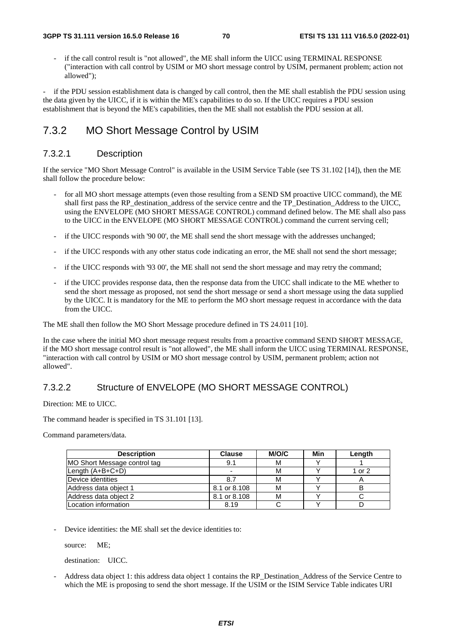if the call control result is "not allowed", the ME shall inform the UICC using TERMINAL RESPONSE ("interaction with call control by USIM or MO short message control by USIM, permanent problem; action not allowed");

if the PDU session establishment data is changed by call control, then the ME shall establish the PDU session using the data given by the UICC, if it is within the ME's capabilities to do so. If the UICC requires a PDU session establishment that is beyond the ME's capabilities, then the ME shall not establish the PDU session at all.

## 7.3.2 MO Short Message Control by USIM

#### 7.3.2.1 Description

If the service "MO Short Message Control" is available in the USIM Service Table (see TS 31.102 [14]), then the ME shall follow the procedure below:

- for all MO short message attempts (even those resulting from a SEND SM proactive UICC command), the ME shall first pass the RP\_destination\_address of the service centre and the TP\_Destination\_Address to the UICC, using the ENVELOPE (MO SHORT MESSAGE CONTROL) command defined below. The ME shall also pass to the UICC in the ENVELOPE (MO SHORT MESSAGE CONTROL) command the current serving cell;
- if the UICC responds with '90 00', the ME shall send the short message with the addresses unchanged;
- if the UICC responds with any other status code indicating an error, the ME shall not send the short message;
- if the UICC responds with '93 00', the ME shall not send the short message and may retry the command;
- if the UICC provides response data, then the response data from the UICC shall indicate to the ME whether to send the short message as proposed, not send the short message or send a short message using the data supplied by the UICC. It is mandatory for the ME to perform the MO short message request in accordance with the data from the UICC.

The ME shall then follow the MO Short Message procedure defined in TS 24.011 [10].

In the case where the initial MO short message request results from a proactive command SEND SHORT MESSAGE, if the MO short message control result is "not allowed", the ME shall inform the UICC using TERMINAL RESPONSE, "interaction with call control by USIM or MO short message control by USIM, permanent problem; action not allowed".

#### 7.3.2.2 Structure of ENVELOPE (MO SHORT MESSAGE CONTROL)

Direction: ME to UICC.

The command header is specified in TS 31.101 [13].

Command parameters/data.

| <b>Description</b>           | <b>Clause</b> | M/O/C | Min | Length       |
|------------------------------|---------------|-------|-----|--------------|
| MO Short Message control tag | 9.1           | M     |     |              |
| Length $(A+B+C+D)$           |               | М     |     | 1 or 2       |
| Device identities            | 8.7           |       |     | $\mathsf{A}$ |
| Address data object 1        | 8.1 or 8.108  | М     |     |              |
| Address data object 2        | 8.1 or 8.108  | М     |     |              |
| Location information         | 8.19          |       |     |              |

Device identities: the ME shall set the device identities to:

source: ME;

destination: UICC.

- Address data object 1: this address data object 1 contains the RP\_Destination\_Address of the Service Centre to which the ME is proposing to send the short message. If the USIM or the ISIM Service Table indicates URI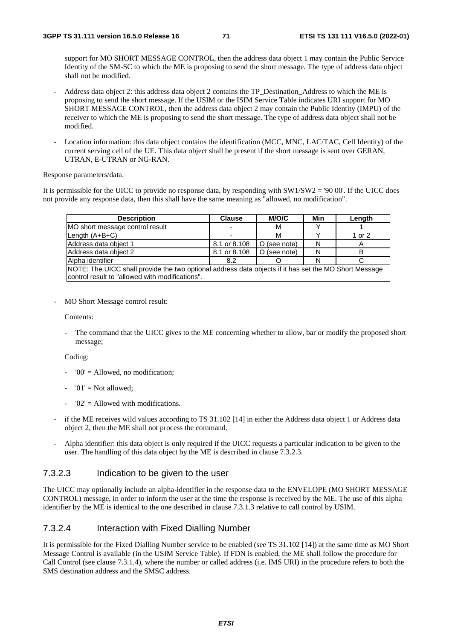support for MO SHORT MESSAGE CONTROL, then the address data object 1 may contain the Public Service Identity of the SM-SC to which the ME is proposing to send the short message. The type of address data object shall not be modified.

- Address data object 2: this address data object 2 contains the TP\_Destination\_Address to which the ME is proposing to send the short message. If the USIM or the ISIM Service Table indicates URI support for MO SHORT MESSAGE CONTROL, then the address data object 2 may contain the Public Identity (IMPU) of the receiver to which the ME is proposing to send the short message. The type of address data object shall not be modified.
- Location information: this data object contains the identification (MCC, MNC, LAC/TAC, Cell Identity) of the current serving cell of the UE. This data object shall be present if the short message is sent over GERAN, UTRAN, E-UTRAN or NG-RAN.

Response parameters/data.

It is permissible for the UICC to provide no response data, by responding with SW1/SW2 = '90 00'. If the UICC does not provide any response data, then this shall have the same meaning as "allowed, no modification".

| <b>Description</b>                                                                                    | <b>Clause</b> | M/O/C        | Min | Length |  |  |
|-------------------------------------------------------------------------------------------------------|---------------|--------------|-----|--------|--|--|
| MO short message control result                                                                       |               | М            |     |        |  |  |
| Length $(A+B+C)$                                                                                      |               | М            |     | 1 or 2 |  |  |
| Address data object 1                                                                                 | 8.1 or 8.108  | O (see note) | N   | Α      |  |  |
| Address data object 2                                                                                 | 8.1 or 8.108  | O (see note) | N   |        |  |  |
| Alpha identifier                                                                                      | 8.2           |              |     |        |  |  |
| NOTE: The UICC shall provide the two optional address data objects if it has set the MO Short Message |               |              |     |        |  |  |
| control result to "allowed with modifications".                                                       |               |              |     |        |  |  |

MO Short Message control result:

Contents:

The command that the UICC gives to the ME concerning whether to allow, bar or modify the proposed short message;

Coding:

- $'00' =$  Allowed, no modification;
- $'01' = Not allowed$ :
- $'02'$  = Allowed with modifications.
- if the ME receives wild values according to TS 31.102 [14] in either the Address data object 1 or Address data object 2, then the ME shall not process the command.
- Alpha identifier: this data object is only required if the UICC requests a particular indication to be given to the user. The handling of this data object by the ME is described in clause 7.3.2.3.

#### 7.3.2.3 Indication to be given to the user

The UICC may optionally include an alpha-identifier in the response data to the ENVELOPE (MO SHORT MESSAGE CONTROL) message, in order to inform the user at the time the response is received by the ME. The use of this alpha identifier by the ME is identical to the one described in clause 7.3.1.3 relative to call control by USIM.

#### 7.3.2.4 Interaction with Fixed Dialling Number

It is permissible for the Fixed Dialling Number service to be enabled (see TS 31.102 [14]) at the same time as MO Short Message Control is available (in the USIM Service Table). If FDN is enabled, the ME shall follow the procedure for Call Control (see clause 7.3.1.4), where the number or called address (i.e. IMS URI) in the procedure refers to both the SMS destination address and the SMSC address.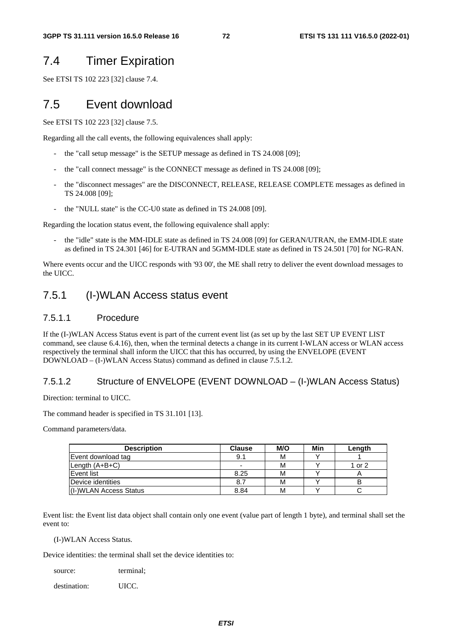# 7.4 Timer Expiration

See ETSI TS 102 223 [32] clause 7.4.

## 7.5 Event download

See ETSI TS 102 223 [32] clause 7.5.

Regarding all the call events, the following equivalences shall apply:

- the "call setup message" is the SETUP message as defined in TS 24.008 [09];
- the "call connect message" is the CONNECT message as defined in TS 24.008 [09];
- the "disconnect messages" are the DISCONNECT, RELEASE, RELEASE COMPLETE messages as defined in TS 24.008 [09];
- the "NULL state" is the CC-U0 state as defined in TS 24.008 [09].

Regarding the location status event, the following equivalence shall apply:

the "idle" state is the MM-IDLE state as defined in TS 24.008 [09] for GERAN/UTRAN, the EMM-IDLE state as defined in TS 24.301 [46] for E-UTRAN and 5GMM-IDLE state as defined in TS 24.501 [70] for NG-RAN.

Where events occur and the UICC responds with '93 00', the ME shall retry to deliver the event download messages to the UICC.

#### 7.5.1 (I-)WLAN Access status event

#### 7.5.1.1 Procedure

If the (I-)WLAN Access Status event is part of the current event list (as set up by the last SET UP EVENT LIST command, see clause 6.4.16), then, when the terminal detects a change in its current I-WLAN access or WLAN access respectively the terminal shall inform the UICC that this has occurred, by using the ENVELOPE (EVENT DOWNLOAD – (I-)WLAN Access Status) command as defined in clause 7.5.1.2.

#### 7.5.1.2 Structure of ENVELOPE (EVENT DOWNLOAD – (I-)WLAN Access Status)

Direction: terminal to UICC.

The command header is specified in TS 31.101 [13].

Command parameters/data.

| <b>Description</b>     | <b>Clause</b>            | M/O | Min | Length |
|------------------------|--------------------------|-----|-----|--------|
| Event download tag     | 9.1                      | М   |     |        |
| Length (A+B+C)         | $\overline{\phantom{0}}$ | м   |     | 1 or 2 |
| Event list             | 8.25                     | М   |     |        |
| Device identities      | 8.7                      | м   |     |        |
| (I-)WLAN Access Status | 8.84                     | М   |     |        |

Event list: the Event list data object shall contain only one event (value part of length 1 byte), and terminal shall set the event to:

(I-)WLAN Access Status.

Device identities: the terminal shall set the device identities to:

| terminal; |
|-----------|
|           |
|           |

destination: UICC.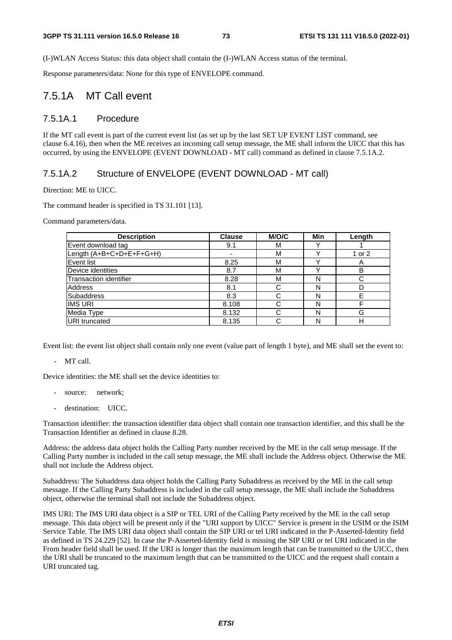(I-)WLAN Access Status: this data object shall contain the (I-)WLAN Access status of the terminal.

Response parameters/data: None for this type of ENVELOPE command.

#### 7.5.1A MT Call event

#### 7.5.1A.1 Procedure

If the MT call event is part of the current event list (as set up by the last SET UP EVENT LIST command, see clause 6.4.16), then when the ME receives an incoming call setup message, the ME shall inform the UICC that this has occurred, by using the ENVELOPE (EVENT DOWNLOAD - MT call) command as defined in clause 7.5.1A.2.

#### 7.5.1A.2 Structure of ENVELOPE (EVENT DOWNLOAD - MT call)

Direction: ME to UICC.

The command header is specified in TS 31.101 [13].

Command parameters/data.

| <b>Description</b>            | <b>Clause</b> | <b>M/O/C</b> | Min | Length |
|-------------------------------|---------------|--------------|-----|--------|
| Event download tag            | 9.1           | М            |     |        |
| Length (A+B+C+D+E+F+G+H)      |               | M            |     | 1 or 2 |
| Event list                    | 8.25          | M            |     | A      |
| Device identities             | 8.7           | M            |     | B      |
| <b>Transaction identifier</b> | 8.28          | м            | N   | С      |
| Address                       | 8.1           |              | N   |        |
| <b>Subaddress</b>             | 8.3           |              | N   | F      |
| <b>IIMS URI</b>               | 8.108         |              | N   |        |
| Media Type                    | 8.132         |              | N   | G      |
| URI truncated                 | 8.135         |              | N   | н      |

Event list: the event list object shall contain only one event (value part of length 1 byte), and ME shall set the event to:

- MT call.

Device identities: the ME shall set the device identities to:

- source: network;
- destination: UICC.

Transaction identifier: the transaction identifier data object shall contain one transaction identifier, and this shall be the Transaction Identifier as defined in clause 8.28.

Address: the address data object holds the Calling Party number received by the ME in the call setup message. If the Calling Party number is included in the call setup message, the ME shall include the Address object. Otherwise the ME shall not include the Address object.

Subaddress: The Subaddress data object holds the Calling Party Subaddress as received by the ME in the call setup message. If the Calling Party Subaddress is included in the call setup message, the ME shall include the Subaddress object, otherwise the terminal shall not include the Subaddress object.

IMS URI: The IMS URI data object is a SIP or TEL URI of the Calling Party received by the ME in the call setup message. This data object will be present only if the "URI support by UICC" Service is present in the USIM or the ISIM Service Table. The IMS URI data object shall contain the SIP URI or tel URI indicated in the P-Asserted-Identity field as defined in TS 24.229 [52]. In case the P-Asserted-Identity field is missing the SIP URI or tel URI indicated in the From header field shall be used. If the URI is longer than the maximum length that can be transmitted to the UICC, then the URI shall be truncated to the maximum length that can be transmitted to the UICC and the request shall contain a URI truncated tag.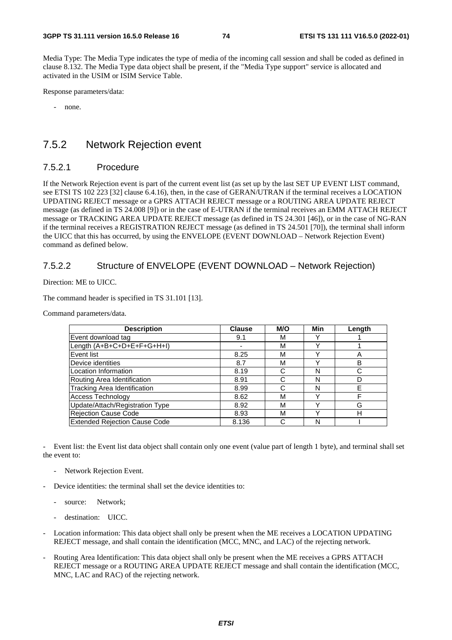Media Type: The Media Type indicates the type of media of the incoming call session and shall be coded as defined in clause 8.132. The Media Type data object shall be present, if the "Media Type support" service is allocated and activated in the USIM or ISIM Service Table.

Response parameters/data:

- none.

#### 7.5.2 Network Rejection event

#### 7.5.2.1 Procedure

If the Network Rejection event is part of the current event list (as set up by the last SET UP EVENT LIST command, see ETSI TS 102 223 [32] clause 6.4.16), then, in the case of GERAN/UTRAN if the terminal receives a LOCATION UPDATING REJECT message or a GPRS ATTACH REJECT message or a ROUTING AREA UPDATE REJECT message (as defined in TS 24.008 [9]) or in the case of E-UTRAN if the terminal receives an EMM ATTACH REJECT message or TRACKING AREA UPDATE REJECT message (as defined in TS 24.301 [46]), or in the case of NG-RAN if the terminal receives a REGISTRATION REJECT message (as defined in TS 24.501 [70]), the terminal shall inform the UICC that this has occurred, by using the ENVELOPE (EVENT DOWNLOAD – Network Rejection Event) command as defined below.

#### 7.5.2.2 Structure of ENVELOPE (EVENT DOWNLOAD – Network Rejection)

Direction: ME to UICC.

The command header is specified in TS 31.101 [13].

Command parameters/data.

| <b>Description</b>                   | <b>Clause</b> | M/O | Min | Length |
|--------------------------------------|---------------|-----|-----|--------|
| Event download tag                   | 9.1           | М   |     |        |
| Length (A+B+C+D+E+F+G+H+I)           | ۰             | M   |     |        |
| Event list                           | 8.25          | М   |     | A      |
| Device identities                    | 8.7           | М   |     | B      |
| Location Information                 | 8.19          | С   | N   | C      |
| Routing Area Identification          | 8.91          | C   | N   |        |
| Tracking Area Identification         | 8.99          | С   | N   | F      |
| Access Technology                    | 8.62          | М   |     |        |
| Update/Attach/Registration Type      | 8.92          | М   |     | G      |
| Rejection Cause Code                 | 8.93          | М   |     | н      |
| <b>Extended Rejection Cause Code</b> | 8.136         | C   | N   |        |

- Event list: the Event list data object shall contain only one event (value part of length 1 byte), and terminal shall set the event to:

- Network Rejection Event.
- Device identities: the terminal shall set the device identities to:
	- source: Network;
	- destination: UICC.
- Location information: This data object shall only be present when the ME receives a LOCATION UPDATING REJECT message, and shall contain the identification (MCC, MNC, and LAC) of the rejecting network.
- Routing Area Identification: This data object shall only be present when the ME receives a GPRS ATTACH REJECT message or a ROUTING AREA UPDATE REJECT message and shall contain the identification (MCC, MNC, LAC and RAC) of the rejecting network.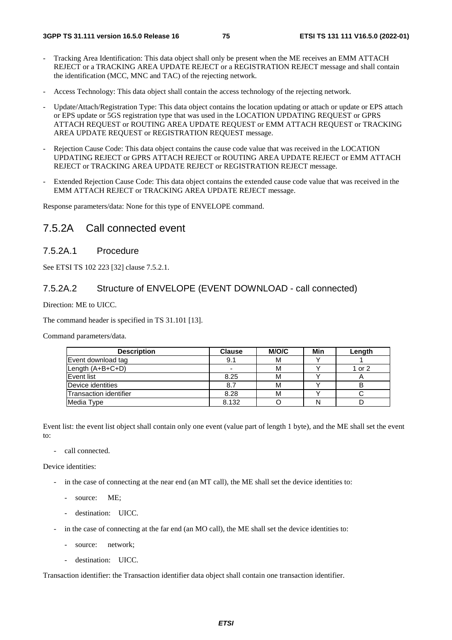- Tracking Area Identification: This data object shall only be present when the ME receives an EMM ATTACH REJECT or a TRACKING AREA UPDATE REJECT or a REGISTRATION REJECT message and shall contain the identification (MCC, MNC and TAC) of the rejecting network.
- Access Technology: This data object shall contain the access technology of the rejecting network.
- Update/Attach/Registration Type: This data object contains the location updating or attach or update or EPS attach or EPS update or 5GS registration type that was used in the LOCATION UPDATING REQUEST or GPRS ATTACH REQUEST or ROUTING AREA UPDATE REQUEST or EMM ATTACH REQUEST or TRACKING AREA UPDATE REQUEST or REGISTRATION REQUEST message.
- Rejection Cause Code: This data object contains the cause code value that was received in the LOCATION UPDATING REJECT or GPRS ATTACH REJECT or ROUTING AREA UPDATE REJECT or EMM ATTACH REJECT or TRACKING AREA UPDATE REJECT or REGISTRATION REJECT message.
- Extended Rejection Cause Code: This data object contains the extended cause code value that was received in the EMM ATTACH REJECT or TRACKING AREA UPDATE REJECT message.

Response parameters/data: None for this type of ENVELOPE command.

#### 7.5.2A Call connected event

#### 7.5.2A.1 Procedure

See ETSI TS 102 223 [32] clause 7.5.2.1.

#### 7.5.2A.2 Structure of ENVELOPE (EVENT DOWNLOAD - call connected)

Direction: ME to UICC.

The command header is specified in TS 31.101 [13].

Command parameters/data.

| <b>Description</b>     | <b>Clause</b> | M/O/C | Min | Length |
|------------------------|---------------|-------|-----|--------|
| Event download tag     | 9.1           | м     |     |        |
| Length (A+B+C+D)       |               | М     |     | 1 or 2 |
| Event list             | 8.25          | M     |     | n      |
| Device identities      | 8.7           | м     |     | в      |
| Transaction identifier | 8.28          | М     |     |        |
| Media Type             | 8.132         |       |     |        |

Event list: the event list object shall contain only one event (value part of length 1 byte), and the ME shall set the event to:

call connected.

Device identities:

- in the case of connecting at the near end (an MT call), the ME shall set the device identities to:
	- source: ME:
	- destination: UICC.
- in the case of connecting at the far end (an MO call), the ME shall set the device identities to:
	- source: network;
	- destination: UICC.

Transaction identifier: the Transaction identifier data object shall contain one transaction identifier.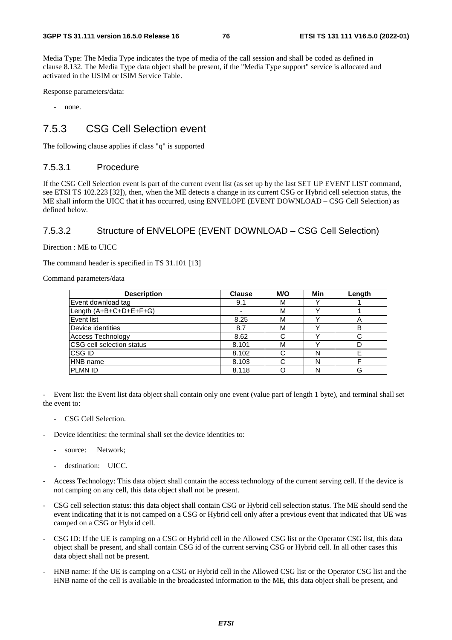Media Type: The Media Type indicates the type of media of the call session and shall be coded as defined in clause 8.132. The Media Type data object shall be present, if the "Media Type support" service is allocated and activated in the USIM or ISIM Service Table.

Response parameters/data:

- none.

## 7.5.3 CSG Cell Selection event

The following clause applies if class "q" is supported

#### 7.5.3.1 Procedure

If the CSG Cell Selection event is part of the current event list (as set up by the last SET UP EVENT LIST command, see ETSI TS 102.223 [32]), then, when the ME detects a change in its current CSG or Hybrid cell selection status, the ME shall inform the UICC that it has occurred, using ENVELOPE (EVENT DOWNLOAD – CSG Cell Selection) as defined below.

#### 7.5.3.2 Structure of ENVELOPE (EVENT DOWNLOAD – CSG Cell Selection)

Direction : ME to UICC

The command header is specified in TS 31.101 [13]

Command parameters/data

| <b>Description</b>        | <b>Clause</b> | M/O | Min | Length |
|---------------------------|---------------|-----|-----|--------|
| Event download tag        | 9.1           | М   |     |        |
| Length (A+B+C+D+E+F+G)    |               | м   |     |        |
| <b>Event list</b>         | 8.25          | М   |     | 宀      |
| Device identities         | 8.7           | М   |     | B      |
| Access Technology         | 8.62          | C   |     |        |
| CSG cell selection status | 8.101         | М   |     |        |
| CSG ID                    | 8.102         | C   | N   |        |
| <b>HNB</b> name           | 8.103         | C   | N   |        |
| <b>PLMN ID</b>            | 8.118         |     |     | G      |

- Event list: the Event list data object shall contain only one event (value part of length 1 byte), and terminal shall set the event to:

- CSG Cell Selection.
- Device identities: the terminal shall set the device identities to:
	- source: Network;
	- destination: UICC.
- Access Technology: This data object shall contain the access technology of the current serving cell. If the device is not camping on any cell, this data object shall not be present.
- CSG cell selection status: this data object shall contain CSG or Hybrid cell selection status. The ME should send the event indicating that it is not camped on a CSG or Hybrid cell only after a previous event that indicated that UE was camped on a CSG or Hybrid cell.
- CSG ID: If the UE is camping on a CSG or Hybrid cell in the Allowed CSG list or the Operator CSG list, this data object shall be present, and shall contain CSG id of the current serving CSG or Hybrid cell. In all other cases this data object shall not be present.
- HNB name: If the UE is camping on a CSG or Hybrid cell in the Allowed CSG list or the Operator CSG list and the HNB name of the cell is available in the broadcasted information to the ME, this data object shall be present, and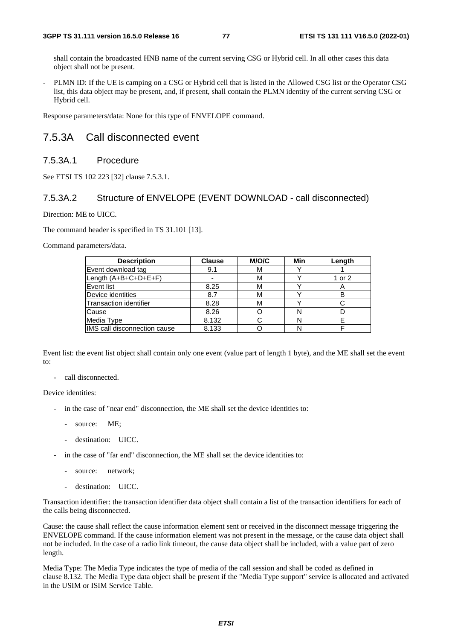shall contain the broadcasted HNB name of the current serving CSG or Hybrid cell. In all other cases this data object shall not be present.

- PLMN ID: If the UE is camping on a CSG or Hybrid cell that is listed in the Allowed CSG list or the Operator CSG list, this data object may be present, and, if present, shall contain the PLMN identity of the current serving CSG or Hybrid cell.

Response parameters/data: None for this type of ENVELOPE command.

### 7.5.3A Call disconnected event

#### 7.5.3A.1 Procedure

See ETSI TS 102 223 [32] clause 7.5.3.1.

#### 7.5.3A.2 Structure of ENVELOPE (EVENT DOWNLOAD - call disconnected)

Direction: ME to UICC.

The command header is specified in TS 31.101 [13].

Command parameters/data.

| <b>Description</b>           | <b>Clause</b> | <b>M/O/C</b> | Min | Length |
|------------------------------|---------------|--------------|-----|--------|
| Event download tag           | 9.1           | м            |     |        |
| Length (A+B+C+D+E+F)         |               | м            |     | 1 or 2 |
| <b>Event list</b>            | 8.25          | м            |     |        |
| Device identities            | 8.7           | м            |     |        |
| Transaction identifier       | 8.28          | м            |     |        |
| Cause                        | 8.26          |              |     |        |
| Media Type                   | 8.132         |              |     |        |
| IMS call disconnection cause | 8.133         |              |     |        |

Event list: the event list object shall contain only one event (value part of length 1 byte), and the ME shall set the event to:

- call disconnected.

Device identities:

- in the case of "near end" disconnection, the ME shall set the device identities to:
	- source: ME;
	- destination: UICC.
- in the case of "far end" disconnection, the ME shall set the device identities to:
	- source: network:
	- destination: UICC.

Transaction identifier: the transaction identifier data object shall contain a list of the transaction identifiers for each of the calls being disconnected.

Cause: the cause shall reflect the cause information element sent or received in the disconnect message triggering the ENVELOPE command. If the cause information element was not present in the message, or the cause data object shall not be included. In the case of a radio link timeout, the cause data object shall be included, with a value part of zero length.

Media Type: The Media Type indicates the type of media of the call session and shall be coded as defined in clause 8.132. The Media Type data object shall be present if the "Media Type support" service is allocated and activated in the USIM or ISIM Service Table.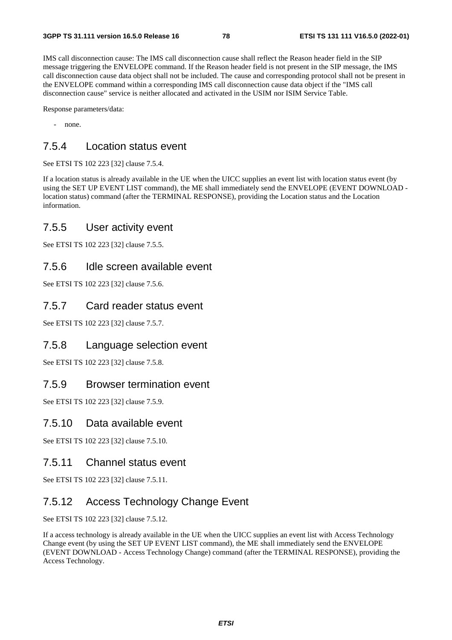IMS call disconnection cause: The IMS call disconnection cause shall reflect the Reason header field in the SIP message triggering the ENVELOPE command. If the Reason header field is not present in the SIP message, the IMS call disconnection cause data object shall not be included. The cause and corresponding protocol shall not be present in the ENVELOPE command within a corresponding IMS call disconnection cause data object if the "IMS call disconnection cause" service is neither allocated and activated in the USIM nor ISIM Service Table.

Response parameters/data:

- none.

### 7.5.4 Location status event

See ETSI TS 102 223 [32] clause 7.5.4.

If a location status is already available in the UE when the UICC supplies an event list with location status event (by using the SET UP EVENT LIST command), the ME shall immediately send the ENVELOPE (EVENT DOWNLOAD location status) command (after the TERMINAL RESPONSE), providing the Location status and the Location information.

### 7.5.5 User activity event

See ETSI TS 102 223 [32] clause 7.5.5.

#### 7.5.6 Idle screen available event

See ETSI TS 102 223 [32] clause 7.5.6.

#### 7.5.7 Card reader status event

See ETSI TS 102 223 [32] clause 7.5.7.

### 7.5.8 Language selection event

See ETSI TS 102 223 [32] clause 7.5.8.

#### 7.5.9 Browser termination event

See ETSI TS 102 223 [32] clause 7.5.9.

#### 7.5.10 Data available event

See ETSI TS 102 223 [32] clause 7.5.10.

#### 7.5.11 Channel status event

See ETSI TS 102 223 [32] clause 7.5.11.

## 7.5.12 Access Technology Change Event

See ETSI TS 102 223 [32] clause 7.5.12.

If a access technology is already available in the UE when the UICC supplies an event list with Access Technology Change event (by using the SET UP EVENT LIST command), the ME shall immediately send the ENVELOPE (EVENT DOWNLOAD - Access Technology Change) command (after the TERMINAL RESPONSE), providing the Access Technology.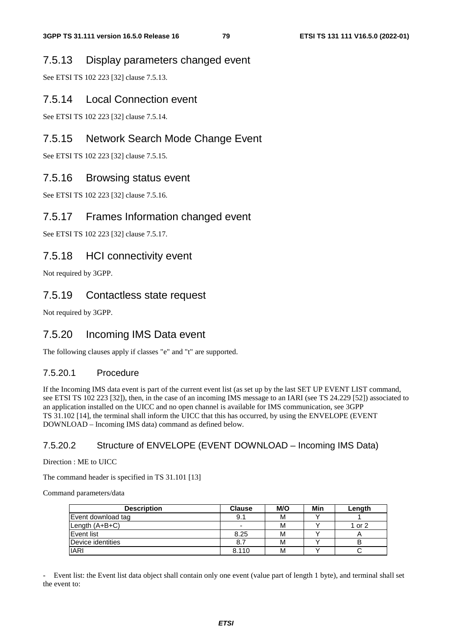#### 7.5.13 Display parameters changed event

See ETSI TS 102 223 [32] clause 7.5.13.

#### 7.5.14 Local Connection event

See ETSI TS 102 223 [32] clause 7.5.14.

#### 7.5.15 Network Search Mode Change Event

See ETSI TS 102 223 [32] clause 7.5.15.

#### 7.5.16 Browsing status event

See ETSI TS 102 223 [32] clause 7.5.16.

#### 7.5.17 Frames Information changed event

See ETSI TS 102 223 [32] clause 7.5.17.

#### 7.5.18 HCI connectivity event

Not required by 3GPP.

### 7.5.19 Contactless state request

Not required by 3GPP.

### 7.5.20 Incoming IMS Data event

The following clauses apply if classes "e" and "t" are supported.

#### 7.5.20.1 Procedure

If the Incoming IMS data event is part of the current event list (as set up by the last SET UP EVENT LIST command, see ETSI TS 102 223 [32]), then, in the case of an incoming IMS message to an IARI (see TS 24.229 [52]) associated to an application installed on the UICC and no open channel is available for IMS communication, see 3GPP TS 31.102 [14], the terminal shall inform the UICC that this has occurred, by using the ENVELOPE (EVENT DOWNLOAD – Incoming IMS data) command as defined below.

#### 7.5.20.2 Structure of ENVELOPE (EVENT DOWNLOAD – Incoming IMS Data)

Direction : ME to UICC

The command header is specified in TS 31.101 [13]

Command parameters/data

| <b>Description</b> | <b>Clause</b>            | M/O | Min | Length |
|--------------------|--------------------------|-----|-----|--------|
| Event download tag | 9.1                      | м   |     |        |
| Length (A+B+C)     | $\overline{\phantom{0}}$ | М   |     | 1 or 2 |
| <b>Event list</b>  | 8.25                     | М   |     |        |
| Device identities  | 8.7                      | м   |     |        |
| <b>IARI</b>        | 8.110                    | М   |     |        |

- Event list: the Event list data object shall contain only one event (value part of length 1 byte), and terminal shall set the event to: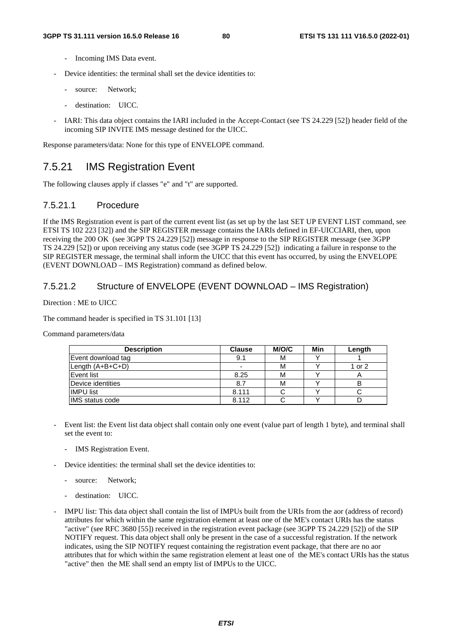- Incoming IMS Data event.
- Device identities: the terminal shall set the device identities to:
	- source: Network:
	- destination: UICC.
- IARI: This data object contains the IARI included in the Accept-Contact (see TS 24.229 [52]) header field of the incoming SIP INVITE IMS message destined for the UICC.

Response parameters/data: None for this type of ENVELOPE command.

## 7.5.21 IMS Registration Event

The following clauses apply if classes "e" and "t" are supported.

#### 7.5.21.1 Procedure

If the IMS Registration event is part of the current event list (as set up by the last SET UP EVENT LIST command, see ETSI TS 102 223 [32]) and the SIP REGISTER message contains the IARIs defined in EF-UICCIARI, then, upon receiving the 200 OK (see 3GPP TS 24.229 [52]) message in response to the SIP REGISTER message (see 3GPP) TS 24.229 [52]) or upon receiving any status code (see 3GPP TS 24.229 [52]) indicating a failure in response to the SIP REGISTER message, the terminal shall inform the UICC that this event has occurred, by using the ENVELOPE (EVENT DOWNLOAD – IMS Registration) command as defined below.

#### 7.5.21.2 Structure of ENVELOPE (EVENT DOWNLOAD – IMS Registration)

Direction : ME to UICC

The command header is specified in TS 31.101 [13]

Command parameters/data

| <b>Description</b>     | <b>Clause</b> | M/O/C | Min | Length |
|------------------------|---------------|-------|-----|--------|
| Event download tag     | 9.1           | M     |     |        |
| Length $(A+B+C+D)$     |               | М     |     | 1 or 2 |
| Event list             | 8.25          | M     |     | ∼      |
| Device identities      | 8.7           | M     |     | в      |
| <b>IIMPU list</b>      | 8.111         |       |     |        |
| <b>IMS</b> status code | 8.112         |       |     |        |

- Event list: the Event list data object shall contain only one event (value part of length 1 byte), and terminal shall set the event to:
	- IMS Registration Event.
- Device identities: the terminal shall set the device identities to:
	- source: Network:
	- destination: UICC.
- IMPU list: This data object shall contain the list of IMPUs built from the URIs from the aor (address of record) attributes for which within the same registration element at least one of the ME's contact URIs has the status "active" (see RFC 3680 [55]) received in the registration event package (see 3GPP TS 24.229 [52]) of the SIP NOTIFY request. This data object shall only be present in the case of a successful registration. If the network indicates, using the SIP NOTIFY request containing the registration event package, that there are no aor attributes that for which within the same registration element at least one of the ME's contact URIs has the status "active" then the ME shall send an empty list of IMPUs to the UICC.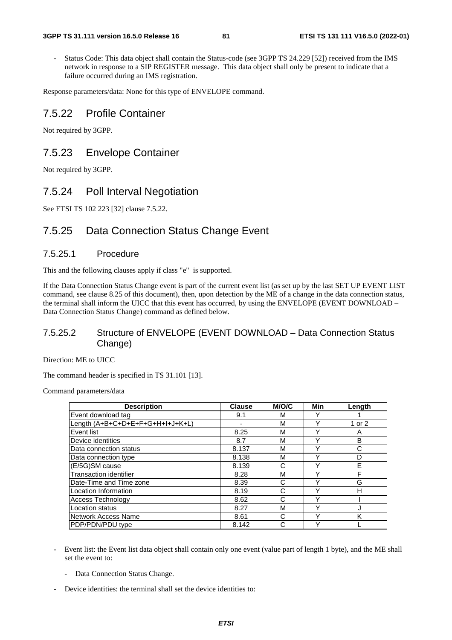Status Code: This data object shall contain the Status-code (see 3GPP TS 24.229 [52]) received from the IMS network in response to a SIP REGISTER message. This data object shall only be present to indicate that a failure occurred during an IMS registration.

Response parameters/data: None for this type of ENVELOPE command.

#### 7.5.22 Profile Container

Not required by 3GPP.

#### 7.5.23 Envelope Container

Not required by 3GPP.

#### 7.5.24 Poll Interval Negotiation

See ETSI TS 102 223 [32] clause 7.5.22.

#### 7.5.25 Data Connection Status Change Event

#### 7.5.25.1 Procedure

This and the following clauses apply if class "e" is supported.

If the Data Connection Status Change event is part of the current event list (as set up by the last SET UP EVENT LIST command, see clause 8.25 of this document), then, upon detection by the ME of a change in the data connection status, the terminal shall inform the UICC that this event has occurred, by using the ENVELOPE (EVENT DOWNLOAD – Data Connection Status Change) command as defined below.

#### 7.5.25.2 Structure of ENVELOPE (EVENT DOWNLOAD – Data Connection Status Change)

Direction: ME to UICC

The command header is specified in TS 31.101 [13].

Command parameters/data

| <b>Description</b>               | <b>Clause</b> | <b>M/O/C</b> | Min         | Length |
|----------------------------------|---------------|--------------|-------------|--------|
| Event download tag               | 9.1           | м            |             |        |
| Length (A+B+C+D+E+F+G+H+I+J+K+L) |               | М            | Y           | 1 or 2 |
| Event list                       | 8.25          | М            | Υ           | A      |
| Device identities                | 8.7           | М            | Y           | B      |
| Data connection status           | 8.137         | М            | Υ           | С      |
| Data connection type             | 8.138         | М            | Υ           | D      |
| (E/5G)SM cause                   | 8.139         | С            | ν           | E      |
| <b>Transaction identifier</b>    | 8.28          | М            | Y           | F      |
| Date-Time and Time zone          | 8.39          | С            | $\check{ }$ | G      |
| Location Information             | 8.19          | C            | Y           | н      |
| <b>Access Technology</b>         | 8.62          | C            | $\check{ }$ |        |
| <b>Location status</b>           | 8.27          | M            | Υ           |        |
| Network Access Name              | 8.61          | С            | $\check{ }$ | K      |
| PDP/PDN/PDU type                 | 8.142         | С            | ν           |        |

- Event list: the Event list data object shall contain only one event (value part of length 1 byte), and the ME shall set the event to:
	- Data Connection Status Change.
- Device identities: the terminal shall set the device identities to: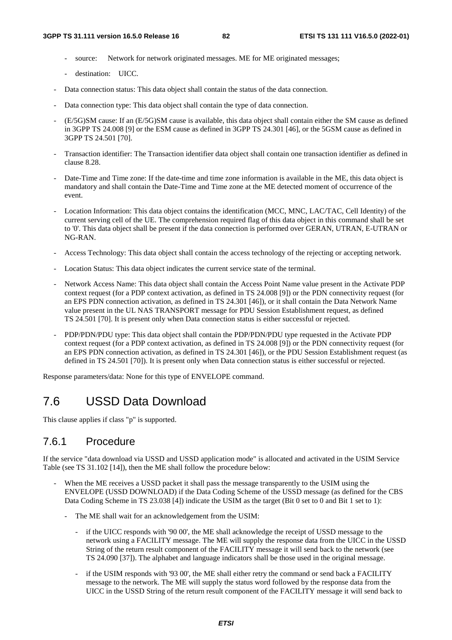- source: Network for network originated messages. ME for ME originated messages;
- destination: UICC.
- Data connection status: This data object shall contain the status of the data connection.
- Data connection type: This data object shall contain the type of data connection.
- (E/5G)SM cause: If an (E/5G)SM cause is available, this data object shall contain either the SM cause as defined in 3GPP TS 24.008 [9] or the ESM cause as defined in 3GPP TS 24.301 [46], or the 5GSM cause as defined in 3GPP TS 24.501 [70].
- Transaction identifier: The Transaction identifier data object shall contain one transaction identifier as defined in clause 8.28.
- Date-Time and Time zone: If the date-time and time zone information is available in the ME, this data object is mandatory and shall contain the Date-Time and Time zone at the ME detected moment of occurrence of the event.
- Location Information: This data object contains the identification (MCC, MNC, LAC/TAC, Cell Identity) of the current serving cell of the UE. The comprehension required flag of this data object in this command shall be set to '0'. This data object shall be present if the data connection is performed over GERAN, UTRAN, E-UTRAN or NG-RAN.
- Access Technology: This data object shall contain the access technology of the rejecting or accepting network.
- Location Status: This data object indicates the current service state of the terminal.
- Network Access Name: This data object shall contain the Access Point Name value present in the Activate PDP context request (for a PDP context activation, as defined in TS 24.008 [9]) or the PDN connectivity request (for an EPS PDN connection activation, as defined in TS 24.301 [46]), or it shall contain the Data Network Name value present in the UL NAS TRANSPORT message for PDU Session Establishment request, as defined TS 24.501 [70]. It is present only when Data connection status is either successful or rejected.
- PDP/PDN/PDU type: This data object shall contain the PDP/PDN/PDU type requested in the Activate PDP context request (for a PDP context activation, as defined in TS 24.008 [9]) or the PDN connectivity request (for an EPS PDN connection activation, as defined in TS 24.301 [46]), or the PDU Session Establishment request (as defined in TS 24.501 [70]). It is present only when Data connection status is either successful or rejected.

Response parameters/data: None for this type of ENVELOPE command.

# 7.6 USSD Data Download

This clause applies if class "p" is supported.

#### 7.6.1 Procedure

If the service "data download via USSD and USSD application mode" is allocated and activated in the USIM Service Table (see TS 31.102 [14]), then the ME shall follow the procedure below:

- When the ME receives a USSD packet it shall pass the message transparently to the USIM using the ENVELOPE (USSD DOWNLOAD) if the Data Coding Scheme of the USSD message (as defined for the CBS Data Coding Scheme in TS 23.038 [4]) indicate the USIM as the target (Bit 0 set to 0 and Bit 1 set to 1):
	- The ME shall wait for an acknowledgement from the USIM:
		- if the UICC responds with '90 00', the ME shall acknowledge the receipt of USSD message to the network using a FACILITY message. The ME will supply the response data from the UICC in the USSD String of the return result component of the FACILITY message it will send back to the network (see TS 24.090 [37]). The alphabet and language indicators shall be those used in the original message.
		- if the USIM responds with '93 00', the ME shall either retry the command or send back a FACILITY message to the network. The ME will supply the status word followed by the response data from the UICC in the USSD String of the return result component of the FACILITY message it will send back to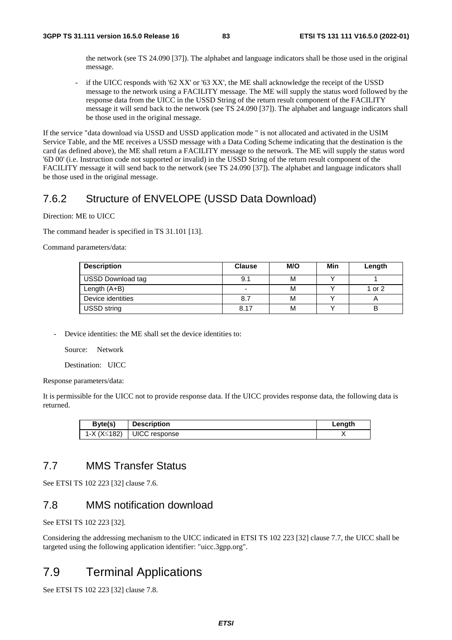the network (see TS 24.090 [37]). The alphabet and language indicators shall be those used in the original message.

- if the UICC responds with '62 XX' or '63 XX', the ME shall acknowledge the receipt of the USSD message to the network using a FACILITY message. The ME will supply the status word followed by the response data from the UICC in the USSD String of the return result component of the FACILITY message it will send back to the network (see TS 24.090 [37]). The alphabet and language indicators shall be those used in the original message.

If the service "data download via USSD and USSD application mode " is not allocated and activated in the USIM Service Table, and the ME receives a USSD message with a Data Coding Scheme indicating that the destination is the card (as defined above), the ME shall return a FACILITY message to the network. The ME will supply the status word '6D 00' (i.e. Instruction code not supported or invalid) in the USSD String of the return result component of the FACILITY message it will send back to the network (see TS 24.090 [37]). The alphabet and language indicators shall be those used in the original message.

## 7.6.2 Structure of ENVELOPE (USSD Data Download)

Direction: ME to UICC

The command header is specified in TS 31.101 [13].

Command parameters/data:

| <b>Description</b>       | <b>Clause</b>            | M/O | Min | Length |
|--------------------------|--------------------------|-----|-----|--------|
| <b>USSD Download tag</b> | 9.1                      | М   |     |        |
| Length $(A+B)$           | $\overline{\phantom{a}}$ | м   |     | 1 or 2 |
| Device identities        | 8.7                      | M   |     | ⌒      |
| <b>USSD string</b>       | 8.17                     | М   |     | B      |

Device identities: the ME shall set the device identities to:

Source: Network

Destination: UICC

Response parameters/data:

It is permissible for the UICC not to provide response data. If the UICC provides response data, the following data is returned.

| Byte(s)     | <b>Description</b> | Length |
|-------------|--------------------|--------|
| 1-X (X≤182) | UICC response      |        |
|             |                    |        |

### 7.7 MMS Transfer Status

See ETSI TS 102 223 [32] clause 7.6.

### 7.8 MMS notification download

See ETSI TS 102 223 [32].

Considering the addressing mechanism to the UICC indicated in ETSI TS 102 223 [32] clause 7.7, the UICC shall be targeted using the following application identifier: "uicc.3gpp.org".

## 7.9 Terminal Applications

See ETSI TS 102 223 [32] clause 7.8.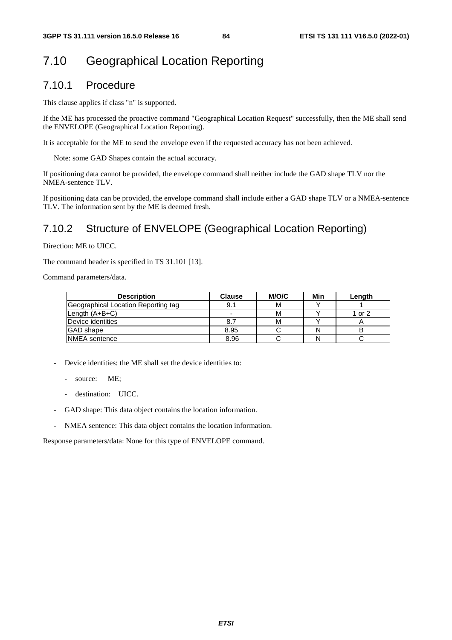# 7.10 Geographical Location Reporting

#### 7.10.1 Procedure

This clause applies if class "n" is supported.

If the ME has processed the proactive command "Geographical Location Request" successfully, then the ME shall send the ENVELOPE (Geographical Location Reporting).

It is acceptable for the ME to send the envelope even if the requested accuracy has not been achieved.

Note: some GAD Shapes contain the actual accuracy.

If positioning data cannot be provided, the envelope command shall neither include the GAD shape TLV nor the NMEA-sentence TLV.

If positioning data can be provided, the envelope command shall include either a GAD shape TLV or a NMEA-sentence TLV. The information sent by the ME is deemed fresh.

## 7.10.2 Structure of ENVELOPE (Geographical Location Reporting)

Direction: ME to UICC.

The command header is specified in TS 31.101 [13].

Command parameters/data.

| <b>Description</b>                  | <b>Clause</b> | M/O/C | Min | Length |
|-------------------------------------|---------------|-------|-----|--------|
| Geographical Location Reporting tag | 9.1           | м     |     |        |
| Length $(A+B+C)$                    | -             | м     |     | 1 or 2 |
| Device identities                   | 8.7           | м     |     |        |
| <b>GAD</b> shape                    | 8.95          |       |     | B      |
| <b>NMEA</b> sentence                | 8.96          |       |     |        |

- Device identities: the ME shall set the device identities to:
	- source: ME;
	- destination: UICC.
- GAD shape: This data object contains the location information.
- NMEA sentence: This data object contains the location information.

Response parameters/data: None for this type of ENVELOPE command.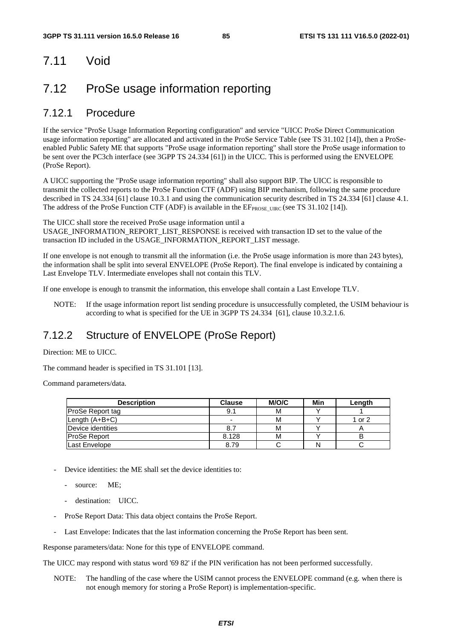# 7.11 Void

# 7.12 ProSe usage information reporting

### 7.12.1 Procedure

If the service "ProSe Usage Information Reporting configuration" and service "UICC ProSe Direct Communication usage information reporting" are allocated and activated in the ProSe Service Table (see TS 31.102 [14]), then a ProSeenabled Public Safety ME that supports "ProSe usage information reporting" shall store the ProSe usage information to be sent over the PC3ch interface (see 3GPP TS 24.334 [61]) in the UICC. This is performed using the ENVELOPE (ProSe Report).

A UICC supporting the "ProSe usage information reporting" shall also support BIP. The UICC is responsible to transmit the collected reports to the ProSe Function CTF (ADF) using BIP mechanism, following the same procedure described in TS 24.334 [61] clause 10.3.1 and using the communication security described in TS 24.334 [61] clause 4.1. The address of the ProSe Function CTF (ADF) is available in the  $EF_{PROSE-UIRC}$  (see TS 31.102 [14]).

The UICC shall store the received ProSe usage information until a USAGE\_INFORMATION\_REPORT\_LIST\_RESPONSE is received with transaction ID set to the value of the

transaction ID included in the USAGE\_INFORMATION\_REPORT\_LIST message.

If one envelope is not enough to transmit all the information (i.e. the ProSe usage information is more than 243 bytes), the information shall be split into several ENVELOPE (ProSe Report). The final envelope is indicated by containing a Last Envelope TLV. Intermediate envelopes shall not contain this TLV.

If one envelope is enough to transmit the information, this envelope shall contain a Last Envelope TLV.

NOTE: If the usage information report list sending procedure is unsuccessfully completed, the USIM behaviour is according to what is specified for the UE in 3GPP TS 24.334 [61], clause 10.3.2.1.6.

## 7.12.2 Structure of ENVELOPE (ProSe Report)

Direction: ME to UICC.

The command header is specified in TS 31.101 [13].

Command parameters/data.

| <b>Description</b>      | <b>Clause</b>            | M/O/C | Min | Length |
|-------------------------|--------------------------|-------|-----|--------|
| <b>ProSe Report tag</b> | 9.1                      | м     |     |        |
| $Lenath(A+B+C)$         | $\overline{\phantom{0}}$ | м     |     | 1 or 2 |
| Device identities       | 8.7                      | м     |     |        |
| <b>ProSe Report</b>     | 8.128                    | М     |     | B      |
| Last Envelope           | 8.79                     |       |     |        |

- Device identities: the ME shall set the device identities to:
	- source: ME;
	- destination: UICC.
- ProSe Report Data: This data object contains the ProSe Report.
- Last Envelope: Indicates that the last information concerning the ProSe Report has been sent.

Response parameters/data: None for this type of ENVELOPE command.

The UICC may respond with status word '69 82' if the PIN verification has not been performed successfully.

NOTE: The handling of the case where the USIM cannot process the ENVELOPE command (e.g. when there is not enough memory for storing a ProSe Report) is implementation-specific.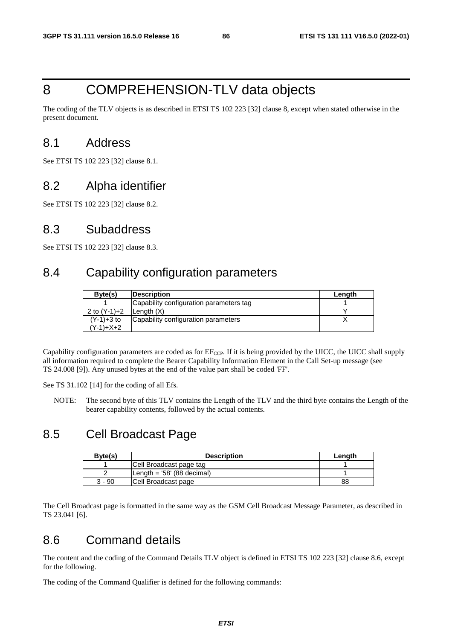# 8 COMPREHENSION-TLV data objects

The coding of the TLV objects is as described in ETSI TS 102 223 [32] clause 8, except when stated otherwise in the present document.

## 8.1 Address

See ETSI TS 102 223 [32] clause 8.1.

## 8.2 Alpha identifier

See ETSI TS 102 223 [32] clause 8.2.

## 8.3 Subaddress

See ETSI TS 102 223 [32] clause 8.3.

# 8.4 Capability configuration parameters

| Byte(s)      | <b>Description</b>                      | Lenath |
|--------------|-----------------------------------------|--------|
|              | Capability configuration parameters tag |        |
| 2 to (Y-1)+2 | Length (X)                              |        |
| $(Y-1)+3$ to | Capability configuration parameters     |        |
| $(Y-1)+X+2$  |                                         |        |

Capability configuration parameters are coded as for  $E_{CCP}$ . If it is being provided by the UICC, the UICC shall supply all information required to complete the Bearer Capability Information Element in the Call Set-up message (see TS 24.008 [9]). Any unused bytes at the end of the value part shall be coded 'FF'.

See TS 31.102 [14] for the coding of all Efs.

NOTE: The second byte of this TLV contains the Length of the TLV and the third byte contains the Length of the bearer capability contents, followed by the actual contents.

## 8.5 Cell Broadcast Page

| Byte(s) | <b>Description</b>          | Length |
|---------|-----------------------------|--------|
|         | Cell Broadcast page tag     |        |
|         | Length = $58'$ (88 decimal) |        |
| 3 - 90  | Cell Broadcast page         | 88     |

The Cell Broadcast page is formatted in the same way as the GSM Cell Broadcast Message Parameter, as described in TS 23.041 [6].

## 8.6 Command details

The content and the coding of the Command Details TLV object is defined in ETSI TS 102 223 [32] clause 8.6, except for the following.

The coding of the Command Qualifier is defined for the following commands: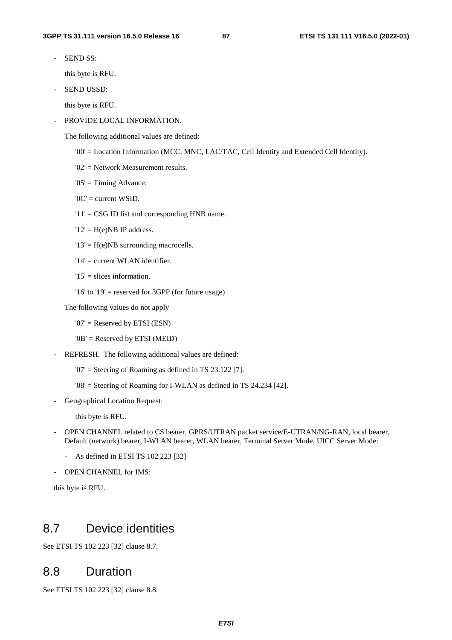SEND SS:

this byte is RFU.

SEND USSD:

this byte is RFU.

PROVIDE LOCAL INFORMATION.

The following additional values are defined:

- '00' = Location Information (MCC, MNC, LAC/TAC, Cell Identity and Extended Cell Identity).
- '02' = Network Measurement results.
- '05' = Timing Advance.
- '0C' = current WSID.
- '11' = CSG ID list and corresponding HNB name.
- $'12' = H(e)NB$  IP address.
- '13' = H(e)NB surrounding macrocells.
- '14' = current WLAN identifier.
- $'15'$  = slices information.
- '16' to '19' = reserved for 3GPP (for future usage)
- The following values do not apply
	- '07' = Reserved by ETSI (ESN)
	- '0B' = Reserved by ETSI (MEID)
- REFRESH. The following additional values are defined:
	- $'07'$  = Steering of Roaming as defined in TS 23.122 [7].
	- '08' = Steering of Roaming for I-WLAN as defined in TS 24.234 [42].
- Geographical Location Request:

this byte is RFU.

- OPEN CHANNEL related to CS bearer, GPRS/UTRAN packet service/E-UTRAN/NG-RAN, local bearer, Default (network) bearer, I-WLAN bearer, WLAN bearer, Terminal Server Mode, UICC Server Mode:
	- As defined in ETSI TS 102 223 [32]
- OPEN CHANNEL for IMS:

this byte is RFU.

## 8.7 Device identities

See ETSI TS 102 223 [32] clause 8.7.

## 8.8 Duration

See ETSI TS 102 223 [32] clause 8.8.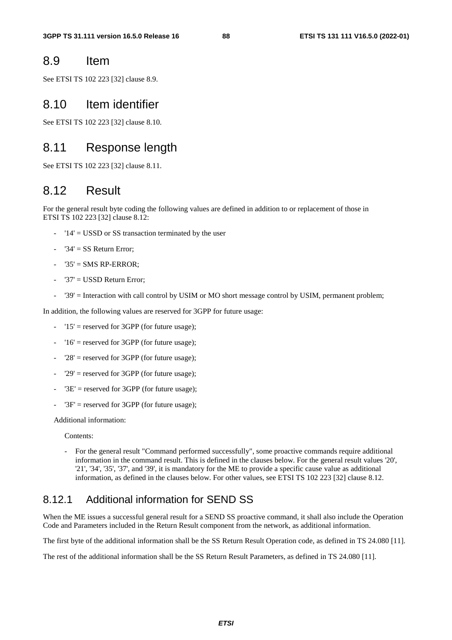### 8.9 Item

See ETSI TS 102 223 [32] clause 8.9.

## 8.10 Item identifier

See ETSI TS 102 223 [32] clause 8.10.

## 8.11 Response length

See ETSI TS 102 223 [32] clause 8.11.

## 8.12 Result

For the general result byte coding the following values are defined in addition to or replacement of those in ETSI TS 102 223 [32] clause 8.12:

- '14' = USSD or SS transaction terminated by the user
- ' $34' = SS$  Return Error;
- $'35' = SMS RP-ERROR$ :
- $'37' =$  USSD Return Error;
- '39' = Interaction with call control by USIM or MO short message control by USIM, permanent problem;

In addition, the following values are reserved for 3GPP for future usage:

- '15' = reserved for 3GPP (for future usage);
- $'16'$  = reserved for 3GPP (for future usage);
- $'28'$  = reserved for 3GPP (for future usage);
- '29' = reserved for 3GPP (for future usage);
- ' $3E'$  = reserved for  $3GPP$  (for future usage);
- ' $3F'$  = reserved for  $3GPP$  (for future usage);

Additional information:

Contents:

- For the general result "Command performed successfully", some proactive commands require additional information in the command result. This is defined in the clauses below. For the general result values '20', '21', '34', '35', '37', and '39', it is mandatory for the ME to provide a specific cause value as additional information, as defined in the clauses below. For other values, see ETSI TS 102 223 [32] clause 8.12.

## 8.12.1 Additional information for SEND SS

When the ME issues a successful general result for a SEND SS proactive command, it shall also include the Operation Code and Parameters included in the Return Result component from the network, as additional information.

The first byte of the additional information shall be the SS Return Result Operation code, as defined in TS 24.080 [11].

The rest of the additional information shall be the SS Return Result Parameters, as defined in TS 24.080 [11].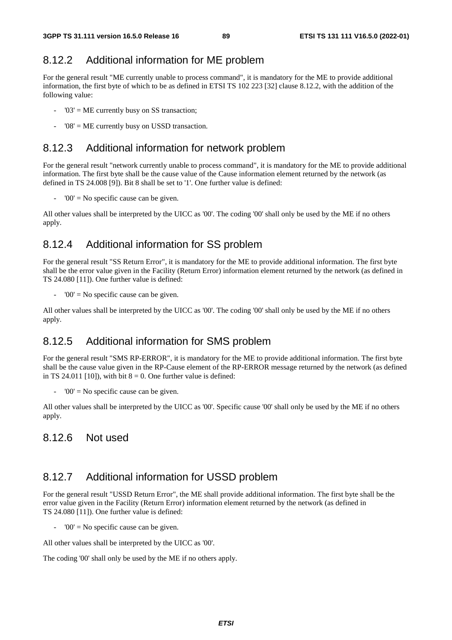## 8.12.2 Additional information for ME problem

For the general result "ME currently unable to process command", it is mandatory for the ME to provide additional information, the first byte of which to be as defined in ETSI TS 102 223 [32] clause 8.12.2, with the addition of the following value:

- $'03'$  = ME currently busy on SS transaction;
- $'08'$  = ME currently busy on USSD transaction.

### 8.12.3 Additional information for network problem

For the general result "network currently unable to process command", it is mandatory for the ME to provide additional information. The first byte shall be the cause value of the Cause information element returned by the network (as defined in TS 24.008 [9]). Bit 8 shall be set to '1'. One further value is defined:

 $'00'$  = No specific cause can be given.

All other values shall be interpreted by the UICC as '00'. The coding '00' shall only be used by the ME if no others apply.

### 8.12.4 Additional information for SS problem

For the general result "SS Return Error", it is mandatory for the ME to provide additional information. The first byte shall be the error value given in the Facility (Return Error) information element returned by the network (as defined in TS 24.080 [11]). One further value is defined:

 $'00'$  = No specific cause can be given.

All other values shall be interpreted by the UICC as '00'. The coding '00' shall only be used by the ME if no others apply.

## 8.12.5 Additional information for SMS problem

For the general result "SMS RP-ERROR", it is mandatory for the ME to provide additional information. The first byte shall be the cause value given in the RP-Cause element of the RP-ERROR message returned by the network (as defined in TS 24.011 [10]), with bit  $8 = 0$ . One further value is defined:

 $'00'$  = No specific cause can be given.

All other values shall be interpreted by the UICC as '00'. Specific cause '00' shall only be used by the ME if no others apply.

#### 8.12.6 Not used

### 8.12.7 Additional information for USSD problem

For the general result "USSD Return Error", the ME shall provide additional information. The first byte shall be the error value given in the Facility (Return Error) information element returned by the network (as defined in TS 24.080 [11]). One further value is defined:

 $'00'$  = No specific cause can be given.

All other values shall be interpreted by the UICC as '00'.

The coding '00' shall only be used by the ME if no others apply.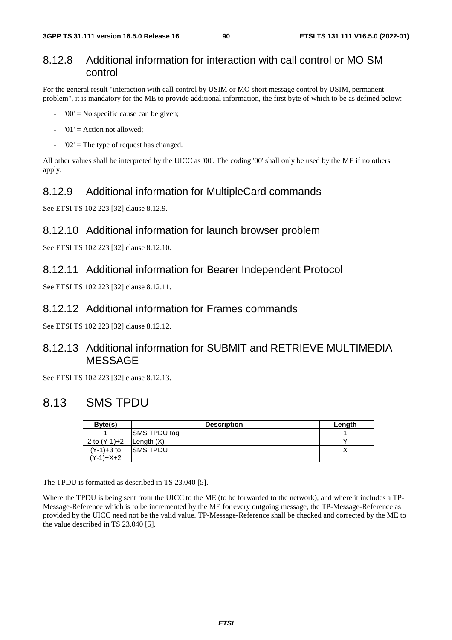#### 8.12.8 Additional information for interaction with call control or MO SM control

For the general result "interaction with call control by USIM or MO short message control by USIM, permanent problem", it is mandatory for the ME to provide additional information, the first byte of which to be as defined below:

- $'00'$  = No specific cause can be given:
- $'01'$  = Action not allowed;
- $'02'$  = The type of request has changed.

All other values shall be interpreted by the UICC as '00'. The coding '00' shall only be used by the ME if no others apply.

#### 8.12.9 Additional information for MultipleCard commands

See ETSI TS 102 223 [32] clause 8.12.9.

#### 8.12.10 Additional information for launch browser problem

See ETSI TS 102 223 [32] clause 8.12.10.

#### 8.12.11 Additional information for Bearer Independent Protocol

See ETSI TS 102 223 [32] clause 8.12.11.

#### 8.12.12 Additional information for Frames commands

See ETSI TS 102 223 [32] clause 8.12.12.

## 8.12.13 Additional information for SUBMIT and RETRIEVE MULTIMEDIA MESSAGE

See ETSI TS 102 223 [32] clause 8.12.13.

## 8.13 SMS TPDU

| Byte(s)      | <b>Description</b>   | Length |
|--------------|----------------------|--------|
|              | <b>ISMS TPDU tag</b> |        |
| 2 to (Y-1)+2 | Length $(X)$         |        |
| $(Y-1)+3$ to | ISMS TPDU            |        |
| (Y-1)+X+2    |                      |        |

The TPDU is formatted as described in TS 23.040 [5].

Where the TPDU is being sent from the UICC to the ME (to be forwarded to the network), and where it includes a TP-Message-Reference which is to be incremented by the ME for every outgoing message, the TP-Message-Reference as provided by the UICC need not be the valid value. TP-Message-Reference shall be checked and corrected by the ME to the value described in TS 23.040 [5].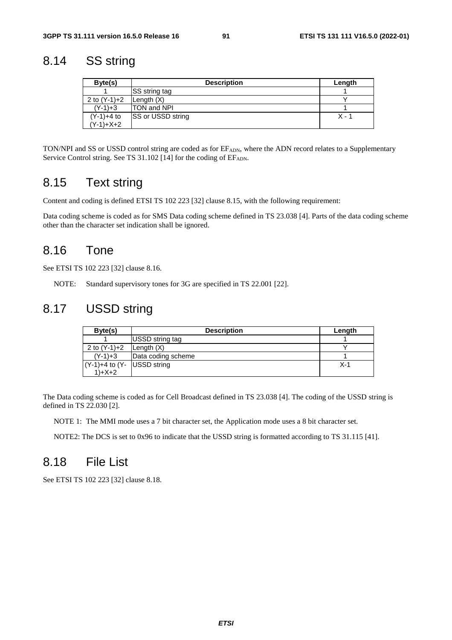## 8.14 SS string

| Byte(s)        | <b>Description</b>        | Length |
|----------------|---------------------------|--------|
|                | <b>SS</b> string tag      |        |
| 2 to $(Y-1)+2$ | Length $(X)$              |        |
| $(Y-1)+3$      | <b>TON and NPI</b>        |        |
| $(Y-1)+4$ to   | <b>ISS or USSD string</b> | X - 1  |
| (Y-1)+X+2      |                           |        |

TON/NPI and SS or USSD control string are coded as for EF<sub>ADN</sub>, where the ADN record relates to a Supplementary Service Control string. See TS 31.102 [14] for the coding of EFADN.

## 8.15 Text string

Content and coding is defined ETSI TS 102 223 [32] clause 8.15, with the following requirement:

Data coding scheme is coded as for SMS Data coding scheme defined in TS 23.038 [4]. Parts of the data coding scheme other than the character set indication shall be ignored.

## 8.16 Tone

See ETSI TS 102 223 [32] clause 8.16.

NOTE: Standard supervisory tones for 3G are specified in TS 22.001 [22].

## 8.17 USSD string

| Byte(s)                        | <b>Description</b> | Length |
|--------------------------------|--------------------|--------|
|                                | USSD string tag    |        |
| 2 to $(Y-1)+2$                 | Length $(X)$       |        |
| $(Y-1)+3$                      | Data coding scheme |        |
| $(Y-1)+4$ to $(Y-$ USSD string |                    | $X-1$  |
| $1)+X+2$                       |                    |        |

The Data coding scheme is coded as for Cell Broadcast defined in TS 23.038 [4]. The coding of the USSD string is defined in TS 22.030 [2].

NOTE 1: The MMI mode uses a 7 bit character set, the Application mode uses a 8 bit character set.

NOTE2: The DCS is set to 0x96 to indicate that the USSD string is formatted according to TS 31.115 [41].

## 8.18 File List

See ETSI TS 102 223 [32] clause 8.18.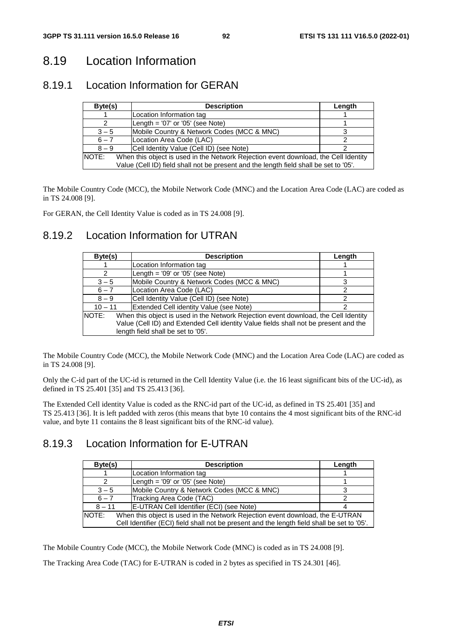# 8.19 Location Information

## 8.19.1 Location Information for GERAN

| Byte(s)                                                                                      | <b>Description</b>                         | Length |
|----------------------------------------------------------------------------------------------|--------------------------------------------|--------|
|                                                                                              | Location Information tag                   |        |
| 2                                                                                            | Length = $'07'$ or $'05'$ (see Note)       |        |
| $3 - 5$                                                                                      | Mobile Country & Network Codes (MCC & MNC) |        |
| $6 - 7$                                                                                      | Location Area Code (LAC)                   |        |
| $8 - 9$                                                                                      | Cell Identity Value (Cell ID) (see Note)   |        |
| NOTE:<br>When this object is used in the Network Rejection event download, the Cell Identity |                                            |        |
| Value (Cell ID) field shall not be present and the length field shall be set to '05'.        |                                            |        |

The Mobile Country Code (MCC), the Mobile Network Code (MNC) and the Location Area Code (LAC) are coded as in TS 24.008 [9].

For GERAN, the Cell Identity Value is coded as in TS 24.008 [9].

### 8.19.2 Location Information for UTRAN

| Byte(s)       | <b>Description</b>                                                                                                                                                                                                | Length |
|---------------|-------------------------------------------------------------------------------------------------------------------------------------------------------------------------------------------------------------------|--------|
|               | Location Information tag                                                                                                                                                                                          |        |
| 2             | Length = $'09'$ or $'05'$ (see Note)                                                                                                                                                                              |        |
| $3 - 5$       | Mobile Country & Network Codes (MCC & MNC)                                                                                                                                                                        |        |
| $6 - 7$       | Location Area Code (LAC)                                                                                                                                                                                          | っ      |
| $8 - 9$       | Cell Identity Value (Cell ID) (see Note)                                                                                                                                                                          |        |
| $10 - 11$     | Extended Cell identity Value (see Note)                                                                                                                                                                           |        |
| <b>INOTE:</b> | When this object is used in the Network Rejection event download, the Cell Identity<br>Value (Cell ID) and Extended Cell identity Value fields shall not be present and the<br>length field shall be set to '05'. |        |

The Mobile Country Code (MCC), the Mobile Network Code (MNC) and the Location Area Code (LAC) are coded as in TS 24.008 [9].

Only the C-id part of the UC-id is returned in the Cell Identity Value (i.e. the 16 least significant bits of the UC-id), as defined in TS 25.401 [35] and TS 25.413 [36].

The Extended Cell identity Value is coded as the RNC-id part of the UC-id, as defined in TS 25.401 [35] and TS 25.413 [36]. It is left padded with zeros (this means that byte 10 contains the 4 most significant bits of the RNC-id value, and byte 11 contains the 8 least significant bits of the RNC-id value).

## 8.19.3 Location Information for E-UTRAN

| Byte(s)                                                                                       | <b>Description</b>                         | Length |
|-----------------------------------------------------------------------------------------------|--------------------------------------------|--------|
|                                                                                               | Location Information tag                   |        |
|                                                                                               | Length = '09' or '05' (see Note)           |        |
| $3 - 5$                                                                                       | Mobile Country & Network Codes (MCC & MNC) |        |
| $6 - 7$                                                                                       | Tracking Area Code (TAC)                   |        |
| $8 - 11$                                                                                      | E-UTRAN Cell Identifier (ECI) (see Note)   |        |
| <b>NOTE:</b><br>When this object is used in the Network Rejection event download, the E-UTRAN |                                            |        |
| Cell Identifier (ECI) field shall not be present and the length field shall be set to '05'.   |                                            |        |

The Mobile Country Code (MCC), the Mobile Network Code (MNC) is coded as in TS 24.008 [9].

The Tracking Area Code (TAC) for E-UTRAN is coded in 2 bytes as specified in TS 24.301 [46].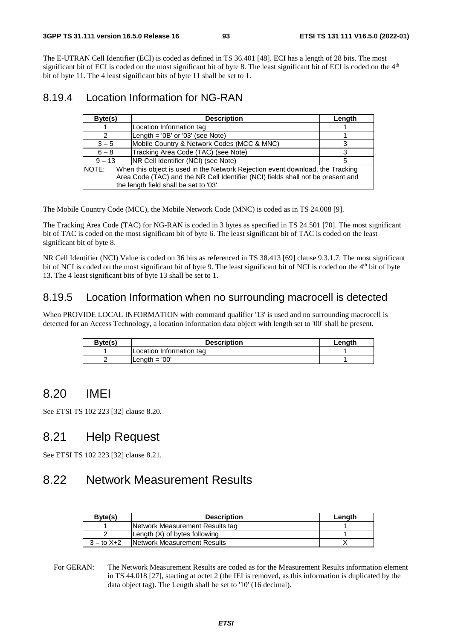The E-UTRAN Cell Identifier (ECI) is coded as defined in TS 36.401 [48]. ECI has a length of 28 bits. The most significant bit of ECI is coded on the most significant bit of byte 8. The least significant bit of ECI is coded on the 4<sup>th</sup> bit of byte 11. The 4 least significant bits of byte 11 shall be set to 1.

### 8.19.4 Location Information for NG-RAN

| Byte(s)                                                                                                                                                                                                               | <b>Description</b>                              | Length |
|-----------------------------------------------------------------------------------------------------------------------------------------------------------------------------------------------------------------------|-------------------------------------------------|--------|
|                                                                                                                                                                                                                       | Location Information tag                        |        |
| 2                                                                                                                                                                                                                     | Length = $\text{OB}$ or $\text{O}3'$ (see Note) |        |
| $3 - 5$                                                                                                                                                                                                               | Mobile Country & Network Codes (MCC & MNC)      |        |
| $6 - 8$                                                                                                                                                                                                               | Tracking Area Code (TAC) (see Note)             |        |
| $9 - 13$                                                                                                                                                                                                              | <b>NR Cell Identifier (NCI) (see Note)</b>      | 5      |
| NOTE:<br>When this object is used in the Network Rejection event download, the Tracking<br>Area Code (TAC) and the NR Cell Identifier (NCI) fields shall not be present and<br>the length field shall be set to '03'. |                                                 |        |

The Mobile Country Code (MCC), the Mobile Network Code (MNC) is coded as in TS 24.008 [9].

The Tracking Area Code (TAC) for NG-RAN is coded in 3 bytes as specified in TS 24.501 [70]. The most significant bit of TAC is coded on the most significant bit of byte 6. The least significant bit of TAC is coded on the least significant bit of byte 8.

NR Cell Identifier (NCI) Value is coded on 36 bits as referenced in TS 38.413 [69] clause 9.3.1.7. The most significant bit of NCI is coded on the most significant bit of byte 9. The least significant bit of NCI is coded on the 4<sup>th</sup> bit of byte 13. The 4 least significant bits of byte 13 shall be set to 1.

### 8.19.5 Location Information when no surrounding macrocell is detected

When PROVIDE LOCAL INFORMATION with command qualifier '13' is used and no surrounding macrocell is detected for an Access Technology, a location information data object with length set to '00' shall be present.

| Byte(s) | <b>Description</b>       | Lenath |
|---------|--------------------------|--------|
|         | Location Information tag |        |
|         | Length $=$ '00'          |        |

## 8.20 IMEI

See ETSI TS 102 223 [32] clause 8.20.

# 8.21 Help Request

See ETSI TS 102 223 [32] clause 8.21.

## 8.22 Network Measurement Results

| Byte(s)          | <b>Description</b>              | Length |
|------------------|---------------------------------|--------|
|                  | Network Measurement Results tag |        |
|                  | Length (X) of bytes following   |        |
| $3 -$ to $X + 2$ | Network Measurement Results     |        |

For GERAN: The Network Measurement Results are coded as for the Measurement Results information element in TS 44.018 [27], starting at octet 2 (the IEI is removed, as this information is duplicated by the data object tag). The Length shall be set to '10' (16 decimal).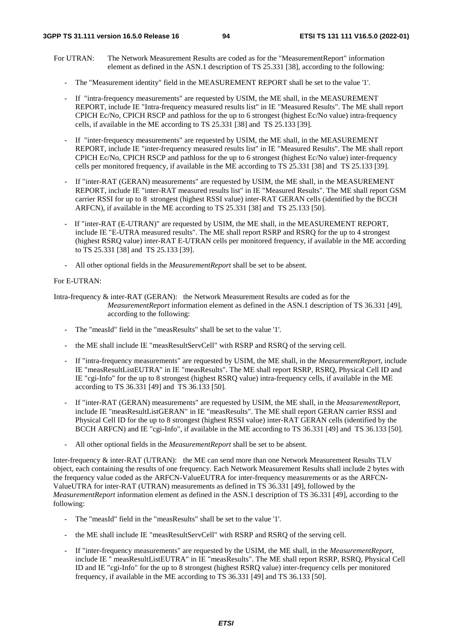#### **3GPP TS 31.111 version 16.5.0 Release 16 94 ETSI TS 131 111 V16.5.0 (2022-01)**

- For UTRAN: The Network Measurement Results are coded as for the "MeasurementReport" information element as defined in the ASN.1 description of TS 25.331 [38], according to the following:
	- The "Measurement identity" field in the MEASUREMENT REPORT shall be set to the value '1'.
	- If "intra-frequency measurements" are requested by USIM, the ME shall, in the MEASUREMENT REPORT, include IE "Intra-frequency measured results list" in IE "Measured Results". The ME shall report CPICH Ec/No, CPICH RSCP and pathloss for the up to 6 strongest (highest Ec/No value) intra-frequency cells, if available in the ME according to TS 25.331 [38] and TS 25.133 [39].
	- If "inter-frequency measurements" are requested by USIM, the ME shall, in the MEASUREMENT REPORT, include IE "inter-frequency measured results list" in IE "Measured Results". The ME shall report CPICH Ec/No, CPICH RSCP and pathloss for the up to 6 strongest (highest Ec/No value) inter-frequency cells per monitored frequency, if available in the ME according to TS 25.331 [38] and TS 25.133 [39].
	- If "inter-RAT (GERAN) measurements" are requested by USIM, the ME shall, in the MEASUREMENT REPORT, include IE "inter-RAT measured results list" in IE "Measured Results". The ME shall report GSM carrier RSSI for up to 8 strongest (highest RSSI value) inter-RAT GERAN cells (identified by the BCCH ARFCN), if available in the ME according to TS 25.331 [38] and TS 25.133 [50].
	- If "inter-RAT (E-UTRAN)" are requested by USIM, the ME shall, in the MEASUREMENT REPORT, include IE "E-UTRA measured results". The ME shall report RSRP and RSRQ for the up to 4 strongest (highest RSRQ value) inter-RAT E-UTRAN cells per monitored frequency, if available in the ME according to TS 25.331 [38] and TS 25.133 [39].
	- All other optional fields in the *MeasurementReport* shall be set to be absent.

#### For E-UTRAN:

Intra-frequency & inter-RAT (GERAN): the Network Measurement Results are coded as for the *MeasurementReport* information element as defined in the ASN.1 description of TS 36.331 [49], according to the following:

- The "measId" field in the "measResults" shall be set to the value '1'.
- the ME shall include IE "measResultServCell" with RSRP and RSRQ of the serving cell.
- If "intra-frequency measurements" are requested by USIM, the ME shall, in the *MeasurementReport*, include IE "measResultListEUTRA" in IE "measResults". The ME shall report RSRP, RSRQ, Physical Cell ID and IE "cgi-Info" for the up to 8 strongest (highest RSRQ value) intra-frequency cells, if available in the ME according to TS 36.331 [49] and TS 36.133 [50].
- If "inter-RAT (GERAN) measurements" are requested by USIM, the ME shall, in the *MeasurementReport*, include IE "measResultListGERAN" in IE "measResults". The ME shall report GERAN carrier RSSI and Physical Cell ID for the up to 8 strongest (highest RSSI value) inter-RAT GERAN cells (identified by the BCCH ARFCN) and IE "cgi-Info", if available in the ME according to TS 36.331 [49] and TS 36.133 [50].
- All other optional fields in the *MeasurementReport* shall be set to be absent.

Inter-frequency & inter-RAT (UTRAN): the ME can send more than one Network Measurement Results TLV object, each containing the results of one frequency. Each Network Measurement Results shall include 2 bytes with the frequency value coded as the ARFCN-ValueEUTRA for inter-frequency measurements or as the ARFCN-ValueUTRA for inter-RAT (UTRAN) measurements as defined in TS 36.331 [49], followed by the *MeasurementReport* information element as defined in the ASN.1 description of TS 36.331 [49], according to the following:

- The "measId" field in the "measResults" shall be set to the value '1'.
- the ME shall include IE "measResultServCell" with RSRP and RSRQ of the serving cell.
- If "inter-frequency measurements" are requested by the USIM, the ME shall, in the *MeasurementReport*, include IE " measResultListEUTRA" in IE "measResults". The ME shall report RSRP, RSRQ, Physical Cell ID and IE "cgi-Info" for the up to 8 strongest (highest RSRQ value) inter-frequency cells per monitored frequency, if available in the ME according to TS 36.331 [49] and TS 36.133 [50].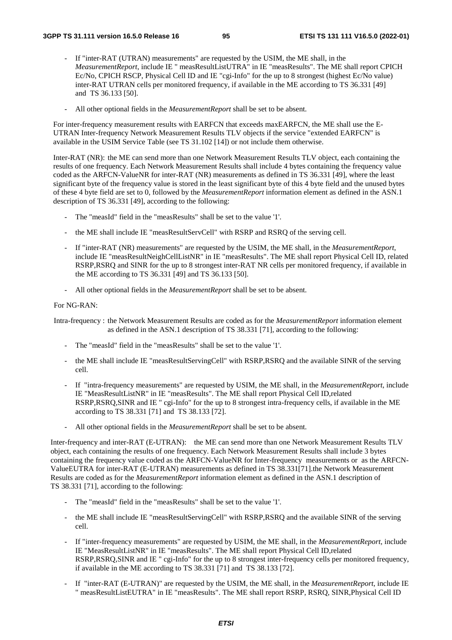- If "inter-RAT (UTRAN) measurements" are requested by the USIM, the ME shall, in the *MeasurementReport*, include IE " measResultListUTRA" in IE "measResults". The ME shall report CPICH Ec/No, CPICH RSCP, Physical Cell ID and IE "cgi-Info" for the up to 8 strongest (highest Ec/No value) inter-RAT UTRAN cells per monitored frequency, if available in the ME according to TS 36.331 [49] and TS 36.133 [50].
- All other optional fields in the *MeasurementReport* shall be set to be absent.

For inter-frequency measurement results with EARFCN that exceeds maxEARFCN, the ME shall use the E-UTRAN Inter-frequency Network Measurement Results TLV objects if the service "extended EARFCN" is available in the USIM Service Table (see TS 31.102 [14]) or not include them otherwise.

Inter-RAT (NR): the ME can send more than one Network Measurement Results TLV object, each containing the results of one frequency. Each Network Measurement Results shall include 4 bytes containing the frequency value coded as the ARFCN-ValueNR for inter-RAT (NR) measurements as defined in TS 36.331 [49], where the least significant byte of the frequency value is stored in the least significant byte of this 4 byte field and the unused bytes of these 4 byte field are set to 0, followed by the *MeasurementReport* information element as defined in the ASN.1 description of TS 36.331 [49], according to the following:

- The "measId" field in the "measResults" shall be set to the value '1'.
- the ME shall include IE "measResultServCell" with RSRP and RSRQ of the serving cell.
- If "inter-RAT (NR) measurements" are requested by the USIM, the ME shall, in the *MeasurementReport*, include IE "measResultNeighCellListNR" in IE "measResults". The ME shall report Physical Cell ID, related RSRP,RSRQ and SINR for the up to 8 strongest inter-RAT NR cells per monitored frequency, if available in the ME according to TS 36.331 [49] and TS 36.133 [50].
- All other optional fields in the *MeasurementReport* shall be set to be absent.

#### For NG-RAN:

Intra-frequency : the Network Measurement Results are coded as for the *MeasurementReport* information element as defined in the ASN.1 description of TS 38.331 [71], according to the following:

- The "measId" field in the "measResults" shall be set to the value '1'.
- the ME shall include IE "measResultServingCell" with RSRP,RSRQ and the available SINR of the serving cell.
- If "intra-frequency measurements" are requested by USIM, the ME shall, in the *MeasurementReport*, include IE "MeasResultListNR" in IE "measResults". The ME shall report Physical Cell ID,related RSRP,RSRQ,SINR and IE " cgi-Info" for the up to 8 strongest intra-frequency cells, if available in the ME according to TS 38.331 [71] and TS 38.133 [72].
- All other optional fields in the *MeasurementReport* shall be set to be absent.

Inter-frequency and inter-RAT (E-UTRAN): the ME can send more than one Network Measurement Results TLV object, each containing the results of one frequency. Each Network Measurement Results shall include 3 bytes containing the frequency value coded as the ARFCN-ValueNR for Inter-frequency measurements or as the ARFCN-ValueEUTRA for inter-RAT (E-UTRAN) measurements as defined in TS 38.331[71].the Network Measurement Results are coded as for the *MeasurementReport* information element as defined in the ASN.1 description of TS 38.331 [71], according to the following:

- The "measId" field in the "measResults" shall be set to the value '1'.
- the ME shall include IE "measResultServingCell" with RSRP,RSRQ and the available SINR of the serving cell.
- If "inter-frequency measurements" are requested by USIM, the ME shall, in the *MeasurementReport*, include IE "MeasResultListNR" in IE "measResults". The ME shall report Physical Cell ID,related RSRP,RSRQ,SINR and IE " cgi-Info" for the up to 8 strongest inter-frequency cells per monitored frequency, if available in the ME according to TS 38.331 [71] and TS 38.133 [72].
- If "inter-RAT (E-UTRAN)" are requested by the USIM, the ME shall, in the *MeasurementReport*, include IE " measResultListEUTRA" in IE "measResults". The ME shall report RSRP, RSRQ, SINR,Physical Cell ID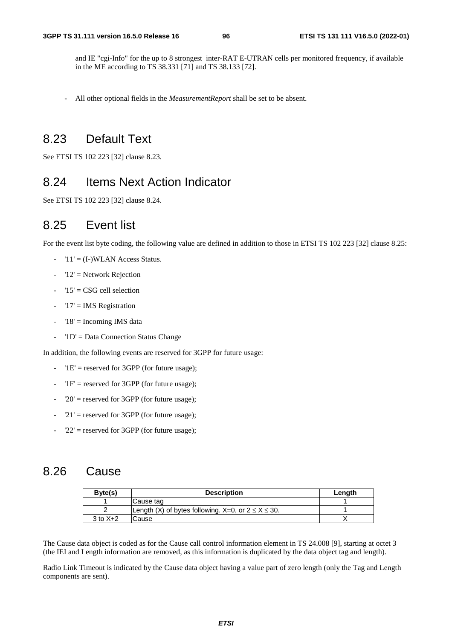and IE "cgi-Info" for the up to 8 strongest inter-RAT E-UTRAN cells per monitored frequency, if available in the ME according to TS 38.331 [71] and TS 38.133 [72].

- All other optional fields in the *MeasurementReport* shall be set to be absent.

## 8.23 Default Text

See ETSI TS 102 223 [32] clause 8.23.

# 8.24 Items Next Action Indicator

See ETSI TS 102 223 [32] clause 8.24.

## 8.25 Event list

For the event list byte coding, the following value are defined in addition to those in ETSI TS 102 223 [32] clause 8.25:

- $-$  '11' = (I-)WLAN Access Status.
- $-$  '12' = Network Rejection
- $'15' = \text{CSG}$  cell selection
- $-$  '17' = IMS Registration
- $-$  '18' = Incoming IMS data
- '1D' = Data Connection Status Change

In addition, the following events are reserved for 3GPP for future usage:

- $-$  '1E' = reserved for 3GPP (for future usage);
- $'1F'$  = reserved for 3GPP (for future usage);
- $'20'$  = reserved for 3GPP (for future usage);
- $21'$  = reserved for 3GPP (for future usage);
- $22'$  = reserved for 3GPP (for future usage);

### 8.26 Cause

| Byte(s)      | <b>Description</b>                                        | Lenath |
|--------------|-----------------------------------------------------------|--------|
|              | Cause tag                                                 |        |
|              | Length (X) of bytes following. X=0, or $2 \le X \le 30$ . |        |
| $3$ to $X+2$ | Cause                                                     |        |

The Cause data object is coded as for the Cause call control information element in TS 24.008 [9], starting at octet 3 (the IEI and Length information are removed, as this information is duplicated by the data object tag and length).

Radio Link Timeout is indicated by the Cause data object having a value part of zero length (only the Tag and Length components are sent).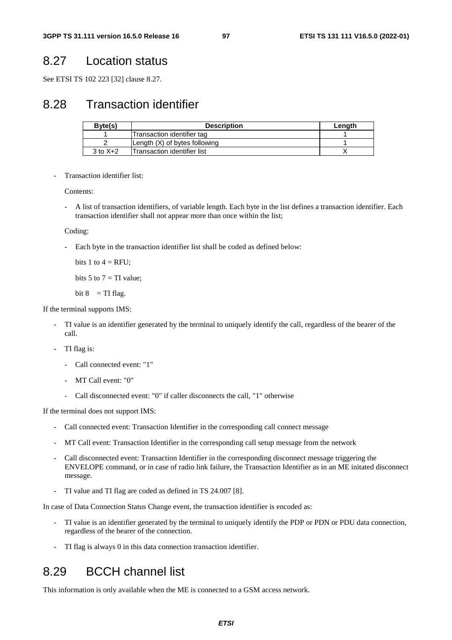# 8.27 Location status

See ETSI TS 102 223 [32] clause 8.27.

# 8.28 Transaction identifier

| Byte(s)      | <b>Description</b>                 | Length |
|--------------|------------------------------------|--------|
|              | Transaction identifier tag         |        |
|              | Length (X) of bytes following      |        |
| $3$ to $X+2$ | <b>Transaction identifier list</b> |        |

Transaction identifier list:

Contents:

- A list of transaction identifiers, of variable length. Each byte in the list defines a transaction identifier. Each transaction identifier shall not appear more than once within the list;

Coding:

Each byte in the transaction identifier list shall be coded as defined below:

bits 1 to  $4 =$  RFU;

bits 5 to  $7 = TI$  value;

bit  $8 = TI$  flag.

#### If the terminal supports IMS:

- TI value is an identifier generated by the terminal to uniquely identify the call, regardless of the bearer of the call.
- TI flag is:
	- Call connected event: "1"
	- MT Call event: "0"
	- Call disconnected event: "0" if caller disconnects the call, "1" otherwise

If the terminal does not support IMS:

- Call connected event: Transaction Identifier in the corresponding call connect message
- MT Call event: Transaction Identifier in the corresponding call setup message from the network
- Call disconnected event: Transaction Identifier in the corresponding disconnect message triggering the ENVELOPE command, or in case of radio link failure, the Transaction Identifier as in an ME initated disconnect message.
- TI value and TI flag are coded as defined in TS 24.007 [8].

In case of Data Connection Status Change event, the transaction identifier is encoded as:

- TI value is an identifier generated by the terminal to uniquely identify the PDP or PDN or PDU data connection, regardless of the bearer of the connection.
- TI flag is always 0 in this data connection transaction identifier.

## 8.29 BCCH channel list

This information is only available when the ME is connected to a GSM access network.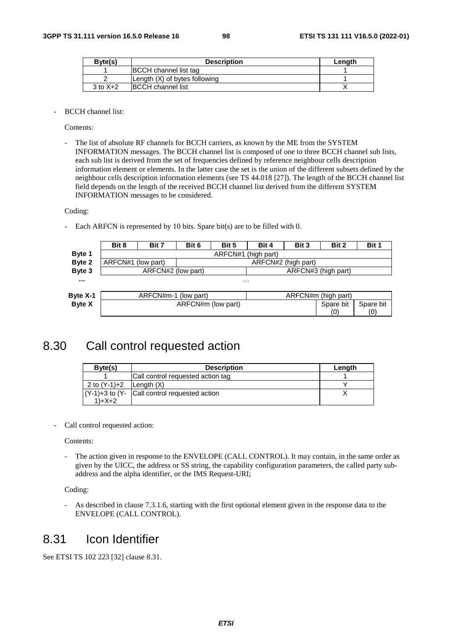| Byte(s)      | <b>Description</b>            | Lenath |
|--------------|-------------------------------|--------|
|              | <b>BCCH</b> channel list tag  |        |
|              | Length (X) of bytes following |        |
| $3$ to $X+2$ | <b>BCCH</b> channel list      |        |

- BCCH channel list:

Contents:

The list of absolute RF channels for BCCH carriers, as known by the ME from the SYSTEM INFORMATION messages. The BCCH channel list is composed of one to three BCCH channel sub lists, each sub list is derived from the set of frequencies defined by reference neighbour cells description information element or elements. In the latter case the set is the union of the different subsets defined by the neighbour cells description information elements (see TS 44.018 [27]). The length of the BCCH channel list field depends on the length of the received BCCH channel list derived from the different SYSTEM INFORMATION messages to be considered.

Coding:

- Each ARFCN is represented by 10 bits. Spare bit(s) are to be filled with 0.

|               | Bit 8              | Bit 7                | Bit 6                           | Bit 5               | Bit 4               | Bit 3     | Bit 2               | Bit 1 |
|---------------|--------------------|----------------------|---------------------------------|---------------------|---------------------|-----------|---------------------|-------|
| Byte 1        |                    |                      |                                 | ARFCN#1 (high part) |                     |           |                     |       |
| Byte 2        | ARFCN#1 (low part) |                      |                                 |                     | ARFCN#2 (high part) |           |                     |       |
| Byte 3        |                    | ARFCN#2 (low part)   |                                 |                     |                     |           | ARFCN#3 (high part) |       |
| $\cdots$      |                    |                      |                                 | $\cdots$            |                     |           |                     |       |
| Byte X-1      |                    | ARFCN#m-1 (low part) |                                 |                     |                     |           | ARFCN#m (high part) |       |
| <b>Byte X</b> |                    |                      | ARFCN#m (low part)<br>Spare bit |                     |                     | Spare bit |                     |       |
|               |                    |                      |                                 |                     |                     |           | (0)                 | (0)   |

## 8.30 Call control requested action

| Byte(s)                     | <b>Description</b>                               | Length |
|-----------------------------|--------------------------------------------------|--------|
|                             | Call control requested action tag                |        |
| 2 to $(Y-1)+2$ Length $(X)$ |                                                  |        |
|                             | $(Y-1)+3$ to $(Y- Call$ control requested action |        |
| $1+X+2$                     |                                                  |        |

Call control requested action:

Contents:

- The action given in response to the ENVELOPE (CALL CONTROL). It may contain, in the same order as given by the UICC, the address or SS string, the capability configuration parameters, the called party subaddress and the alpha identifier, or the IMS Request-URI;

Coding:

- As described in clause 7.3.1.6, starting with the first optional element given in the response data to the ENVELOPE (CALL CONTROL).

## 8.31 Icon Identifier

See ETSI TS 102 223 [32] clause 8.31.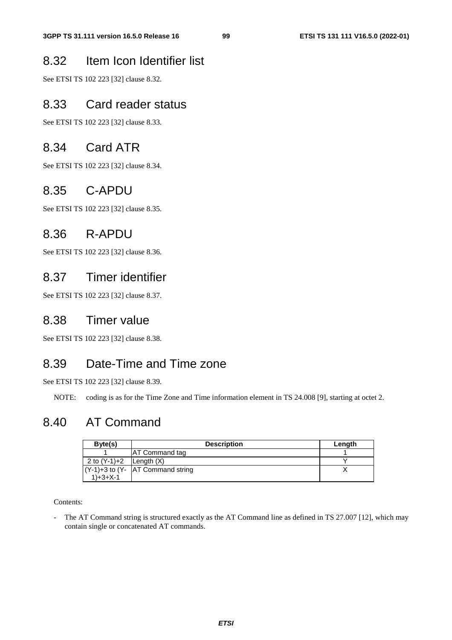# 8.32 Item Icon Identifier list

See ETSI TS 102 223 [32] clause 8.32.

## 8.33 Card reader status

See ETSI TS 102 223 [32] clause 8.33.

## 8.34 Card ATR

See ETSI TS 102 223 [32] clause 8.34.

# 8.35 C-APDU

See ETSI TS 102 223 [32] clause 8.35.

## 8.36 R-APDU

See ETSI TS 102 223 [32] clause 8.36.

## 8.37 Timer identifier

See ETSI TS 102 223 [32] clause 8.37.

## 8.38 Timer value

See ETSI TS 102 223 [32] clause 8.38.

## 8.39 Date-Time and Time zone

See ETSI TS 102 223 [32] clause 8.39.

NOTE: coding is as for the Time Zone and Time information element in TS 24.008 [9], starting at octet 2.

## 8.40 AT Command

| Byte(s)      | <b>Description</b>                   | Length |
|--------------|--------------------------------------|--------|
|              | <b>AT Command tag</b>                |        |
| 2 to (Y-1)+2 | Lenath(X)                            |        |
|              | $(Y-1)+3$ to $(Y-$ AT Command string |        |
| $1+3+X-1$    |                                      |        |

Contents:

- The AT Command string is structured exactly as the AT Command line as defined in TS 27.007 [12], which may contain single or concatenated AT commands.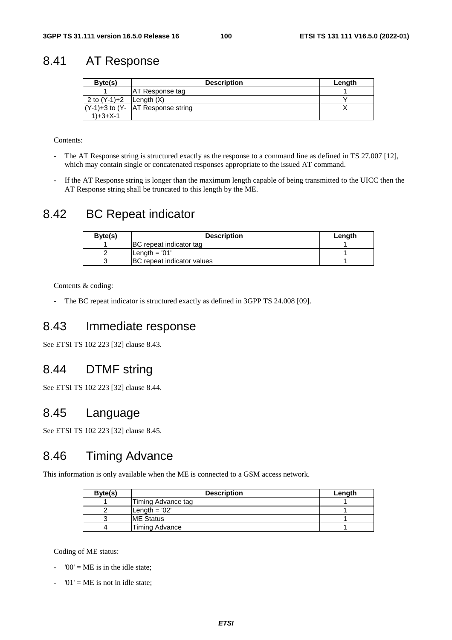# 8.41 AT Response

| Byte(s)                       | <b>Description</b>                    | Length |
|-------------------------------|---------------------------------------|--------|
|                               | AT Response tag                       |        |
| 2 to $(Y-1)+2$   Length $(X)$ |                                       |        |
|                               | $(Y-1)+3$ to $(Y- AT$ Response string |        |
| $1+3+X-1$                     |                                       |        |

Contents:

- The AT Response string is structured exactly as the response to a command line as defined in TS 27.007 [12], which may contain single or concatenated responses appropriate to the issued AT command.
- If the AT Response string is longer than the maximum length capable of being transmitted to the UICC then the AT Response string shall be truncated to this length by the ME.

## 8.42 BC Repeat indicator

| Byte(s) | <b>Description</b>             | Length |
|---------|--------------------------------|--------|
|         | <b>BC</b> repeat indicator tag |        |
|         | Length = '01'                  |        |
|         | IBC repeat indicator values    |        |

Contents & coding:

- The BC repeat indicator is structured exactly as defined in 3GPP TS 24.008 [09].

## 8.43 Immediate response

See ETSI TS 102 223 [32] clause 8.43.

## 8.44 DTMF string

See ETSI TS 102 223 [32] clause 8.44.

## 8.45 Language

See ETSI TS 102 223 [32] clause 8.45.

## 8.46 Timing Advance

This information is only available when the ME is connected to a GSM access network.

| Byte(s) | <b>Description</b> | Length |
|---------|--------------------|--------|
|         | Timing Advance tag |        |
|         | Length $= 02'$     |        |
|         | <b>IME Status</b>  |        |
|         | Timing Advance     |        |

Coding of ME status:

- $'00' = ME$  is in the idle state;
- $'01' = ME$  is not in idle state;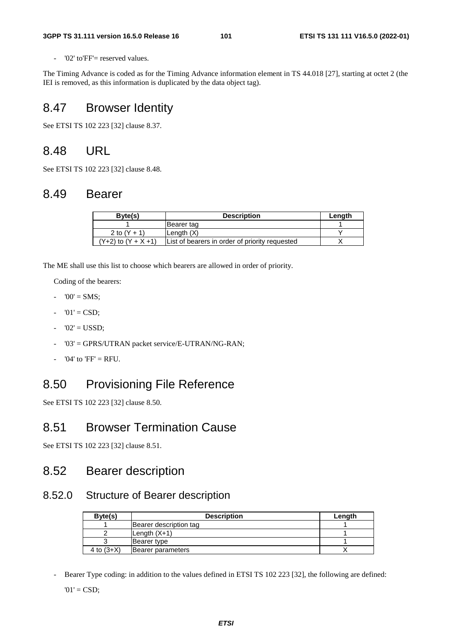'02' to'FF'= reserved values.

The Timing Advance is coded as for the Timing Advance information element in TS 44.018 [27], starting at octet 2 (the IEI is removed, as this information is duplicated by the data object tag).

# 8.47 Browser Identity

See ETSI TS 102 223 [32] clause 8.37.

# 8.48 URL

See ETSI TS 102 223 [32] clause 8.48.

# 8.49 Bearer

| Byte(s)                  | <b>Description</b>                             | Length |
|--------------------------|------------------------------------------------|--------|
|                          | Bearer tag                                     |        |
| 2 to $(Y + 1)$           | Length $(X)$                                   |        |
| $(Y+2)$ to $(Y + X + 1)$ | List of bearers in order of priority requested |        |

The ME shall use this list to choose which bearers are allowed in order of priority.

Coding of the bearers:

- $-$  '00' = SMS:
- $01' = CSD;$
- $-$  '02' = USSD;
- '03' = GPRS/UTRAN packet service/E-UTRAN/NG-RAN;
- ' $04'$  to ' $FF' = RFI$ .

## 8.50 Provisioning File Reference

See ETSI TS 102 223 [32] clause 8.50.

## 8.51 Browser Termination Cause

See ETSI TS 102 223 [32] clause 8.51.

## 8.52 Bearer description

#### 8.52.0 Structure of Bearer description

| Byte(s)      | <b>Description</b>     | Length |
|--------------|------------------------|--------|
|              | Bearer description tag |        |
|              | Length $(X+1)$         |        |
|              | Bearer type            |        |
| 4 to $(3+X)$ | Bearer parameters      |        |

Bearer Type coding: in addition to the values defined in ETSI TS 102 223 [32], the following are defined:

 $'01' = CSD;$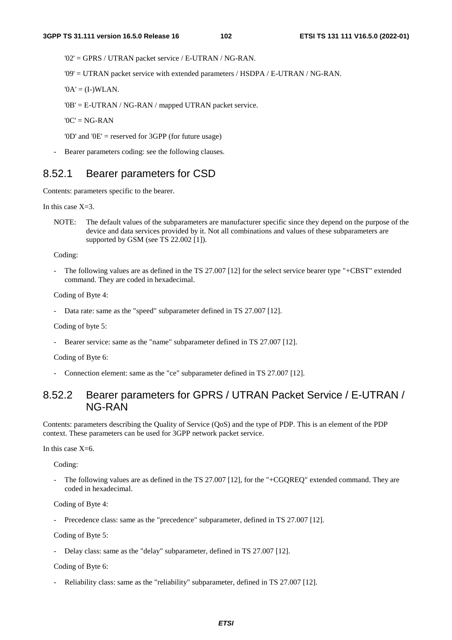'02' = GPRS / UTRAN packet service / E-UTRAN / NG-RAN.

'09' = UTRAN packet service with extended parameters / HSDPA / E-UTRAN / NG-RAN.

 $\mathbf{A}' = (\mathbf{I} - \mathbf{W} \mathbf{L} \mathbf{A} \mathbf{N}).$ 

'0B' = E-UTRAN / NG-RAN / mapped UTRAN packet service.

 $'0C' = NG-RAN$ 

'0D' and '0E' = reserved for 3GPP (for future usage)

Bearer parameters coding: see the following clauses.

#### 8.52.1 Bearer parameters for CSD

Contents: parameters specific to the bearer.

In this case  $X=3$ .

NOTE: The default values of the subparameters are manufacturer specific since they depend on the purpose of the device and data services provided by it. Not all combinations and values of these subparameters are supported by GSM (see TS 22.002 [1]).

Coding:

The following values are as defined in the TS 27.007 [12] for the select service bearer type "+CBST" extended command. They are coded in hexadecimal.

Coding of Byte 4:

Data rate: same as the "speed" subparameter defined in TS 27.007 [12].

Coding of byte 5:

Bearer service: same as the "name" subparameter defined in TS 27.007 [12].

Coding of Byte 6:

Connection element: same as the "ce" subparameter defined in TS 27.007 [12].

### 8.52.2 Bearer parameters for GPRS / UTRAN Packet Service / E-UTRAN / NG-RAN

Contents: parameters describing the Quality of Service (QoS) and the type of PDP. This is an element of the PDP context. These parameters can be used for 3GPP network packet service.

In this case  $X=6$ .

Coding:

The following values are as defined in the TS 27.007 [12], for the "+CGQREQ" extended command. They are coded in hexadecimal.

Coding of Byte 4:

Precedence class: same as the "precedence" subparameter, defined in TS 27.007 [12].

Coding of Byte 5:

- Delay class: same as the "delay" subparameter, defined in TS 27.007 [12].

Coding of Byte 6:

Reliability class: same as the "reliability" subparameter, defined in TS 27.007 [12].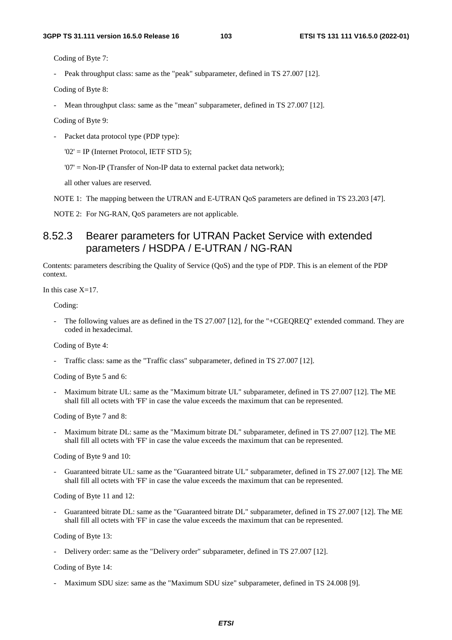Coding of Byte 7:

- Peak throughput class: same as the "peak" subparameter, defined in TS 27.007 [12].

Coding of Byte 8:

Mean throughput class: same as the "mean" subparameter, defined in TS 27.007 [12].

Coding of Byte 9:

Packet data protocol type (PDP type):

'02' = IP (Internet Protocol, IETF STD 5);

'07' = Non-IP (Transfer of Non-IP data to external packet data network);

all other values are reserved.

NOTE 1: The mapping between the UTRAN and E-UTRAN QoS parameters are defined in TS 23.203 [47].

NOTE 2: For NG-RAN, QoS parameters are not applicable.

## 8.52.3 Bearer parameters for UTRAN Packet Service with extended parameters / HSDPA / E-UTRAN / NG-RAN

Contents: parameters describing the Quality of Service (QoS) and the type of PDP. This is an element of the PDP context.

In this case  $X=17$ .

Coding:

The following values are as defined in the TS 27.007 [12], for the "+CGEQREQ" extended command. They are coded in hexadecimal.

Coding of Byte 4:

Traffic class: same as the "Traffic class" subparameter, defined in TS 27.007 [12].

Coding of Byte 5 and 6:

Maximum bitrate UL: same as the "Maximum bitrate UL" subparameter, defined in TS 27.007 [12]. The ME shall fill all octets with 'FF' in case the value exceeds the maximum that can be represented.

Coding of Byte 7 and 8:

Maximum bitrate DL: same as the "Maximum bitrate DL" subparameter, defined in TS 27.007 [12]. The ME shall fill all octets with 'FF' in case the value exceeds the maximum that can be represented.

Coding of Byte 9 and 10:

- Guaranteed bitrate UL: same as the "Guaranteed bitrate UL" subparameter, defined in TS 27.007 [12]. The ME shall fill all octets with 'FF' in case the value exceeds the maximum that can be represented.

Coding of Byte 11 and 12:

- Guaranteed bitrate DL: same as the "Guaranteed bitrate DL" subparameter, defined in TS 27.007 [12]. The ME shall fill all octets with 'FF' in case the value exceeds the maximum that can be represented.

Coding of Byte 13:

- Delivery order: same as the "Delivery order" subparameter, defined in TS 27.007 [12].

Coding of Byte 14:

Maximum SDU size: same as the "Maximum SDU size" subparameter, defined in TS 24.008 [9].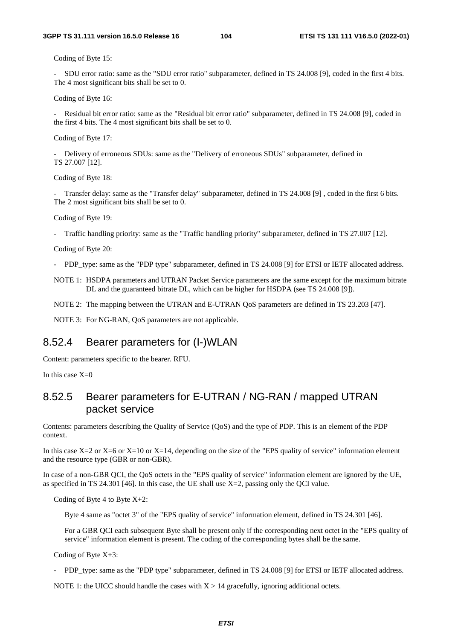Coding of Byte 15:

- SDU error ratio: same as the "SDU error ratio" subparameter, defined in TS 24.008 [9], coded in the first 4 bits. The 4 most significant bits shall be set to 0.

Coding of Byte 16:

- Residual bit error ratio: same as the "Residual bit error ratio" subparameter, defined in TS 24.008 [9], coded in the first 4 bits. The 4 most significant bits shall be set to 0.

Coding of Byte 17:

- Delivery of erroneous SDUs: same as the "Delivery of erroneous SDUs" subparameter, defined in TS 27.007 [12].

Coding of Byte 18:

Transfer delay: same as the "Transfer delay" subparameter, defined in TS 24.008 [9], coded in the first 6 bits. The 2 most significant bits shall be set to 0.

Coding of Byte 19:

- Traffic handling priority: same as the "Traffic handling priority" subparameter, defined in TS 27.007 [12].

Coding of Byte 20:

- PDP\_type: same as the "PDP type" subparameter, defined in TS 24.008 [9] for ETSI or IETF allocated address.
- NOTE 1: HSDPA parameters and UTRAN Packet Service parameters are the same except for the maximum bitrate DL and the guaranteed bitrate DL, which can be higher for HSDPA (see TS 24.008 [9]).
- NOTE 2: The mapping between the UTRAN and E-UTRAN QoS parameters are defined in TS 23.203 [47].

NOTE 3: For NG-RAN, QoS parameters are not applicable.

#### 8.52.4 Bearer parameters for (I-)WLAN

Content: parameters specific to the bearer. RFU.

In this case  $X=0$ 

#### 8.52.5 Bearer parameters for E-UTRAN / NG-RAN / mapped UTRAN packet service

Contents: parameters describing the Quality of Service (QoS) and the type of PDP. This is an element of the PDP context.

In this case  $X=2$  or  $X=6$  or  $X=10$  or  $X=14$ , depending on the size of the "EPS quality of service" information element and the resource type (GBR or non-GBR).

In case of a non-GBR QCI, the QoS octets in the "EPS quality of service" information element are ignored by the UE, as specified in TS 24.301 [46]. In this case, the UE shall use X=2, passing only the QCI value.

Coding of Byte 4 to Byte  $X+2$ :

Byte 4 same as "octet 3" of the "EPS quality of service" information element, defined in TS 24.301 [46].

For a GBR QCI each subsequent Byte shall be present only if the corresponding next octet in the "EPS quality of service" information element is present. The coding of the corresponding bytes shall be the same.

Coding of Byte X+3:

- PDP\_type: same as the "PDP type" subparameter, defined in TS 24.008 [9] for ETSI or IETF allocated address.

NOTE 1: the UICC should handle the cases with  $X > 14$  gracefully, ignoring additional octets.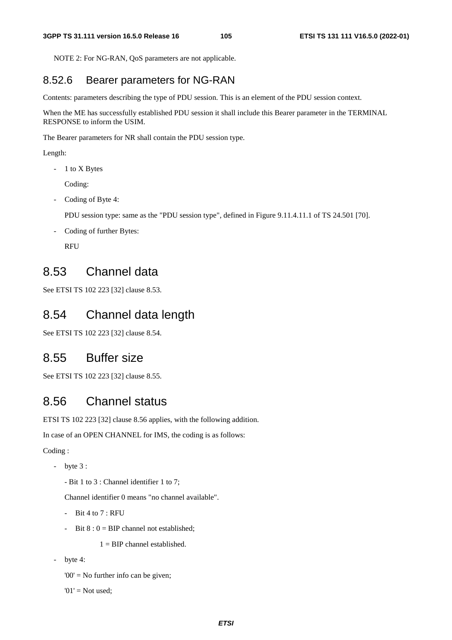NOTE 2: For NG-RAN, QoS parameters are not applicable.

#### 8.52.6 Bearer parameters for NG-RAN

Contents: parameters describing the type of PDU session. This is an element of the PDU session context.

When the ME has successfully established PDU session it shall include this Bearer parameter in the TERMINAL RESPONSE to inform the USIM.

The Bearer parameters for NR shall contain the PDU session type.

Length:

- 1 to X Bytes

Coding:

- Coding of Byte 4:

PDU session type: same as the "PDU session type", defined in Figure 9.11.4.11.1 of TS 24.501 [70].

- Coding of further Bytes:

RFU

## 8.53 Channel data

See ETSI TS 102 223 [32] clause 8.53.

## 8.54 Channel data length

See ETSI TS 102 223 [32] clause 8.54.

### 8.55 Buffer size

See ETSI TS 102 223 [32] clause 8.55.

### 8.56 Channel status

ETSI TS 102 223 [32] clause 8.56 applies, with the following addition.

In case of an OPEN CHANNEL for IMS, the coding is as follows:

Coding :

- byte 3 :
	- Bit 1 to 3 : Channel identifier 1 to 7;

Channel identifier 0 means "no channel available".

- Bit 4 to  $7:$  RFU
- Bit  $8: 0 = BIP$  channel not established;

 $1 = BIP$  channel established.

byte 4:

'00' = No further info can be given;

 $'01'$  = Not used;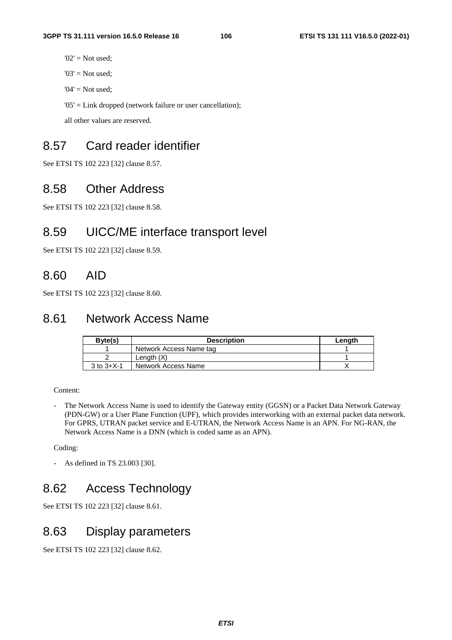- $'02'$  = Not used;
- $'03'$  = Not used;
- ' $04'$  = Not used:

'05' = Link dropped (network failure or user cancellation);

all other values are reserved.

# 8.57 Card reader identifier

See ETSI TS 102 223 [32] clause 8.57.

### 8.58 Other Address

See ETSI TS 102 223 [32] clause 8.58.

## 8.59 UICC/ME interface transport level

See ETSI TS 102 223 [32] clause 8.59.

## 8.60 AID

See ETSI TS 102 223 [32] clause 8.60.

## 8.61 Network Access Name

| Byte(s)            | <b>Description</b>      | Length |
|--------------------|-------------------------|--------|
|                    | Network Access Name tag |        |
|                    | Length $(X)$            |        |
| $3$ to $3 + X - 1$ | Network Access Name     |        |

Content:

- The Network Access Name is used to identify the Gateway entity (GGSN) or a Packet Data Network Gateway (PDN-GW) or a User Plane Function (UPF), which provides interworking with an external packet data network. For GPRS, UTRAN packet service and E-UTRAN, the Network Access Name is an APN. For NG-RAN, the Network Access Name is a DNN (which is coded same as an APN).

Coding:

- As defined in TS 23.003 [30].

# 8.62 Access Technology

See ETSI TS 102 223 [32] clause 8.61.

## 8.63 Display parameters

See ETSI TS 102 223 [32] clause 8.62.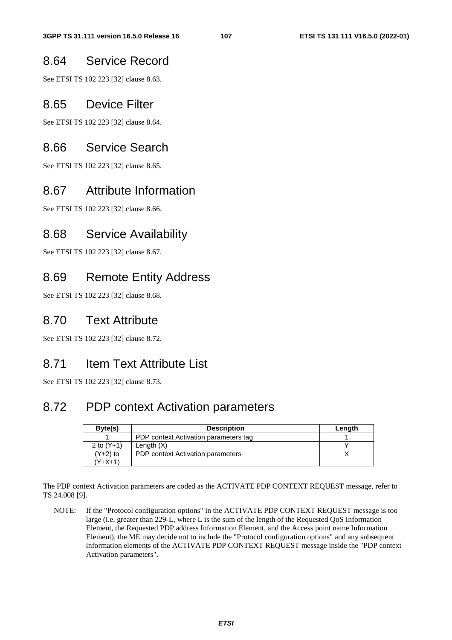## 8.64 Service Record

See ETSI TS 102 223 [32] clause 8.63.

## 8.65 Device Filter

See ETSI TS 102 223 [32] clause 8.64.

## 8.66 Service Search

See ETSI TS 102 223 [32] clause 8.65.

## 8.67 Attribute Information

See ETSI TS 102 223 [32] clause 8.66.

## 8.68 Service Availability

See ETSI TS 102 223 [32] clause 8.67.

## 8.69 Remote Entity Address

See ETSI TS 102 223 [32] clause 8.68.

## 8.70 Text Attribute

See ETSI TS 102 223 [32] clause 8.72.

## 8.71 Item Text Attribute List

See ETSI TS 102 223 [32] clause 8.73.

## 8.72 PDP context Activation parameters

| Byte(s)      | <b>Description</b>                    | Length |
|--------------|---------------------------------------|--------|
|              | PDP context Activation parameters tag |        |
| 2 to $(Y+1)$ | Length $(X)$                          |        |
| $(Y+2)$ to   | PDP context Activation parameters     |        |
| (Y+X+1)      |                                       |        |

The PDP context Activation parameters are coded as the ACTIVATE PDP CONTEXT REQUEST message, refer to TS 24.008 [9].

NOTE: If the "Protocol configuration options" in the ACTIVATE PDP CONTEXT REQUEST message is too large (i.e. greater than 229-L, where L is the sum of the length of the Requested QoS Information Element, the Requested PDP address Information Element, and the Access point name Information Element), the ME may decide not to include the "Protocol configuration options" and any subsequent information elements of the ACTIVATE PDP CONTEXT REQUEST message inside the "PDP context Activation parameters".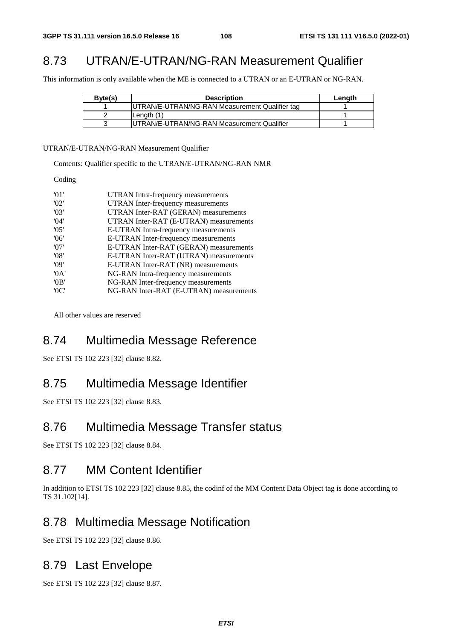# 8.73 UTRAN/E-UTRAN/NG-RAN Measurement Qualifier

This information is only available when the ME is connected to a UTRAN or an E-UTRAN or NG-RAN.

| Byte(s) | <b>Description</b>                             | Length |
|---------|------------------------------------------------|--------|
|         | UTRAN/E-UTRAN/NG-RAN Measurement Qualifier tag |        |
|         | Lenath (1)                                     |        |
|         | UTRAN/E-UTRAN/NG-RAN Measurement Qualifier     |        |

UTRAN/E-UTRAN/NG-RAN Measurement Qualifier

Contents: Qualifier specific to the UTRAN/E-UTRAN/NG-RAN NMR

Coding

| $^{\prime}$ 01' | UTRAN Intra-frequency measurements      |
|-----------------|-----------------------------------------|
| '02'            | UTRAN Inter-frequency measurements      |
| '03'            | UTRAN Inter-RAT (GERAN) measurements    |
| 04'             | UTRAN Inter-RAT (E-UTRAN) measurements  |
| '05'            | E-UTRAN Intra-frequency measurements    |
| '06'            | E-UTRAN Inter-frequency measurements    |
| '07'            | E-UTRAN Inter-RAT (GERAN) measurements  |
| '08'            | E-UTRAN Inter-RAT (UTRAN) measurements  |
| '09'            | E-UTRAN Inter-RAT (NR) measurements     |
| 0A'             | NG-RAN Intra-frequency measurements     |
| '0B'            | NG-RAN Inter-frequency measurements     |
| ' $0C$ '        | NG-RAN Inter-RAT (E-UTRAN) measurements |
|                 |                                         |

All other values are reserved

## 8.74 Multimedia Message Reference

See ETSI TS 102 223 [32] clause 8.82.

### 8.75 Multimedia Message Identifier

See ETSI TS 102 223 [32] clause 8.83.

#### 8.76 Multimedia Message Transfer status

See ETSI TS 102 223 [32] clause 8.84.

## 8.77 MM Content Identifier

In addition to ETSI TS 102 223 [32] clause 8.85, the codinf of the MM Content Data Object tag is done according to TS 31.102[14].

### 8.78 Multimedia Message Notification

See ETSI TS 102 223 [32] clause 8.86.

### 8.79 Last Envelope

See ETSI TS 102 223 [32] clause 8.87.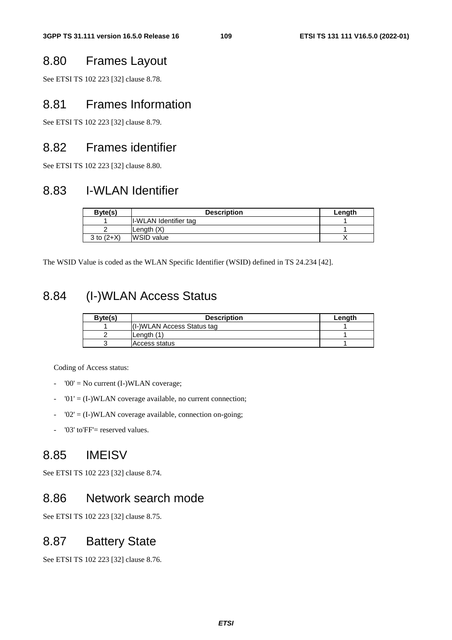## 8.80 Frames Layout

See ETSI TS 102 223 [32] clause 8.78.

#### 8.81 Frames Information

See ETSI TS 102 223 [32] clause 8.79.

### 8.82 Frames identifier

See ETSI TS 102 223 [32] clause 8.80.

## 8.83 I-WLAN Identifier

| Byte(s)      | <b>Description</b>    | Lenath |
|--------------|-----------------------|--------|
|              | I-WLAN Identifier tag |        |
|              | Length $(X)$          |        |
| 3 to $(2+X)$ | <b>IWSID</b> value    |        |

The WSID Value is coded as the WLAN Specific Identifier (WSID) defined in TS 24.234 [42].

## 8.84 (I-)WLAN Access Status

| Byte(s) | <b>Description</b>         | Length |
|---------|----------------------------|--------|
|         | (I-)WLAN Access Status tag |        |
|         | Lenath (1)                 |        |
|         | <b>Access status</b>       |        |

Coding of Access status:

- $'00'$  = No current (I-)WLAN coverage;
- $'01' = (I-)WLAN$  coverage available, no current connection;
- $-$  '02' = (I-)WLAN coverage available, connection on-going;
- '03' to'FF'= reserved values.

### 8.85 IMEISV

See ETSI TS 102 223 [32] clause 8.74.

#### 8.86 Network search mode

See ETSI TS 102 223 [32] clause 8.75.

#### 8.87 Battery State

See ETSI TS 102 223 [32] clause 8.76.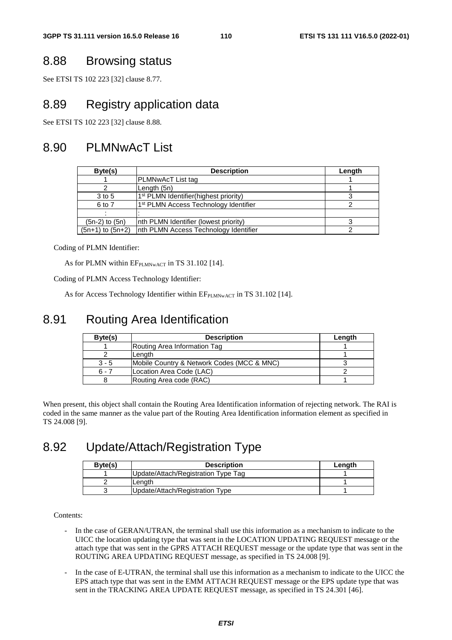## 8.88 Browsing status

See ETSI TS 102 223 [32] clause 8.77.

## 8.89 Registry application data

See ETSI TS 102 223 [32] clause 8.88.

## 8.90 PLMNwAcT List

| Byte(s)              | <b>Description</b>                                | Length |
|----------------------|---------------------------------------------------|--------|
|                      | PLMNwAcT List tag                                 |        |
|                      | Length (5n)                                       |        |
| 3 to 5               | 1 <sup>st</sup> PLMN Identifier(highest priority) |        |
| 6 to 7               | 1 <sup>st</sup> PLMN Access Technology Identifier |        |
|                      |                                                   |        |
| $(5n-2)$ to $(5n)$   | Inth PLMN Identifier (lowest priority)            |        |
| $(5n+1)$ to $(5n+2)$ | Inth PLMN Access Technology Identifier            |        |

Coding of PLMN Identifier:

As for PLMN within EFPLMNwACT in TS 31.102 [14].

Coding of PLMN Access Technology Identifier:

As for Access Technology Identifier within  $EF_{PLMNWACT}$  in TS 31.102 [14].

## 8.91 Routing Area Identification

| Byte(s) | <b>Description</b>                         | Length |
|---------|--------------------------------------------|--------|
|         | Routing Area Information Tag               |        |
|         | Length                                     |        |
| $3 - 5$ | Mobile Country & Network Codes (MCC & MNC) |        |
| $6 - 7$ | Location Area Code (LAC)                   |        |
|         | Routing Area code (RAC)                    |        |

When present, this object shall contain the Routing Area Identification information of rejecting network. The RAI is coded in the same manner as the value part of the Routing Area Identification information element as specified in TS 24.008 [9].

## 8.92 Update/Attach/Registration Type

| Byte(s) | <b>Description</b>                  | Lenath |
|---------|-------------------------------------|--------|
|         | Update/Attach/Registration Type Tag |        |
|         | Lenath                              |        |
|         | Update/Attach/Registration Type     |        |

Contents:

- In the case of GERAN/UTRAN, the terminal shall use this information as a mechanism to indicate to the UICC the location updating type that was sent in the LOCATION UPDATING REQUEST message or the attach type that was sent in the GPRS ATTACH REQUEST message or the update type that was sent in the ROUTING AREA UPDATING REQUEST message, as specified in TS 24.008 [9].
- In the case of E-UTRAN, the terminal shall use this information as a mechanism to indicate to the UICC the EPS attach type that was sent in the EMM ATTACH REQUEST message or the EPS update type that was sent in the TRACKING AREA UPDATE REQUEST message, as specified in TS 24.301 [46].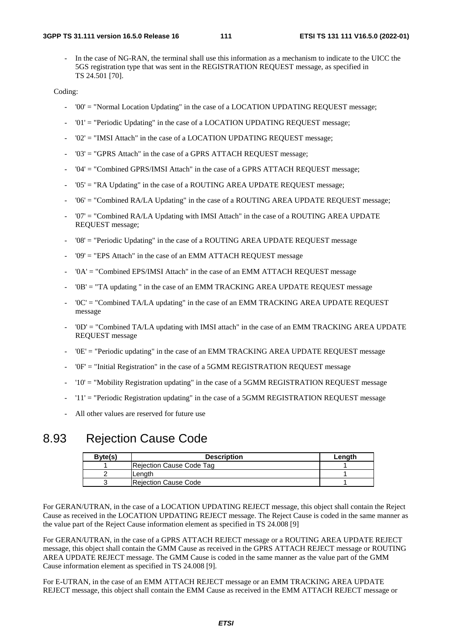In the case of NG-RAN, the terminal shall use this information as a mechanism to indicate to the UICC the 5GS registration type that was sent in the REGISTRATION REQUEST message, as specified in TS 24.501 [70].

Coding:

- '00' = "Normal Location Updating" in the case of a LOCATION UPDATING REQUEST message;
- '01' = "Periodic Updating" in the case of a LOCATION UPDATING REQUEST message;
- $'02'$  = "IMSI Attach" in the case of a LOCATION UPDATING REQUEST message;
- '03' = "GPRS Attach" in the case of a GPRS ATTACH REQUEST message;
- '04' = "Combined GPRS/IMSI Attach" in the case of a GPRS ATTACH REQUEST message;
- '05' = "RA Updating" in the case of a ROUTING AREA UPDATE REQUEST message;
- '06' = "Combined RA/LA Updating" in the case of a ROUTING AREA UPDATE REQUEST message;
- '07' = "Combined RA/LA Updating with IMSI Attach" in the case of a ROUTING AREA UPDATE REQUEST message;
- '08' = "Periodic Updating" in the case of a ROUTING AREA UPDATE REQUEST message
- '09' = "EPS Attach" in the case of an EMM ATTACH REQUEST message
- '0A' = "Combined EPS/IMSI Attach" in the case of an EMM ATTACH REQUEST message
- '0B' = "TA updating " in the case of an EMM TRACKING AREA UPDATE REQUEST message
- '0C' = "Combined TA/LA updating" in the case of an EMM TRACKING AREA UPDATE REQUEST message
- '0D' = "Combined TA/LA updating with IMSI attach" in the case of an EMM TRACKING AREA UPDATE REQUEST message
- '0E' = "Periodic updating" in the case of an EMM TRACKING AREA UPDATE REQUEST message
- $'0F'$  = "Initial Registration" in the case of a 5GMM REGISTRATION REQUEST message
- '10' = "Mobility Registration updating" in the case of a 5GMM REGISTRATION REQUEST message
- '11' = "Periodic Registration updating" in the case of a 5GMM REGISTRATION REQUEST message
- All other values are reserved for future use

#### 8.93 Rejection Cause Code

| Byte(s) | <b>Description</b>       | Length |
|---------|--------------------------|--------|
|         | Rejection Cause Code Tag |        |
|         | Length                   |        |
|         | IReiection Cause Code    |        |

For GERAN/UTRAN, in the case of a LOCATION UPDATING REJECT message, this object shall contain the Reject Cause as received in the LOCATION UPDATING REJECT message. The Reject Cause is coded in the same manner as the value part of the Reject Cause information element as specified in TS 24.008 [9]

For GERAN/UTRAN, in the case of a GPRS ATTACH REJECT message or a ROUTING AREA UPDATE REJECT message, this object shall contain the GMM Cause as received in the GPRS ATTACH REJECT message or ROUTING AREA UPDATE REJECT message. The GMM Cause is coded in the same manner as the value part of the GMM Cause information element as specified in TS 24.008 [9].

For E-UTRAN, in the case of an EMM ATTACH REJECT message or an EMM TRACKING AREA UPDATE REJECT message, this object shall contain the EMM Cause as received in the EMM ATTACH REJECT message or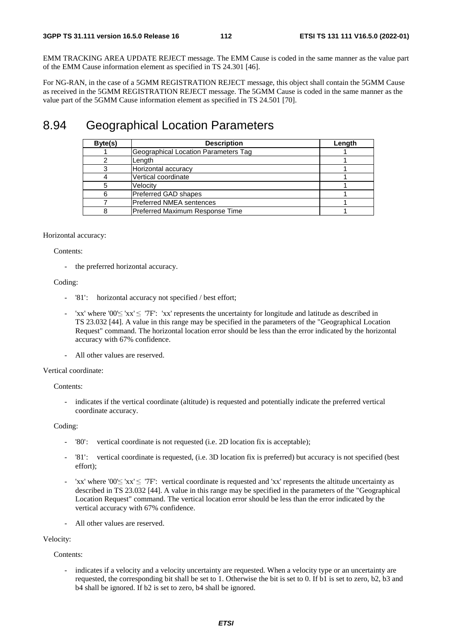EMM TRACKING AREA UPDATE REJECT message. The EMM Cause is coded in the same manner as the value part of the EMM Cause information element as specified in TS 24.301 [46].

For NG-RAN, in the case of a 5GMM REGISTRATION REJECT message, this object shall contain the 5GMM Cause as received in the 5GMM REGISTRATION REJECT message. The 5GMM Cause is coded in the same manner as the value part of the 5GMM Cause information element as specified in TS 24.501 [70].

#### 8.94 Geographical Location Parameters

| Byte(s) | <b>Description</b>                   | Length |
|---------|--------------------------------------|--------|
|         | Geographical Location Parameters Tag |        |
|         | Length                               |        |
|         | Horizontal accuracy                  |        |
|         | Vertical coordinate                  |        |
|         | Velocity                             |        |
|         | Preferred GAD shapes                 |        |
|         | Preferred NMEA sentences             |        |
|         | Preferred Maximum Response Time      |        |

#### Horizontal accuracy:

#### Contents:

the preferred horizontal accuracy.

#### Coding:

- '81': horizontal accuracy not specified / best effort;
- 'xx' where '00' $\leq$ 'xx'  $\leq$ '7F': 'xx' represents the uncertainty for longitude and latitude as described in TS 23.032 [44]. A value in this range may be specified in the parameters of the "Geographical Location Request" command. The horizontal location error should be less than the error indicated by the horizontal accuracy with 67% confidence.
- All other values are reserved.

#### Vertical coordinate:

Contents:

- indicates if the vertical coordinate (altitude) is requested and potentially indicate the preferred vertical coordinate accuracy.

Coding:

- '80': vertical coordinate is not requested (i.e. 2D location fix is acceptable);
- '81' : vertical coordinate is requested, (i.e. 3D location fix is preferred) but accuracy is not specified (best effort);
- 'xx' where '00'  $\leq$ 'xx'  $\leq$  '7F': vertical coordinate is requested and 'xx' represents the altitude uncertainty as described in TS 23.032 [44]. A value in this range may be specified in the parameters of the "Geographical Location Request" command. The vertical location error should be less than the error indicated by the vertical accuracy with 67% confidence.
- All other values are reserved.

#### Velocity:

Contents:

indicates if a velocity and a velocity uncertainty are requested. When a velocity type or an uncertainty are requested, the corresponding bit shall be set to 1. Otherwise the bit is set to 0. If b1 is set to zero, b2, b3 and b4 shall be ignored. If b2 is set to zero, b4 shall be ignored.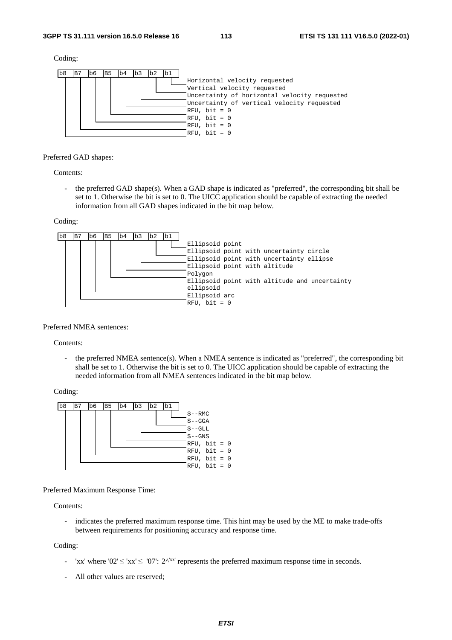Coding:



#### Preferred GAD shapes:

Contents:

- the preferred GAD shape(s). When a GAD shape is indicated as "preferred", the corresponding bit shall be set to 1. Otherwise the bit is set to 0. The UICC application should be capable of extracting the needed information from all GAD shapes indicated in the bit map below.

Coding:



Preferred NMEA sentences:

Contents:

- the preferred NMEA sentence(s). When a NMEA sentence is indicated as "preferred", the corresponding bit shall be set to 1. Otherwise the bit is set to 0. The UICC application should be capable of extracting the needed information from all NMEA sentences indicated in the bit map below.

Coding:



Preferred Maximum Response Time:

Contents:

- indicates the preferred maximum response time. This hint may be used by the ME to make trade-offs between requirements for positioning accuracy and response time.

Coding:

- 'xx' where '02'  $\leq$ 'xx'  $\leq$  '07': 2^'<sup>xx'</sup> represents the preferred maximum response time in seconds.
- All other values are reserved;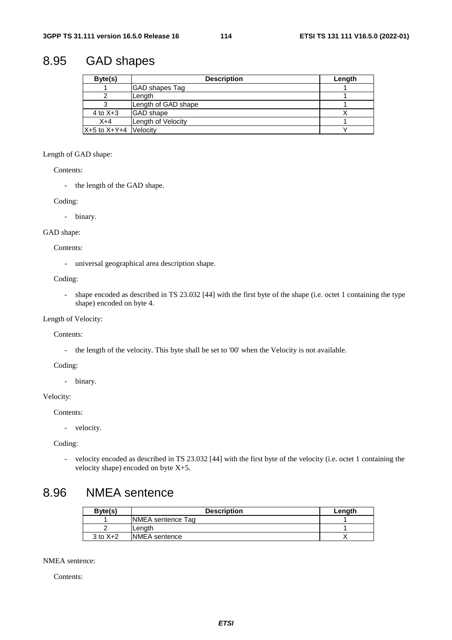## 8.95 GAD shapes

| Byte(s)                   | <b>Description</b>    | Length |
|---------------------------|-----------------------|--------|
|                           | <b>GAD</b> shapes Tag |        |
|                           | Length                |        |
|                           | Length of GAD shape   |        |
| 4 to $X+3$                | <b>GAD</b> shape      |        |
| $X+4$                     | Length of Velocity    |        |
| $X+5$ to $X+Y+4$ Velocity |                       |        |

#### Length of GAD shape:

Contents:

- the length of the GAD shape.

Coding:

- binary.

#### GAD shape:

Contents:

- universal geographical area description shape.

Coding:

- shape encoded as described in TS 23.032 [44] with the first byte of the shape (i.e. octet 1 containing the type shape) encoded on byte 4.

#### Length of Velocity:

Contents:

- the length of the velocity. This byte shall be set to '00' when the Velocity is not available.

Coding:

- binary.

#### Velocity:

Contents:

- velocity.

Coding:

- velocity encoded as described in TS 23.032 [44] with the first byte of the velocity (i.e. octet 1 containing the velocity shape) encoded on byte X+5.

### 8.96 NMEA sentence

| Byte(s)      | <b>Description</b>   | Length |
|--------------|----------------------|--------|
|              | NMEA sentence Tag    |        |
|              | Lenath               |        |
| $3$ to $X+2$ | <b>NMEA</b> sentence |        |

NMEA sentence:

Contents: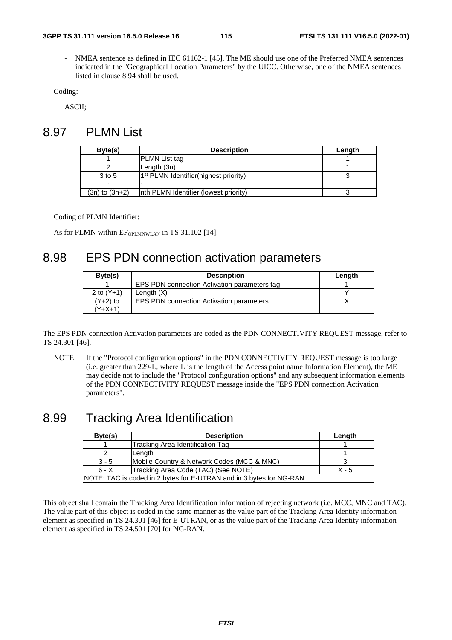NMEA sentence as defined in IEC 61162-1 [45]. The ME should use one of the Preferred NMEA sentences indicated in the "Geographical Location Parameters" by the UICC. Otherwise, one of the NMEA sentences listed in clause 8.94 shall be used.

Coding:

ASCII;

#### 8.97 PLMN List

| Byte(s)            | <b>Description</b>                                | Length |
|--------------------|---------------------------------------------------|--------|
|                    | <b>PLMN</b> List tag                              |        |
|                    | Length (3n)                                       |        |
| 3 to 5             | 1 <sup>st</sup> PLMN Identifier(highest priority) |        |
|                    |                                                   |        |
| $(3n)$ to $(3n+2)$ | Inth PLMN Identifier (lowest priority)            |        |

Coding of PLMN Identifier:

As for PLMN within  $EF_{\text{OPLMNWLAN}}$  in TS 31.102 [14].

#### 8.98 EPS PDN connection activation parameters

| Byte(s)      | <b>Description</b>                              | Length |
|--------------|-------------------------------------------------|--------|
|              | EPS PDN connection Activation parameters tag    |        |
| 2 to $(Y+1)$ | Length $(X)$                                    |        |
| $(Y+2)$ to   | <b>EPS PDN connection Activation parameters</b> |        |
| (Y+X+1)      |                                                 |        |

The EPS PDN connection Activation parameters are coded as the PDN CONNECTIVITY REQUEST message, refer to TS 24.301 [46].

NOTE: If the "Protocol configuration options" in the PDN CONNECTIVITY REQUEST message is too large (i.e. greater than 229-L, where L is the length of the Access point name Information Element), the ME may decide not to include the "Protocol configuration options" and any subsequent information elements of the PDN CONNECTIVITY REQUEST message inside the "EPS PDN connection Activation parameters".

#### 8.99 Tracking Area Identification

| Byte(s) | <b>Description</b>                                                  | Length  |
|---------|---------------------------------------------------------------------|---------|
|         | Tracking Area Identification Tag                                    |         |
|         | Length                                                              |         |
| $3 - 5$ | Mobile Country & Network Codes (MCC & MNC)                          |         |
| $6 - X$ | Tracking Area Code (TAC) (See NOTE)                                 | $X - 5$ |
|         | NOTE: TAC is coded in 2 bytes for E-UTRAN and in 3 bytes for NG-RAN |         |

This object shall contain the Tracking Area Identification information of rejecting network (i.e. MCC, MNC and TAC). The value part of this object is coded in the same manner as the value part of the Tracking Area Identity information element as specified in TS 24.301 [46] for E-UTRAN, or as the value part of the Tracking Area Identity information element as specified in TS 24.501 [70] for NG-RAN.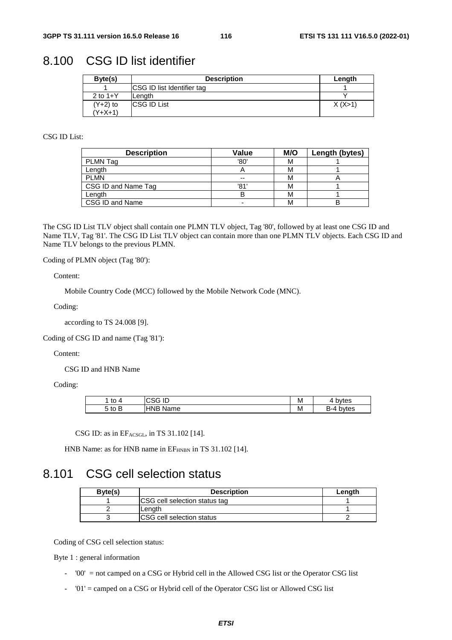#### 8.100 CSG ID list identifier

| Byte(s)    | <b>Description</b>                | Length    |
|------------|-----------------------------------|-----------|
|            | <b>CSG ID list Identifier tag</b> |           |
| 2 to $1+Y$ | Length                            |           |
| $(Y+2)$ to | <b>CSG ID List</b>                | X (X > 1) |
| (Y+X+1)    |                                   |           |

#### CSG ID List:

| <b>Description</b>  | Value | M/O | Length (bytes) |
|---------------------|-------|-----|----------------|
| PLMN Tag            | '80'  | м   |                |
| Length              |       | м   |                |
| <b>PLMN</b>         | --    | М   |                |
| CSG ID and Name Tag | '81'  | м   |                |
| Length              |       | М   |                |
| CSG ID and Name     |       | м   |                |

The CSG ID List TLV object shall contain one PLMN TLV object, Tag '80', followed by at least one CSG ID and Name TLV, Tag '81'. The CSG ID List TLV object can contain more than one PLMN TLV objects. Each CSG ID and Name TLV belongs to the previous PLMN.

Coding of PLMN object (Tag '80'):

Content:

Mobile Country Code (MCC) followed by the Mobile Network Code (MNC).

Coding:

according to TS 24.008 [9].

Coding of CSG ID and name (Tag '81'):

Content:

CSG ID and HNB Name

Coding:

| $+ \cap$<br>. ເບ " | $\sqrt{2}$<br>ΙL<br>טט<br>یں۔ | M | bytes<br><b></b> |
|--------------------|-------------------------------|---|------------------|
| 5 to Ь             | HNB<br>Name                   | M | bytes<br>$-4-4$  |

CSG ID: as in EFACSGL, in TS 31.102 [14].

HNB Name: as for HNB name in  $EF<sub>HNBN</sub>$  in TS 31.102 [14].

## 8.101 CSG cell selection status

| Byte(s) | <b>Description</b>             | Lenath |
|---------|--------------------------------|--------|
|         | ICSG cell selection status tag |        |
|         | lLenath.                       |        |
|         | ICSG cell selection status     |        |

Coding of CSG cell selection status:

Byte 1 : general information

- '00' = not camped on a CSG or Hybrid cell in the Allowed CSG list or the Operator CSG list
- '01' = camped on a CSG or Hybrid cell of the Operator CSG list or Allowed CSG list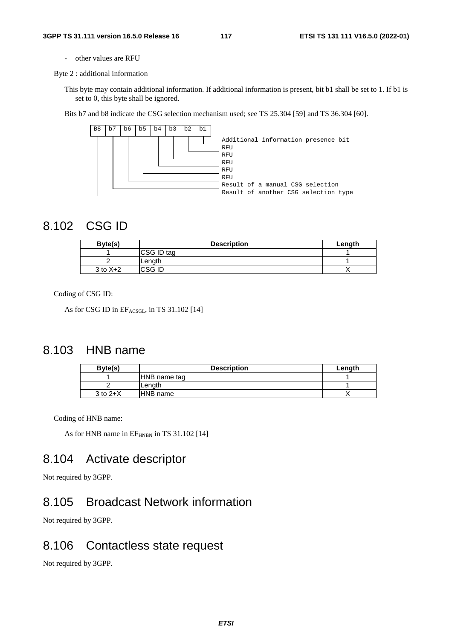- other values are RFU

Byte 2 : additional information

This byte may contain additional information. If additional information is present, bit b1 shall be set to 1. If b1 is set to 0, this byte shall be ignored.

Bits b7 and b8 indicate the CSG selection mechanism used; see TS 25.304 [59] and TS 36.304 [60].



#### 8.102 CSG ID

| Byte(s)      | <b>Description</b> | Length |
|--------------|--------------------|--------|
|              | CSG ID tag         |        |
|              | lLenath            |        |
| $3$ to $X+2$ | ICSG ID            |        |

Coding of CSG ID:

As for CSG ID in EFACSGL, in TS 31.102 [14]

#### 8.103 HNB name

| Byte(s)      | <b>Description</b> | Length |
|--------------|--------------------|--------|
|              | HNB name tag       |        |
|              | Lenath             |        |
| $3$ to $2+X$ | <b>HNB</b> name    |        |

Coding of HNB name:

As for HNB name in  $EF<sub>HNBN</sub>$  in TS 31.102 [14]

### 8.104 Activate descriptor

Not required by 3GPP.

## 8.105 Broadcast Network information

Not required by 3GPP.

#### 8.106 Contactless state request

Not required by 3GPP.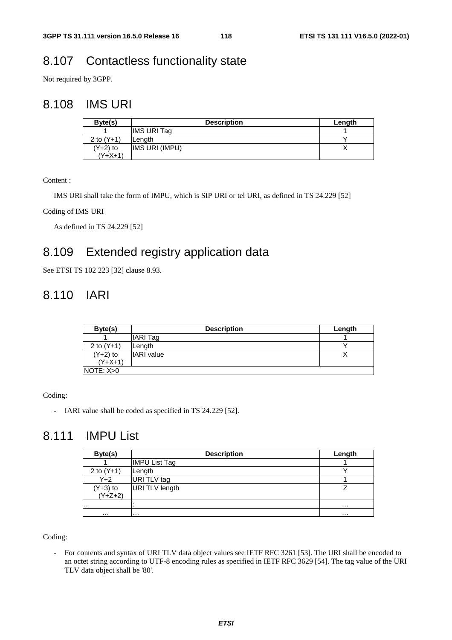## 8.107 Contactless functionality state

Not required by 3GPP.

### 8.108 IMS URI

| Byte(s)      | <b>Description</b>    | Length |
|--------------|-----------------------|--------|
|              | IIMS URI Tag          |        |
| 2 to $(Y+1)$ | ILenath               |        |
| $(Y+2)$ to   | <b>IMS URI (IMPU)</b> |        |
| $(Y+X+1)$    |                       |        |

Content :

IMS URI shall take the form of IMPU, which is SIP URI or tel URI, as defined in TS 24.229 [52]

Coding of IMS URI

As defined in TS 24.229 [52]

## 8.109 Extended registry application data

See ETSI TS 102 223 [32] clause 8.93.

## 8.110 IARI

| Byte(s)      | <b>Description</b> | Length |
|--------------|--------------------|--------|
|              | <b>IARI</b> Tag    |        |
| 2 to $(Y+1)$ | Length             |        |
| $(Y+2)$ to   | <b>IARI</b> value  |        |
| $(Y+X+1)$    |                    |        |
| NOTE: X>0    |                    |        |

Coding:

- IARI value shall be coded as specified in TS 24.229 [52].

## 8.111 IMPU List

| Byte(s)                 | <b>Description</b>    | Length   |
|-------------------------|-----------------------|----------|
|                         | <b>IMPU List Tag</b>  |          |
| 2 to $(Y+1)$            | Length                |          |
| $Y+2$                   | URI TLV tag           |          |
| $(Y+3)$ to<br>$(Y+Z+2)$ | <b>URI TLV length</b> |          |
|                         |                       |          |
| $\cdots$                |                       | $\cdots$ |
| $\cdots$                | .                     | $\cdots$ |

Coding:

- For contents and syntax of URI TLV data object values see IETF RFC 3261 [53]. The URI shall be encoded to an octet string according to UTF-8 encoding rules as specified in IETF RFC 3629 [54]. The tag value of the URI TLV data object shall be '80'.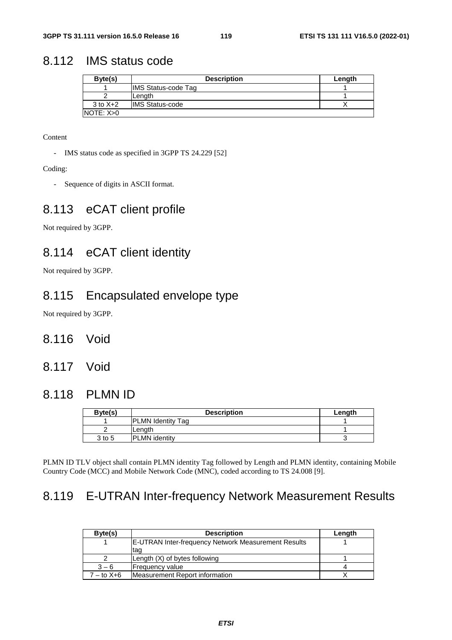#### 8.112 IMS status code

| Byte(s)      | <b>Description</b>         | Length |
|--------------|----------------------------|--------|
|              | <b>IMS Status-code Tag</b> |        |
|              | Lenath                     |        |
| $3$ to $X+2$ | <b>IMS Status-code</b>     |        |
| NOTE: X>0    |                            |        |

Content

- IMS status code as specified in 3GPP TS 24.229 [52]

Coding:

- Sequence of digits in ASCII format.

#### 8.113 eCAT client profile

Not required by 3GPP.

#### 8.114 eCAT client identity

Not required by 3GPP.

#### 8.115 Encapsulated envelope type

Not required by 3GPP.

- 8.116 Void
- 8.117 Void

#### 8.118 PLMN ID

| Byte(s) | <b>Description</b>       | Length |
|---------|--------------------------|--------|
|         | <b>PLMN Identity Tag</b> |        |
|         | lLenath                  |        |
| 3 to 5  | <b>PLMN</b> identity     |        |

PLMN ID TLV object shall contain PLMN identity Tag followed by Length and PLMN identity, containing Mobile Country Code (MCC) and Mobile Network Code (MNC), coded according to TS 24.008 [9].

# 8.119 E-UTRAN Inter-frequency Network Measurement Results

| Byte(s)    | <b>Description</b>                                  | Length |
|------------|-----------------------------------------------------|--------|
|            | E-UTRAN Inter-frequency Network Measurement Results |        |
|            | tag                                                 |        |
|            | Length (X) of bytes following                       |        |
| $3 - 6$    | <b>Frequency value</b>                              |        |
| $-$ to X+6 | Measurement Report information                      |        |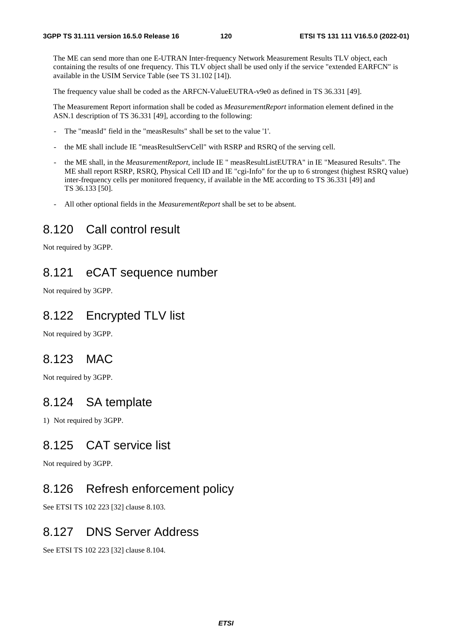The ME can send more than one E-UTRAN Inter-frequency Network Measurement Results TLV object, each containing the results of one frequency. This TLV object shall be used only if the service "extended EARFCN" is available in the USIM Service Table (see TS 31.102 [14]).

The frequency value shall be coded as the ARFCN-ValueEUTRA-v9e0 as defined in TS 36.331 [49].

The Measurement Report information shall be coded as *MeasurementReport* information element defined in the ASN.1 description of TS 36.331 [49], according to the following:

- The "measId" field in the "measResults" shall be set to the value '1'.
- the ME shall include IE "measResultServCell" with RSRP and RSRQ of the serving cell.
- the ME shall, in the *MeasurementReport*, include IE " measResultListEUTRA" in IE "Measured Results". The ME shall report RSRP, RSRQ, Physical Cell ID and IE "cgi-Info" for the up to 6 strongest (highest RSRQ value) inter-frequency cells per monitored frequency, if available in the ME according to TS 36.331 [49] and TS 36.133 [50].
- All other optional fields in the *MeasurementReport* shall be set to be absent.

#### 8.120 Call control result

Not required by 3GPP.

#### 8.121 eCAT sequence number

Not required by 3GPP.

#### 8.122 Encrypted TLV list

Not required by 3GPP.

#### 8.123 MAC

Not required by 3GPP.

#### 8.124 SA template

1) Not required by 3GPP.

#### 8.125 CAT service list

Not required by 3GPP.

#### 8.126 Refresh enforcement policy

See ETSI TS 102 223 [32] clause 8.103.

#### 8.127 DNS Server Address

See ETSI TS 102 223 [32] clause 8.104.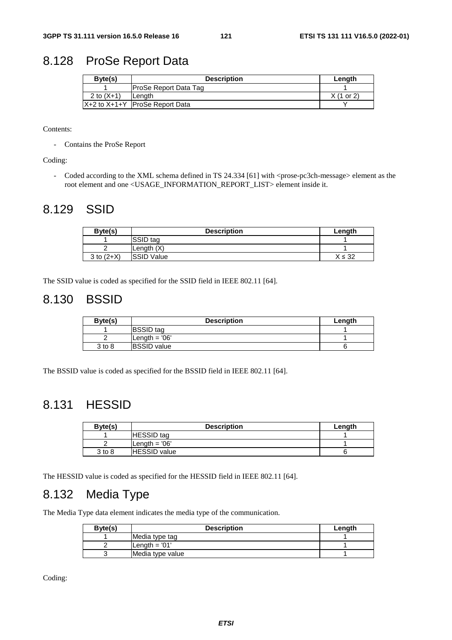### 8.128 ProSe Report Data

| Byte(s)      | <b>Description</b>                 | Length               |
|--------------|------------------------------------|----------------------|
|              | <b>ProSe Report Data Tag</b>       |                      |
| 2 to $(X+1)$ | Lenath                             | $X(1 \text{ or } 2)$ |
|              | $X+2$ to $X+1+Y$ ProSe Report Data |                      |

#### Contents:

- Contains the ProSe Report

#### Coding:

- Coded according to the XML schema defined in TS 24.334 [61] with <prose-pc3ch-message> element as the root element and one <USAGE\_INFORMATION\_REPORT\_LIST> element inside it.

## 8.129 SSID

| Byte(s)      | <b>Description</b> | Length      |
|--------------|--------------------|-------------|
|              | SSID tag           |             |
|              | Length $(X)$       |             |
| 3 to $(2+X)$ | <b>SSID Value</b>  | $X \leq 32$ |
|              |                    |             |

The SSID value is coded as specified for the SSID field in IEEE 802.11 [64].

#### 8.130 BSSID

| Byte(s) | <b>Description</b>  | Length |
|---------|---------------------|--------|
|         | <b>BSSID</b> tag    |        |
|         | Length $= 06'$      |        |
| 3 to 8  | <b>IBSSID</b> value |        |

The BSSID value is coded as specified for the BSSID field in IEEE 802.11 [64].

#### 8.131 HESSID

| Byte(s) | <b>Description</b>  | Length |
|---------|---------------------|--------|
|         | <b>HESSID</b> tag   |        |
|         | Length $= 06'$      |        |
| 3 to 8  | <b>HESSID</b> value |        |

The HESSID value is coded as specified for the HESSID field in IEEE 802.11 [64].

### 8.132 Media Type

The Media Type data element indicates the media type of the communication.

| Byte(s) | <b>Description</b> | Length |
|---------|--------------------|--------|
|         | Media type tag     |        |
|         | Length $=$ '01'    |        |
|         | Media type value   |        |

Coding: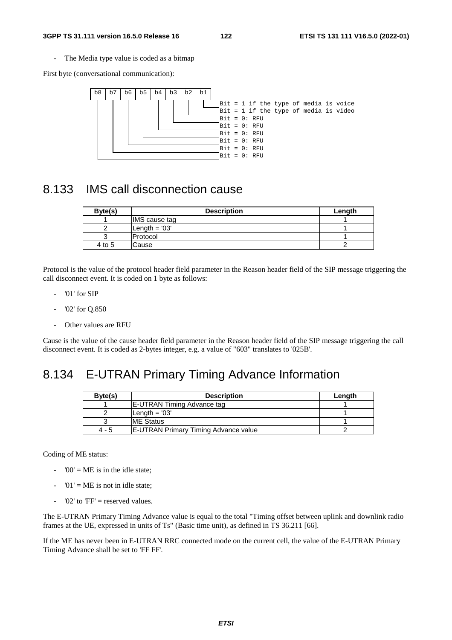The Media type value is coded as a bitmap

First byte (conversational communication):



#### 8.133 IMS call disconnection cause

| Byte(s) | <b>Description</b> | Length |
|---------|--------------------|--------|
|         | IMS cause tag      |        |
|         | Length $= 03'$     |        |
|         | Protocol           |        |
| 4 to 5  | Cause              |        |

Protocol is the value of the protocol header field parameter in the Reason header field of the SIP message triggering the call disconnect event. It is coded on 1 byte as follows:

- '01' for SIP
- '02' for Q.850
- Other values are RFU

Cause is the value of the cause header field parameter in the Reason header field of the SIP message triggering the call disconnect event. It is coded as 2-bytes integer, e.g. a value of "603" translates to '025B'.

#### 8.134 E-UTRAN Primary Timing Advance Information

| Byte(s) | <b>Description</b>                           | Length |
|---------|----------------------------------------------|--------|
|         | <b>IE-UTRAN Timing Advance tag</b>           |        |
|         | $Lenath = '03'$                              |        |
|         | <b>ME Status</b>                             |        |
| $4 - 5$ | <b>IE-UTRAN Primary Timing Advance value</b> |        |

Coding of ME status:

- $-$  '00' = ME is in the idle state;
- $'01'$  = ME is not in idle state:
- ' $02'$  to 'FF' = reserved values.

The E-UTRAN Primary Timing Advance value is equal to the total "Timing offset between uplink and downlink radio frames at the UE, expressed in units of Ts" (Basic time unit), as defined in TS 36.211 [66].

If the ME has never been in E-UTRAN RRC connected mode on the current cell, the value of the E-UTRAN Primary Timing Advance shall be set to 'FF FF'.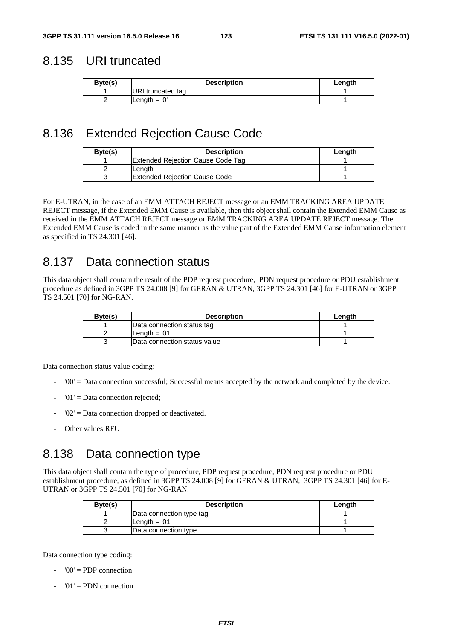#### 8.135 URI truncated

| Byte(s) | <b>Description</b> | Lenath |
|---------|--------------------|--------|
|         | URI truncated tag  |        |
|         | Length $= 0'$      |        |

## 8.136 Extended Rejection Cause Code

| Byte(s) | <b>Description</b>                       | Lenath |
|---------|------------------------------------------|--------|
|         | <b>Extended Rejection Cause Code Tag</b> |        |
|         | Lenath                                   |        |
|         | <b>Extended Rejection Cause Code</b>     |        |

For E-UTRAN, in the case of an EMM ATTACH REJECT message or an EMM TRACKING AREA UPDATE REJECT message, if the Extended EMM Cause is available, then this object shall contain the Extended EMM Cause as received in the EMM ATTACH REJECT message or EMM TRACKING AREA UPDATE REJECT message. The Extended EMM Cause is coded in the same manner as the value part of the Extended EMM Cause information element as specified in TS 24.301 [46].

### 8.137 Data connection status

This data object shall contain the result of the PDP request procedure, PDN request procedure or PDU establishment procedure as defined in 3GPP TS 24.008 [9] for GERAN & UTRAN, 3GPP TS 24.301 [46] for E-UTRAN or 3GPP TS 24.501 [70] for NG-RAN.

| Byte(s) | <b>Description</b>           | Length |
|---------|------------------------------|--------|
|         | Data connection status tag   |        |
|         | Length $= 01'$               |        |
|         | Data connection status value |        |

Data connection status value coding:

- '00' = Data connection successful; Successful means accepted by the network and completed by the device.
- '01' = Data connection rejected;
- $'02'$  = Data connection dropped or deactivated.
- Other values RFU

#### 8.138 Data connection type

This data object shall contain the type of procedure, PDP request procedure, PDN request procedure or PDU establishment procedure, as defined in 3GPP TS 24.008 [9] for GERAN & UTRAN, 3GPP TS 24.301 [46] for E-UTRAN or 3GPP TS 24.501 [70] for NG-RAN.

| Byte(s) | <b>Description</b>       | Length |
|---------|--------------------------|--------|
|         | Data connection type tag |        |
|         | lLenath = '01'           |        |
|         | Data connection type     |        |

Data connection type coding:

- '00' = PDP connection
- '01' = PDN connection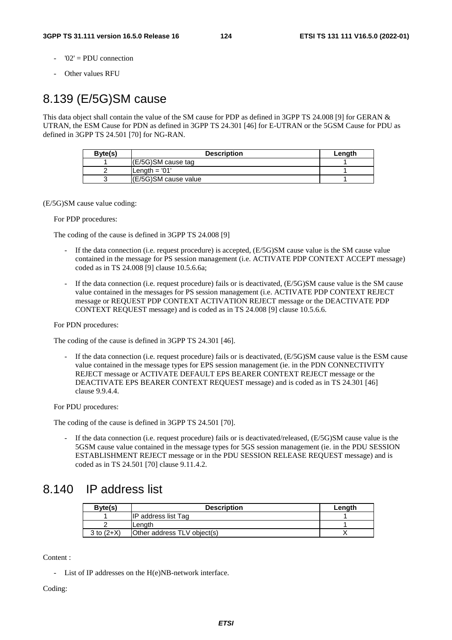- $'02' = \text{PDU}$  connection
- Other values RFU

## 8.139 (E/5G)SM cause

This data object shall contain the value of the SM cause for PDP as defined in 3GPP TS 24.008 [9] for GERAN & UTRAN, the ESM Cause for PDN as defined in 3GPP TS 24.301 [46] for E-UTRAN or the 5GSM Cause for PDU as defined in 3GPP TS 24.501 [70] for NG-RAN.

| Byte(s) | <b>Description</b>       | Length |
|---------|--------------------------|--------|
|         | $ E/5G $ SM cause tag    |        |
|         | $\mathsf{Length} = '01'$ |        |
|         | l(E/5G)SM cause value    |        |

(E/5G)SM cause value coding:

#### For PDP procedures:

The coding of the cause is defined in 3GPP TS 24.008 [9]

- If the data connection (i.e. request procedure) is accepted,  $(E/5G)SM$  cause value is the SM cause value contained in the message for PS session management (i.e. ACTIVATE PDP CONTEXT ACCEPT message) coded as in TS 24.008 [9] clause 10.5.6.6a;
- If the data connection (i.e. request procedure) fails or is deactivated,  $(E/5G)SM$  cause value is the SM cause value contained in the messages for PS session management (i.e. ACTIVATE PDP CONTEXT REJECT message or REQUEST PDP CONTEXT ACTIVATION REJECT message or the DEACTIVATE PDP CONTEXT REQUEST message) and is coded as in TS 24.008 [9] clause 10.5.6.6.

#### For PDN procedures:

The coding of the cause is defined in 3GPP TS 24.301 [46].

If the data connection (i.e. request procedure) fails or is deactivated, (E/5G)SM cause value is the ESM cause value contained in the message types for EPS session management (ie. in the PDN CONNECTIVITY REJECT message or ACTIVATE DEFAULT EPS BEARER CONTEXT REJECT message or the DEACTIVATE EPS BEARER CONTEXT REQUEST message) and is coded as in TS 24.301 [46] clause 9.9.4.4.

For PDU procedures:

The coding of the cause is defined in 3GPP TS 24.501 [70].

If the data connection (i.e. request procedure) fails or is deactivated/released, (E/5G)SM cause value is the 5GSM cause value contained in the message types for 5GS session management (ie. in the PDU SESSION ESTABLISHMENT REJECT message or in the PDU SESSION RELEASE REQUEST message) and is coded as in TS 24.501 [70] clause 9.11.4.2.

#### 8.140 IP address list

| Byte(s)      | <b>Description</b>          | Length |
|--------------|-----------------------------|--------|
|              | IP address list Tag         |        |
|              | Lenath                      |        |
| 3 to $(2+X)$ | Other address TLV object(s) |        |

Content :

- List of IP addresses on the H(e)NB-network interface.

Coding: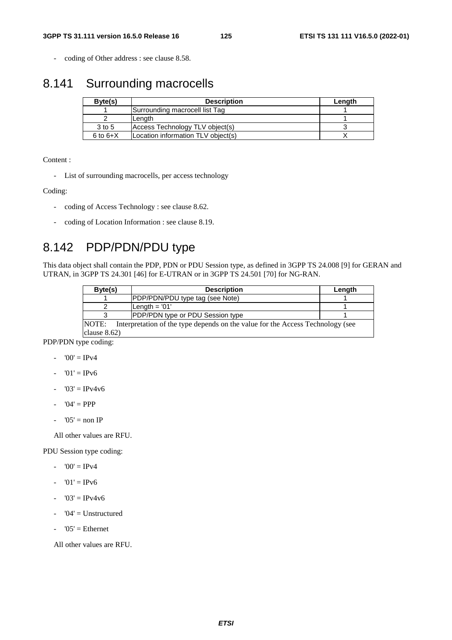- coding of Other address : see clause 8.58.

## 8.141 Surrounding macrocells

| Byte(s)      | <b>Description</b>                 | Length |
|--------------|------------------------------------|--------|
|              | Surrounding macrocell list Tag     |        |
|              | Length                             |        |
| 3 to 5       | Access Technology TLV object(s)    |        |
| $6$ to $6+X$ | Location information TLV object(s) |        |

Content :

- List of surrounding macrocells, per access technology

Coding:

- coding of Access Technology : see clause 8.62.
- coding of Location Information : see clause 8.19.

# 8.142 PDP/PDN/PDU type

This data object shall contain the PDP, PDN or PDU Session type, as defined in 3GPP TS 24.008 [9] for GERAN and UTRAN, in 3GPP TS 24.301 [46] for E-UTRAN or in 3GPP TS 24.501 [70] for NG-RAN.

| Byte(s)                                                                                        | <b>Description</b>                      | Length |  |  |
|------------------------------------------------------------------------------------------------|-----------------------------------------|--------|--|--|
|                                                                                                | PDP/PDN/PDU type tag (see Note)         |        |  |  |
|                                                                                                | Length $= 01'$                          |        |  |  |
|                                                                                                | <b>PDP/PDN type or PDU Session type</b> |        |  |  |
| <b>NOTE:</b><br>Interpretation of the type depends on the value for the Access Technology (see |                                         |        |  |  |
| clause $8.62$ )                                                                                |                                         |        |  |  |

PDP/PDN type coding:

- $-$  '00' = IPv4
- $01' = IPv6$
- $-$  '03' = IPv4v6
- $-$  '04' = PPP
- $-$  '05' = non IP

All other values are RFU.

PDU Session type coding:

- $-$  '00' = IPv4
- $-$  '01' = IPv6
- $-$  '03' = IPv4v6
- $-$  '04' = Unstructured
- $'05'$  = Ethernet

All other values are RFU.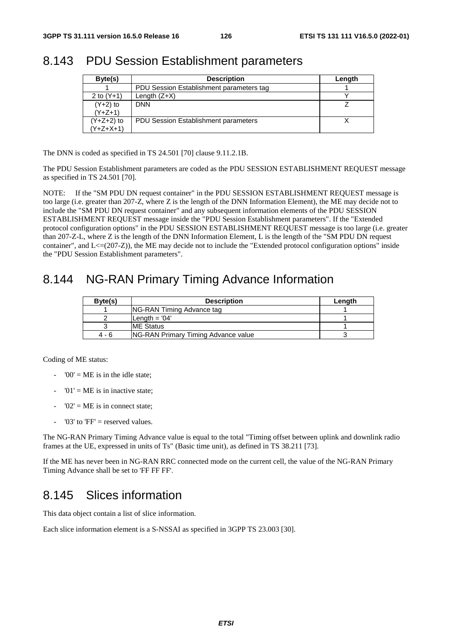## 8.143 PDU Session Establishment parameters

| Byte(s)      | <b>Description</b>                          | Length |
|--------------|---------------------------------------------|--------|
|              | PDU Session Establishment parameters tag    |        |
| 2 to $(Y+1)$ | Length $(Z+X)$                              |        |
| $(Y+2)$ to   | <b>DNN</b>                                  |        |
| $(Y+Z+1)$    |                                             |        |
| (Y+Z+2) to   | <b>PDU Session Establishment parameters</b> |        |
| Y+Z+X+1)     |                                             |        |

The DNN is coded as specified in TS 24.501 [70] clause 9.11.2.1B.

The PDU Session Establishment parameters are coded as the PDU SESSION ESTABLISHMENT REQUEST message as specified in TS 24.501 [70].

NOTE: If the "SM PDU DN request container" in the PDU SESSION ESTABLISHMENT REQUEST message is too large (i.e. greater than 207-Z, where Z is the length of the DNN Information Element), the ME may decide not to include the "SM PDU DN request container" and any subsequent information elements of the PDU SESSION ESTABLISHMENT REQUEST message inside the "PDU Session Establishment parameters". If the "Extended protocol configuration options" in the PDU SESSION ESTABLISHMENT REQUEST message is too large (i.e. greater than 207-Z-L, where Z is the length of the DNN Information Element, L is the length of the "SM PDU DN request container", and  $L \leq (207-Z)$ ), the ME may decide not to include the "Extended protocol configuration options" inside the "PDU Session Establishment parameters".

## 8.144 NG-RAN Primary Timing Advance Information

| Byte(s) | <b>Description</b>                         | Length |
|---------|--------------------------------------------|--------|
|         | NG-RAN Timing Advance tag                  |        |
|         | Length $= 04'$                             |        |
|         | <b>ME Status</b>                           |        |
| 4 - 6   | <b>NG-RAN Primary Timing Advance value</b> |        |

Coding of ME status:

- $-$  '00' = ME is in the idle state:
- $'01' = ME$  is in inactive state:
- $'02' = ME$  is in connect state:
- '03' to ' $FF'$  = reserved values.

The NG-RAN Primary Timing Advance value is equal to the total "Timing offset between uplink and downlink radio frames at the UE, expressed in units of Ts" (Basic time unit), as defined in TS 38.211 [73].

If the ME has never been in NG-RAN RRC connected mode on the current cell, the value of the NG-RAN Primary Timing Advance shall be set to 'FF FF FF'.

## 8.145 Slices information

This data object contain a list of slice information.

Each slice information element is a S-NSSAI as specified in 3GPP TS 23.003 [30].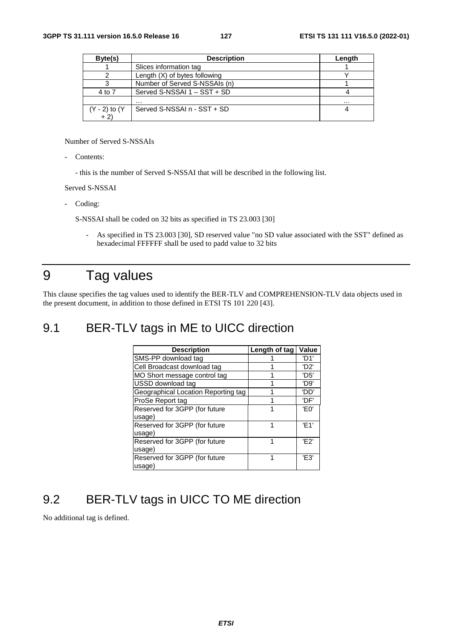| Byte(s)       | <b>Description</b>            | Length |
|---------------|-------------------------------|--------|
|               | Slices information tag        |        |
|               | Length (X) of bytes following |        |
|               | Number of Served S-NSSAIs (n) |        |
| 4 to 7        | Served S-NSSAI 1 - SST + SD   |        |
|               | .                             | .      |
| (Y - 2) to (Y | Served S-NSSAI n - SST + SD   |        |
| $+2)$         |                               |        |

Number of Served S-NSSAIs

Contents:

- this is the number of Served S-NSSAI that will be described in the following list.

Served S-NSSAI

Coding:

S-NSSAI shall be coded on 32 bits as specified in TS 23.003 [30]

- As specified in TS 23.003 [30], SD reserved value "no SD value associated with the SST" defined as hexadecimal FFFFFF shall be used to padd value to 32 bits

# 9 Tag values

This clause specifies the tag values used to identify the BER-TLV and COMPREHENSION-TLV data objects used in the present document, in addition to those defined in ETSI TS 101 220 [43].

#### 9.1 BER-TLV tags in ME to UICC direction

| <b>Description</b>                  | Length of tag | Value             |
|-------------------------------------|---------------|-------------------|
| SMS-PP download tag                 |               | 'D1'              |
| Cell Broadcast download tag         |               | 'D <sub>2</sub> ' |
| MO Short message control tag        |               | 'D5'              |
| USSD download tag                   |               | 'D9'              |
| Geographical Location Reporting tag |               | 'DD'              |
| ProSe Report tag                    | 4             | 'DF'              |
| Reserved for 3GPP (for future       |               | 'E0'              |
| usage)                              |               |                   |
| Reserved for 3GPP (for future       |               | 'F <sub>1</sub> ' |
| usage)                              |               |                   |
| Reserved for 3GPP (for future       | 1             | 'F2'              |
| usage)                              |               |                   |
| Reserved for 3GPP (for future       |               | 'F3'              |
| usage)                              |               |                   |

## 9.2 BER-TLV tags in UICC TO ME direction

No additional tag is defined.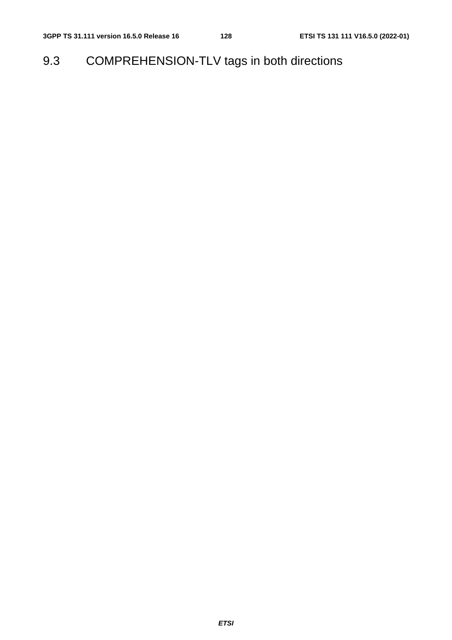9.3 COMPREHENSION-TLV tags in both directions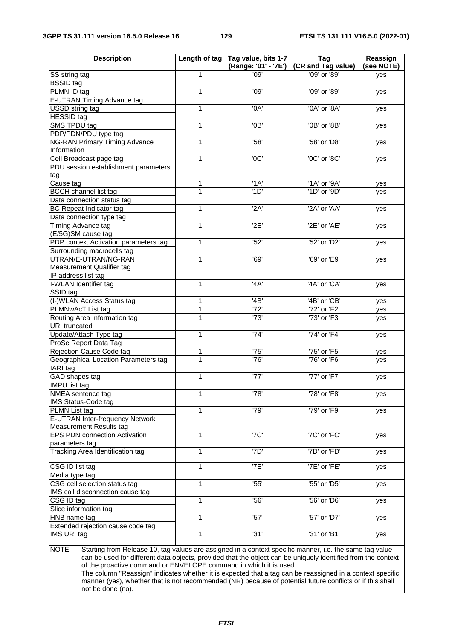#### **3GPP TS 31.111 version 16.5.0 Release 16 129 ETSI TS 131 111 V16.5.0 (2022-01)**

| <b>Description</b>                                                                                                                                                                                                                                                                                    | Length of tag | Tag value, bits 1-7<br>(Range: '01' - '7E') | Tag<br>(CR and Tag value) | Reassign<br>(see NOTE) |  |
|-------------------------------------------------------------------------------------------------------------------------------------------------------------------------------------------------------------------------------------------------------------------------------------------------------|---------------|---------------------------------------------|---------------------------|------------------------|--|
| SS string tag                                                                                                                                                                                                                                                                                         | 1             | '09'                                        | '09' or '89'              | yes                    |  |
| <b>BSSID</b> tag                                                                                                                                                                                                                                                                                      |               |                                             |                           |                        |  |
| PLMN ID tag                                                                                                                                                                                                                                                                                           | 1             | '09'                                        | '09' or '89'              | yes                    |  |
| E-UTRAN Timing Advance tag                                                                                                                                                                                                                                                                            |               |                                             |                           |                        |  |
| USSD string tag                                                                                                                                                                                                                                                                                       | 1             | '0A'                                        | '0A' or '8A'              | yes                    |  |
| <b>HESSID</b> tag                                                                                                                                                                                                                                                                                     |               |                                             |                           |                        |  |
| SMS TPDU tag                                                                                                                                                                                                                                                                                          | 1             | '0B                                         | '0B' or '8B'              | yes                    |  |
| PDP/PDN/PDU type tag                                                                                                                                                                                                                                                                                  |               |                                             |                           |                        |  |
| <b>NG-RAN Primary Timing Advance</b>                                                                                                                                                                                                                                                                  | 1             | '58'                                        | '58' or 'D8'              | yes                    |  |
| Information                                                                                                                                                                                                                                                                                           |               |                                             |                           |                        |  |
| Cell Broadcast page tag                                                                                                                                                                                                                                                                               | 1             | '0C'                                        | '0C' or '8C'              | yes                    |  |
| PDU session establishment parameters                                                                                                                                                                                                                                                                  |               |                                             |                           |                        |  |
| tag                                                                                                                                                                                                                                                                                                   |               |                                             |                           |                        |  |
| Cause tag                                                                                                                                                                                                                                                                                             | 1             | 'A                                          | '1A' or '9A'              | yes                    |  |
| <b>BCCH</b> channel list tag                                                                                                                                                                                                                                                                          | 1             | '1D'                                        | '1D' or '9D'              | yes                    |  |
| Data connection status tag                                                                                                                                                                                                                                                                            |               |                                             |                           |                        |  |
| <b>BC Repeat Indicator tag</b>                                                                                                                                                                                                                                                                        | 1             | '2A'                                        | '2A' or 'AA'              | yes                    |  |
| Data connection type tag                                                                                                                                                                                                                                                                              |               |                                             |                           |                        |  |
| Timing Advance tag                                                                                                                                                                                                                                                                                    | 1             | '2E'                                        | '2E' or 'AE'              | yes                    |  |
| (E/5G)SM cause tag                                                                                                                                                                                                                                                                                    |               |                                             |                           |                        |  |
| PDP context Activation parameters tag                                                                                                                                                                                                                                                                 | 1             | '52'                                        | '52' or 'D2'              | yes                    |  |
| Surrounding macrocells tag                                                                                                                                                                                                                                                                            |               |                                             |                           |                        |  |
| UTRAN/E-UTRAN/NG-RAN                                                                                                                                                                                                                                                                                  | 1             | '69'                                        | '69' or 'E9'              | yes                    |  |
| Measurement Qualifier tag                                                                                                                                                                                                                                                                             |               |                                             |                           |                        |  |
| IP address list tag                                                                                                                                                                                                                                                                                   |               |                                             |                           |                        |  |
| I-WLAN Identifier tag                                                                                                                                                                                                                                                                                 | 1             | 4A'                                         | '4A' or 'CA'              | yes                    |  |
| SSID tag                                                                                                                                                                                                                                                                                              |               |                                             |                           |                        |  |
| (I-)WLAN Access Status tag                                                                                                                                                                                                                                                                            | 1             | $\overline{AB'}$                            | '4B' or 'CB'              | yes                    |  |
| PLMNwAcT List tag                                                                                                                                                                                                                                                                                     | 1             | '72'                                        | '72' or 'F2'              | yes                    |  |
| Routing Area Information tag                                                                                                                                                                                                                                                                          | 1             | '73'                                        | '73' or 'F3'              | yes                    |  |
| <b>URI</b> truncated                                                                                                                                                                                                                                                                                  |               |                                             |                           |                        |  |
| Update/Attach Type tag                                                                                                                                                                                                                                                                                | 1             | '74'                                        | '74' or 'F4'              | yes                    |  |
| ProSe Report Data Tag                                                                                                                                                                                                                                                                                 |               |                                             |                           |                        |  |
| Rejection Cause Code tag                                                                                                                                                                                                                                                                              | 1             | '75'                                        | '75' or 'F5'              | yes                    |  |
| Geographical Location Parameters tag                                                                                                                                                                                                                                                                  | 1             | '76'                                        | '76' or 'F6'              | yes                    |  |
| IARI tag                                                                                                                                                                                                                                                                                              |               |                                             |                           |                        |  |
| GAD shapes tag                                                                                                                                                                                                                                                                                        | 1             | $\overline{77}$                             | '77' or 'F7'              | yes                    |  |
| <b>IMPU list tag</b>                                                                                                                                                                                                                                                                                  |               |                                             |                           |                        |  |
| NMEA sentence tag                                                                                                                                                                                                                                                                                     | 1             | '78'                                        | '78' or 'F8'              | yes                    |  |
| IMS Status-Code tag                                                                                                                                                                                                                                                                                   |               |                                             |                           |                        |  |
| PLMN List tag                                                                                                                                                                                                                                                                                         | 1             | '79'                                        | '79' or 'F9'              | yes                    |  |
| E-UTRAN Inter-frequency Network                                                                                                                                                                                                                                                                       |               |                                             |                           |                        |  |
| Measurement Results tag                                                                                                                                                                                                                                                                               |               |                                             |                           |                        |  |
| <b>EPS PDN connection Activation</b>                                                                                                                                                                                                                                                                  | 1             | '7C'                                        | '7C' or 'FC'              | yes                    |  |
| parameters tag                                                                                                                                                                                                                                                                                        |               |                                             |                           |                        |  |
| Tracking Area Identification tag                                                                                                                                                                                                                                                                      | 1             | '7D'                                        | '7D' or 'FD'              | yes                    |  |
| CSG ID list tag                                                                                                                                                                                                                                                                                       | 1             | '7E'                                        | '7E' or 'FE'              | yes                    |  |
| Media type tag                                                                                                                                                                                                                                                                                        |               |                                             |                           |                        |  |
| CSG cell selection status tag                                                                                                                                                                                                                                                                         | 1             | '55'                                        | '55' or 'D5'              | yes                    |  |
| IMS call disconnection cause tag                                                                                                                                                                                                                                                                      |               |                                             |                           |                        |  |
| CSG ID tag                                                                                                                                                                                                                                                                                            | 1             | $\overline{56}$                             | '56' or 'D6'              | yes                    |  |
| Slice information tag                                                                                                                                                                                                                                                                                 |               |                                             |                           |                        |  |
| HNB name tag                                                                                                                                                                                                                                                                                          | 1             | '57'                                        | '57' or 'D7'              | yes                    |  |
| Extended rejection cause code tag                                                                                                                                                                                                                                                                     |               |                                             |                           |                        |  |
| IMS URI tag                                                                                                                                                                                                                                                                                           | 1             | '31'                                        | '31' or 'B1'              | yes                    |  |
| Starting from Release 10, tag values are assigned in a context specific manner, i.e. the same tag value<br>NOTE:<br>can be used for different data objects, provided that the object can be uniquely identified from the context<br>of the proactive command or ENVELOPE command in which it is used. |               |                                             |                           |                        |  |

The column "Reassign" indicates whether it is expected that a tag can be reassigned in a context specific manner (yes), whether that is not recommended (NR) because of potential future conflicts or if this shall not be done (no).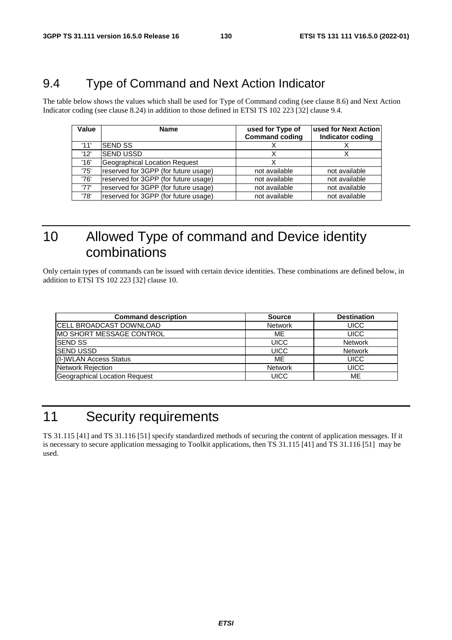## 9.4 Type of Command and Next Action Indicator

The table below shows the values which shall be used for Type of Command coding (see clause 8.6) and Next Action Indicator coding (see clause 8.24) in addition to those defined in ETSI TS 102 223 [32] clause 9.4.

| Value | <b>Name</b>                          | used for Type of<br><b>Command coding</b> | used for Next Action<br><b>Indicator coding</b> |
|-------|--------------------------------------|-------------------------------------------|-------------------------------------------------|
| '11'  | <b>SEND SS</b>                       |                                           |                                                 |
| '12'  | <b>SEND USSD</b>                     |                                           |                                                 |
| '16'  | <b>Geographical Location Request</b> | х                                         |                                                 |
| '75'  | reserved for 3GPP (for future usage) | not available                             | not available                                   |
| '76'  | reserved for 3GPP (for future usage) | not available                             | not available                                   |
| '77'  | reserved for 3GPP (for future usage) | not available                             | not available                                   |
| '78'  | reserved for 3GPP (for future usage) | not available                             | not available                                   |

# 10 Allowed Type of command and Device identity combinations

Only certain types of commands can be issued with certain device identities. These combinations are defined below, in addition to ETSI TS 102 223 [32] clause 10.

| <b>Command description</b>     | <b>Source</b>  | <b>Destination</b> |
|--------------------------------|----------------|--------------------|
| <b>CELL BROADCAST DOWNLOAD</b> | <b>Network</b> | <b>UICC</b>        |
| IMO SHORT MESSAGE CONTROL      | ME             | <b>UICC</b>        |
| <b>SEND SS</b>                 | <b>UICC</b>    | <b>Network</b>     |
| <b>ISEND USSD</b>              | <b>UICC</b>    | <b>Network</b>     |
| (I-)WLAN Access Status         | ME             | <b>UICC</b>        |
| Network Rejection              | <b>Network</b> | <b>UICC</b>        |
| Geographical Location Request  | <b>UICC</b>    | ME                 |

# 11 Security requirements

TS 31.115 [41] and TS 31.116 [51] specify standardized methods of securing the content of application messages. If it is necessary to secure application messaging to Toolkit applications, then TS 31.115 [41] and TS 31.116 [51] may be used.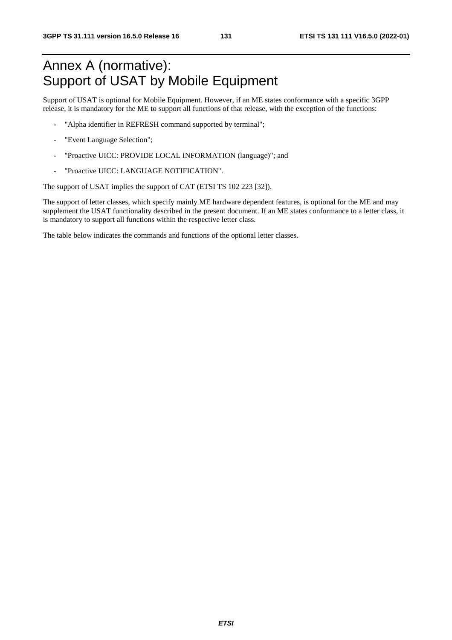# Annex A (normative): Support of USAT by Mobile Equipment

Support of USAT is optional for Mobile Equipment. However, if an ME states conformance with a specific 3GPP release, it is mandatory for the ME to support all functions of that release, with the exception of the functions:

- "Alpha identifier in REFRESH command supported by terminal";
- "Event Language Selection";
- "Proactive UICC: PROVIDE LOCAL INFORMATION (language)"; and
- "Proactive UICC: LANGUAGE NOTIFICATION".

The support of USAT implies the support of CAT (ETSI TS 102 223 [32]).

The support of letter classes, which specify mainly ME hardware dependent features, is optional for the ME and may supplement the USAT functionality described in the present document. If an ME states conformance to a letter class, it is mandatory to support all functions within the respective letter class.

The table below indicates the commands and functions of the optional letter classes.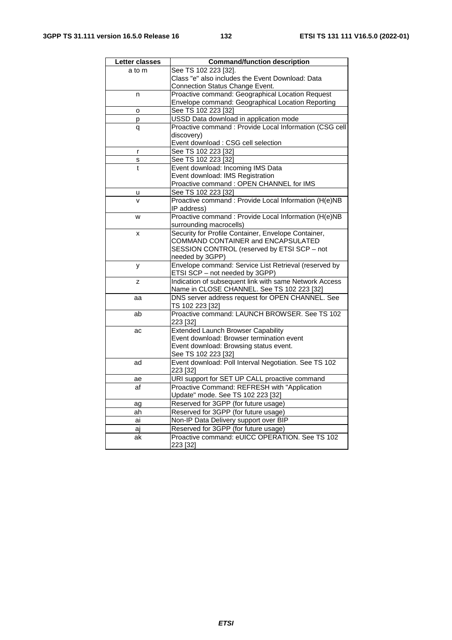| Letter classes | <b>Command/function description</b>                                          |  |  |
|----------------|------------------------------------------------------------------------------|--|--|
| a to m         | See TS 102 223 [32].                                                         |  |  |
|                | Class "e" also includes the Event Download: Data                             |  |  |
|                | Connection Status Change Event.                                              |  |  |
| n              | Proactive command: Geographical Location Request                             |  |  |
|                | Envelope command: Geographical Location Reporting                            |  |  |
| o              | See TS 102 223 [32]                                                          |  |  |
| р              | USSD Data download in application mode                                       |  |  |
| q              | Proactive command : Provide Local Information (CSG cell                      |  |  |
|                | discovery)                                                                   |  |  |
|                | Event download : CSG cell selection                                          |  |  |
| r              | See TS 102 223 [32]                                                          |  |  |
| s              | See TS 102 223 [32]                                                          |  |  |
| $\ddagger$     | Event download: Incoming IMS Data                                            |  |  |
|                | Event download: IMS Registration<br>Proactive command : OPEN CHANNEL for IMS |  |  |
|                |                                                                              |  |  |
| u<br>v         | See TS 102 223 [32]                                                          |  |  |
|                | Proactive command : Provide Local Information (H(e)NB<br>IP address)         |  |  |
| W              | Proactive command : Provide Local Information (H(e)NB                        |  |  |
|                | surrounding macrocells)                                                      |  |  |
| x              | Security for Profile Container, Envelope Container,                          |  |  |
|                | COMMAND CONTAINER and ENCAPSULATED                                           |  |  |
|                | SESSION CONTROL (reserved by ETSI SCP - not                                  |  |  |
|                | needed by 3GPP)                                                              |  |  |
| у              | Envelope command: Service List Retrieval (reserved by                        |  |  |
|                | ETSI SCP - not needed by 3GPP)                                               |  |  |
| z              | Indication of subsequent link with same Network Access                       |  |  |
|                | Name in CLOSE CHANNEL. See TS 102 223 [32]                                   |  |  |
| aa             | DNS server address request for OPEN CHANNEL. See                             |  |  |
|                | TS 102 223 [32]                                                              |  |  |
| ab             | Proactive command: LAUNCH BROWSER. See TS 102                                |  |  |
|                | 223 [32]                                                                     |  |  |
| ac             | <b>Extended Launch Browser Capability</b>                                    |  |  |
|                | Event download: Browser termination event                                    |  |  |
|                | Event download: Browsing status event.                                       |  |  |
|                | See TS 102 223 [32]                                                          |  |  |
| ad             | Event download: Poll Interval Negotiation. See TS 102                        |  |  |
|                | 223 [32]                                                                     |  |  |
| ae             | URI support for SET UP CALL proactive command                                |  |  |
| af             | Proactive Command: REFRESH with "Application                                 |  |  |
|                | Update" mode. See TS 102 223 [32]                                            |  |  |
| ag             | Reserved for 3GPP (for future usage)                                         |  |  |
| ah             | Reserved for 3GPP (for future usage)                                         |  |  |
| ai             | Non-IP Data Delivery support over BIP                                        |  |  |
| aj             | Reserved for 3GPP (for future usage)                                         |  |  |
| ak             | Proactive command: eUICC OPERATION. See TS 102                               |  |  |
|                | 223 [32]                                                                     |  |  |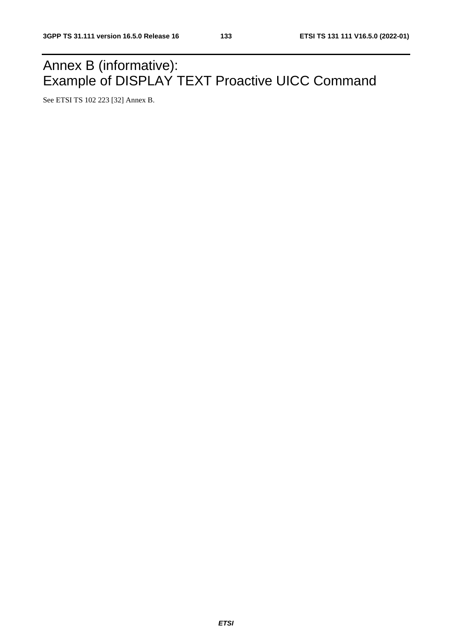# Annex B (informative): Example of DISPLAY TEXT Proactive UICC Command

See ETSI TS 102 223 [32] Annex B.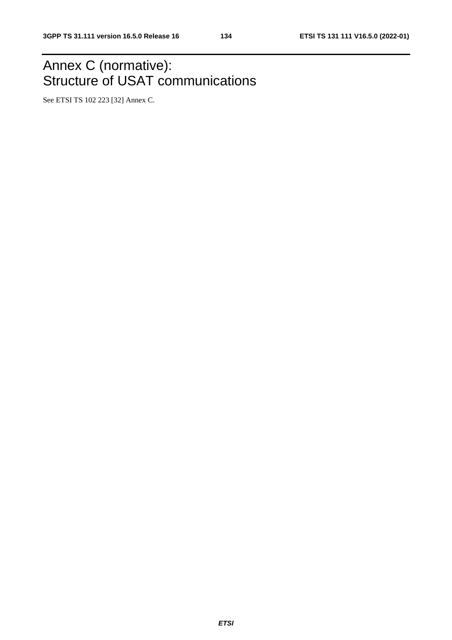# Annex C (normative): Structure of USAT communications

See ETSI TS 102 223 [32] Annex C.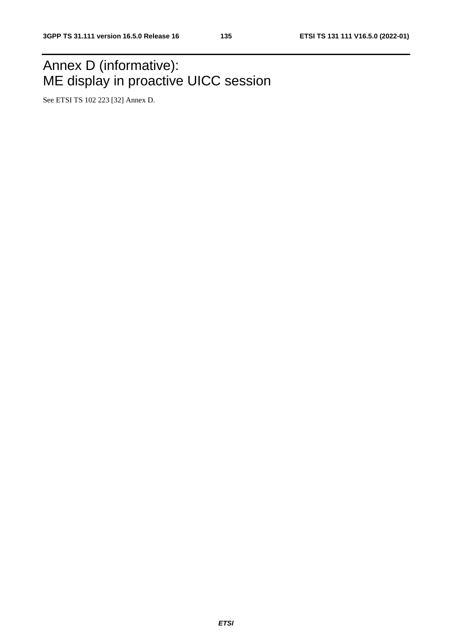# Annex D (informative): ME display in proactive UICC session

See ETSI TS 102 223 [32] Annex D.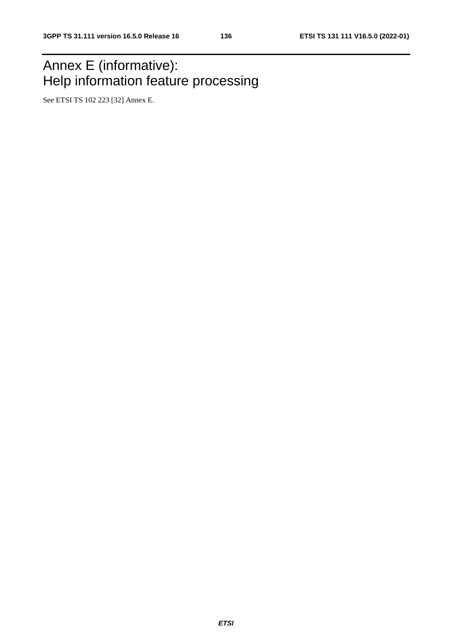# Annex E (informative): Help information feature processing

See ETSI TS 102 223 [32] Annex E.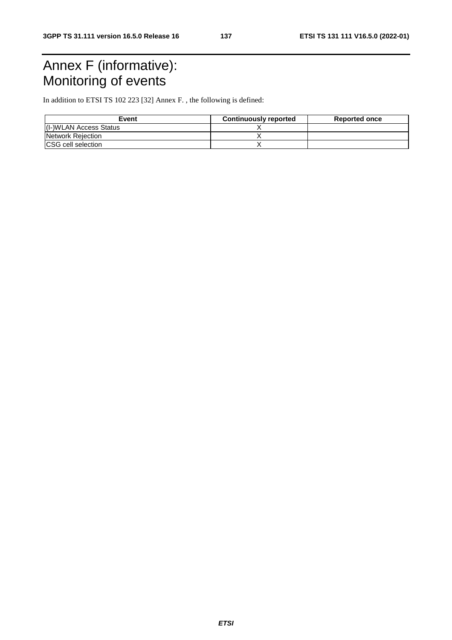# Annex F (informative): Monitoring of events

In addition to ETSI TS 102 223 [32] Annex F. , the following is defined:

| Event                      | <b>Continuously reported</b> | <b>Reported once</b> |
|----------------------------|------------------------------|----------------------|
| (I-)WLAN Access Status     |                              |                      |
| Network Rejection          |                              |                      |
| <b>ICSG</b> cell selection |                              |                      |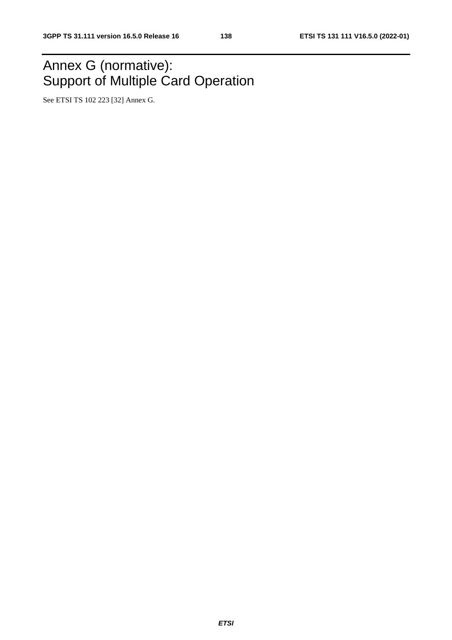# Annex G (normative): Support of Multiple Card Operation

See ETSI TS 102 223 [32] Annex G.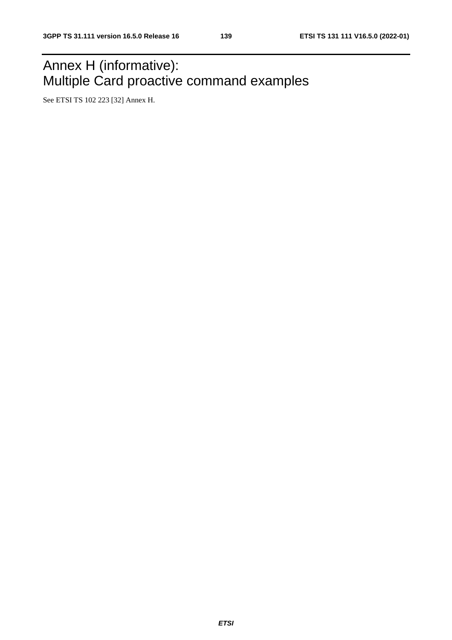# Annex H (informative): Multiple Card proactive command examples

See ETSI TS 102 223 [32] Annex H.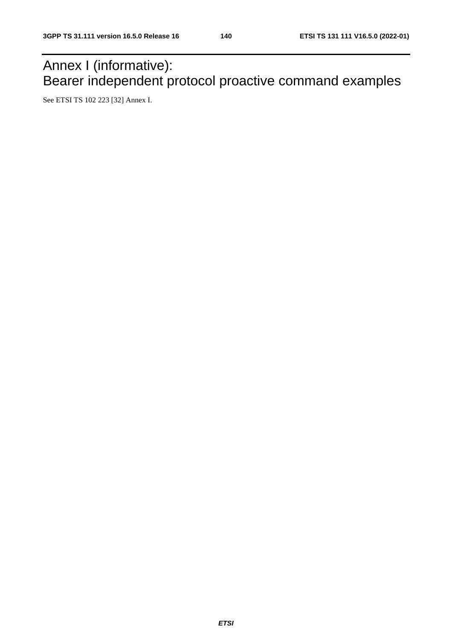# Annex I (informative): Bearer independent protocol proactive command examples

See ETSI TS 102 223 [32] Annex I.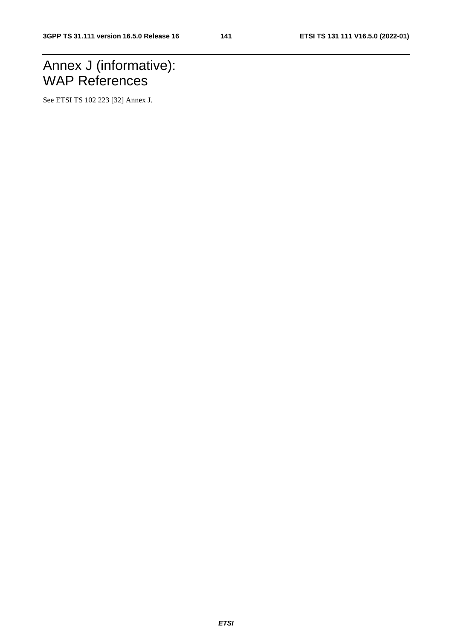# Annex J (informative): WAP References

See ETSI TS 102 223 [32] Annex J.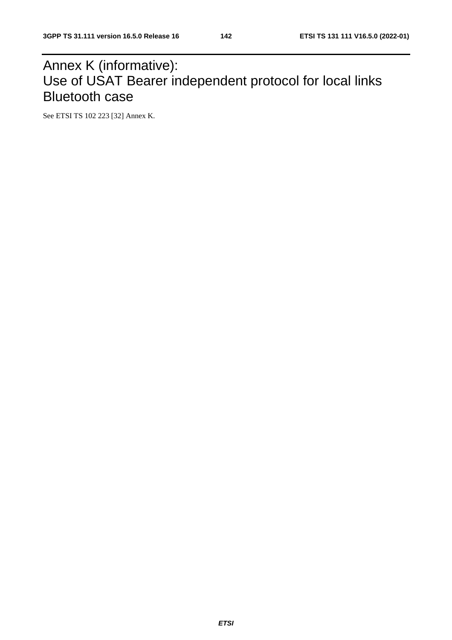# Annex K (informative): Use of USAT Bearer independent protocol for local links Bluetooth case

See ETSI TS 102 223 [32] Annex K.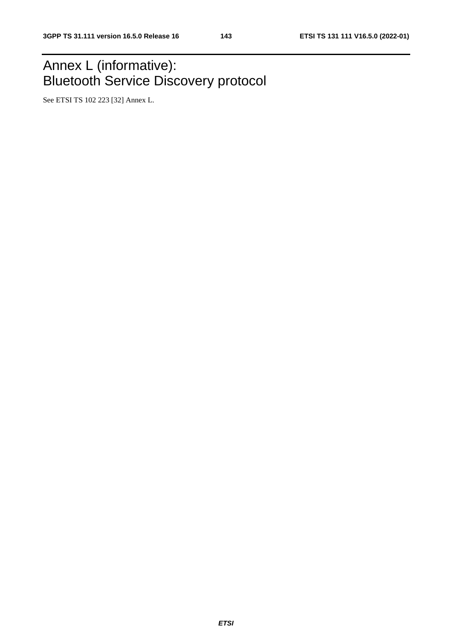# Annex L (informative): Bluetooth Service Discovery protocol

See ETSI TS 102 223 [32] Annex L.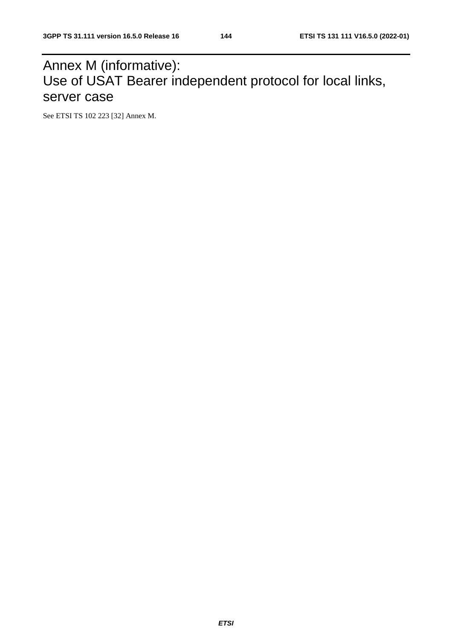# Annex M (informative): Use of USAT Bearer independent protocol for local links, server case

See ETSI TS 102 223 [32] Annex M.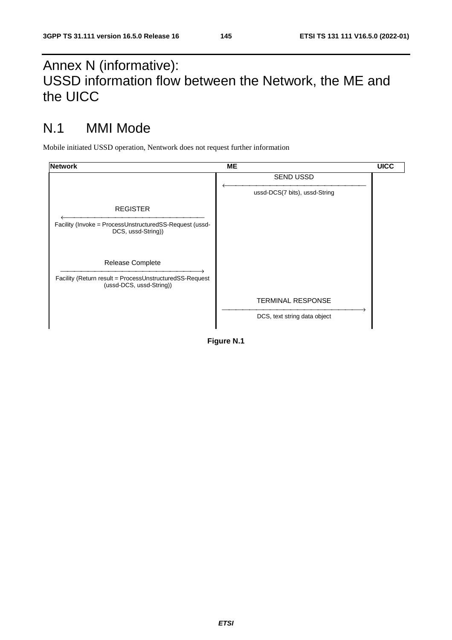# Annex N (informative): USSD information flow between the Network, the ME and the UICC

# N.1 MMI Mode

Mobile initiated USSD operation, Nentwork does not request further information

| <b>Network</b>                                                                      | <b>ME</b>                     | <b>UICC</b> |
|-------------------------------------------------------------------------------------|-------------------------------|-------------|
|                                                                                     | <b>SEND USSD</b>              |             |
|                                                                                     | ussd-DCS(7 bits), ussd-String |             |
| <b>REGISTER</b>                                                                     |                               |             |
| Facility (Invoke = ProcessUnstructuredSS-Request (ussd-<br>DCS, ussd-String))       |                               |             |
| Release Complete                                                                    |                               |             |
| Facility (Return result = ProcessUnstructuredSS-Request<br>(ussd-DCS, ussd-String)) |                               |             |
|                                                                                     | <b>TERMINAL RESPONSE</b>      |             |
|                                                                                     | DCS, text string data object  |             |
|                                                                                     |                               |             |

**Figure N.1**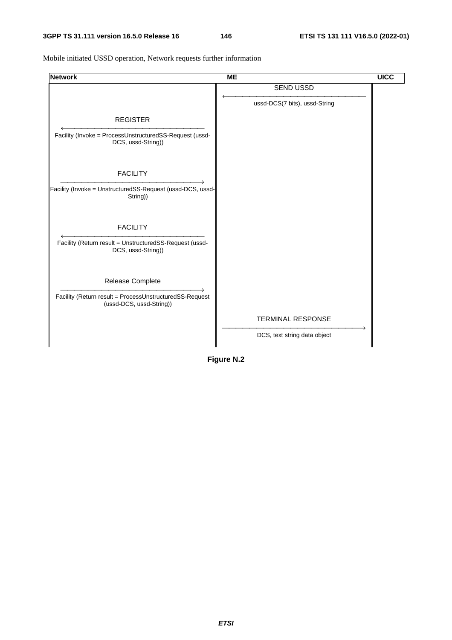Mobile initiated USSD operation, Network requests further information

| <b>Network</b>                                                                                          | <b>ME</b>                     | <b>UICC</b> |
|---------------------------------------------------------------------------------------------------------|-------------------------------|-------------|
|                                                                                                         | <b>SEND USSD</b>              |             |
|                                                                                                         | ussd-DCS(7 bits), ussd-String |             |
| <b>REGISTER</b>                                                                                         |                               |             |
| Facility (Invoke = ProcessUnstructuredSS-Request (ussd-<br>DCS, ussd-String))                           |                               |             |
| <b>FACILITY</b><br>Facility (Invoke = UnstructuredSS-Request (ussd-DCS, ussd-<br>String))               |                               |             |
| <b>FACILITY</b><br>Facility (Return result = UnstructuredSS-Request (ussd-<br>DCS, ussd-String))        |                               |             |
| Release Complete<br>Facility (Return result = ProcessUnstructuredSS-Request<br>(ussd-DCS, ussd-String)) |                               |             |
|                                                                                                         | <b>TERMINAL RESPONSE</b>      |             |
|                                                                                                         | DCS, text string data object  |             |

**Figure N.2**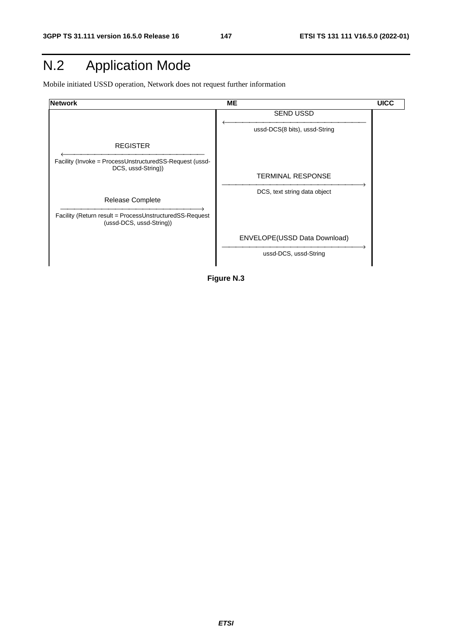# N.2 Application Mode

Mobile initiated USSD operation, Network does not request further information



**Figure N.3**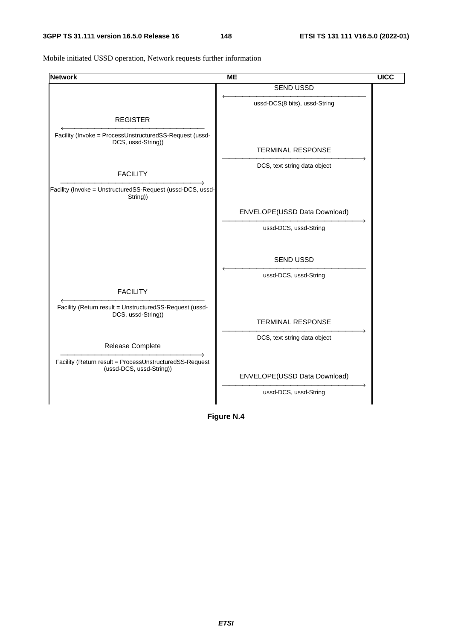Mobile initiated USSD operation, Network requests further information

| <b>Network</b>                                                                      | <b>ME</b>                     | <b>UICC</b> |
|-------------------------------------------------------------------------------------|-------------------------------|-------------|
|                                                                                     | <b>SEND USSD</b>              |             |
|                                                                                     | ussd-DCS(8 bits), ussd-String |             |
| <b>REGISTER</b>                                                                     |                               |             |
| Facility (Invoke = ProcessUnstructuredSS-Request (ussd-                             |                               |             |
| DCS, ussd-String))                                                                  |                               |             |
|                                                                                     | <b>TERMINAL RESPONSE</b>      |             |
|                                                                                     | DCS, text string data object  |             |
| <b>FACILITY</b>                                                                     |                               |             |
| Facility (Invoke = UnstructuredSS-Request (ussd-DCS, ussd-<br>String))              |                               |             |
|                                                                                     | ENVELOPE(USSD Data Download)  |             |
|                                                                                     | ussd-DCS, ussd-String         |             |
|                                                                                     |                               |             |
|                                                                                     | <b>SEND USSD</b>              |             |
|                                                                                     | ussd-DCS, ussd-String         |             |
| <b>FACILITY</b>                                                                     |                               |             |
| Facility (Return result = UnstructuredSS-Request (ussd-                             |                               |             |
| DCS, ussd-String))                                                                  | <b>TERMINAL RESPONSE</b>      |             |
|                                                                                     | DCS, text string data object  |             |
| Release Complete                                                                    |                               |             |
| Facility (Return result = ProcessUnstructuredSS-Request<br>(ussd-DCS, ussd-String)) |                               |             |
|                                                                                     | ENVELOPE(USSD Data Download)  |             |
|                                                                                     | ussd-DCS, ussd-String         |             |
|                                                                                     |                               |             |

**Figure N.4**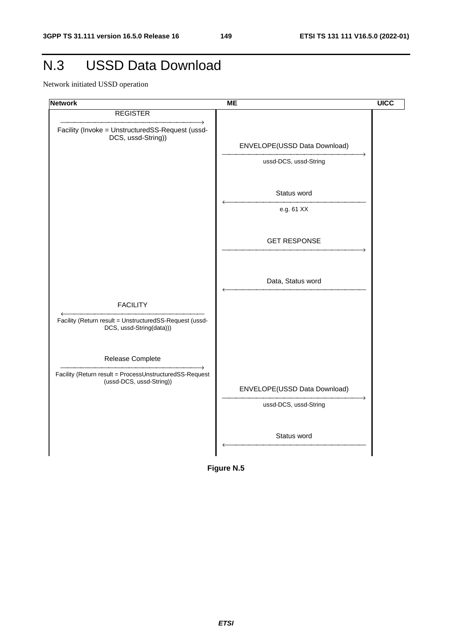# N.3 USSD Data Download

Network initiated USSD operation



**Figure N.5**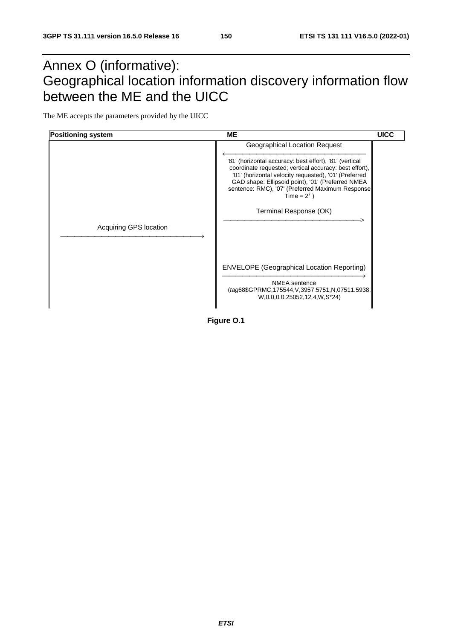# Annex O (informative): Geographical location information discovery information flow between the ME and the UICC

The ME accepts the parameters provided by the UICC



**Figure O.1**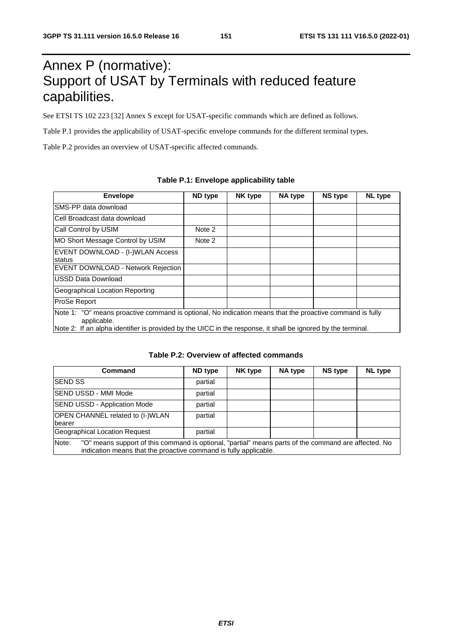# Annex P (normative): Support of USAT by Terminals with reduced feature capabilities.

See ETSI TS 102 223 [32] Annex S except for USAT-specific commands which are defined as follows.

Table P.1 provides the applicability of USAT-specific envelope commands for the different terminal types.

Table P.2 provides an overview of USAT-specific affected commands.

| <b>Envelope</b>                                                                                                                                                                                                                         | ND type | <b>NK type</b> | NA type | <b>NS type</b> | NL type |  |  |  |  |
|-----------------------------------------------------------------------------------------------------------------------------------------------------------------------------------------------------------------------------------------|---------|----------------|---------|----------------|---------|--|--|--|--|
| SMS-PP data download                                                                                                                                                                                                                    |         |                |         |                |         |  |  |  |  |
| Cell Broadcast data download                                                                                                                                                                                                            |         |                |         |                |         |  |  |  |  |
| Call Control by USIM                                                                                                                                                                                                                    | Note 2  |                |         |                |         |  |  |  |  |
| MO Short Message Control by USIM                                                                                                                                                                                                        | Note 2  |                |         |                |         |  |  |  |  |
| EVENT DOWNLOAD - (I-)WLAN Access<br>status                                                                                                                                                                                              |         |                |         |                |         |  |  |  |  |
| <b>EVENT DOWNLOAD - Network Rejection</b>                                                                                                                                                                                               |         |                |         |                |         |  |  |  |  |
| USSD Data Download                                                                                                                                                                                                                      |         |                |         |                |         |  |  |  |  |
| Geographical Location Reporting                                                                                                                                                                                                         |         |                |         |                |         |  |  |  |  |
| ProSe Report                                                                                                                                                                                                                            |         |                |         |                |         |  |  |  |  |
| Note 1: "O" means proactive command is optional, No indication means that the proactive command is fully<br>applicable.<br>Note 2: If an alpha identifier is provided by the UICC in the response, it shall be ignored by the terminal. |         |                |         |                |         |  |  |  |  |

#### **Table P.1: Envelope applicability table**

| <b>Command</b>                                                                                                                                                                    | ND type | <b>NK type</b> | NA type | <b>NS type</b> | <b>NL</b> type |  |  |  |  |
|-----------------------------------------------------------------------------------------------------------------------------------------------------------------------------------|---------|----------------|---------|----------------|----------------|--|--|--|--|
| <b>SEND SS</b>                                                                                                                                                                    | partial |                |         |                |                |  |  |  |  |
| SEND USSD - MMI Mode                                                                                                                                                              | partial |                |         |                |                |  |  |  |  |
| <b>SEND USSD - Application Mode</b>                                                                                                                                               | partial |                |         |                |                |  |  |  |  |
| OPEN CHANNEL related to (I-)WLAN<br>bearer                                                                                                                                        | partial |                |         |                |                |  |  |  |  |
| Geographical Location Request                                                                                                                                                     | partial |                |         |                |                |  |  |  |  |
| Note:<br>"O" means support of this command is optional, "partial" means parts of the command are affected. No<br>indication means that the proactive command is fully applicable. |         |                |         |                |                |  |  |  |  |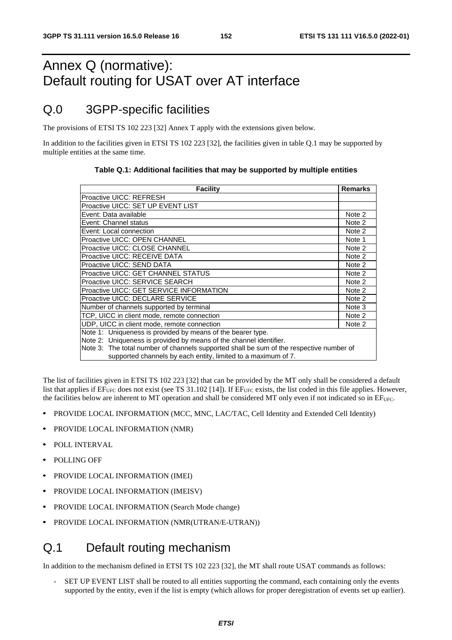# Annex Q (normative): Default routing for USAT over AT interface

## Q.0 3GPP-specific facilities

The provisions of ETSI TS 102 223 [32] Annex T apply with the extensions given below.

In addition to the facilities given in ETSI TS 102 223 [32], the facilities given in table Q.1 may be supported by multiple entities at the same time.

#### **Table Q.1: Additional facilities that may be supported by multiple entities**

| <b>Facility</b>                                                                                                                                                                                                                                                                               | <b>Remarks</b> |  |  |  |  |  |
|-----------------------------------------------------------------------------------------------------------------------------------------------------------------------------------------------------------------------------------------------------------------------------------------------|----------------|--|--|--|--|--|
| lProactive UICC: REFRESH                                                                                                                                                                                                                                                                      |                |  |  |  |  |  |
| Proactive UICC: SET UP EVENT LIST                                                                                                                                                                                                                                                             |                |  |  |  |  |  |
| Event: Data available                                                                                                                                                                                                                                                                         |                |  |  |  |  |  |
| Event: Channel status                                                                                                                                                                                                                                                                         |                |  |  |  |  |  |
| Event: Local connection                                                                                                                                                                                                                                                                       | Note 2         |  |  |  |  |  |
| Proactive UICC: OPEN CHANNEL                                                                                                                                                                                                                                                                  | Note 1         |  |  |  |  |  |
| Proactive UICC: CLOSE CHANNEL                                                                                                                                                                                                                                                                 | Note 2         |  |  |  |  |  |
| Proactive UICC: RECEIVE DATA                                                                                                                                                                                                                                                                  | Note 2         |  |  |  |  |  |
| Proactive UICC: SEND DATA                                                                                                                                                                                                                                                                     |                |  |  |  |  |  |
| Proactive UICC: GET CHANNEL STATUS                                                                                                                                                                                                                                                            |                |  |  |  |  |  |
| Proactive UICC: SERVICE SEARCH                                                                                                                                                                                                                                                                |                |  |  |  |  |  |
| Proactive UICC: GET SERVICE INFORMATION                                                                                                                                                                                                                                                       |                |  |  |  |  |  |
| Proactive UICC: DECLARE SERVICE                                                                                                                                                                                                                                                               |                |  |  |  |  |  |
| Number of channels supported by terminal                                                                                                                                                                                                                                                      |                |  |  |  |  |  |
| TCP, UICC in client mode, remote connection                                                                                                                                                                                                                                                   |                |  |  |  |  |  |
| UDP, UICC in client mode, remote connection                                                                                                                                                                                                                                                   |                |  |  |  |  |  |
| Note 1: Uniqueness is provided by means of the bearer type.<br>Note 2: Uniqueness is provided by means of the channel identifier.<br>Note 3: The total number of channels supported shall be sum of the respective number of<br>supported channels by each entity, limited to a maximum of 7. |                |  |  |  |  |  |

The list of facilities given in ETSI TS 102 223 [32] that can be provided by the MT only shall be considered a default list that applies if  $EF_{UFC}$  does not exist (see TS 31.102 [14]). If  $EF_{UFC}$  exists, the list coded in this file applies. However, the facilities below are inherent to MT operation and shall be considered MT only even if not indicated so in EF<sub>UFC</sub>.

- PROVIDE LOCAL INFORMATION (MCC, MNC, LAC/TAC, Cell Identity and Extended Cell Identity)<br>• PROVIDE LOCAL INFORMATION (NMR)
- PROVIDE LOCAL INFORMATION (NMR)
- POLL INTERVAL
- POLLING OFF
- PROVIDE LOCAL INFORMATION (IMEI)
- PROVIDE LOCAL INFORMATION (IMEISV)
- PROVIDE LOCAL INFORMATION (Search Mode change)
- PROVIDE LOCAL INFORMATION (NMR(UTRAN/E-UTRAN))

## Q.1 Default routing mechanism

In addition to the mechanism defined in ETSI TS 102 223 [32], the MT shall route USAT commands as follows:

SET UP EVENT LIST shall be routed to all entities supporting the command, each containing only the events supported by the entity, even if the list is empty (which allows for proper deregistration of events set up earlier).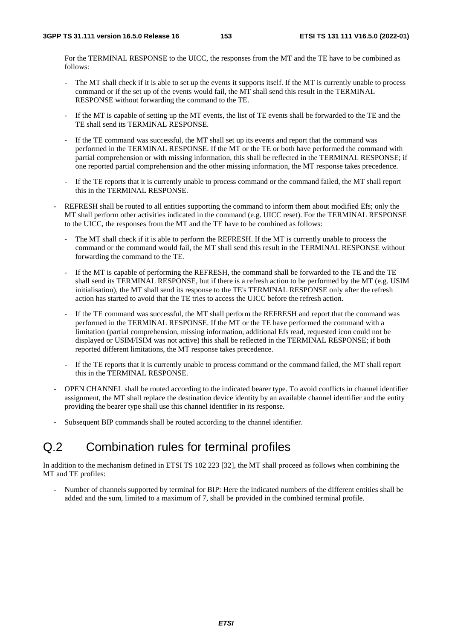For the TERMINAL RESPONSE to the UICC, the responses from the MT and the TE have to be combined as follows:

- The MT shall check if it is able to set up the events it supports itself. If the MT is currently unable to process command or if the set up of the events would fail, the MT shall send this result in the TERMINAL RESPONSE without forwarding the command to the TE.
- If the MT is capable of setting up the MT events, the list of TE events shall be forwarded to the TE and the TE shall send its TERMINAL RESPONSE.
- If the TE command was successful, the MT shall set up its events and report that the command was performed in the TERMINAL RESPONSE. If the MT or the TE or both have performed the command with partial comprehension or with missing information, this shall be reflected in the TERMINAL RESPONSE; if one reported partial comprehension and the other missing information, the MT response takes precedence.
- If the TE reports that it is currently unable to process command or the command failed, the MT shall report this in the TERMINAL RESPONSE.
- REFRESH shall be routed to all entities supporting the command to inform them about modified Efs; only the MT shall perform other activities indicated in the command (e.g. UICC reset). For the TERMINAL RESPONSE to the UICC, the responses from the MT and the TE have to be combined as follows:
	- The MT shall check if it is able to perform the REFRESH. If the MT is currently unable to process the command or the command would fail, the MT shall send this result in the TERMINAL RESPONSE without forwarding the command to the TE.
	- If the MT is capable of performing the REFRESH, the command shall be forwarded to the TE and the TE shall send its TERMINAL RESPONSE, but if there is a refresh action to be performed by the MT (e.g. USIM initialisation), the MT shall send its response to the TE's TERMINAL RESPONSE only after the refresh action has started to avoid that the TE tries to access the UICC before the refresh action.
	- If the TE command was successful, the MT shall perform the REFRESH and report that the command was performed in the TERMINAL RESPONSE. If the MT or the TE have performed the command with a limitation (partial comprehension, missing information, additional Efs read, requested icon could not be displayed or USIM/ISIM was not active) this shall be reflected in the TERMINAL RESPONSE; if both reported different limitations, the MT response takes precedence.
	- If the TE reports that it is currently unable to process command or the command failed, the MT shall report this in the TERMINAL RESPONSE.
- OPEN CHANNEL shall be routed according to the indicated bearer type. To avoid conflicts in channel identifier assignment, the MT shall replace the destination device identity by an available channel identifier and the entity providing the bearer type shall use this channel identifier in its response.
- Subsequent BIP commands shall be routed according to the channel identifier.

## Q.2 Combination rules for terminal profiles

In addition to the mechanism defined in ETSI TS 102 223 [32], the MT shall proceed as follows when combining the MT and TE profiles:

- Number of channels supported by terminal for BIP: Here the indicated numbers of the different entities shall be added and the sum, limited to a maximum of 7, shall be provided in the combined terminal profile.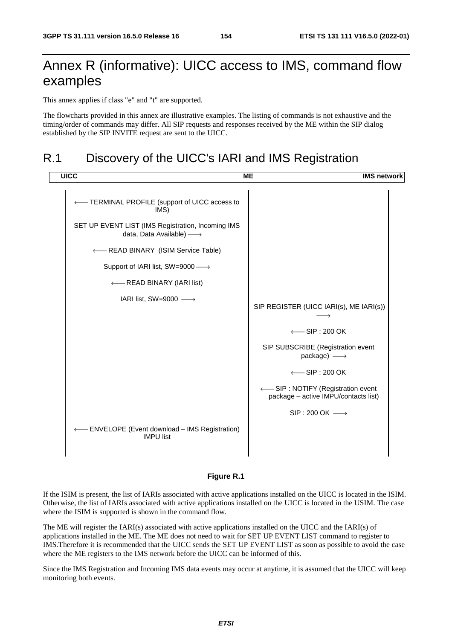# Annex R (informative): UICC access to IMS, command flow examples

This annex applies if class "e" and "t" are supported.

The flowcharts provided in this annex are illustrative examples. The listing of commands is not exhaustive and the timing/order of commands may differ. All SIP requests and responses received by the ME within the SIP dialog established by the SIP INVITE request are sent to the UICC.

## R.1 Discovery of the UICC's IARI and IMS Registration



#### **Figure R.1**

If the ISIM is present, the list of IARIs associated with active applications installed on the UICC is located in the ISIM. Otherwise, the list of IARIs associated with active applications installed on the UICC is located in the USIM. The case where the ISIM is supported is shown in the command flow.

The ME will register the IARI(s) associated with active applications installed on the UICC and the IARI(s) of applications installed in the ME. The ME does not need to wait for SET UP EVENT LIST command to register to IMS.Therefore it is recommended that the UICC sends the SET UP EVENT LIST as soon as possible to avoid the case where the ME registers to the IMS network before the UICC can be informed of this.

Since the IMS Registration and Incoming IMS data events may occur at anytime, it is assumed that the UICC will keep monitoring both events.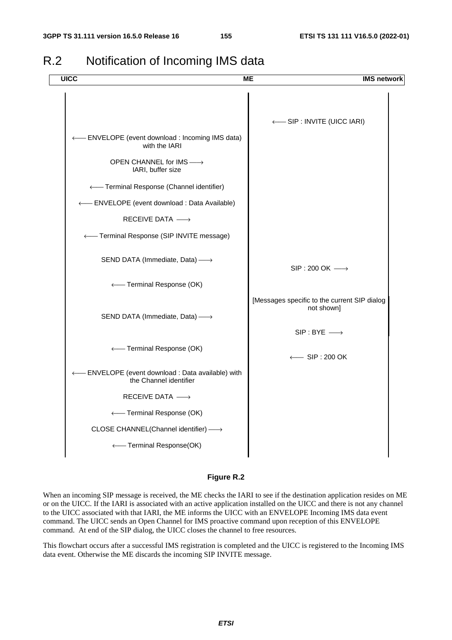## R.2 Notification of Incoming IMS data



#### **Figure R.2**

When an incoming SIP message is received, the ME checks the IARI to see if the destination application resides on ME or on the UICC. If the IARI is associated with an active application installed on the UICC and there is not any channel to the UICC associated with that IARI, the ME informs the UICC with an ENVELOPE Incoming IMS data event command. The UICC sends an Open Channel for IMS proactive command upon reception of this ENVELOPE command. At end of the SIP dialog, the UICC closes the channel to free resources.

This flowchart occurs after a successful IMS registration is completed and the UICC is registered to the Incoming IMS data event. Otherwise the ME discards the incoming SIP INVITE message.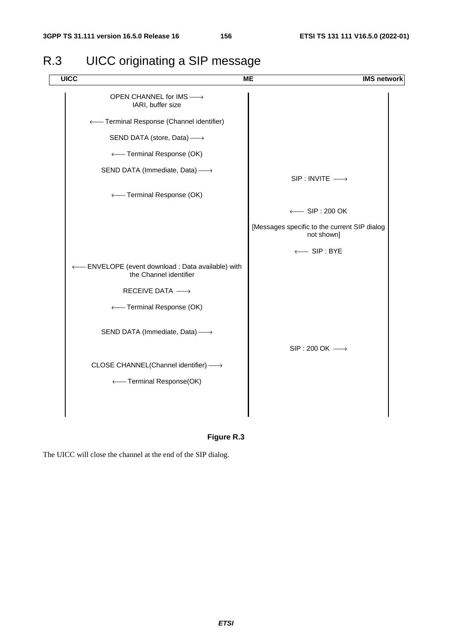

## R.3 UICC originating a SIP message

**Figure R.3** 

The UICC will close the channel at the end of the SIP dialog.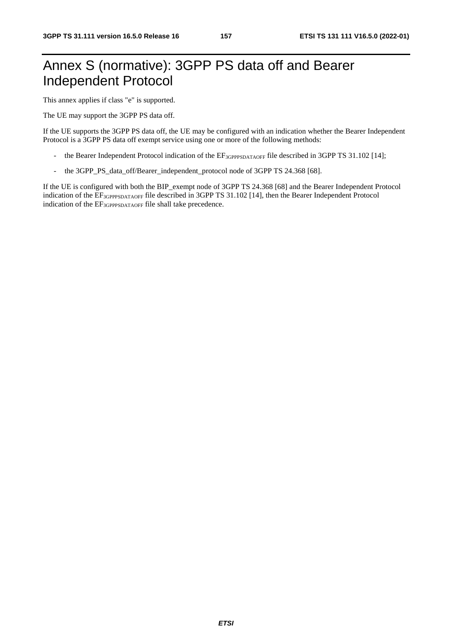# Annex S (normative): 3GPP PS data off and Bearer Independent Protocol

This annex applies if class "e" is supported.

The UE may support the 3GPP PS data off.

If the UE supports the 3GPP PS data off, the UE may be configured with an indication whether the Bearer Independent Protocol is a 3GPP PS data off exempt service using one or more of the following methods:

- the Bearer Independent Protocol indication of the EF<sub>3GPPPSDATAOFF</sub> file described in 3GPP TS 31.102 [14];
- the 3GPP\_PS\_data\_off/Bearer\_independent\_protocol node of 3GPP TS 24.368 [68].

If the UE is configured with both the BIP\_exempt node of 3GPP TS 24.368 [68] and the Bearer Independent Protocol indication of the EF<sub>3GPPPSDATAOFF</sub> file described in 3GPP TS 31.102 [14], then the Bearer Independent Protocol indication of the  $EF_{3GPPPSDATAOFF}$  file shall take precedence.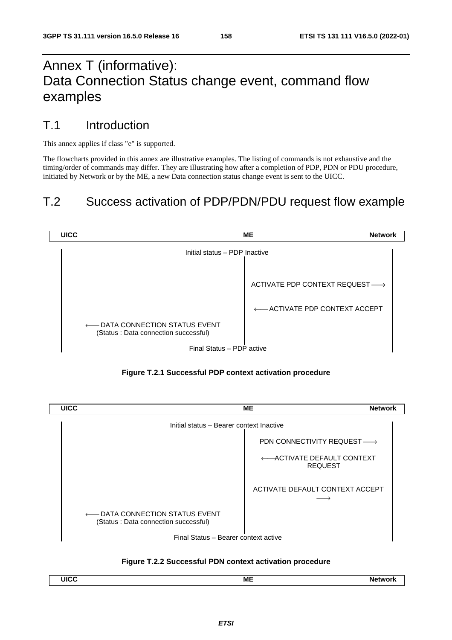# Annex T (informative): Data Connection Status change event, command flow examples

#### T.1 Introduction

This annex applies if class "e" is supported.

The flowcharts provided in this annex are illustrative examples. The listing of commands is not exhaustive and the timing/order of commands may differ. They are illustrating how after a completion of PDP, PDN or PDU procedure, initiated by Network or by the ME, a new Data connection status change event is sent to the UICC.

## T.2 Success activation of PDP/PDN/PDU request flow example







#### **Figure T.2.2 Successful PDN context activation procedure**

| LHC<br><b>ME</b><br>onov |  |
|--------------------------|--|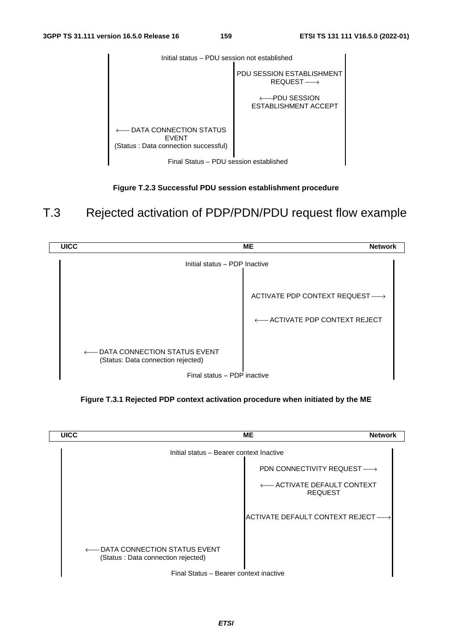

**Figure T.2.3 Successful PDU session establishment procedure** 

#### T.3 Rejected activation of PDP/PDN/PDU request flow example



**Figure T.3.1 Rejected PDP context activation procedure when initiated by the ME** 

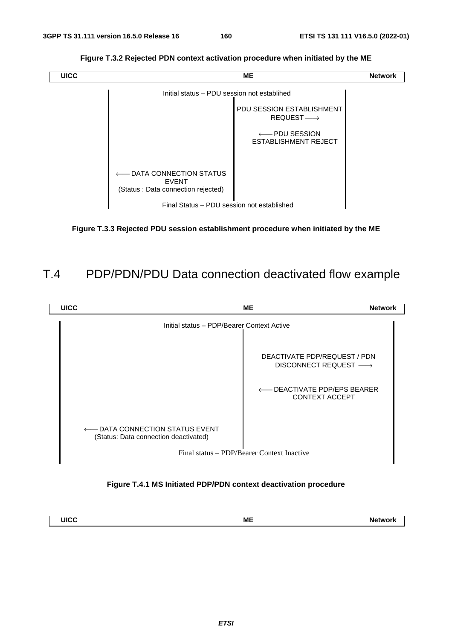**Figure T.3.2 Rejected PDN context activation procedure when initiated by the ME** 



**Figure T.3.3 Rejected PDU session establishment procedure when initiated by the ME** 

# T.4 PDP/PDN/PDU Data connection deactivated flow example



**Figure T.4.1 MS Initiated PDP/PDN context deactivation procedure** 

| ____ | <b>ME</b> | the contract of the contract of the contract of the contract of the contract of the contract of the contract of |
|------|-----------|-----------------------------------------------------------------------------------------------------------------|
|      |           |                                                                                                                 |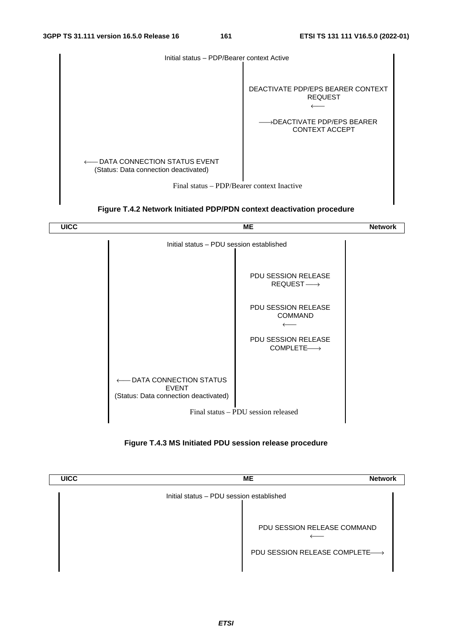





**Figure T.4.3 MS Initiated PDU session release procedure** 

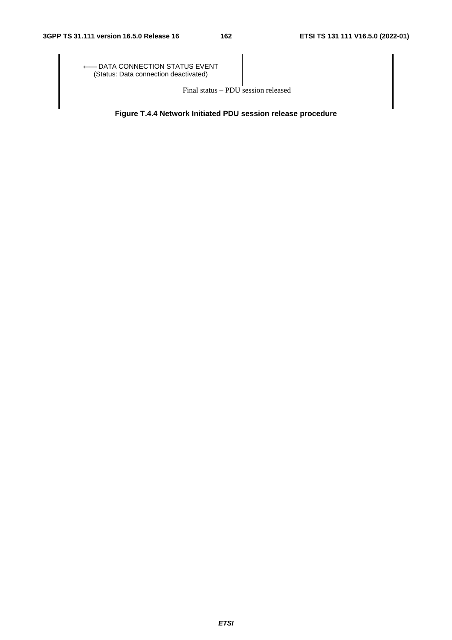← DATA CONNECTION STATUS EVENT⊖ (Status: Data connection deactivated)

Final status – PDU session released

**Figure T.4.4 Network Initiated PDU session release procedure**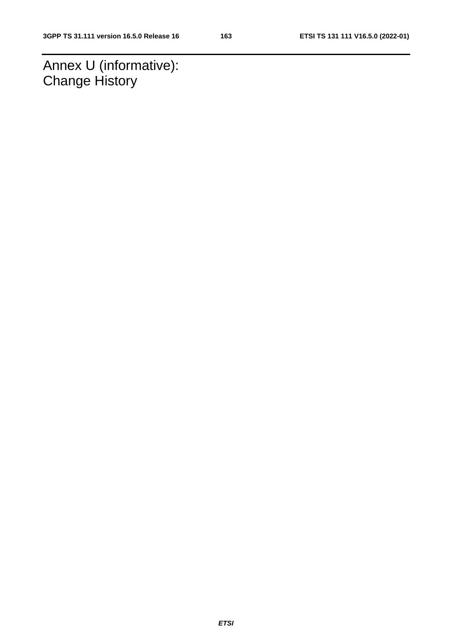Annex U (informative): Change History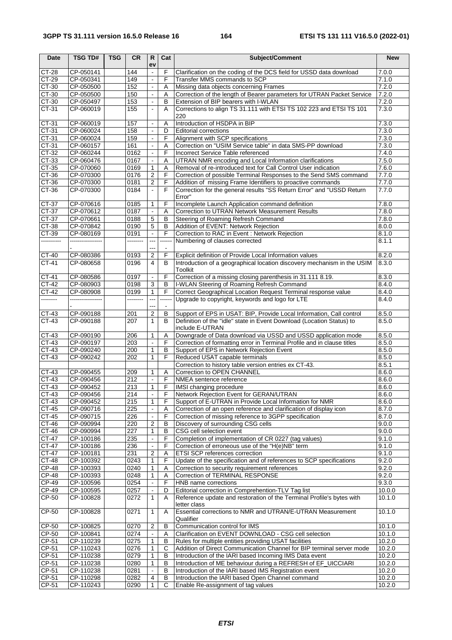| <b>Date</b>         | <b>TSG TD#</b>                | <b>TSG</b> | <b>CR</b>        | $\mathsf{R}$<br>ev               | Cat         | Subject/Comment                                                                                                                     | <b>New</b>       |
|---------------------|-------------------------------|------------|------------------|----------------------------------|-------------|-------------------------------------------------------------------------------------------------------------------------------------|------------------|
| CT-28               | CP-050141                     |            | 144              | $\blacksquare$                   | F           | Clarification on the coding of the DCS field for USSD data download                                                                 | 7.0.0            |
| CT-29               | CP-050341                     |            | 149              | $\blacksquare$                   | F           | Transfer MMS commands to SCP                                                                                                        | 7.1.0            |
| $CT-30$             | CP-050500                     |            | 152              | $\omega$                         | Α           | Missing data objects concerning Frames                                                                                              | 7.2.0            |
| CT-30               | CP-050500                     |            | 150              | $\blacksquare$                   | A           | Correction of the length of Bearer parameters for UTRAN Packet Service                                                              | 7.2.0            |
| CT-30               | CP-050497<br>CP-060019        |            | 153              |                                  | B           | Extension of BIP bearers with I-WLAN<br>Corrections to align TS 31.111 with ETSI TS 102 223 and ETSI TS 101                         | 7.2.0            |
| CT-31               |                               |            | 155              | $\Box$                           | A           | 220                                                                                                                                 | 7.3.0            |
| $CT-31$             | CP-060019                     |            | 157              | $\blacksquare$                   | A           | Introduction of HSDPA in BIP                                                                                                        | 7.3.0            |
| CT-31               | CP-060024                     |            | 158              | $\blacksquare$                   | D           | <b>Editorial corrections</b>                                                                                                        | 7.3.0            |
| $CT-31$             | CP-060024                     |            | 159              | $\Box$                           | F           | Alignment with SCP specifications                                                                                                   | 7.3.0            |
| $CT-31$             | CP-060157                     |            | 161              | $\blacksquare$                   | Α           | Correction on "USIM Service table" in data SMS-PP download                                                                          | 7.3.0            |
| CT-32               | CP-060244                     |            | 0162             | $\blacksquare$                   | F           | Incorrect Service Table referenced                                                                                                  | 7.4.0            |
| CT-33               | CP-060476                     |            | 0167             | $\mathbf{L}$                     | Α           | UTRAN NMR encoding and Local Information clarifications                                                                             | 7.5.0            |
| CT-35<br>CT-36      | CP-070060<br>CP-070300        |            | 0169<br>0176     | $\mathbf{1}$<br>$\overline{c}$   | Α<br>F      | Removal of re-introduced text for Call Control User indication<br>Correction of possible Terminal Responses to the Send SMS command | 7.6.0<br>7.7.0   |
| $CT-36$             | CP-070300                     |            | 0181             | $\overline{2}$                   | F           | Addition of missing Frame Identifiers to proactive commands                                                                         | 7.7.0            |
| $CT-36$             | CP-070300                     |            | 0184             | $\omega$                         | F           | Correction for the general results "SS Return Error" and "USSD Return                                                               | 7.7.0            |
|                     |                               |            |                  |                                  |             | Error"                                                                                                                              |                  |
| CT-37               | CP-070616                     |            | 0185             | 1                                | F           | Incomplete Launch Application command definition                                                                                    | 7.8.0            |
| CT-37               | CP-070612                     |            | 0187             |                                  | Α           | Correction to UTRAN Network Measurement Results                                                                                     | 7.8.0            |
| $CT-37$             | CP-070661                     |            | 0188             | $\overline{5}$                   | B           | Steering of Roaming Refresh Command                                                                                                 | 7.8.0            |
| $CT-38$             | CP-070842                     |            | 0190             | 5                                | B           | Addition of EVENT: Network Rejection                                                                                                | 8.0.0            |
| CT-39<br>---------- | CP-080169<br>---------------- |            | 0191<br>-------- | $\blacksquare$<br>$\overline{a}$ | F<br>------ | Correction to RAC in Event: Network Rejection<br>Numbering of clauses corrected                                                     | 8.1.0<br>8.1.1   |
|                     |                               |            |                  |                                  |             |                                                                                                                                     |                  |
| $CT-40$             | CP-080386                     |            | 0193             | $\overline{\mathbf{c}}$          | F           | Explicit definition of Provide Local Information values                                                                             | 8.2.0            |
| CT-41               | CP-080658                     |            | 0196             | $\overline{4}$                   | B           | Introduction of a geographical location discovery mechanism in the USIM                                                             | 8.3.0            |
|                     |                               |            |                  |                                  |             | Toolkit                                                                                                                             |                  |
| CT-41               | CP-080586                     |            | 0197             | $\blacksquare$                   | F           | Correction of a missing closing parenthesis in 31.111 8.19.                                                                         | 8.3.0            |
| CT-42               | CP-080903                     |            | 0198             | $\mathbf{3}$                     | B           | I-WLAN Steering of Roaming Refresh Command                                                                                          | 8.4.0            |
| CT-42               | CP-080908                     |            | 0199             | $\mathbf{1}$                     | F           | Correct Geographical Location Request Terminal response value                                                                       | 8.4.0            |
| --------            | ---------------               |            | --------         | ---                              | -----       | Upgrade to copyright, keywords and logo for LTE                                                                                     | 8.4.0            |
| CT-43               | CP-090188                     |            | 201              | $\overline{c}$                   | В           | Support of EPS in USAT: BIP, Provide Local Information, Call control                                                                | 8.5.0            |
| CT-43               | CP-090188                     |            | 207              | 1                                | B           | Definition of the "idle" state in Event Download (Location Status) to                                                               | 8.5.0            |
|                     |                               |            |                  |                                  |             | include E-UTRAN                                                                                                                     |                  |
| CT-43               | CP-090190                     |            | 206              | 1                                | Α           | Downgrade of Data download via USSD and USSD application mode                                                                       | 8.5.0            |
| CT-43               | CP-090197                     |            | 203              | $\overline{\phantom{a}}$         | F           | Correction of formatting error in Terminal Profile and in clause titles                                                             | 8.5.0            |
| $CT-43$             | CP-090240                     |            | 200              | $\mathbf{1}$                     | B           | Support of EPS in Network Rejection Event                                                                                           | 8.5.0            |
| CT-43               | CP-090242                     |            | 202              | 1                                | F           | Reduced USAT capable terminals                                                                                                      | 8.5.0            |
| CT-43               | CP-090455                     |            | 209              | 1                                | Α           | Correction to history table version entries ex CT-43.<br>Correction to OPEN CHANNEL                                                 | 8.5.1<br>8.6.0   |
| $CT-43$             | CP-090456                     |            | 212              | $\overline{\phantom{a}}$         | F           | NMEA sentence reference                                                                                                             | 8.6.0            |
| CT-43               | CP-090452                     |            | 213              | 1                                | F           | IMSI changing procedure                                                                                                             | 8.6.0            |
| CT-43               | CP-090456                     |            | $\overline{214}$ | $\blacksquare$                   |             | Network Rejection Event for GERAN/UTRAN                                                                                             | 8.6.0            |
| CT-43               | CP-090452                     |            | 215              | 1                                | F           | Support of E-UTRAN in Provide Local Information for NMR                                                                             | 8.6.0            |
| $CT-45$             | CP-090716                     |            | 225              |                                  | Α           | Correction of an open reference and clarification of display icon                                                                   | 8.7.0            |
| $CT-45$             | CP-090715                     |            | 226              |                                  | F           | Correction of missing reference to 3GPP specification                                                                               | 8.7.0            |
| CT-46               | CP-090994                     |            | 220              | $\overline{2}$                   | B           | Discovery of surrounding CSG cells                                                                                                  | 9.0.0            |
| CT-46<br>CT-47      | CP-090994<br>CP-100186        |            | 227<br>235       | 1<br>$\Box$                      | В<br>F      | CSG cell selection event<br>Completion of implementation of CR 0227 (tag values)                                                    | 9.0.0<br>9.1.0   |
| CT-47               | CP-100186                     |            | 236              | $\blacksquare$                   | F           | Correction of erroneous use of the "H(e)NB" term                                                                                    | 9.1.0            |
| CT-47               | CP-100181                     |            | 231              | $\overline{2}$                   | Α           | ETSI SCP references correction                                                                                                      | 9.1.0            |
| CT-48               | CP-100392                     |            | 0243             | $\mathbf{1}$                     | F           | Update of the specification and of references to SCP specifications                                                                 | 9.2.0            |
| $CP-48$             | CP-100393                     |            | 0240             | 1                                | A           | Correction to security requirement references                                                                                       | 9.2.0            |
| $CP-48$             | CP-100393                     |            | 0248             | 1                                | Α           | Correction of TERMINAL RESPONSE                                                                                                     | 9.2.0            |
| CP-49               | CP-100596                     |            | 0254             |                                  | F           | HNB name corrections                                                                                                                | 9.3.0            |
| CP-49               | CP-100595                     |            | 0257             |                                  | D           | Editorial correction in Comprehention-TLV Tag list                                                                                  | 10.0.0           |
| CP-50               | CP-100828                     |            | 0272             | $\mathbf{1}$                     | A           | Reference update and restoration of the Terminal Profile's bytes with                                                               | 10.1.0           |
| CP-50               | CP-100828                     |            | 0271             | $\mathbf{1}$                     | Α           | letter class<br>Essential corrections to NMR and UTRAN/E-UTRAN Measurement                                                          | 10.1.0           |
|                     |                               |            |                  |                                  |             | Qualifier                                                                                                                           |                  |
| CP-50               | CP-100825                     |            | 0270             | 2                                | В           | Communication control for IMS                                                                                                       | 10.1.0           |
| CP-50               | CP-100841                     |            | 0274             | $\blacksquare$                   | A           | Clarification on EVENT DOWNLOAD - CSG cell selection                                                                                | 10.1.0           |
| CP-51               | CP-110239                     |            | 0275             | 1                                | В           | Rules for multiple entities providing USAT facilities                                                                               | 10.2.0           |
| CP-51               | CP-110243                     |            | 0276             | 1                                | C           | Addition of Direct Communication Channel for BIP terminal server mode                                                               | 10.2.0           |
| CP-51               | CP-110238                     |            | 0279             | 1                                | B           | Introduction of the IARI based Incoming IMS Data event                                                                              | 10.2.0           |
| CP-51<br>$CP-51$    | CP-110238<br>CP-110238        |            | 0280<br>0281     | 1                                | В<br>B      | Introduction of ME behaviour during a REFRESH of EF_UICCIARI                                                                        | 10.2.0<br>10.2.0 |
| CP-51               | CP-110298                     |            | 0282             | 4                                | В           | Introduction of the IARI based IMS Registration event<br>Introduction the IARI based Open Channel command                           | 10.2.0           |
| CP-51               | CP-110243                     |            | 0290             |                                  | C           | Enable Re-assignment of tag values                                                                                                  | 10.2.0           |
|                     |                               |            |                  |                                  |             |                                                                                                                                     |                  |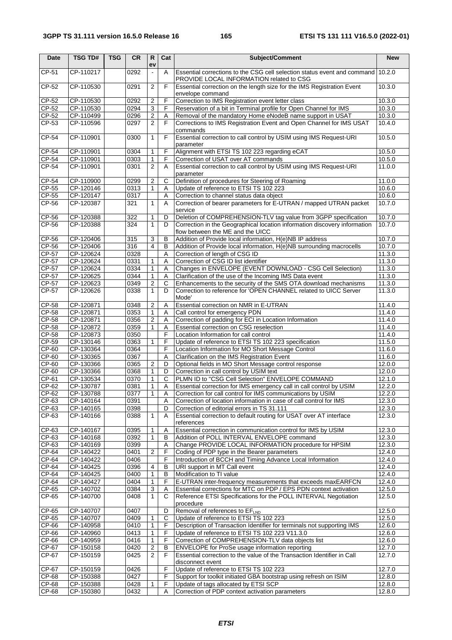| <b>Date</b>      | <b>TSG TD#</b>         | <b>TSG</b> | <b>CR</b>    | $\mathsf{R}$<br>ev | Cat    | Subject/Comment                                                                                                                      | <b>New</b>       |
|------------------|------------------------|------------|--------------|--------------------|--------|--------------------------------------------------------------------------------------------------------------------------------------|------------------|
| CP-51            | CP-110217              |            | 0292         | $\blacksquare$     | A      | Essential corrections to the CSG cell selection status event and command 10.2.0<br>PROVIDE LOCAL INFORMATION related to CSG          |                  |
| $CP-52$          | CP-110530              |            | 0291         | $\overline{2}$     | F      | Essential correction on the length size for the IMS Registration Event<br>envelope command                                           | 10.3.0           |
| CP-52            | CP-110530              |            | 0292         | 2                  | F      | Correction to IMS Registration event letter class                                                                                    | 10.3.0           |
| CP-52            | CP-110530              |            | 0294         | 3                  | F      | Reservation of a bit in Terminal profile for Open Channel for IMS                                                                    | 10.3.0           |
| $CP-52$          | CP-110499              |            | 0296         | $\overline{2}$     | Α      | Removal of the mandatory Home eNodeB name support in USAT                                                                            | 10.3.0           |
| CP-53            | CP-110596              |            | 0297         | $\overline{2}$     | F      | Corrections to IMS Registration Event and Open Channel for IMS USAT<br>commands                                                      | 10.4.0           |
| $CP-54$          | CP-110901              |            | 0300         | $\mathbf{1}$       | F      | Essential correction to call control by USIM using IMS Request-URI<br>parameter                                                      | 10.5.0           |
| CP-54            | CP-110901              |            | 0304         | $\mathbf{1}$       | F      | Alignment with ETSI TS 102 223 regarding eCAT                                                                                        | 10.5.0           |
| CP-54            | CP-110901              |            | 0303         | 1                  | F      | Correction of USAT over AT commands                                                                                                  | 10.5.0           |
| CP-54            | CP-110901              |            | 0301         | $\overline{2}$     | A      | Essential correction to call control by USIM using IMS Request-URI<br>parameter                                                      | 11.0.0           |
| CP-54            | CP-110900              |            | 0299         | 2                  | С      | Definition of procedures for Steering of Roaming                                                                                     | 11.0.0           |
| CP-55            | CP-120146              |            | 0313         | $\mathbf{1}$       | Α      | Update of reference to ETSI TS 102 223                                                                                               | 10.6.0           |
| $CP-55$          | CP-120147              |            | 0317         |                    | Α      | Correction to channel status data object                                                                                             | 10.6.0           |
| CP-56            | CP-120387              |            | 321          | $\mathbf{1}$       | A      | Correction of bearer parameters for E-UTRAN / mapped UTRAN packet<br>service                                                         | 10.7.0           |
| CP-56            | CP-120388              |            | 322          | 1                  | D      | Deletion of COMPREHENSION-TLV tag value from 3GPP specification                                                                      | 10.7.0           |
| CP-56            | CP-120388              |            | 324          | $\mathbf{1}$       | D      | Correction in the Geographical location information discovery information<br>flow between the ME and the UICC                        | 10.7.0           |
| CP-56            | CP-120406              |            | 315          | 3                  | B      | Addition of Provide local information, H(e)NB IP address                                                                             | 10.7.0           |
| CP-56            | CP-120406              |            | 316          | $\overline{4}$     | B      | Addition of Provide local information, H(e)NB surrounding macrocells                                                                 | 10.7.0           |
| CP-57            | CP-120624              |            | 0328         |                    | A      | Correction of length of CSG ID                                                                                                       | 11.3.0           |
| CP-57            | CP-120624              |            | 0331         | $\mathbf{1}$       | Α      | Correction of CSG ID list identifier                                                                                                 | 11.3.0           |
| CP-57            | CP-120624              |            | 0334         | 1                  | Α      | Changes in ENVELOPE (EVENT DOWNLOAD - CSG Cell Selection)                                                                            | 11.3.0           |
| CP-57<br>CP-57   | CP-120625<br>CP-120623 |            | 0344<br>0349 | 1<br>2             | A<br>C | Clarification of the use of the Incoming IMS Data event<br>Enhancements to the security of the SMS OTA download mechanisms           | 11.3.0<br>11.3.0 |
| CP-57            | CP-120626              |            | 0338         | 1                  | D      | Correction to reference for 'OPEN CHANNEL related to UICC Server                                                                     | 11.3.0           |
|                  |                        |            |              |                    |        | Mode'                                                                                                                                |                  |
| CP-58            | CP-120871              |            | 0348         | 2                  | Α      | Essential correction on NMR in E-UTRAN                                                                                               | 11.4.0           |
| CP-58<br>CP-58   | CP-120871<br>CP-120871 |            | 0353<br>0356 | $\mathbf{1}$<br>2  | Α<br>Α | Call control for emergency PDN<br>Correction of padding for ECI in Location Information                                              | 11.4.0<br>11.4.0 |
| CP-58            | CP-120872              |            | 0359         | 1                  | Α      | Essential correction on CSG reselection                                                                                              | 11.4.0           |
| CP-58            | CP-120873              |            | 0350         |                    | F      | Location Information for call control                                                                                                | 11.4.0           |
| CP-59            | CP-130146              |            | 0363         | 1                  | F      | Update of reference to ETSI TS 102 223 specification                                                                                 | 11.5.0           |
| CP-60            | CP-130364              |            | 0364         |                    | F      | Location Information for MO Short Message Control                                                                                    | 11.6.0           |
| CP-60            | CP-130365              |            | 0367         |                    | A      | Clarification on the IMS Registration Event                                                                                          | 11.6.0           |
| CP-60            | CP-130366              |            | 0365         | 2                  | D      | Optional fields in MO Short Message control response                                                                                 | 12.0.0           |
| CP-60            | CP-130366              |            | 0368         | 1                  | D      | Correction in call control by USIM text                                                                                              | 12.0.0           |
| $CP-61$<br>CP-62 | CP-130534<br>CP-130787 |            | 0370<br>0381 | 1<br>1             | C<br>Α | PLMN ID to "CSG Cell Selection" ENVELOPE COMMAND<br>Essential correction for IMS emergency call in call control by USIM              | 12.1.0<br>12.2.0 |
| CP-62            | CP-130788              |            | 0377         | $\mathbf{1}$       | Ā      | Correction for call control for IMS communications by USIM                                                                           | 12.2.0           |
| CP-63            | $CF-140164$            |            | 0391         |                    | Α      | Correction of location information in case of call control for IMS                                                                   | 12.3.0           |
| $CP-63$          | CP-140165              |            | 0398         |                    | D      | Correction of editorial errors in TS 31.111                                                                                          | 12.3.0           |
| CP-63            | CP-140166              |            | 0388         | 1                  | Α      | Essential correction to default routing for USAT over AT interface<br>references                                                     | 12.3.0           |
| $CP-63$          | CP-140167              |            | 0395         | 1                  | A      | Essential correction in communication control for IMS by USIM                                                                        | 12.3.0           |
| CP-63            | CP-140168              |            | 0392         | 1                  | В      | Addition of POLL INTERVAL ENVELOPE command                                                                                           | 12.3.0           |
| CP-63            | CP-140169              |            | 0399         |                    | Α      | Change PROVIDE LOCAL INFORMATION procedure for HPSIM                                                                                 | 12.3.0           |
| CP-64            | CP-140422              |            | 0401         | 2                  | F      | Coding of PDP type in the Bearer parameters                                                                                          | 12.4.0           |
| CP-64            | CP-140422              |            | 0406         |                    | F      | Introduction of BCCH and Timing Advance Local Information                                                                            | 12.4.0           |
| CP-64            | CP-140425              |            | 0396         | 4                  | B      | URI support in MT Call event                                                                                                         | 12.4.0           |
| CP-64            | CP-140425              |            | 0400         | 1                  | В      | Modification to TI value                                                                                                             | 12.4.0           |
| CP-64            | CP-140427              |            | 0404<br>0384 | 1                  | F      | E-UTRAN inter-frequency measurements that exceeds maxEARFCN                                                                          | 12.4.0           |
| CP-65<br>CP-65   | CP-140702<br>CP-140700 |            | 0408         | 3<br>$\mathbf{1}$  | Α<br>C | Essential corrections for MTC on PDP / EPS PDN context activation<br>Reference ETSI Specifications for the POLL INTERVAL Negotiation | 12.5.0<br>12.5.0 |
| CP-65            | CP-140707              |            | 0407         |                    | D      | procedure<br>Removal of references to EFLND                                                                                          | 12.5.0           |
| CP-65            | CP-140707              |            | 0409         |                    | C      | Update of reference to ETSI TS 102 223                                                                                               | 12.5.0           |
| CP-66            | CP-140958              |            | 0410         | 1                  | F      | Description of Transaction Identifier for terminals not supporting IMS                                                               | 12.6.0           |
| CP-66            | CP-140960              |            | 0413         | 1                  | F      | Update of reference to ETSI TS 102 223 V11.3.0                                                                                       | 12.6.0           |
| CP-66            | CP-140959              |            | 0416         | 1                  | F      | Correction of COMPREHENSION-TLV data objects list                                                                                    | 12.6.0           |
| CP-67            | CP-150158              |            | 0420         | $\overline{2}$     | B      | ENVELOPE for ProSe usage information reporting                                                                                       | 12.7.0           |
| CP-67            | CP-150159              |            | 0425         | 2                  | F      | Essential correction to the value of the Transaction Identifier in Call<br>disconnect event                                          | 12.7.0           |
| CP-67            | CP-150159              |            | 0426         |                    | F      | Update of reference to ETSI TS 102 223                                                                                               | 12.7.0           |
| CP-68            | CP-150388              |            | 0427         |                    | F      | Support for toolkit initiated GBA bootstrap using refresh on ISIM                                                                    | 12.8.0           |
| CP-68            | CP-150388              |            | 0428         | 1                  | F      | Update of tags allocated by ETSI SCP                                                                                                 | 12.8.0           |
| CP-68            | CP-150380              |            | 0432         |                    | Α      | Correction of PDP context activation parameters                                                                                      | 12.8.0           |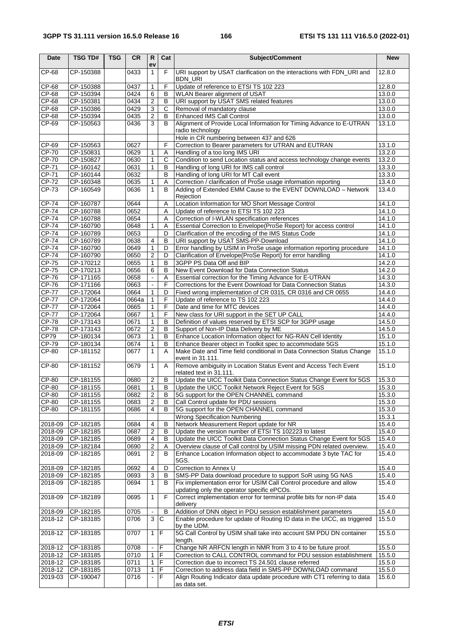| <b>Date</b>        | <b>TSG TD#</b>         | <b>TSG</b> | <b>CR</b>    | $\mathsf{R}$<br>ev  | Cat            | Subject/Comment                                                                                                          | <b>New</b>       |
|--------------------|------------------------|------------|--------------|---------------------|----------------|--------------------------------------------------------------------------------------------------------------------------|------------------|
| $CP-68$            | CP-150388              |            | 0433         | $\mathbf{1}$        | F              | URI support by USAT clarification on the interactions with FDN_URI and<br><b>BDN URI</b>                                 | 12.8.0           |
| CP-68              | CP-150388              |            | 0437         | $\mathbf{1}$        | F              | Update of reference to ETSI TS 102 223                                                                                   | 12.8.0           |
| CP-68              | CP-150394              |            | 0424         | 6                   | B              | WLAN Bearer alignment of USAT                                                                                            | 13.0.0           |
| CP-68              | CP-150381              |            | 0434         | $\overline{2}$      | $\overline{B}$ | URI support by USAT SMS related features                                                                                 | 13.0.0           |
| $CP-68$            | CP-150386              |            | 0429         | $\overline{3}$      | $\overline{C}$ | Removal of mandatory clause                                                                                              | 13.0.0           |
| CP-68              | CP-150394              |            | 0435         | 2                   | $\overline{B}$ | <b>Enhanced IMS Call Control</b>                                                                                         | 13.0.0           |
| CP-69              | CP-150563              |            | 0436         | 3                   | B              | Alignment of Provide Local Information for Timing Advance to E-UTRAN<br>radio technology                                 | 13.1.0           |
|                    |                        |            |              |                     |                | Hole in CR numbering between 437 and 626                                                                                 |                  |
| CP-69<br>CP-70     | CP-150563<br>CP-150831 |            | 0627<br>0629 |                     | F<br>A         | Correction to Bearer parameters for UTRAN and EUTRAN                                                                     | 13.1.0<br>13.2.0 |
| CP-70              | CP-150827              |            | 0630         | 1<br>$\mathbf{1}$   | $\overline{c}$ | Handling of a too long IMS URI<br>Condition to send Location status and access technology change events                  | 13.2.0           |
| CP-71              | CP-160142              |            | 0631         | 1                   | B              | Handling of long URI for IMS call control                                                                                | 13.3.0           |
| CP-71              | CP-160144              |            | 0632         |                     | B              | Handling of long URI for MT Call event                                                                                   | 13.3.0           |
| CP-72              | CP-160348              |            | 0635         | 1                   | Α              | Correction / clarification of ProSe usage information reporting                                                          | 13.4.0           |
| CP-73              | CP-160549              |            | 0636         | $\mathbf{1}$        | B              | Adding of Extended EMM Cause to the EVENT DOWNLOAD - Network<br>Rejection                                                | 13.4.0           |
| CP-74              | CP-160787              |            | 0644         |                     | Α              | Location Information for MO Short Message Control                                                                        | 14.1.0           |
| $CP-74$            | CP-160788              |            | 0652         |                     | Α              | Update of reference to ETSI TS 102 223                                                                                   | 14.1.0           |
| <b>CP-74</b>       | CP-160788              |            | 0654         |                     | Α              | Correction of I-WLAN specification references                                                                            | 14.1.0           |
| <b>CP-74</b>       | CP-160790              |            | 0648         | 1                   | Α              | Essential Correction to Envelope(ProSe Report) for access control                                                        | 14.1.0           |
| <b>CP-74</b>       | CP-160789              |            | 0653         |                     | D              | Clarification of the encoding of the IMS Status Code                                                                     | 14.1.0           |
| <b>CP-74</b>       | CP-160789              |            | 0638         | 4                   | B              | URI support by USAT SMS-PP-Download                                                                                      | 14.1.0           |
| <b>CP-74</b>       | CP-160790              |            | 0649         | 1                   | D              | Error handling by USIM in ProSe usage information reporting procedure                                                    | 14.1.0           |
| $CP-74$            | CP-160790              |            | 0650         | 2                   | D              | Clarification of Envelope(ProSe Report) for error handling                                                               | 14.1.0           |
| CP-75              | CP-170212              |            | 0655         | $\mathbf{1}$        | B              | 3GPP PS Data Off and BIP                                                                                                 | 14.2.0           |
| CP-75<br>$CP-76$   | CP-170213              |            | 0656<br>0658 | 6<br>$\blacksquare$ | $\sf B$<br>A   | New Event Download for Data Connection Status                                                                            | 14.2.0<br>14.3.0 |
| CP-76              | CP-171165<br>CP-171166 |            | 0663         | $\blacksquare$      | F              | Essential correction for the Timing Advance for E-UTRAN<br>Corrections for the Event Download for Data Connection Status | 14.3.0           |
| $CP-77$            | CP-172064              |            | 0664         | $\mathbf{1}$        | D              | Fixed wrong implementation of CR 0315, CR 0316 and CR 0655                                                               | 14.4.0           |
| $CP-77$            | CP-172064              |            | 0664a        | 1                   | F              | Update of reference to TS 102 223                                                                                        | 14.4.0           |
| <b>CP-77</b>       | CP-172064              |            | 0665         | $\mathbf{1}$        | F              | Date and time for MTC devices                                                                                            | 14.4.0           |
| $CP-77$            | CP-172064              |            | 0667         | 1                   | F              | New class for URI support in the SET UP CALL                                                                             | 14.4.0           |
| <b>CP-78</b>       | CP-173143              |            | 0671         | $\mathbf{1}$        | B              | Definition of values reserved by ETSI SCP for 3GPP usage                                                                 | 14.5.0           |
| <b>CP-78</b>       | CP-173143              |            | 0672         | $\overline{2}$      | $\overline{B}$ | Support of Non-IP Data Delivery by ME                                                                                    | 14.5.0           |
| CP79               | CP-180134              |            | 0673         | 1                   | B              | Enhance Location Information object for NG-RAN Cell Identity                                                             | 15.1.0           |
| $CP-79$            | CP-180134              |            | 0674         | 1                   | В              | Enhance Bearer object in Toolkit spec to accommodate 5GS                                                                 | 15.1.0           |
| CP-80              | CP-181152              |            | 0677         | $\mathbf{1}$        | A              | Make Date and Time field conditional in Data Connection Status Change<br>event in 31.111.                                | 15.1.0           |
| CP-80              | CP-181152              |            | 0679         | 1                   | A              | Remove ambiguity in Location Status Event and Access Tech Event<br>related text in 31.111.                               | 15.1.0           |
| CP-80              | CP-181155              |            | 0680         | $\overline{c}$      | B              | Update the UICC Toolkit Data Connection Status Change Event for 5GS                                                      | 15.3.0           |
| <b>CP-80</b>       | CP-181155              |            | 0681         | $\mathbf{1}$        | B              | Update the UICC Toolkit Network Reject Event for 5GS                                                                     | 15.3.0           |
| CP-80              | CP-181155              |            | 0682         | 2                   | В              | 5G support for the OPEN CHANNEL command                                                                                  | 15.3.0           |
| CP-80              | CP-181155              |            | 0683         | $\overline{2}$      | В              | Call Control update for PDU sessions                                                                                     | 15.3.0           |
| CP-80              | CP-181155              |            | 0686         | 4                   | В              | 5G support for the OPEN CHANNEL command                                                                                  | 15.3.0           |
|                    |                        |            |              |                     |                | <b>Wrong Specification Numbering</b>                                                                                     | 15.3.1<br>15.4.0 |
| 2018-09<br>2018-09 | CP-182185<br>CP-182185 |            | 0684<br>0687 | 4<br>2              | В<br>в         | Network Measurement Report update for NR<br>Update the version number of ETSI TS 102223 to latest                        | 15.4.0           |
| 2018-09            | CP-182185              |            | 0689         | 4                   | В              | Update the UICC Toolkit Data Connection Status Change Event for 5GS                                                      | 15.4.0           |
| 2018-09            | CP-182184              |            | 0690         | $\overline{2}$      | Α              | Overview clause of Call control by USIM missing PDN related overview.                                                    | 15.4.0           |
| 2018-09            | CP-182185              |            | 0691         | 2                   | В              | Enhance Location Information object to accommodate 3 byte TAC for<br>5GS.                                                | 15.4.0           |
| 2018-09            | CP-182185              |            | 0692         | 4                   | D              | Correction to Annex U                                                                                                    | 15.4.0           |
| 2018-09            | CP-182185              |            | 0693         | 3                   | В              | SMS-PP Data download procedure to support SoR using 5G NAS                                                               | 15.4.0           |
| 2018-09            | CP-182185              |            | 0694         | 1                   | B              | Fix implementation error for USIM Call Control procedure and allow<br>updating only the operator specific ePCOs.         | 15.4.0           |
| 2018-09            | CP-182189              |            | 0695         | 1                   | F              | Correct implementation error for terminal profile bits for non-IP data<br>delivery                                       | 15.4.0           |
| 2018-09            | CP-182185              |            | 0705         |                     | B              | Addition of DNN object in PDU session establishment parameters                                                           | 15.4.0           |
| 2018-12            | CP-183185              |            | 0706         | 3                   | C              | Enable procedure for update of Routing ID data in the UICC, as triggered<br>by the UDM.                                  | 15.5.0           |
| 2018-12            | CP-183185              |            | 0707         | $1 \mid F$          |                | 5G Call Control by USIM shall take into account SM PDU DN container<br>length.                                           | 15.5.0           |
| 2018-12            | CP-183185              |            | 0708         |                     | F              | Change NR ARFCN length in NMR from 3 to 4 to be future proof.                                                            | 15.5.0           |
| 2018-12            | CP-183185              |            | 0710         | 1                   | F              | Correction to CALL CONTROL command for PDU session establishment                                                         | 15.5.0           |
| 2018-12            | CP-183185              |            | 0711         | 1                   | F              | Correction due to incorrect TS 24.501 clause referred                                                                    | 15.5.0           |
| 2018-12            | CP-183185              |            | 0713         | 1                   | F              | Correction to address data field in SMS-PP DOWNLOAD command                                                              | 15.5.0           |
| 2019-03            | CP-190047              |            | 0716         |                     | F              | Align Routing Indicator data update procedure with CT1 referring to data<br>as data set.                                 | 15.6.0           |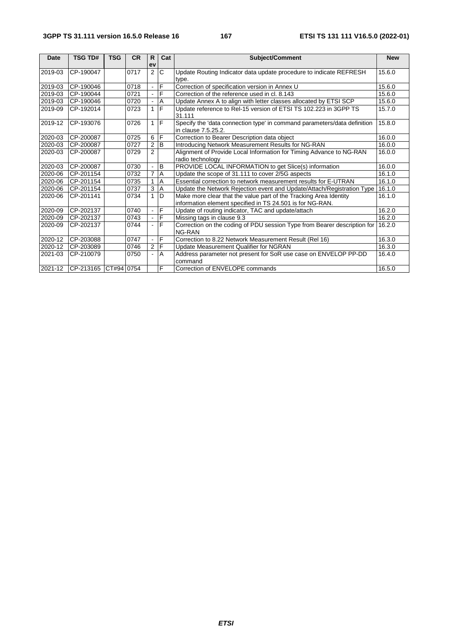| <b>Date</b> | <b>TSG TD#</b>       | <b>TSG</b> | <b>CR</b> | $\mathsf{R}$   | Cat            | <b>Subject/Comment</b>                                                                          | <b>New</b> |
|-------------|----------------------|------------|-----------|----------------|----------------|-------------------------------------------------------------------------------------------------|------------|
|             |                      |            |           | ev             |                |                                                                                                 |            |
| 2019-03     | CP-190047            |            | 0717      | 2              | $\overline{c}$ | Update Routing Indicator data update procedure to indicate REFRESH                              | 15.6.0     |
|             |                      |            |           |                |                | type.                                                                                           |            |
| 2019-03     | CP-190046            |            | 0718      |                | F              | Correction of specification version in Annex U                                                  | 15.6.0     |
| 2019-03     | CP-190044            |            | 0721      |                | $\overline{F}$ | Correction of the reference used in cl. 8.143                                                   | 15.6.0     |
| 2019-03     | CP-190046            |            | 0720      |                | Α              | Update Annex A to align with letter classes allocated by ETSI SCP                               | 15.6.0     |
| 2019-09     | CP-192014            |            | 0723      |                | $1 \mathsf{F}$ | Update reference to Rel-15 version of ETSI TS 102.223 in 3GPP TS<br>31.111                      | 15.7.0     |
| 2019-12     | CP-193076            |            | 0726      | $1 \mid F$     |                | Specify the 'data connection type' in command parameters/data definition<br>in clause 7.5.25.2. | 15.8.0     |
| 2020-03     | CP-200087            |            | 0725      | 6              | ΙF             | Correction to Bearer Description data object                                                    | 16.0.0     |
| 2020-03     | CP-200087            |            | 0727      | $\overline{2}$ | B              | Introducing Network Measurement Results for NG-RAN                                              | 16.0.0     |
| 2020-03     | CP-200087            |            | 0729      | $\overline{2}$ |                | Alignment of Provide Local Information for Timing Advance to NG-RAN                             | 16.0.0     |
|             |                      |            |           |                |                | radio technology                                                                                |            |
| 2020-03     | CP-200087            |            | 0730      |                | $\, {\bf B}$   | PROVIDE LOCAL INFORMATION to get Slice(s) information                                           | 16.0.0     |
| 2020-06     | CP-201154            |            | 0732      | 7              | A              | Update the scope of 31.111 to cover 2/5G aspects                                                | 16.1.0     |
| 2020-06     | CP-201154            |            | 0735      |                | A              | Essential correction to network measurement results for E-UTRAN                                 | 16.1.0     |
| 2020-06     | CP-201154            |            | 0737      | 3              | A              | Update the Network Rejection event and Update/Attach/Registration Type                          | 16.1.0     |
| 2020-06     | CP-201141            |            | 0734      |                | D              | Make more clear that the value part of the Tracking Area Identity                               | 16.1.0     |
|             |                      |            |           |                |                | information element specified in TS 24.501 is for NG-RAN.                                       |            |
| 2020-09     | CP-202137            |            | 0740      |                | $\overline{F}$ | Update of routing indicator, TAC and update/attach                                              | 16.2.0     |
| 2020-09     | CP-202137            |            | 0743      |                | F              | Missing tags in clause 9.3                                                                      | 16.2.0     |
| 2020-09     | CP-202137            |            | 0744      |                | F              | Correction on the coding of PDU session Type from Bearer description for                        | 16.2.0     |
|             |                      |            |           |                |                | NG-RAN                                                                                          |            |
| 2020-12     | CP-203088            |            | 0747      |                | F              | Correction to 8.22 Network Measurement Result (Rel 16)                                          | 16.3.0     |
| 2020-12     | CP-203089            |            | 0746      | $\overline{2}$ | IF             | Update Measurement Qualifier for NGRAN                                                          | 16.3.0     |
| 2021-03     | CP-210079            |            | 0750      |                | $\overline{A}$ | Address parameter not present for SoR use case on ENVELOP PP-DD<br>command                      | 16.4.0     |
| 2021-12     | CP-213165 CT#94 0754 |            |           |                | $\overline{F}$ | Correction of ENVELOPE commands                                                                 | 16.5.0     |